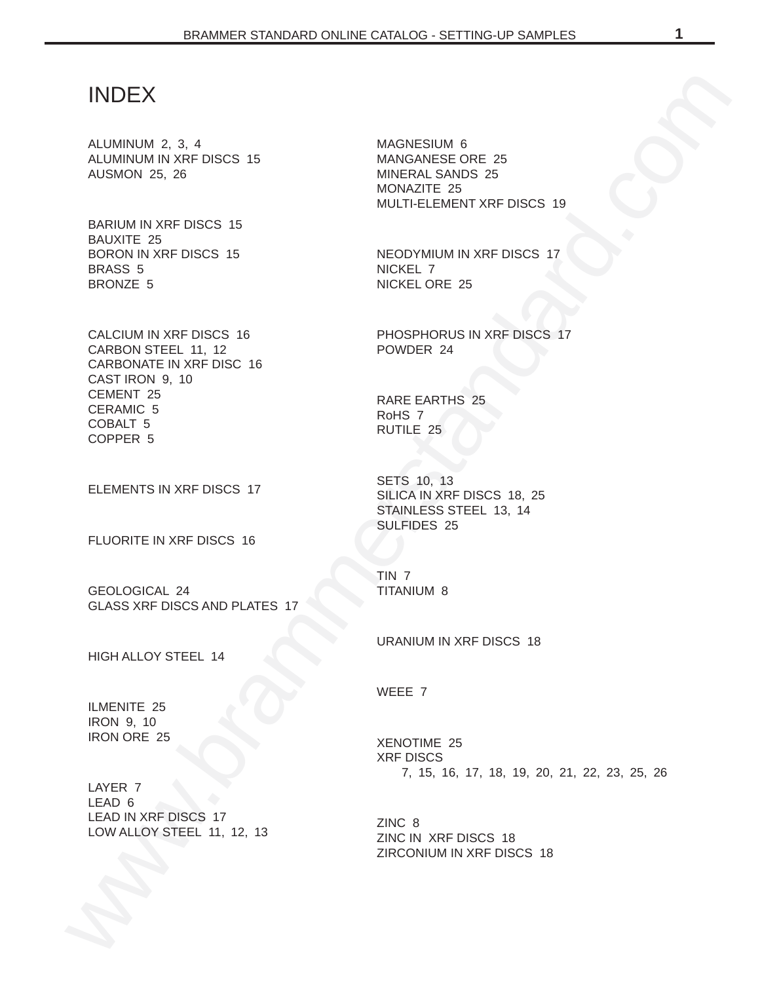# INDEX

ALUMINUM 2, 3, 4 ALUMINUM IN XRF DISCS 15 AUSMON 25, 26

BARIUM IN XRF DISCS 15 BAUXITE 25 BORON IN XRF DISCS 15 BRASS 5 BRONZE 5

INDEX<br>
MUMINIMAN 2, 3, 4<br>
MUMINIMAN 2, 3, 4<br>
MUMINIMAN 2, 3, 4<br>
MUSING IN 2, 5<br>
MUMINIMAN WAT DISCS 15<br>
MUMINIMAN 2, 25<br>
BANUM IN XRT DISCS 15<br>
BANUM IN XRT DISCS 15<br>
MUMINIMAN PORTS 5<br>
MUMINIMAN PORTS 16<br>
MUMINIMAN PORTS CALCIUM IN XRF DISCS 16 CARBON STEEL 11, 12 CARBONATE IN XRF DISC 16 CAST IRON 9, 10 CEMENT 25 CERAMIC 5 COBALT 5 COPPER 5

ELEMENTS IN XRF DISCS 17

FLUORITE IN XRF DISCS 16

GEOLOGICAL 24 GLASS XRF DISCS AND PLATES 17

HIGH ALLOY STEEL 14

ILMENITE 25 IRON 9, 10 IRON ORE 25

LAYER 7 LEAD 6 LEAD IN XRF DISCS 17 LOW ALLOY STEEL 11, 12, 13 MAGNESIUM 6 MANGANESE ORE 25 MINERAL SANDS 25 MONAZITE 25 MULTI-ELEMENT XRF DISCS 19

NEODYMIUM IN XRF DISCS 17 NICKEL 7 NICKEL ORE 25

PHOSPHORUS IN XRF DISCS 17 POWDER 24

RARE EARTHS 25 RoHS 7 RUTILE 25

SETS 10, 13 SILICA IN XRF DISCS 18, 25 STAINLESS STEEL 13, 14 SULFIDES 25

TIN 7 TITANIUM 8

URANIUM IN XRF DISCS 18

WEEE 7

XENOTIME 25 XRF DISCS 7, 15, 16, 17, 18, 19, 20, 21, 22, 23, 25, 26

ZINC 8 ZINC IN XRF DISCS 18 ZIRCONIUM IN XRF DISCS 18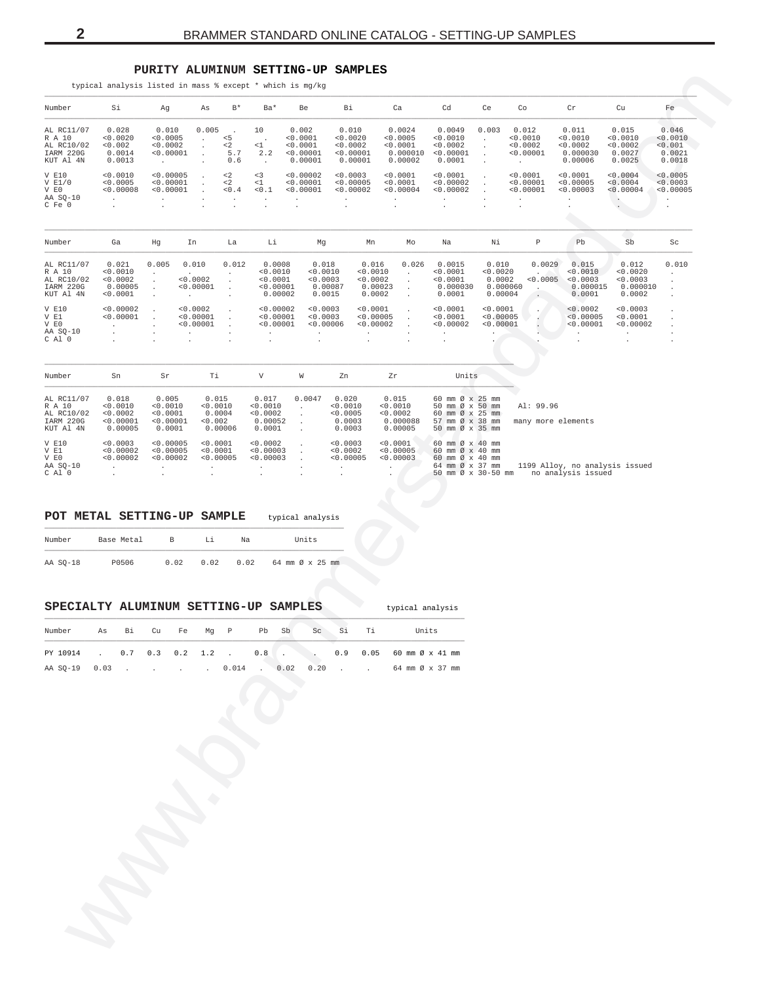## PURITY ALUMINUM SETTING-UP SAMPLES

<span id="page-1-0"></span>

| Number                                                       | Si                                                   | Ag                                                         | As                                                  | $\mathbb{B}^{\,\star}$       | Ba*                                                    | Be                                                    | Вi                                                    |                                                    | Ca                                                    | Cd                                                             | Ce                                                 | Co                                                   | $\operatorname{Cr}$                                  | Cu                                                  | Fe                                               |
|--------------------------------------------------------------|------------------------------------------------------|------------------------------------------------------------|-----------------------------------------------------|------------------------------|--------------------------------------------------------|-------------------------------------------------------|-------------------------------------------------------|----------------------------------------------------|-------------------------------------------------------|----------------------------------------------------------------|----------------------------------------------------|------------------------------------------------------|------------------------------------------------------|-----------------------------------------------------|--------------------------------------------------|
| AL RC11/07<br>R A 10<br>AL RC10/02<br>IARM 220G<br>KUT Al 4N | 0.028<br>< 0.0020<br>< 0.002<br>0.0014<br>0.0013     | 0.010<br>< 0.0005<br>< 0.0002<br>< 0.00001<br><b>Allen</b> | 0.005<br>$\cdot$                                    | < 5<br>$2$<br>5.7<br>0.6     | 10<br>< 1<br>2.2                                       | 0.002<br>< 0.0001<br>< 0.0001<br>< 0.00001<br>0.00001 | 0.010<br>< 0.0020<br>< 0.0002<br>< 0.00001<br>0.00001 |                                                    | 0.0024<br>< 0.0005<br>< 0.0001<br>0.000010<br>0.00002 | 0.0049<br>< 0.0010<br>< 0.0002<br>< 0.00001<br>0.0001          | 0.003                                              | 0.012<br>< 0.0010<br>< 0.0002<br>< 0.00001<br>$\sim$ | 0.011<br>< 0.0010<br>< 0.0002<br>0.000030<br>0.00006 | 0.015<br>< 0.0010<br>< 0.0002<br>0.0027<br>0.0025   | 0.046<br>< 0.0010<br>< 0.001<br>0.0021<br>0.0018 |
| $V$ $E10$<br>V E1/0<br>V EO<br>AA SO-10<br>C Fe 0            | < 0.0010<br>< 0.0005<br>< 0.00008<br>$\lambda$       | < 0.00005<br>< 0.00001<br>< 0.00001                        |                                                     | $2$<br>$\lt2$<br>$< 0$ . $4$ | < 3<br>< 1<br>0.1                                      | < 0.00002<br>< 0.00001<br>< 0.00001                   | < 0.0003<br>< 0.00005<br>< 0.00002                    |                                                    | < 0.0001<br>< 0.0001<br>< 0.00004                     | < 0.0001<br>< 0.00002<br>< 0.00002                             |                                                    | < 0.0001<br>< 0.00001<br>< 0.00001                   | < 0.0001<br>< 0.00005<br>< 0.00003                   | < 0.0004<br>< 0.0004<br>< 0.00004                   | < 0.0005<br>< 0.0003<br>< 0.00005<br>$\cdot$     |
| Number                                                       | Ga                                                   | Hg                                                         | In                                                  | La                           | Li                                                     | Mg                                                    |                                                       | Mn                                                 | Mo                                                    | Na                                                             | Νi                                                 | P                                                    | Pb                                                   | Sb                                                  | Sc                                               |
| AL RC11/07<br>R A 10<br>AL RC10/02<br>IARM 220G<br>KUT Al 4N | 0.021<br>< 0.0010<br>< 0.0002<br>0.00005<br>< 0.0001 | 0.005                                                      | 0.010<br>< 0.0002<br>< 0.00001<br>$\mathbf{r}$      | 0.012<br>$\cdot$             | 0.0008<br>< 0.0010<br>< 0.0001<br>< 0.00001<br>0.00002 | 0.018<br>< 0.0010<br>< 0.0003<br>0.0015               | 0.00087                                               | 0.016<br>< 0.0010<br>< 0.0002<br>0.00023<br>0.0002 | 0.026<br>$\ddot{\phantom{0}}$                         | 0.0015<br>< 0.0001<br>< 0.0001<br>0.000030<br>0.0001           | 0.010<br>< 0.0020<br>0.0002<br>0.000060<br>0.00004 | 0.0029<br>< 0.0005                                   | 0.015<br>< 0.0010<br>< 0.0003<br>0.000015<br>0.0001  | 0.012<br>< 0.0020<br>< 0.0003<br>0.000010<br>0.0002 | 0.010                                            |
| V E10<br>V E1<br>V EO<br>AA SO-10<br>C Al 0                  | < 0.00002<br>< 0.00001                               |                                                            | < 0.0002<br>< 0.00001<br>< 0.00001                  |                              | < 0.00002<br>< 0.00001<br>< 0.00001                    | < 0.0003<br>< 0.0003<br>< 0.00006                     |                                                       | < 0.0001<br>< 0.00005<br>< 0.00002                 |                                                       | < 0.0001<br>< 0.0001<br>< 0.00002                              | < 0.0001<br>< 0.00005<br>< 0.00001                 |                                                      | < 0.0002<br>< 0.00005<br>< 0.00001                   | < 0.0003<br>< 0.0001<br>< 0.00002                   |                                                  |
| Number                                                       | Sn                                                   | Sr                                                         | Τi                                                  |                              | V                                                      | W                                                     | Zn                                                    |                                                    | Zr                                                    | Units                                                          |                                                    |                                                      |                                                      |                                                     |                                                  |
| AL RC11/07<br>R A 10<br>AL RC10/02<br>----- ---              | 0.018<br>< 0.0010<br>< 0.0002<br>0.0000              | 0.005<br>< 0.0010<br>< 0.0001<br>0.0000                    | 0.015<br>< 0.0010<br>0.0004<br>$\sim$ $\sim$ $\sim$ |                              | 0.017<br>< 0.0010<br>< 0.0002<br>0.00000               | 0.0047<br>$\sim$                                      | 0.020<br>< 0.0010<br>< 0.0005<br>0.0000               |                                                    | 0.015<br>< 0.0010<br>< 0.0002<br>0.000000             | 60 mm Ø x 25 mm<br>50 mm Ø x 50 mm<br>60 mm Ø x 25 mm<br>$- -$ |                                                    | Al: 99.96                                            |                                                      |                                                     |                                                  |

| IARM 220G    | < 0.00001 | < 0.00001 | < 0.002   | 0.00052   | 0.0003    | 0.000088  | 57 mm Ø x 38 mm many more elements                |
|--------------|-----------|-----------|-----------|-----------|-----------|-----------|---------------------------------------------------|
| KUT Al 4N    | 0.00005   | 0.0001    | 0.00006   | 0.0001    | 0.0003    | 0.00005   | 50 mm Ø x 35 mm                                   |
| <b>V E10</b> |           | < 0.00005 | < 0.0001  | < 0.0002  |           | < 0.0001  |                                                   |
|              | < 0.0003  |           |           |           | < 0.0003  |           | $60$ mm $\varnothing$ x 40 mm                     |
| V E1         | < 0.00002 | < 0.00005 | < 0.0001  | < 0.00003 | < 0.0002  | < 0.00005 | $60$ mm $\varnothing$ x 40 mm                     |
| V EO         | < 0.00002 | < 0.00002 | < 0.00005 | < 0.00003 | < 0.00005 | < 0.00003 | $60$ mm $\varnothing$ x 40 mm                     |
| AA SO-10     |           |           |           |           |           |           | 1199 Alloy, no analysis issued<br>64 mm Ø x 37 mm |
| C Al 0       |           |           |           |           |           |           | no analysis issued<br>50 mm Ø x 30-50 mm          |

typical analysis

#### POT METAL SETTING-UP SAMPLE typical analysis

| Number   | Base Metal | R    |      | Na   | Units           |
|----------|------------|------|------|------|-----------------|
| AA SO-18 | P0506      | 0.02 | 0.02 | 0.02 | 64 mm Ø x 25 mm |

#### SPECIALTY ALUMINUM SETTING-UP SAMPLES

| Number        |  |  | As Bi Cu Fe Mq P | Pb | - Sb | Sc      | $\sim$ Si | Ti | Units                                                                        |
|---------------|--|--|------------------|----|------|---------|-----------|----|------------------------------------------------------------------------------|
|               |  |  |                  |    |      |         |           |    | PY 10914 . 0.7 0.3 0.2 1.2 . 0.8 . 0.9 0.05 60 mm $\varnothing \times 41$ mm |
| 77 CO-19 0 02 |  |  | 0 0 1 A          |    |      | 002 020 |           |    | $6.1$ mm $(2.32)$ mm                                                         |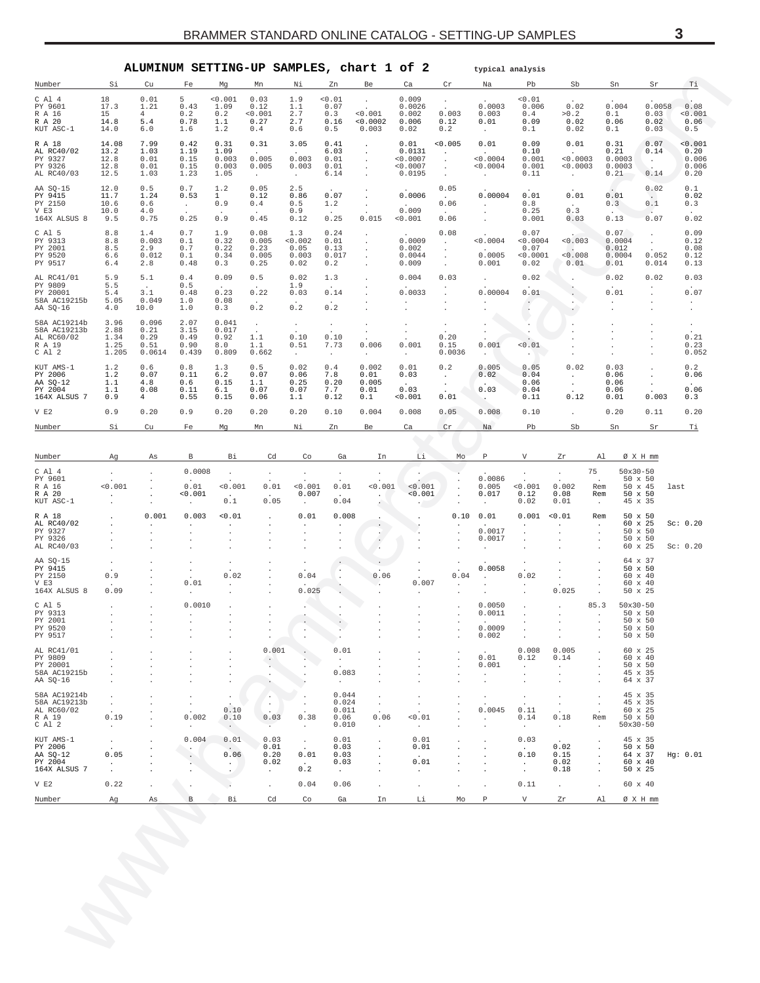<span id="page-2-0"></span>

|                                                                  |                                                    | ALUMINUM SETTING-UP SAMPLES, chart 1 of 2           |                                                                  |                                                           |                                                                |                                                          |                                                       |                                                        |                                                 |                                                                | typical analysis                                      |                                                      |                                                              |                                                              |                                                                             |                                                  |                                            |
|------------------------------------------------------------------|----------------------------------------------------|-----------------------------------------------------|------------------------------------------------------------------|-----------------------------------------------------------|----------------------------------------------------------------|----------------------------------------------------------|-------------------------------------------------------|--------------------------------------------------------|-------------------------------------------------|----------------------------------------------------------------|-------------------------------------------------------|------------------------------------------------------|--------------------------------------------------------------|--------------------------------------------------------------|-----------------------------------------------------------------------------|--------------------------------------------------|--------------------------------------------|
| Number<br>$C$ Al $4$<br>PY 9601<br>R A 16<br>R A 20<br>KUT ASC-1 | Si<br>18<br>17.3<br>15<br>14.8<br>14.0             | Cu<br>0.01<br>1.21<br>$4 -$<br>5.4<br>6.0           | Fe<br>5<br>0.43<br>0.2<br>0.78<br>1.6                            | Mg<br>< 0.001<br>1.09<br>0.2<br>1.1<br>1.2                | Mn<br>0.03<br>0.12<br>0.001<br>0.27<br>0.4                     | Νi<br>1.9<br>1.1<br>2.7<br>2.7<br>0.6                    | Zn<br>0.01<br>0.07<br>0.3<br>0.16<br>0.5              | Be<br>$\cdot$<br>$\cdot$<br>0.001<br>< 0.0002<br>0.003 | Ca<br>0.009<br>0.0026<br>0.002<br>0.006<br>0.02 | Cr<br>$\cdot$<br>$\sim$<br>0.003<br>0.12<br>0.2                | Na<br>0.0003<br>0.003<br>0.01<br>$\sim$               | Pb<br>0.01<br>0.006<br>0.4<br>0.09<br>0.1            | Sb<br>0.02<br>>0.2<br>0.02<br>0.02                           |                                                              | Sn<br>0.004<br>0.1<br>0.06<br>0.1                                           | Sr<br>0.0058<br>0.03<br>0.02<br>0.03             | Тi<br>0.08<br>0.001<br>0.06<br>0.5         |
| R A 18<br>AL RC40/02<br>PY 9327<br>PY 9326<br>AL RC40/03         | 14.08<br>13.2<br>12.8<br>12.8<br>12.5              | 7.99<br>1.03<br>0.01<br>0.01<br>1.03                | 0.42<br>1.19<br>0.15<br>0.15<br>1.23                             | 0.31<br>1.09<br>0.003<br>0.003<br>1.05                    | 0.31<br>$\ddot{\phantom{a}}$<br>0.005<br>0.005<br>$\sim$       | 3.05<br>$\ddot{\phantom{a}}$<br>0.003<br>0.003<br>$\sim$ | 0.41<br>6.03<br>0.01<br>0.01<br>6.14                  | $\cdot$<br>$\cdot$<br>$\cdot$<br>$\cdot$<br>$\cdot$    | 0.01<br>0.0131<br>0.0007<br>0.0007<br>0.0195    | 0.005<br>$\cdot$<br>$\cdot$<br>$\cdot$<br>$\ddot{\phantom{a}}$ | 0.01<br>$\sim$<br>< 0.0004<br>0.0004<br>$\sim$        | 0.09<br>0.10<br>0.001<br>0.001<br>0.11               | 0.01<br>$\cdot$<br>< 0.0003<br>0.0003<br>$\cdot$             |                                                              | 0.31<br>0.21<br>0.0003<br>0.0003<br>0.21                                    | 0.07<br>0.14<br>$\sim$<br>$\overline{a}$<br>0.14 | 0.001<br>0.20<br>0.006<br>0.006<br>0.20    |
| AA SQ-15<br>PY 9415<br>PY 2150<br>V E3<br>164X ALSUS 8           | 12.0<br>11.7<br>10.6<br>10.0<br>9.5                | 0.5<br>1.24<br>0.6<br>4.0<br>0.75                   | 0.7<br>0.53<br>$\sim$<br>0.25                                    | 1.2<br>$\mathbf{1}$<br>0.9<br>0.9                         | 0.05<br>0.12<br>0.4<br>0.45                                    | 2.5<br>0.86<br>0.5<br>0.9<br>0.12                        | $\sim$<br>0.07<br>1.2<br>$\ddot{\phantom{a}}$<br>0.25 | $\cdot$<br>$\cdot$<br>0.015                            | 0.0006<br>$\sim$<br>0.009<br>0.001              | 0.05<br>$\sim$<br>0.06<br>$\sim$<br>0.06                       | 0.00004<br>$\sim$<br>$\cdot$<br>$\cdot$               | 0.01<br>0.8<br>0.25<br>0.001                         | 0.01<br>$\sim$<br>0.3<br>0.03                                |                                                              | 0.01<br>0.3<br>0.13                                                         | 0.02<br>$\sim$<br>0.1<br>0.07                    | 0.1<br>0.02<br>0.3<br>0.02                 |
| C Al 5<br>PY 9313<br>PY 2001<br>PY 9520<br>PY 9517               | 8.8<br>8.8<br>8.5<br>6.6<br>6.4                    | 1.4<br>0.003<br>2.9<br>0.012<br>2.8                 | 0.7<br>0.1<br>0.7<br>0.1<br>0.48                                 | 1.9<br>0.32<br>0.22<br>0.34<br>0.3                        | 0.08<br>0.005<br>0.23<br>0.005<br>0.25                         | 1.3<br>0.002<br>0.05<br>0.003<br>0.02                    | 0.24<br>0.01<br>0.13<br>0.017<br>0.2                  | $\cdot$<br>$\cdot$<br>$\cdot$<br>$\cdot$               | 0.0009<br>0.002<br>0.0044<br>0.009              | 0.08<br>$\sim$<br>$\cdot$<br>$\cdot$<br>$\cdot$                | 0.0004<br>$\sim$<br>0.0005<br>0.001                   | 0.07<br>0.0004<br>0.07<br>0.0001<br>0.02             | 0.003<br>$\sim$<br>0.008<br>0.01                             |                                                              | 0.07<br>0.0004<br>0.012<br>0.0004<br>0.01                                   | $\cdot$<br>$\cdot$<br>0.052<br>0.014             | 0.09<br>0.12<br>0.08<br>0.12<br>0.13       |
| AL RC41/01<br>PY 9809<br>PY 20001<br>58A AC19215b<br>AA SQ-16    | 5.9<br>5.5<br>5.4<br>5.05<br>4.0                   | 5.1<br>$\sim$<br>3.1<br>0.049<br>10.0               | 0.4<br>0.5<br>0.48<br>1.0<br>1.0                                 | 0.09<br>0.23<br>0.08<br>0.3                               | 0.5<br>0.22<br>$\sim$<br>$0.2$                                 | 0.02<br>1.9<br>0.03<br>0.2                               | 1.3<br>0.14<br>0.2                                    |                                                        | 0.004<br>0.0033<br>$\cdot$                      | 0.03                                                           | $\cdot$<br>0.00004<br>$\cdot$                         | 0.02<br>0.01<br>$\cdot$<br>$\cdot$                   | $\cdot$<br>$\cdot$                                           |                                                              | 0.02<br>0.01<br>$\cdot$                                                     | 0.02<br>$\cdot$<br>$\cdot$                       | 0.03<br>0.07<br>$\cdot$<br>$\cdot$         |
| 58A AC19214b<br>58A AC19213b<br>AL RC60/02<br>R A 19<br>C Al 2   | 3.96<br>2.88<br>1.34<br>1.25<br>1.205              | 0.096<br>0.21<br>0.29<br>0.51<br>0.0614             | 2.07<br>3.15<br>0.49<br>0.90<br>0.439                            | 0.041<br>0.017<br>0.92<br>8.0<br>0.809                    | $\cdot$<br>$\ddot{\phantom{0}}$<br>1.1<br>1.1<br>0.662         | $\cdot$<br>0.10<br>0.51<br>$\sim$                        | $\cdot$<br>$\mathbf{r}$<br>0.10<br>7.73<br>$\sim$     | $\cdot$<br>$\cdot$<br>0.006<br>$\cdot$                 | $\cdot$<br>$\cdot$<br>0.001<br>$\sim$           | $\cdot$<br>0.20<br>0.15<br>0.0036                              | $\ddot{\phantom{0}}$<br>0.001<br>$\ddot{\phantom{0}}$ | $\cdot$<br>0.01<br>$\cdot$                           |                                                              |                                                              |                                                                             | $\cdot$<br>$\cdot$<br>$\cdot$<br>$\cdot$         | 0.21<br>0.23<br>0.052                      |
| KUT AMS-1<br>PY 2006<br>AA SQ-12<br>PY 2004<br>164X ALSUS 7      | 1.2<br>1.2<br>1.1<br>1.1<br>0.9                    | 0.6<br>0.07<br>4.8<br>0.08<br>4                     | 0.8<br>0.11<br>0.6<br>0.11<br>0.55                               | 1.3<br>6.2<br>0.15<br>6.1<br>0.15                         | 0.5<br>0.07<br>1.1<br>0.07<br>0.06                             | 0.02<br>0.06<br>0.25<br>0.07<br>1.1                      | $0.4$<br>7.8<br>0.20<br>7.7<br>0.12                   | 0.002<br>0.01<br>0.005<br>0.01<br>0.1                  | 0.01<br>0.03<br>0.03<br>0.001                   | 0.2<br>$\sim$<br>$\sim$<br>0.01                                | 0.005<br>0.02<br>0.03<br>$\sim$                       | 0.05<br>0.04<br>0.06<br>0.04<br>0.11                 | 0.02<br>$\cdot$<br>$\bullet$<br>0.12                         |                                                              | 0.03<br>0.06<br>0.06<br>0.06<br>0.01                                        | $\cdot$<br>$\bullet$<br>0.003                    | 0.2<br>0.06<br>0.06<br>0.3                 |
| V E2<br>Number                                                   | 0.9<br>Si                                          | 0.20<br>Cu                                          | 0.9<br>Fe                                                        | 0.20<br>Mg                                                | 0.20<br>Mn                                                     | 0.20<br>Νi                                               | 0.10<br>Zn                                            | 0.004<br>Be                                            | 0.008<br>Ca                                     | 0.05<br>Cr                                                     | 0.008<br>Na                                           | 0.10<br>Pb                                           | Sb                                                           |                                                              | 0.20<br>Sn                                                                  | 0.11<br>Sr                                       | 0.20<br>$\mathbb{T}\underline{\textbf{i}}$ |
| Number                                                           | Αg                                                 | As                                                  | В                                                                | Вi                                                        | Cd                                                             | Co                                                       | Ga                                                    | In                                                     | Li                                              | Mo                                                             | Р                                                     | V                                                    | Ζr                                                           | Al                                                           | Ø X H mm                                                                    |                                                  |                                            |
| $C$ Al $4$<br>PY 9601<br>R A 16<br>R A 20<br>KUT ASC-1           | < 0.001<br>$\cdot$                                 | $\cdot$<br>$\cdot$<br>$\cdot$<br>$\cdot$<br>$\cdot$ | 0.0008<br>0.01<br>0.001<br>$\cdot$                               | $\cdot$<br>0.001<br>0.1                                   | $\cdot$<br>0.01<br>0.05                                        | $\cdot$<br>< 0.001<br>0.007<br>$\ddot{\phantom{1}}$      | $\cdot$<br>0.01<br>0.04                               | $\cdot$<br>0.001<br>$\cdot$                            | $\cdot$<br>< 0.001<br>< 0.001<br>K.             | $\cdot$<br>$\cdot$                                             | 0.0086<br>0.005<br>0.017<br>$\cdot$                   | $\cdot$<br>0.001<br>0.12<br>0.02                     | $\cdot$<br>0.002<br>0.08<br>0.01                             | 75<br>$\cdot$<br>Rem<br>Rem<br>$\cdot$                       | $50x30 - 50$<br>$50 \times 50$<br>$50 \times 45$<br>50 x 50<br>45 x 35      |                                                  | last                                       |
| R A 18<br>AL RC40/02<br>PY 9327<br>PY 9326<br>AL RC40/03         |                                                    | 0.001<br>$\cdot$<br>$\cdot$                         | 0.003<br>$\cdot$<br>$\cdot$<br>$\cdot$                           | 0.01<br>$\cdot$<br>$\cdot$<br>$\cdot$                     | $\cdot$<br>$\cdot$                                             | 0.01<br>$\bullet$<br>$\ddot{\phantom{0}}$                | 0.008<br>$\cdot$<br>$\cdot$<br>$\cdot$<br>$\cdot$     | $\bullet$<br>$\bullet$<br>$\sim$                       |                                                 | 0.10<br>$\cdot$<br>$\cdot$<br>$\cdot$                          | 0.01<br>0.0017<br>0.0017<br>$\cdot$                   | 0.001<br>$\bullet$<br>$\cdot$<br>$\cdot$             | 0.01<br>$\cdot$<br>$\cdot$<br>$\cdot$<br>$\cdot$             | Rem<br>$\cdot$<br>$\cdot$<br>$\cdot$<br>$\cdot$              | $50 \times 50$<br>60 x 25<br>$50 \times 50$<br>$50 \times 50$<br>60 x 25    |                                                  | Sc: 0.20<br>Sc: 0.20                       |
| AA SQ-15<br>PY 9415<br>PY 2150<br>V E3<br>164X ALSUS 8           | 0.9<br>0.09                                        | $\cdot$<br>$\cdot$<br>$\cdot$                       | $\cdot$<br>$\cdot$<br>0.01                                       | 0.02<br>$\cdot$                                           |                                                                | $\cdot$<br>0.04<br>0.025                                 | $\cdot$<br>$\cdot$                                    | 0.06<br>$\cdot$                                        | $\cdot$<br>0.007<br>$\cdot$                     | $\cdot$<br>0.04<br>$\blacksquare$<br>$\cdot$                   | 0.0058<br>$\ddot{\phantom{a}}$<br>$\cdot$             | $\cdot$<br>0.02<br>$\cdot$<br>$\cdot$                | $\cdot$<br>0.025                                             | $\cdot$<br>$\cdot$<br>$\cdot$<br>$\cdot$                     | 64 x 37<br>50 x 50<br>60 x 40<br>60 x 40<br>50 x 25                         |                                                  |                                            |
| C Al 5<br>PY 9313<br>PY 2001<br>PY 9520<br>PY 9517               |                                                    | $\cdot$<br>$\cdot$<br>$\cdot$                       | 0.0010<br>$\cdot$<br>$\cdot$                                     |                                                           |                                                                |                                                          | $\cdot$<br>$\cdot$                                    |                                                        |                                                 |                                                                | 0.0050<br>0.0011<br>0.0009<br>0.002                   | $\cdot$<br>$\cdot$                                   | $\cdot$<br>$\cdot$                                           | 85.3<br>$\cdot$<br>$\cdot$                                   | $50x30-50$<br>$50 \times 50$<br>$50 \times 50$<br>50 x 50<br>$50 \times 50$ |                                                  |                                            |
| AL RC41/01<br>PY 9809<br>PY 20001<br>58A AC19215b<br>AA SQ-16    | $\cdot$<br>$\cdot$                                 | $\cdot$<br>$\cdot$<br>$\cdot$                       | $\cdot$<br>$\cdot$<br>$\cdot$<br>$\cdot$<br>$\ddot{\phantom{1}}$ | $\cdot$<br>$\cdot$<br>$\cdot$<br>$\cdot$<br>$\cdot$       | 0.001<br>$\cdot$<br>$\ddot{\phantom{1}}$<br>$\cdot$<br>$\cdot$ |                                                          | 0.01<br>$\bullet$<br>0.083<br>$\cdot$                 |                                                        | $\cdot$                                         | $\cdot$<br>$\cdot$<br>$\cdot$                                  | 0.01<br>0.001<br>$\cdot$<br>$\cdot$                   | 0.008<br>0.12<br>$\cdot$<br>$\cdot$<br>$\cdot$       | 0.005<br>0.14<br>$\cdot$<br>$\cdot$<br>$\cdot$               | $\cdot$<br>$\cdot$<br>$\cdot$<br>$\cdot$<br>$\cdot$          | 60 x 25<br>60 x 40<br>$50 \times 50$<br>45 x 35<br>64 x 37                  |                                                  |                                            |
| 58A AC19214b<br>58A AC19213b<br>AL RC60/02<br>R A 19<br>C Al 2   | $\cdot$<br>$\cdot$<br>0.19<br>$\ddot{\phantom{a}}$ |                                                     | $\cdot$<br>$\cdot$<br>0.002<br>$\cdot$                           | 0.10<br>0.10<br>$\sim$                                    | . .<br>$\sim$<br>0.03<br>$\cdot$                               | 0.38<br>$\cdot$                                          | 0.044<br>0.024<br>0.011<br>0.06<br>0.010              | $\cdot$<br>$\cdot$<br>0.06<br>$\cdot$                  | $\cdot$<br>$\cdot$<br>0.01<br>$\cdot$           |                                                                | $\cdot$<br>0.0045<br>$\cdot$                          | $\cdot$<br>0.11<br>0.14<br>$\sim$                    | $\cdot$<br>$\cdot$<br>$\sim$<br>0.18<br>$\ddot{\phantom{0}}$ | $\cdot$<br>$\cdot$<br>$\cdot$<br>Rem<br>$\ddot{\phantom{1}}$ | 45 x 35<br>45 x 35<br>60 x 25<br>50 x 50<br>$50x30-50$                      |                                                  |                                            |
| KUT AMS-1<br>PY 2006<br>AA SO-12<br>PY 2004<br>164X ALSUS 7      | $\cdot$<br>0.05<br>$\cdot$<br>$\cdot$              | $\cdot$<br>$\cdot$                                  | 0.004<br>$\cdot$<br>$\cdot$                                      | 0.01<br>$\ddot{\phantom{1}}$<br>0.06<br>$\sim$<br>$\cdot$ | 0.03<br>0.01<br>0.20<br>0.02<br>$\bullet$                      | $\cdot$<br>0.01<br>0.2                                   | 0.01<br>0.03<br>0.03<br>0.03<br>$\sim$                | $\cdot$                                                | 0.01<br>0.01<br>0.01<br>$\cdot$                 |                                                                | $\cdot$<br>$\cdot$                                    | 0.03<br>$\overline{a}$<br>0.10<br>$\cdot$<br>$\cdot$ | $\ddot{\phantom{a}}$<br>0.02<br>0.15<br>0.02<br>0.18         | $\cdot$<br>$\cdot$<br>$\cdot$<br>$\cdot$<br>$\cdot$          | 45 x 35<br>50 x 50<br>64 x 37<br>60 x 40<br>$50 \times 25$                  |                                                  | Hg: 0.01                                   |
|                                                                  | 0.22                                               | $\cdot$                                             |                                                                  | Bi                                                        | $\cdot$<br>Cd                                                  | 0.04                                                     | 0.06                                                  | $\cdot$                                                | $\cdot$<br>Li                                   | $\cdot$                                                        | P                                                     | 0.11<br>V                                            | $\cdot$                                                      | $\cdot$                                                      | 60 x 40                                                                     |                                                  |                                            |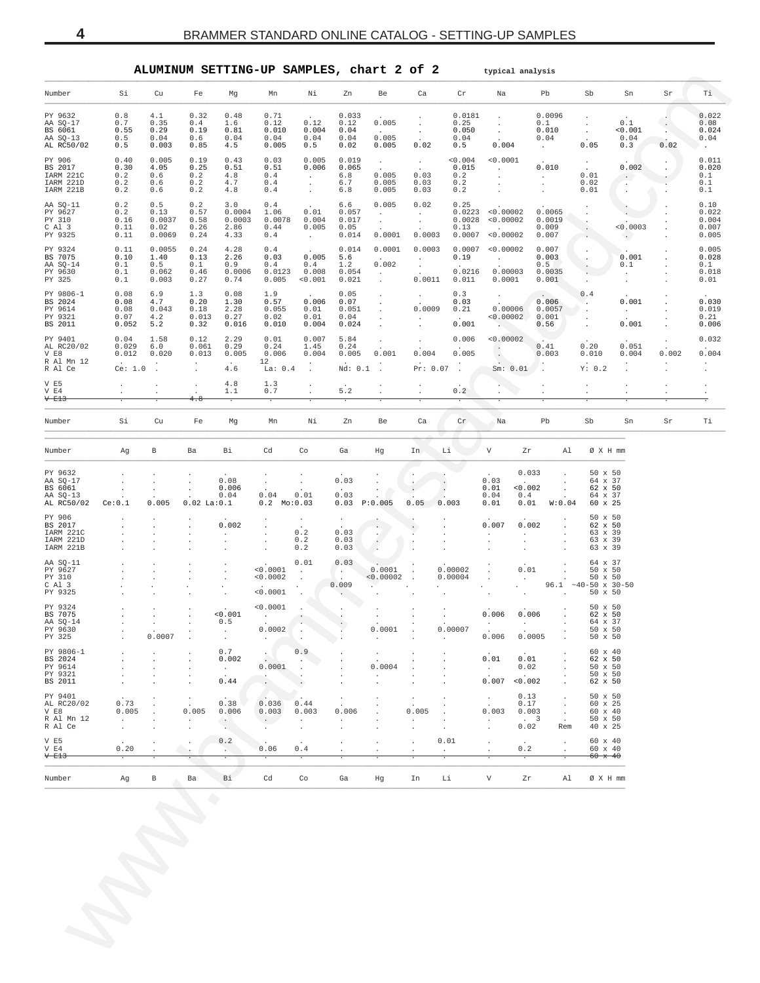<span id="page-3-0"></span>

|                                                          |                                                  |                                                                                           |                                                               |                                                   | ALUMINUM SETTING-UP SAMPLES, chart 2 of 2                        |                                                                 |                                                                               |                                                                                           |                                                                        |                                                                    |                                                                    | typical analysis                             |                                                     |                                                                                             |                                            |                                  |                                          |
|----------------------------------------------------------|--------------------------------------------------|-------------------------------------------------------------------------------------------|---------------------------------------------------------------|---------------------------------------------------|------------------------------------------------------------------|-----------------------------------------------------------------|-------------------------------------------------------------------------------|-------------------------------------------------------------------------------------------|------------------------------------------------------------------------|--------------------------------------------------------------------|--------------------------------------------------------------------|----------------------------------------------|-----------------------------------------------------|---------------------------------------------------------------------------------------------|--------------------------------------------|----------------------------------|------------------------------------------|
| Number                                                   | Si                                               | Cu                                                                                        | Fe                                                            | Mg                                                | Mn                                                               | Νi                                                              | Zn                                                                            | Be                                                                                        | Ca                                                                     | Cr                                                                 | Na                                                                 |                                              | Pb                                                  | Sb                                                                                          | Sn                                         | Sr                               | Ti l                                     |
| PY 9632<br>AA SQ-17<br>BS 6061<br>AA SQ-13<br>AL RC50/02 | 0.8<br>0.7<br>0.55<br>0.5<br>0.5                 | 4.1<br>0.35<br>0.29<br>0.04<br>0.003                                                      | 0.32<br>0.4<br>0.19<br>0.6<br>0.85                            | 0.48<br>1.6<br>0.81<br>0.04<br>4.5                | 0.71<br>0.12<br>0.010<br>0.04<br>0.005                           | 0.12<br>0.004<br>0.04<br>0.5                                    | 0.033<br>0.12<br>0.04<br>0.04<br>0.02                                         | 0.005<br>$\sim$<br>0.005<br>0.005                                                         | $\ddot{\phantom{a}}$<br>$\cdot$<br>$\sim$<br>0.02                      | 0.0181<br>0.25<br>0.050<br>0.04<br>0.5                             | $\ddot{\phantom{0}}$<br>$\sim$<br>$\sim$<br>0.004                  |                                              | 0.0096<br>0.1<br>0.010<br>0.04<br>$\sim$            | $\ddot{\phantom{a}}$<br>$\cdot$<br>$\cdot$<br>0.05                                          | 0.1<br>< 0.001<br>0.04<br>0.3              | $\overline{\phantom{a}}$<br>0.02 | 0.022<br>0.08<br>0.024<br>0.04<br>24.    |
| PY 906<br>BS 2017<br>IARM 221C<br>IARM 221D<br>IARM 221B | 0.40<br>0.30<br>0.2<br>0.2<br>0.2                | 0.005<br>4.05<br>0.6<br>0.6<br>0.6                                                        | 0.19<br>0.25<br>0.2<br>0.2<br>0.2                             | 0.43<br>0.51<br>4.8<br>4.7<br>4.8                 | 0.03<br>0.51<br>0.4<br>0.4<br>0.4                                | 0.005<br>0.006<br>$\sim$<br>$\cdot$<br>$\cdot$                  | 0.019<br>0.065<br>6.8<br>6.7<br>6.8                                           | $\sim$<br>0.005<br>0.005<br>0.005                                                         | $\sim 10^{-11}$<br>0.03<br>0.03<br>0.03                                | 0.004<br>0.015<br>0.2<br>0.2<br>0.2                                | < 0.0001<br><b>Contract Contract</b><br>$\sim$<br>$\sim$<br>$\sim$ |                                              | 0.010<br><b>Carl Corporation</b><br>$\sim$          | $\sim$<br>0.01<br>0.02<br>0.01                                                              | 0.002<br>$\sim$ $\sim$<br>$\sim$<br>$\sim$ |                                  | 0.011<br>0.020<br>0.1<br>0.1<br>0.1      |
| AA SQ-11<br>PY 9627<br>PY 310<br>C Al 3<br>PY 9325       | 0.2<br>0.2<br>0.16<br>0.11<br>0.11               | 0.5<br>0.13<br>0.0037<br>0.02<br>0.0069                                                   | 0.2<br>0.57<br>0.58<br>0.26<br>0.24                           | 3.0<br>0.0004<br>0.0003<br>2.86<br>4.33           | 0.4<br>1.06<br>0.0078<br>0.44<br>0.4                             | 0.01<br>0.004<br>0.005<br>$\sim 10^{-11}$                       | 6.6<br>0.057<br>0.017<br>0.05<br>0.014                                        | 0.005<br>$\sim$<br>$\sim$<br>0.0001                                                       | 0.02<br>$\sim$<br>$\sim$<br>0.0003                                     | 0.25<br>0.13                                                       | 0.0223 < 0.00002<br>0.0028 < 0.00002<br>0.0007 < 0.00002           |                                              | 0.0065<br>0.0019<br>0.009<br>0.007                  | $\ddot{\phantom{a}}$<br>$\cdot$<br>$\ddot{\phantom{0}}$                                     | < 0.0003<br>$\sim$                         |                                  | 0.10<br>0.022<br>0.004<br>0.007<br>0.005 |
| PY 9324<br>BS 7075<br>AA SQ-14<br>PY 9630<br>PY 325      | 0.11<br>0.10<br>0.1<br>0.1<br>0.1                | 0.0055<br>1.40<br>0.5<br>0.062<br>0.003                                                   | 0.24<br>0.13<br>0.1<br>0.46<br>0.27                           | 4.28<br>2.26<br>0.9<br>0.0006<br>0.74             | 0.4<br>0.03<br>0.4<br>0.0123<br>0.005                            | 0.005<br>0.4<br>0.008<br>< 0.001                                | 0.014<br>5.6<br>1.2<br>0.054<br>0.021                                         | 0.0001<br>0.002<br>$\sim$<br>$\sim$                                                       | 0.0003<br><b>Contract</b><br>$\sim$<br>0.0011                          | 0.19<br>0.0216<br>0.011                                            | 0.0007 < 0.00002                                                   | <b>Carl Corporation</b><br>0.00003<br>0.0001 | 0.007<br>0.003<br>0.5<br>0.0035<br>0.001            | $\ddot{\phantom{a}}$                                                                        | 0.001<br>0.1<br>$\cdot$<br>$\cdot$         |                                  | 0.005<br>0.028<br>0.1<br>0.018<br>0.01   |
| PY 9806-1<br>BS 2024<br>PY 9614<br>PY 9321<br>BS 2011    | 0.08<br>0.08<br>0.08<br>0.07<br>0.052            | 6.9<br>4.7<br>0.043<br>4.2<br>5.2                                                         | 1.3<br>0.20<br>0.18<br>0.013<br>0.32                          | 0.08<br>1.30<br>2.28<br>0.27<br>0.016             | 1.9<br>0.57<br>0.055<br>0.02<br>0.010                            | 0.006<br>0.01<br>0.01<br>0.004                                  | 0.05<br>0.07<br>0.051<br>0.04<br>0.024                                        | $\cdot$<br>$\bullet$<br>$\cdot$<br>$\cdot$<br>$\cdot$                                     | $\sim$<br>0.0009<br>$\cdot$<br>$\cdot$                                 | 0.3<br>0.03<br>0.21<br>0.001                                       | $\sim$<br><b>Contract Contract</b>                                 | 0.00006<br>< 0.00002                         | 0.006<br>0.0057<br>0.001<br>0.56                    | 0.4<br>ч.<br>$\ddot{\phantom{a}}$                                                           | 0.001<br>$\sim 10^{-11}$<br>0.001          |                                  | 0.030<br>0.019<br>0.21<br>0.006          |
| PY 9401<br>AL RC20/02<br>V E8<br>R Al Mn 12<br>R Al Ce   | 0.04<br>0.029<br>0.012<br>$\sim$<br>Ce: 1.0      | 1.58<br>6.0<br>0.020<br>$\sim$                                                            | 0.12<br>0.061<br>0.013<br>$\sim$<br>$\sim$                    | 2.29<br>0.29<br>0.005<br>$\sim$<br>4.6            | 0.01<br>0.24<br>0.006<br>12<br>La: $0.4$                         | 0.007<br>1.45<br>0.004<br>$\bullet$<br>$\overline{\phantom{a}}$ | 5.84<br>0.24<br>0.005<br>$Nd: 0.1$ .                                          | $\cdot$<br>0.001                                                                          | $\cdot$<br>0.004                                                       | 0.006<br>0.005<br>$Pr: 0.07$ .                                     | $\cdot$<br>$\cdot$                                                 | < 0.00002<br>$Sm: 0.01$ .                    | 0.41<br>0.003<br>$\sim$                             | 0.20<br>0.010<br>Y: 0.2                                                                     | 0.051<br>0.004<br>$\cdot$                  | 0.002<br>$\sim$<br>$\cdot$       | 0.032<br>0.004<br>$\sim$                 |
| $V$ E5<br>V E4<br>V E13                                  | $\cdot$<br>$\ddot{\phantom{a}}$                  | $\cdot$                                                                                   | $\cdot$<br>4.8                                                | 4.8<br>1.1<br>$\overline{\cdot}$                  | 1.3<br>0.7<br>$\overline{\cdot}$                                 |                                                                 | 5.2                                                                           | $\ddot{\phantom{a}}$                                                                      | $\cdot$                                                                | 0.2                                                                | $\cdot$                                                            |                                              | $\cdot$                                             | $\ddot{\phantom{0}}$                                                                        | $\cdot$                                    | $\cdot$                          | $\cdot$                                  |
| Number                                                   | Si                                               | Cu                                                                                        | Fe                                                            | Mg                                                | Mn                                                               | Νi                                                              | Zn                                                                            | Be                                                                                        | Ca                                                                     | Cr                                                                 | Na                                                                 |                                              | Pb                                                  | Sb                                                                                          | Sn                                         | Sr                               | Тi                                       |
| Number                                                   | Ag                                               | B                                                                                         | Ba                                                            | Bi                                                | Cd                                                               | Co                                                              | Ga                                                                            | Hg                                                                                        | In                                                                     | Li                                                                 | V                                                                  | Zr                                           | Al                                                  | $\varnothing$ X H mm                                                                        |                                            |                                  |                                          |
| PY 9632<br>AA SO-17<br>BS 6061<br>AA SQ-13<br>AL RC50/02 | Ce:0.1                                           | $\sim$<br>0.005                                                                           | $0.02$ La: $0.1$                                              | 0.08<br>0.006<br>0.04                             | $\cdot$<br>0.04<br>$0.2 \quad Mo:0.03$                           | 0.01                                                            | 0.03<br>0.03<br>$0.03$ $P:0.005$                                              |                                                                                           | $\cdot$<br>0.05                                                        | 0.003                                                              | 0.03<br>0.01<br>0.04<br>0.01                                       | 0.033<br>< 0.002<br>0.4<br>0.01              | $\ddot{\phantom{a}}$<br>W:0.04                      | $50 \times 50$<br>64 x 37<br>62 x 50<br>64 x 37<br>60 x 25                                  |                                            |                                  |                                          |
| PY 906<br>BS 2017<br>IARM 221C<br>IARM 221D<br>IARM 221B |                                                  | $\cdot$<br>$\cdot$<br>$\blacksquare$<br>$\cdot$                                           | $\cdot$<br>$\cdot$                                            | 0.002<br>$\sim$<br>$\cdot$                        | $\cdot$<br>$\ddot{\phantom{a}}$<br>$\cdot$<br>$\cdot$            | 0.2<br>0.2<br>0.2                                               | $\cdot$<br>0.03<br>0.03<br>0.03                                               | $\mathbf{r}$<br>$\ddot{\phantom{0}}$                                                      |                                                                        |                                                                    | 0.007<br>$\ddot{\phantom{a}}$<br>$\cdot$                           | 0.002<br>$\ddot{\phantom{0}}$<br>$\cdot$     |                                                     | $50 \times 50$<br>62 x 50<br>63 x 39<br>63 x 39<br>63 x 39                                  |                                            |                                  |                                          |
| AA SO-11<br>PY 9627<br>PY 310<br>C Al 3<br>PY 9325       |                                                  | $\cdot$<br>$\cdot$<br>$\cdot$                                                             | $\cdot$<br>$\cdot$                                            | $\cdot$<br>$\cdot$                                | < 0.0001<br>< 0.0002<br>< 0.0001                                 | 0.01<br>$\ddot{\phantom{a}}$                                    | 0.03<br><b>College</b><br>0.009<br>$\sim$                                     | 0.0001<br>< 0.00002                                                                       |                                                                        | 0.00002<br>0.00004                                                 | $\cdot$<br>$\cdot$<br>$\cdot$                                      | 0.01<br>$\sim$<br>$\blacksquare$ .           | $\sim$                                              | 64 x 37<br>$50 \times 50$<br>$50 \times 50$<br>$96.1 -40-50 \times 30-50$<br>$50 \times 50$ |                                            |                                  |                                          |
| PY 9324<br>BS 7075<br>AA SQ-14<br>PY 9630<br>PY 325      |                                                  | $\blacksquare$<br><b>Contractor</b><br>0.0007                                             | $\cdot$<br>$\cdot$                                            | 0.001<br>0.5<br>$\sim 100$<br>$\sim 100$          | < 0.0001<br><b>Contract Contract</b><br>$0.0002$ .<br>$\sim 100$ |                                                                 |                                                                               | $0.0001$ .<br><b>Carl Corporation</b>                                                     | $\cdot$<br>$\sim$                                                      | 0.00007<br><b>Contract Contract</b>                                | 0.006                                                              | 0.006<br><b>TELEVISION</b><br>$0.006$ 0.0005 | $\ddot{\phantom{a}}$                                | $50 \times 50$<br>62 x 50<br>64 X 37<br>$50 \times 50$<br>$50 \times 50$                    |                                            |                                  |                                          |
| PY 9806-1<br>BS 2024<br>PY 9614<br>PY 9321<br>BS 2011    | $\sim$<br>$\sim$<br>$\sim$<br>$\sim$<br>$\sim$   | $\ddot{\phantom{a}}$<br>$\ddot{\phantom{a}}$<br>$\sim$<br>$\cdot$<br>$\ddot{\phantom{0}}$ | $\cdot$<br>$\cdot$<br>$\cdot$<br>$\cdot$<br>$\cdot$           | 0.7<br>0.002<br><b>Contract</b><br>$\sim$<br>0.44 | <b>Contract Contract</b><br>$\sim$<br>0.0001                     | 0.9<br>$\sim$<br>$\sim$                                         | $\cdot$<br>$\cdot$<br>$\ddot{\phantom{a}}$<br>$\ddot{\phantom{a}}$<br>$\cdot$ | $\ddot{\phantom{a}}$<br>$\sim$<br>0.0004<br><b>Service</b><br>$\cdot$                     | $\cdot$<br>$\cdot$<br>$\overline{a}$<br>$\ddot{\phantom{a}}$<br>$\sim$ | $\cdot$<br>$\ddot{\phantom{a}}$<br>$\cdot$<br>$\ddot{\phantom{a}}$ | 0.01<br>$\sim 10^{-11}$                                            | 0.01<br>0.02<br>$\sim$<br>0.007 < 0.002      | $\cdot$<br>$\sim$<br>$\cdot$<br>$\cdot$<br>$\sim$   | 60 x 40<br>62 x 50<br>$50 \times 50$<br>$50 \times 50$<br>62 x 50                           |                                            |                                  |                                          |
| PY 9401<br>AL RC20/02<br>$V$ E8<br>R Al Mn 12<br>R Al Ce | 0.73<br>$0.005$ .<br><b>Carl Corp.</b><br>$\sim$ | $\sim$<br>$\sim 100$<br>$\sim$<br>$\ddot{\phantom{a}}$                                    | $\sim 100$<br>$\sim$<br>0.005<br>$\sim$ 100 $\sim$<br>$\cdot$ | 0.38<br>0.006<br>$\sim$                           | 0.036<br>0.003<br>$\sim$ $ \sim$<br>$\sim$                       | 0.44<br>0.003<br>$\sim$<br>$\ddot{\phantom{a}}$                 | $\ddot{\phantom{a}}$<br>$\sim$<br>0.006<br>$\sim$<br>$\ddot{\phantom{a}}$     | $\sim$<br>$\cdot$<br>$\ddot{\phantom{a}}$<br>$\ddot{\phantom{a}}$<br>$\ddot{\phantom{a}}$ | $\sim$<br>$\overline{a}$<br>0.005<br>$\sim$<br>$\ddot{\phantom{a}}$    | $\sim$<br>$\cdot$<br>$\cdot$                                       | $\sim$<br>$\sim$<br>0.003<br>$\sim$<br>$\sim$                      | 0.13<br>0.17<br>0.003<br>$\cdot$ 3<br>0.02   | $\sim 100$<br>$\sim 100$<br>$\sim$<br>$\sim$<br>Rem | $50 \times 50$<br>60 x 25<br>60 x 40<br>$50 \times 50$<br>40 x 25                           |                                            |                                  |                                          |
| $V$ E5<br>V E4<br>$V$ $E13$                              | 0.20                                             | $\sim$                                                                                    | $\cdot$<br>$\sim$                                             | 0.2<br><b>CONTRACTOR</b>                          | 0.06                                                             | $\sim$<br>0.4                                                   | $\cdot$<br>$\sim$                                                             | $\cdot$<br>$\cdot$                                                                        | $\ddot{\phantom{0}}$<br>$\cdot$                                        | 0.01<br>$\sim$ $-$                                                 | $\cdot$<br>$\sim$                                                  | 0.2<br>$\overline{\cdot}$                    | $\cdot$<br>$\ddot{\phantom{a}}$                     | 60 x 40<br>60 x 40<br>$60 \times 40$                                                        |                                            |                                  |                                          |
|                                                          | Ag                                               | $\mathbf{B}$                                                                              | Ba                                                            | Bi                                                | Cd                                                               | Co                                                              | Ga                                                                            | Hg                                                                                        | In                                                                     | Li                                                                 | $\mathbf{V}$                                                       | Zr                                           | Al                                                  | Ø X H mm                                                                                    |                                            |                                  |                                          |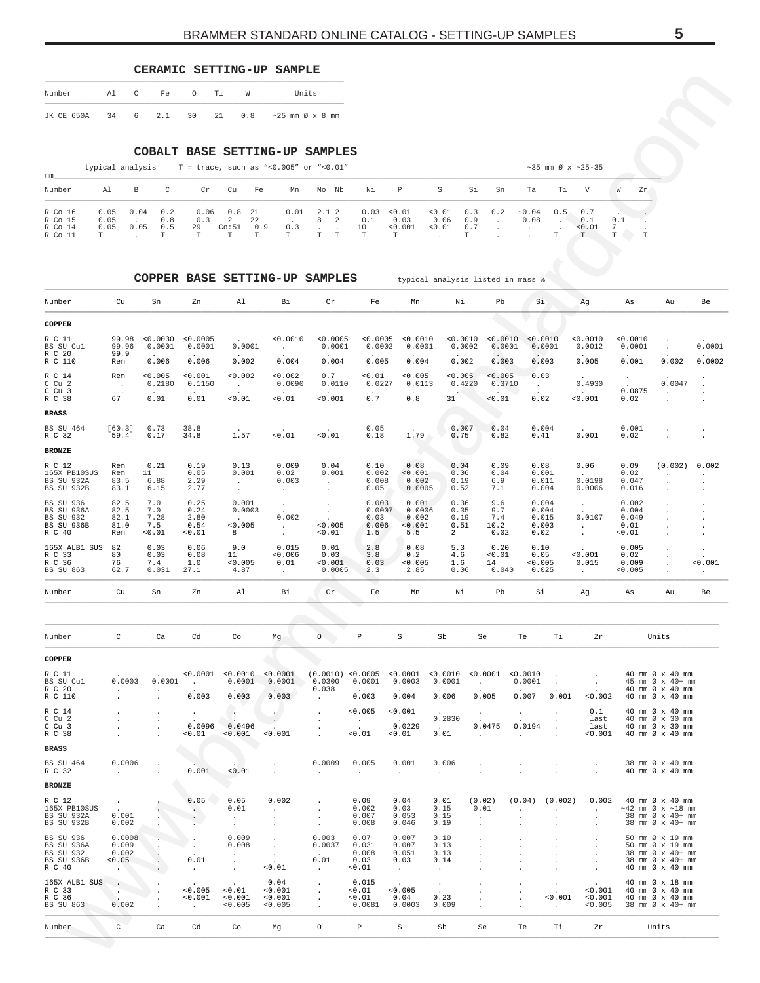## **CERAMIC SETTING-UP SAMPLE**

| Number     | Al | $\mathbb{C}$ | Fe    | $\circ$ | Тi    | W   | Units                             |
|------------|----|--------------|-------|---------|-------|-----|-----------------------------------|
| JK CE 650A | 34 |              | 6 2.1 |         | 30 21 | 0.8 | $\sim$ 25 mm $\varnothing$ x 8 mm |

|  |  | typical analysis |  |  |  |  |  | $T = trace.$ such as "<0.005" or "<0.01 |  |  |
|--|--|------------------|--|--|--|--|--|-----------------------------------------|--|--|
|--|--|------------------|--|--|--|--|--|-----------------------------------------|--|--|

| mm                                       |                                         |              |                         |                                   |                                                  |                               |                          |                    |                           |                                         |                          |                         |     |                        |     |                                       |                     |           |
|------------------------------------------|-----------------------------------------|--------------|-------------------------|-----------------------------------|--------------------------------------------------|-------------------------------|--------------------------|--------------------|---------------------------|-----------------------------------------|--------------------------|-------------------------|-----|------------------------|-----|---------------------------------------|---------------------|-----------|
| Number                                   | Al                                      | B            | $\mathbb{C}$            | Cr                                | Cu                                               | Fe                            | Mn                       | Mo Nb              | Νi                        | $\mathbb{P}$                            | S                        | Si                      | Sn  | Ta                     | Ti  | $\mathbf{V}$                          |                     | Zr        |
| R Co 16<br>R Co 15<br>R Co 14<br>R Co 11 | 0.05<br>0.05<br>0.05<br>$^{\mathrm{T}}$ | 0.04<br>0.05 | 0.2<br>0.8<br>0.5<br>T. | 0.06<br>0.3<br>29<br>$\mathbf{r}$ | $0.8$ 21<br>$\overline{2}$<br>Co:51<br><b>PP</b> | -22<br>0.9<br>$^{\mathrm{m}}$ | 0.01<br>0.3<br><b>TP</b> | 2.12<br>8 2<br>ዋ ዋ | 0.1<br>10<br>$\mathbf{r}$ | $0.03 \le 0.01$<br>0.03<br>< 0.001<br>T | < 0.01<br>0.06<br>< 0.01 | 0.3<br>0.9<br>0.7<br>T. | 0.2 | $\sim$ 0 . 0 4<br>0.08 | 0.5 | 0.7<br>0.1<br>< 0.01<br>$\mathcal{T}$ | 0.1<br>$\mathbf{r}$ | <b>TP</b> |

COPPER BASE SETTING-UP SAMPLES typical analysis listed in mass %

<span id="page-4-0"></span>

| Number                                                       | Al                                                     | C<br>Fe                                                     | $\circ$                                   | Τi<br>W                                                 |                                                     | Units                                                                              |                                                   |                                                       |                                                      |                                                                         |                             |                                 |                                            |                                                                  |                                        |                                                                                               |                                                     |
|--------------------------------------------------------------|--------------------------------------------------------|-------------------------------------------------------------|-------------------------------------------|---------------------------------------------------------|-----------------------------------------------------|------------------------------------------------------------------------------------|---------------------------------------------------|-------------------------------------------------------|------------------------------------------------------|-------------------------------------------------------------------------|-----------------------------|---------------------------------|--------------------------------------------|------------------------------------------------------------------|----------------------------------------|-----------------------------------------------------------------------------------------------|-----------------------------------------------------|
| JK CE 650A                                                   | 34                                                     | 6<br>2.1                                                    | 30                                        | 21<br>0.8                                               |                                                     | $\sim$ 25 mm $\varnothing$ x 8 mm                                                  |                                                   |                                                       |                                                      |                                                                         |                             |                                 |                                            |                                                                  |                                        |                                                                                               |                                                     |
|                                                              | typical analysis                                       | COBALT BASE SETTING-UP                                      |                                           |                                                         |                                                     | SAMPLES<br>T = trace, such as "< 0.005" or "< $0.01"$                              |                                                   |                                                       |                                                      |                                                                         |                             |                                 |                                            | $~10^{-3}$ mm Ø x $~125-35$                                      |                                        |                                                                                               |                                                     |
| mm                                                           |                                                        |                                                             |                                           |                                                         |                                                     |                                                                                    |                                                   |                                                       |                                                      |                                                                         |                             |                                 |                                            |                                                                  |                                        |                                                                                               |                                                     |
| Number                                                       | Al                                                     | $\mathtt{C}$<br>В                                           | Cr                                        | Cu<br>Fe                                                | Mn                                                  | Mo Nb                                                                              | Νi                                                | Р                                                     | S                                                    | Si                                                                      | Sn                          | Ta                              | Тi                                         | V                                                                | W<br>Zr                                |                                                                                               |                                                     |
| R Co 16<br>R Co 15<br>R Co 14<br>R Co 11                     | 0.05<br>0.05<br>0.05<br>т                              | 0.04<br>0.2<br>0.8<br>0.05<br>0.5<br>$\mathbb T$<br>$\cdot$ | 0.06<br>0.3<br>29<br>$\mathbb T$          | 0.8<br>21<br>22<br>2<br>Co:51<br>$\mathbb T$<br>T       | 0.01<br>0.9<br>0.3<br>т                             | 2.12<br>8<br>2<br>$\ddot{\phantom{a}}$<br>$\ddot{\phantom{a}}$<br>T<br>$\mathbb T$ | 0.03<br>0.1<br>10<br>$\mathbb T$                  | 0.01<br>0.03<br>< 0.001<br>$_{\rm T}$                 | 0.01<br>0.06<br>< 0.01                               | 0.3<br>0.9<br>0.7<br>T                                                  | 0.2<br>$\cdot$              | ~0.04<br>0.08<br>$\cdot$        | 0.5<br>$\cdot$<br>T                        | 0.7<br>0.1<br>< 0.01<br>$\mathbb T$                              | 0.1<br>7<br>$\mathbb T$<br>$\mathbb T$ |                                                                                               |                                                     |
|                                                              |                                                        | COPPER BASE SETTING-UP                                      |                                           |                                                         |                                                     | <b>SAMPLES</b>                                                                     |                                                   |                                                       | typical analysis listed in mass %                    |                                                                         |                             |                                 |                                            |                                                                  |                                        |                                                                                               |                                                     |
| Number                                                       | Cu                                                     | Sn                                                          | Zn                                        | Al                                                      | Вi                                                  | Cr                                                                                 | Fe                                                | Mn                                                    | Νi                                                   |                                                                         | Pb                          | Si                              |                                            | Ag                                                               | As                                     | Au                                                                                            | Be                                                  |
| COPPER                                                       |                                                        |                                                             |                                           |                                                         |                                                     |                                                                                    |                                                   |                                                       |                                                      |                                                                         |                             |                                 |                                            |                                                                  |                                        |                                                                                               |                                                     |
| R C 11<br>BS SU Cul                                          | 99.98<br>99.96                                         | < 0.0030<br>0.0001                                          | < 0.0005<br>0.0001                        | 0.0001                                                  | 0.0010<br>$\ddot{\phantom{a}}$                      | < 0.0005<br>0.0001                                                                 | < 0.0005<br>0.0002                                | 0.0010<br>0.0001                                      |                                                      | < 0.0010<br>0.0002                                                      | < 0.0010<br>0.0001          | < 0.0010<br>0.0001              |                                            | 0.0010<br>0.0012                                                 | 0.0010<br>0.0001                       |                                                                                               | 0.0001                                              |
| R C 20<br>R C 110                                            | 99.9<br>Rem                                            | 0.006                                                       | 0.006                                     | 0.002                                                   | 0.004                                               | 0.004                                                                              | 0.005                                             | 0.004                                                 |                                                      | 0.002                                                                   | 0.003                       | 0.003                           |                                            | 0.005                                                            | 0.001                                  | 0.002                                                                                         | 0.0002                                              |
| R C 14<br>C Cu 2                                             | Rem<br>$\ddot{\phantom{a}}$                            | < 0.005<br>0.2180                                           | 0.001<br>0.1150                           | 0.002<br>$\sim$                                         | < 0.002<br>0.0090                                   | 0.7<br>0.0110                                                                      | < 0.01<br>0.0227                                  | < 0.005<br>0.0113                                     | < 0.005                                              | 0.4220                                                                  | 0.005<br>0.3710             | 0.03<br>$\sim$                  |                                            | 0.4930                                                           |                                        | 0.0047                                                                                        |                                                     |
| $C$ $Cu$ 3<br>R C 38<br><b>BRASS</b>                         | 67                                                     | 0.01                                                        | 0.01                                      | < 0.01                                                  | 0.01                                                | 0.001                                                                              | 0.7                                               | 0.8                                                   | 31                                                   |                                                                         | 0.01                        | 0.02                            |                                            | < 0.001                                                          | 0.0875<br>0.02                         | $\cdot$                                                                                       |                                                     |
| <b>BS SU 464</b><br>R C 32                                   | [60.3]<br>59.4                                         | 0.73<br>0.17                                                | 38.8<br>34.8                              | 1.57                                                    | 0.01                                                | < 0.01                                                                             | 0.05<br>0.18                                      | 1.79                                                  | 0.75                                                 | 0.007                                                                   | 0.04<br>0.82                | 0.004<br>0.41                   |                                            | 0.001                                                            | 0.001<br>0.02                          |                                                                                               |                                                     |
| <b>BRONZE</b>                                                |                                                        |                                                             |                                           |                                                         |                                                     |                                                                                    |                                                   |                                                       |                                                      |                                                                         |                             |                                 |                                            |                                                                  |                                        |                                                                                               |                                                     |
| R C 12<br>165X PB10SUS<br>BS SU 932A<br>BS SU 932B           | Rem<br>Rem<br>83.5<br>83.1                             | 0.21<br>11<br>6.88<br>6.15                                  | 0.19<br>0.05<br>2.29<br>2.77              | 0.13<br>0.001<br>$\cdot$<br>$\cdot$                     | 0.009<br>0.02<br>0.003<br>$\cdot$                   | 0.04<br>0.001<br>$\cdot$                                                           | 0.10<br>0.002<br>0.008<br>0.05                    | 0.08<br>< 0.001<br>0.002<br>0.0005                    | 0.04<br>0.06<br>0.19<br>0.52                         |                                                                         | 0.09<br>0.04<br>6.9<br>7.1  | 0.08<br>0.001<br>0.011<br>0.004 |                                            | 0.06<br>0.0198<br>0.0006                                         | 0.09<br>0.02<br>0.047<br>0.016         | (0.002)                                                                                       | 0.002<br>$\ddot{\phantom{0}}$<br>$\cdot$<br>$\cdot$ |
| BS SU 936                                                    | 82.5<br>82.5                                           | 7.0<br>7.0                                                  | 0.25                                      | 0.001<br>0.0003                                         | $\cdot$                                             | $\cdot$                                                                            | 0.003<br>0.0007                                   | 0.001<br>0.0006                                       | 0.36<br>0.35                                         |                                                                         | 9.6<br>9.7                  | 0.004                           |                                            | $\cdot$                                                          | 0.002<br>0.004                         |                                                                                               | $\cdot$                                             |
| BS SU 936A<br>BS SU 932<br>BS SU 936B<br>R C 40              | 82.1<br>81.0<br>Rem                                    | 7.28<br>7.5<br>0.01                                         | 0.24<br>2.80<br>0.54<br>0.01              | < 0.005<br>8                                            | 0.002<br>$\sim$<br>$\cdot$                          | $\overline{\phantom{a}}$<br>< 0.005<br>0.01                                        | 0.03<br>0.006<br>1.5                              | 0.002<br>0.001<br>5.5                                 | 0.19<br>0.51<br>2                                    |                                                                         | 7.4<br>10.2<br>0.02         | 0.004<br>0.015<br>0.003<br>0.02 |                                            | 0.0107<br>$\cdot$                                                | 0.049<br>0.01<br>0.01                  |                                                                                               | $\cdot$<br>$\cdot$<br>$\cdot$                       |
| 165X ALB1 SUS<br>R C 33<br>R C 36<br>BS SU 863               | 82<br>80<br>76<br>62.7                                 | 0.03<br>0.03<br>7.4<br>0.031                                | 0.06<br>0.08<br>1.0<br>27.1               | 9.0<br>11<br>< 0.005<br>4.87                            | 0.015<br>< 0.006<br>0.01<br>$\ddot{\phantom{a}}$    | 0.01<br>0.03<br>0.001<br>0.0005                                                    | 2.8<br>3.8<br>0.03<br>2.3                         | 0.08<br>0.2<br>0.005<br>2.85                          | 5.3<br>4.6<br>1.6<br>0.06                            |                                                                         | 0.20<br>0.01<br>14<br>0.040 | 0.10<br>0.05<br>0.005<br>0.025  |                                            | 0.001<br>0.015                                                   | 0.005<br>0.02<br>0.009<br>0.005        |                                                                                               | $\cdot$<br>0.001<br>$\cdot$                         |
| Number                                                       | Cu                                                     | Sn                                                          | Zn                                        | Al                                                      | Вi                                                  | Cr                                                                                 | Fe                                                | Mn                                                    | Νi                                                   |                                                                         | Pb                          | Si                              |                                            | Αg                                                               | As                                     | Au                                                                                            | Be                                                  |
|                                                              |                                                        |                                                             |                                           |                                                         |                                                     |                                                                                    |                                                   |                                                       |                                                      |                                                                         |                             |                                 |                                            |                                                                  |                                        |                                                                                               |                                                     |
| Number                                                       | $\mathtt{C}$                                           | Ca                                                          | Cd                                        | Co                                                      | Мg                                                  | $\circ$                                                                            | $\, {\bf p}$                                      | $\rm S$                                               | Sb                                                   | Se                                                                      |                             | Te                              | Тi                                         | Ζr                                                               |                                        | Units                                                                                         |                                                     |
| COPPER                                                       |                                                        |                                                             |                                           |                                                         |                                                     |                                                                                    |                                                   |                                                       |                                                      |                                                                         |                             |                                 |                                            |                                                                  |                                        |                                                                                               |                                                     |
| R C 11<br>BS SU Cul<br>R C 20<br>R C 110                     | 0.0003<br>$\ddot{\phantom{a}}$<br>$\ddot{\phantom{a}}$ | 0.0001<br>$\cdot$<br>$\cdot$                                | < 0.0001<br>$\sim$ $\sim$<br>0.003        | < 0.0010<br>0.0001<br>0.003                             | < 0.0001<br>0.0001<br>$\sim$<br>0.003               | (0.0010) < 0.0005<br>0.0300<br>0.038<br>$\cdot$                                    | 0.0001<br>0.003                                   | < 0.0001<br>0.0003<br>0.004                           | < 0.0010<br>0.0001<br>0.006                          | < 0.0001<br>$\sim$<br>0.005                                             |                             | < 0.0010<br>0.0001<br>0.007     | $\cdot$<br>0.001                           | $\ddot{\phantom{a}}$<br>< 0.002                                  |                                        | 40 mm Ø x 40 mm<br>45 mm Ø x 40+ mm<br>40 mm Ø x 40 mm<br>40 mm Ø x 40 mm                     |                                                     |
| R C 14<br>$C$ $Cu$ $2$<br>$C$ $Cu$ 3<br>R C 38               |                                                        | $\cdot$<br>$\cdot$                                          | $\cdot$<br>0.0096<br>< 0.01               | $\overline{\phantom{a}}$<br>$\sim$<br>0.0496<br>< 0.001 | $\sim$<br>0.001                                     | $\cdot$<br>$\cdot$                                                                 | 0.005<br>$\sim$<br>$\ddot{\phantom{a}}$<br>< 0.01 | < 0.001<br><b>Contract Contract</b><br>0.0229<br>0.01 | 0.2830<br><b>Carlos</b><br>0.01                      | $\cdot$<br>0.0475<br>$\ddot{\phantom{a}}$                               |                             | $\cdot$<br>0.0194<br>$\cdot$    | $\cdot$<br>$\cdot$                         | 0.1<br>last<br>last<br>< 0.001                                   |                                        | 40 mm Ø x 40 mm<br>40 mm Ø x 30 mm<br>40 mm Ø x 30 mm<br>40 mm Ø x 40 mm                      |                                                     |
| <b>BRASS</b>                                                 |                                                        |                                                             |                                           |                                                         |                                                     |                                                                                    |                                                   |                                                       |                                                      |                                                                         |                             |                                 |                                            |                                                                  |                                        |                                                                                               |                                                     |
| BS SU 464<br>R C 32                                          | 0.0006<br>$\cdot$                                      | $\cdot$<br>$\ddot{\phantom{a}}$                             | 0.001                                     | < 0.01                                                  |                                                     | 0.0009<br>$\ddot{\phantom{a}}$                                                     | 0.005<br>$\sim$                                   | 0.001<br>$\sim$                                       | 0.006<br>$\sim$                                      | $\cdot$<br>$\ddot{\phantom{0}}$                                         |                             | $\cdot$                         | $\cdot$<br>$\cdot$                         | $\cdot$                                                          |                                        | 38 mm Ø x 40 mm<br>40 mm Ø x 40 mm                                                            |                                                     |
| <b>BRONZE</b>                                                |                                                        |                                                             |                                           |                                                         |                                                     |                                                                                    |                                                   |                                                       |                                                      |                                                                         |                             |                                 |                                            |                                                                  |                                        |                                                                                               |                                                     |
| R C 12<br>165X PB10SUS<br>BS SU 932A<br>BS SU 932B           | $\cdot$<br>0.001<br>0.002                              | $\cdot$                                                     | 0.05<br>$\langle \cdot \rangle$<br>$\sim$ | 0.05<br>0.01<br>$\blacksquare$<br>$\cdot$               | 0.002<br>$\cdot$<br>$\cdot$<br>$\ddot{\phantom{a}}$ | $\cdot$<br>$\ddot{\phantom{a}}$<br>$\cdot$<br>$\cdot$                              | 0.09<br>0.002<br>0.007<br>0.008                   | 0.04<br>0.03<br>0.053<br>0.046                        | 0.01<br>0.15<br>0.15<br>0.19                         | (0.02)<br>0.01<br>$\cdot$<br>$\blacksquare$                             |                             | (0.04)<br>$\ddot{\phantom{a}}$  | (0.002)<br>$\cdot$<br>$\ddot{\phantom{a}}$ | 0.002<br>$\ddot{\phantom{a}}$<br>$\cdot$<br>$\ddot{\phantom{a}}$ |                                        | 40 mm Ø x 40 mm<br>$\sim$ 42 mm Ø x $\sim$ 18 mm<br>38 mm Ø x 40+ mm<br>38 mm Ø x 40+ mm      |                                                     |
| BS SU 936<br>BS SU 936A<br>BS SU 932<br>BS SU 936B<br>R C 40 | 0.0008<br>0.009<br>0.002<br>0.05<br>$\blacksquare$     | $\cdot$<br>$\cdot$<br>$\Box$                                | $\ddot{\phantom{a}}$<br>0.01<br>$\sim$    | 0.009<br>0.008<br>$\sim$<br>$\cdot$<br>$\cdot$          | $\cdot$<br>$\cdot$<br>$\cdot$<br>< 0.01             | 0.003<br>0.0037<br>0.01<br>$\cdot$                                                 | 0.07<br>0.031<br>0.008<br>0.03<br>0.01            | 0.007<br>0.007<br>0.051<br>0.03<br>$\sim$             | 0.10<br>0.13<br>0.13<br>0.14<br>$\ddot{\phantom{a}}$ | $\cdot$<br>$\cdot$<br>$\blacksquare$<br>$\cdot$<br>$\ddot{\phantom{0}}$ |                             |                                 | $\cdot$<br>$\cdot$<br>$\cdot$<br>$\cdot$   | $\cdot$<br>$\cdot$<br>$\cdot$<br>$\cdot$                         |                                        | 50 mm Ø x 19 mm<br>50 mm Ø x 19 mm<br>38 mm Ø x 40+ mm<br>38 mm Ø x 40+ mm<br>40 mm Ø x 40 mm |                                                     |
| 165X ALB1 SUS                                                |                                                        |                                                             |                                           |                                                         | 0.04                                                | $\cdot$                                                                            | 0.015                                             |                                                       | $\cdot$                                              | $\cdot$                                                                 |                             | $\cdot$                         | $\cdot$                                    |                                                                  |                                        | 40 mm Ø x 18 mm                                                                               |                                                     |
| R C 33<br>R C 36<br>BS SU 863                                | $\bullet$<br>0.002                                     | $\cdot$<br>$\cdot$                                          | 0.005<br>0.001<br>$\sim$                  | 0.01<br>0.001<br>< 0.005                                | 0.001<br>0.001<br>< 0.005                           | $\blacksquare$<br>$\ddot{\phantom{a}}$<br>$\cdot$                                  | 0.01<br>0.01<br>0.0081                            | 0.005<br>0.04<br>0.0003                               | $\ddot{\phantom{a}}$<br>0.23<br>0.009                | $\cdot$<br>$\ddot{\phantom{0}}$                                         |                             | $\cdot$                         | $\blacksquare$<br>0.001<br>$\sim$          | 0.001<br>0.001<br>< 0.005                                        |                                        | 40 mm Ø x 40 mm<br>40 mm Ø x 40 mm<br>38 mm Ø x 40+ mm                                        |                                                     |
| Number                                                       | $\mathtt{C}$                                           | $\mathtt{Ca}$                                               | Cd                                        | Co                                                      | Mg                                                  | $\circ$                                                                            | $\, {\bf p}$                                      | $\mbox{\bf S}$                                        | Sb                                                   | Se                                                                      |                             | Te                              | Тi                                         | Ζr                                                               |                                        | Units                                                                                         |                                                     |

| Number                                                                     | C                                        | Ca      | Cd                                                   | Co                                             | Mg                                           | $\circ$                                       | P                                                   | S                                                       | Sb                           | Se                | Te                           | Тi                | Zr                                                    | Units                                                                                         |
|----------------------------------------------------------------------------|------------------------------------------|---------|------------------------------------------------------|------------------------------------------------|----------------------------------------------|-----------------------------------------------|-----------------------------------------------------|---------------------------------------------------------|------------------------------|-------------------|------------------------------|-------------------|-------------------------------------------------------|-----------------------------------------------------------------------------------------------|
| <b>COPPER</b>                                                              |                                          |         |                                                      |                                                |                                              |                                               |                                                     |                                                         |                              |                   |                              |                   |                                                       |                                                                                               |
| R C 11<br>BS SU Cul<br>R C 20<br>R C 110                                   | 0.0003                                   | 0.0001  | < 0.0001<br>$\overline{\phantom{a}}$<br>0.003        | < 0.0010<br>0.0001<br>0.003                    | < 0.0001<br>0.0001<br>$\sim$ $\sim$<br>0.003 | (0.0010)<br>0.0300<br>0.038<br>$\overline{a}$ | < 0.0005<br>0.0001<br>$\ddot{\phantom{1}}$<br>0.003 | < 0.0001<br>0.0003<br>$\cdot$<br>0.004                  | < 0.0010<br>0.0001<br>0.006  | < 0.0001<br>0.005 | < 0.0010<br>0.0001<br>0.007  | 0.001             | < 0.002                                               | 40 mm Ø x 40 mm<br>45 mm Ø x 40+ mm<br>40 mm Ø x 40 mm<br>40 mm Ø x 40 mm                     |
| R C 14<br>$C$ $Cu$ $2$<br>$C$ $Cu$ 3<br>R C 38                             |                                          |         | $\cdot$<br>0.0096<br>0.01                            | $\overline{a}$<br>0.0496<br>< 0.001            | $\cdot$<br>$\cdot$<br>< 0.001                | $\ddot{\phantom{0}}$                          | < 0.005<br>$\sim$<br>0.01                           | < 0.001<br>$\sim$<br>0.0229<br>0.01                     | $\cdot$<br>0.2830<br>0.01    | 0.0475<br>$\cdot$ | $\cdot$<br>0.0194<br>$\cdot$ |                   | 0.1<br>last<br>last<br>< 0.001                        | 40 mm Ø x 40 mm<br>40 mm Ø x 30 mm<br>40 mm Ø x 30 mm<br>40 mm Ø x 40 mm                      |
| <b>BRASS</b>                                                               |                                          |         |                                                      |                                                |                                              |                                               |                                                     |                                                         |                              |                   |                              |                   |                                                       |                                                                                               |
| BS SU 464<br>R C 32                                                        | 0.0006<br>$\ddot{\phantom{a}}$           | $\cdot$ | 0.001                                                | < 0.01                                         |                                              | 0.0009<br>$\cdot$                             | 0.005<br>$\cdot$                                    | 0.001<br>$\cdot$                                        | 0.006                        |                   |                              |                   |                                                       | 38 mm Ø x 40 mm<br>40 mm Ø x 40 mm                                                            |
| <b>BRONZE</b>                                                              |                                          |         |                                                      |                                                |                                              |                                               |                                                     |                                                         |                              |                   |                              |                   |                                                       |                                                                                               |
| R C 12<br>165X PB10SUS<br>BS SU 932A<br>BS SU 932B                         | 0.001<br>0.002                           |         | 0.05<br>$\Delta$<br>$\cdot$                          | 0.05<br>0.01                                   | 0.002<br>$\mathbf{r}$                        | $\ddot{\phantom{0}}$<br>$\lambda$<br>$\cdot$  | 0.09<br>0.002<br>0.007<br>0.008                     | 0.04<br>0.03<br>0.053<br>0.046                          | 0.01<br>0.15<br>0.15<br>0.19 | (0.02)<br>0.01    | (0.04)                       | (0.002)           | 0.002<br>$\lambda$                                    | 40 mm Ø x 40 mm<br>$\sim$ 42 mm Ø x $\sim$ 18 mm<br>38 mm Ø x 40+ mm<br>38 mm Ø x 40+ mm      |
| <b>BS SU 936</b><br>BS SU 936A<br><b>BS SU 932</b><br>BS SU 936B<br>R C 40 | 0.0008<br>0.009<br>0.002<br>< 0.05       |         | $\ddot{\phantom{0}}$<br>0.01<br>$\ddot{\phantom{0}}$ | 0.009<br>0.008<br>$\mathbf{r}$<br>$\mathbf{r}$ | $\lambda$<br>0.01                            | 0.003<br>0.0037<br>$\cdot$<br>0.01<br>$\cdot$ | 0.07<br>0.031<br>0.008<br>0.03<br>0.01              | 0.007<br>0.007<br>0.051<br>0.03<br>$\ddot{\phantom{0}}$ | 0.10<br>0.13<br>0.13<br>0.14 |                   |                              |                   | $\lambda$<br>$\lambda$                                | 50 mm Ø x 19 mm<br>50 mm Ø x 19 mm<br>38 mm Ø x 40+ mm<br>38 mm Ø x 40+ mm<br>40 mm Ø x 40 mm |
| 165X ALB1 SUS<br>R C 33<br>R C 36<br><b>BS SU 863</b>                      | $\cdot$<br>$\ddot{\phantom{1}}$<br>0.002 |         | $\sim$<br>< 0.005<br>< 0.001<br>$\mathbf{A}$         | $\cdot$<br>0.01<br>< 0.001<br>< 0.005          | 0.04<br>< 0.001<br>< 0.001<br>< 0.005        | $\ddot{\phantom{0}}$<br>$\cdot$<br>÷          | 0.015<br>0.01<br>0.01<br>0.0081                     | $\cdot$<br>< 0.005<br>0.04<br>0.0003                    | $\cdot$<br>0.23<br>0.009     |                   |                              | < 0.001<br>$\sim$ | $\ddot{\phantom{a}}$<br>< 0.001<br>< 0.001<br>< 0.005 | 40 mm Ø x 18 mm<br>40 mm Ø x 40 mm<br>40 mm Ø x 40 mm<br>38 mm Ø x 40+ mm                     |
| Number                                                                     | C                                        | Ca      | Cd                                                   | Co                                             | Mg                                           | $\circ$                                       | P                                                   | S                                                       | Sb                           | Se                | Te                           | Тi                | Zr                                                    | Units                                                                                         |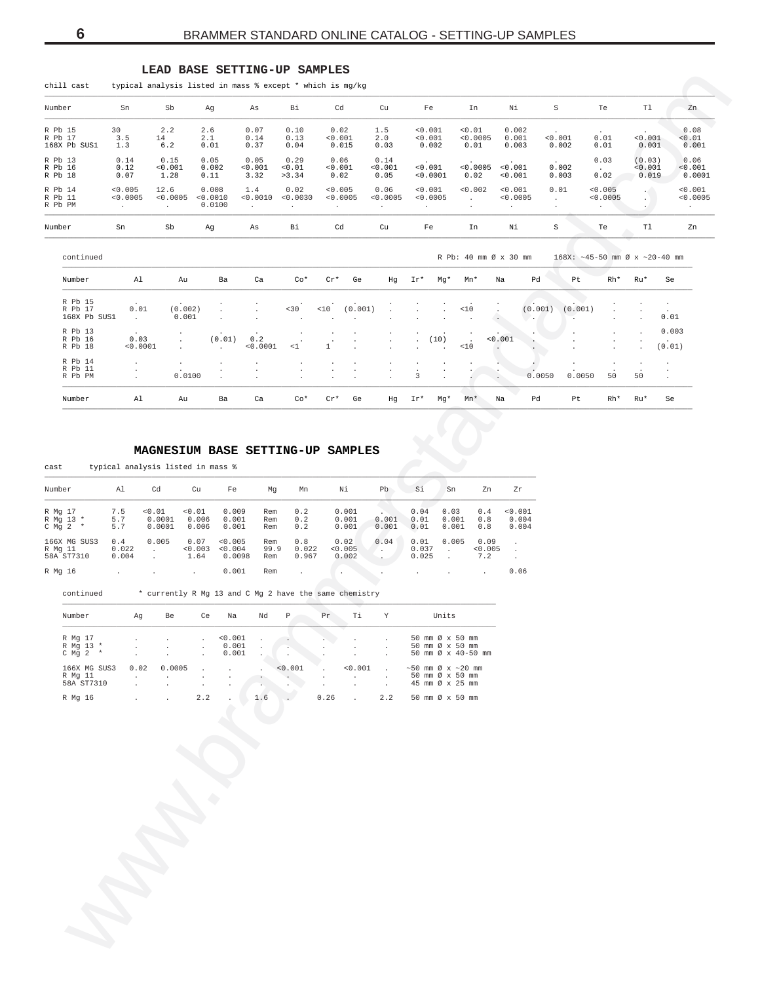<span id="page-5-0"></span>

| chill cast                         |                               |                             | typical analysis listed in mass % except * which is mg/kg |                             |                                          |                               |                      |                                              |                                                   |                               |                                           |                               |                    |                                         |                                |                            |                               |
|------------------------------------|-------------------------------|-----------------------------|-----------------------------------------------------------|-----------------------------|------------------------------------------|-------------------------------|----------------------|----------------------------------------------|---------------------------------------------------|-------------------------------|-------------------------------------------|-------------------------------|--------------------|-----------------------------------------|--------------------------------|----------------------------|-------------------------------|
| Number                             | Sn                            | Sb                          | Ag                                                        | As                          | Вi                                       | Cd                            |                      | Cu                                           |                                                   | Fe                            | In                                        | Νi                            |                    | $\rm S$                                 | Te                             | T1                         | Zn                            |
| R Pb 15<br>R Pb 17<br>168X Pb SUS1 | 30<br>3.5<br>1.3              | 2.2<br>14<br>6.2            | 2.6<br>2.1<br>0.01                                        | 0.07<br>0.14<br>0.37        | 0.10<br>0.13<br>0.04                     | 0.02<br>< 0.001<br>0.015      |                      | 1.5<br>2.0<br>0.03                           |                                                   | < 0.001<br>< 0.001<br>0.002   | < 0.01<br>< 0.0005<br>0.01                | 0.002<br>0.001<br>0.003       |                    | < 0.001<br>0.002                        | $\sim$<br>0.01<br>0.01         | < 0.001<br>0.001           | 0.08<br>< 0.01<br>0.001       |
| R Pb 13<br>R Pb 16<br>R Pb 18      | 0.14<br>0.12<br>0.07          | 0.15<br>< 0.001<br>1.28     | 0.05<br>0.002<br>0.11                                     | 0.05<br>< 0.001<br>3.32     | 0.29<br>< 0.01<br>>3.34                  | 0.06<br>< 0.001<br>0.02       |                      | 0.14<br>< 0.001<br>0.05                      |                                                   | $\sim$<br>< 0.001<br>< 0.0001 | < 0.0005<br>0.02                          | $\sim$<br>< 0.001<br>< 0.001  |                    | $\sim$<br>0.002<br>0.003                | 0.03<br>$\sim$ $\sim$<br>0.02  | (0.03)<br>< 0.001<br>0.019 | 0.06<br>< 0.001<br>0.0001     |
| R Pb 14<br>R Pb 11<br>R Pb PM      | < 0.005<br>< 0.0005<br>$\sim$ | 12.6<br>< 0.0005<br>$\cdot$ | 0.008<br>< 0.0010<br>0.0100                               | 1.4<br>< 0.0010<br>$\Delta$ | 0.02<br>< 0.0030<br>$\ddot{\phantom{0}}$ | < 0.005<br>< 0.0005<br>$\sim$ |                      | 0.06<br>< 0.0005<br>$\sim$                   | $\cdot$                                           | < 0.001<br>< 0.0005           | < 0.002<br>$\sim$<br>$\ddot{\phantom{0}}$ | < 0.001<br>< 0.0005<br>$\sim$ |                    | 0.01<br>$\ddot{\phantom{0}}$<br>$\cdot$ | < 0.005<br>< 0.0005<br>$\cdot$ | $\mathcal{L}$<br>$\cdot$   | < 0.001<br>< 0.0005<br>$\sim$ |
| Number                             | Sn                            | ${\tt Sb}$                  | Ag                                                        | As                          | Bi                                       | Cd                            |                      | Cu                                           |                                                   | Fe                            | In                                        | Νi                            | $\mbox{\bf S}$     |                                         | Te                             | Tl                         | Zn                            |
| continued                          |                               |                             |                                                           |                             |                                          |                               |                      |                                              |                                                   |                               | R Pb: 40 mm Ø x 30 mm                     |                               |                    | $168X: ~ -45-50$ mm Ø x $~20-40$ mm     |                                |                            |                               |
| Number                             | Al                            | Au                          | Ba                                                        | Ca                          | $Co*$                                    | $Cr*$                         | Ge                   | Hq                                           | Ir*                                               | Mq*                           | Mn*                                       | Na                            | Pd                 | Pt                                      | Rh*                            | Ru*                        | Se                            |
| R Pb 15<br>R Pb 17<br>168X Pb SUS1 | 0.01<br>$\sim$                | (0.002)<br>0.001            |                                                           | $\cdot$                     | < 30<br>$\cdot$                          | < 10                          | (0.001)<br>$\cdot$   |                                              | $\lambda$                                         |                               | $<10$<br>$\cdot$                          |                               | (0.001)<br>$\cdot$ | (0.001)                                 | $\cdot$<br>$\cdot$             | $\lambda$                  | $\sim$<br>0.01                |
| R Pb 13<br>R Pb 16<br>R Pb 18      | $\sim$<br>0.03<br>< 0.0001    | $\cdot$<br>$\overline{a}$   | (0.01)<br>$\sim$                                          | 0.2<br>< 0.0001             | $\!<\!1$                                 | $\mathbf{1}$                  | $\ddot{\phantom{a}}$ | $\ddot{\phantom{0}}$<br>$\ddot{\phantom{a}}$ | ٠<br>$\ddot{\phantom{0}}$<br>$\ddot{\phantom{0}}$ | (10)<br>$\sim$                | < 10                                      | 0.001                         |                    |                                         | $\cdot$                        | ×.<br>$\overline{a}$       | 0.003<br>(0.01)               |
| R Pb 14<br>R Pb 11<br>R Pb PM      | $\ddot{\phantom{0}}$          | 0.0100                      | $\cdot$                                                   | $\cdot$                     | $\bullet$                                | $\cdot$                       | $\cdot$              | $\cdot$                                      | 3                                                 |                               |                                           |                               | 0.0050             | 0.0050                                  | 50                             | 50                         | $\ddot{\phantom{a}}$          |
| Number                             | Al                            | Au                          | Ba                                                        | Ca                          | $Co*$                                    | $Cr*$                         | Ge                   | Hq                                           | Ir*                                               | Mq*                           | Mn*                                       | Na                            | Pd                 | Pt                                      | Rh*                            | Ru*                        | Se                            |

#### LEAD BASE SETTING-UP SAMPLES

## MAGNESIUM BASE SETTING-UP SAMPLES

typical analysis listed in mass %  $\operatorname{\mathsf{cast}}$ 

| Number               | Al     | Cd      | Cu      | Fe      | Mq   | Mn    | Νi      | Pb    | Si    | Sn    | Zn      | Zr      |
|----------------------|--------|---------|---------|---------|------|-------|---------|-------|-------|-------|---------|---------|
| R Mg 17              | 7.5    | < 0.01  | < 0.01  | 0.009   | Rem  | 0.2   | 0.001   |       | 0.04  | 0.03  | 0.4     | < 0.001 |
| R Mg 13 *            | 5.7    | 0.0001  | 0.006   | 0.001   | Rem  | 0.2   | 0.001   | 0.001 | 0.01  | 0.001 | 0.8     | 0.004   |
| $C$ Mg $2$<br>$\ast$ | 5.7    | 0.0001  | 0.006   | 0.001   | Rem  | 0.2   | 0.001   | 0.001 | 0.01  | 0.001 | 0.8     | 0.004   |
| 166X MG SUS3         | 0.4    | 0.005   | 0.07    | < 0.005 | Rem  | 0.8   | 0.02    | 0.04  | 0.01  | 0.005 | 0.09    |         |
| R Mg 11              | 0.022  |         | < 0.003 | < 0.004 | 99.9 | 0.022 | < 0.005 |       | 0.037 |       | < 0.005 |         |
| 58A ST7310           | 0.004  |         | 1.64    | 0.0098  | Rem  | 0.967 | 0.002   |       | 0.025 |       | 7.2     |         |
| R Ma 16              | $\sim$ | $\cdot$ |         | 0.001   | Rem  |       | $\sim$  |       | . .   |       |         | 0.06    |

 $\text{continued}$ \* currently R Mg 13 and C Mg 2 have the same chemistry

| Number                                | Αq                                                       | Be                     | Ce                                             | Na                             | Nd                                                   | P                                                                                                                                                                                                                                                                | Pr           | Τi                           | Y   | Units                                                               |
|---------------------------------------|----------------------------------------------------------|------------------------|------------------------------------------------|--------------------------------|------------------------------------------------------|------------------------------------------------------------------------------------------------------------------------------------------------------------------------------------------------------------------------------------------------------------------|--------------|------------------------------|-----|---------------------------------------------------------------------|
| R Mg 17<br>R Mg 13 *<br>C $Mq$ 2 $*$  | $\sim$<br>$\mathbf{r}$                                   | $\mathbf{r}$<br>$\sim$ | $\ddot{\phantom{0}}$<br>$\sim$<br>$\mathbf{r}$ | < 0.001<br>0.001<br>0.001      | $\mathbf{r}$                                         | $\sim$ $\sim$<br>$\sim$ . The set of the set of the set of the set of the set of the set of the set of the set of the set of the set of the set of the set of the set of the set of the set of the set of the set of the set of the set of the s<br>$\mathbf{r}$ | $\mathbf{r}$ | $\mathbf{r}$<br>$\mathbf{r}$ |     | 50 mm Ø x 50 mm<br>50 mm Ø x 50 mm<br>50 mm Ø x 40-50 mm            |
| 166X MG SUS3<br>R Mg 11<br>58A ST7310 | 0.02<br>$\ddot{\phantom{0}}$<br>$\overline{\phantom{a}}$ | 0.0005<br>$\mathbf{r}$ | $\cdot$<br>$\overline{a}$                      | $\mathbf{r}$<br>$\overline{a}$ | $\mathbf{r}$<br>$\ddot{\phantom{0}}$<br>$\mathbf{r}$ | < 0.001<br>$\ddot{\phantom{0}}$<br>$\mathbf{r}$                                                                                                                                                                                                                  | $\mathbf{r}$ | < 0.001<br>$\mathbf{r}$      |     | $\sim$ 50 mm Ø x $\sim$ 20 mm<br>50 mm Ø x 50 mm<br>45 mm Ø x 25 mm |
| R Mg 16                               | $\overline{\phantom{a}}$                                 | $\mathbf{r}$           | 2.2                                            |                                | 1.6                                                  | a z                                                                                                                                                                                                                                                              | 0.26         | $\overline{a}$               | 2.2 | 50 mm Ø x 50 mm                                                     |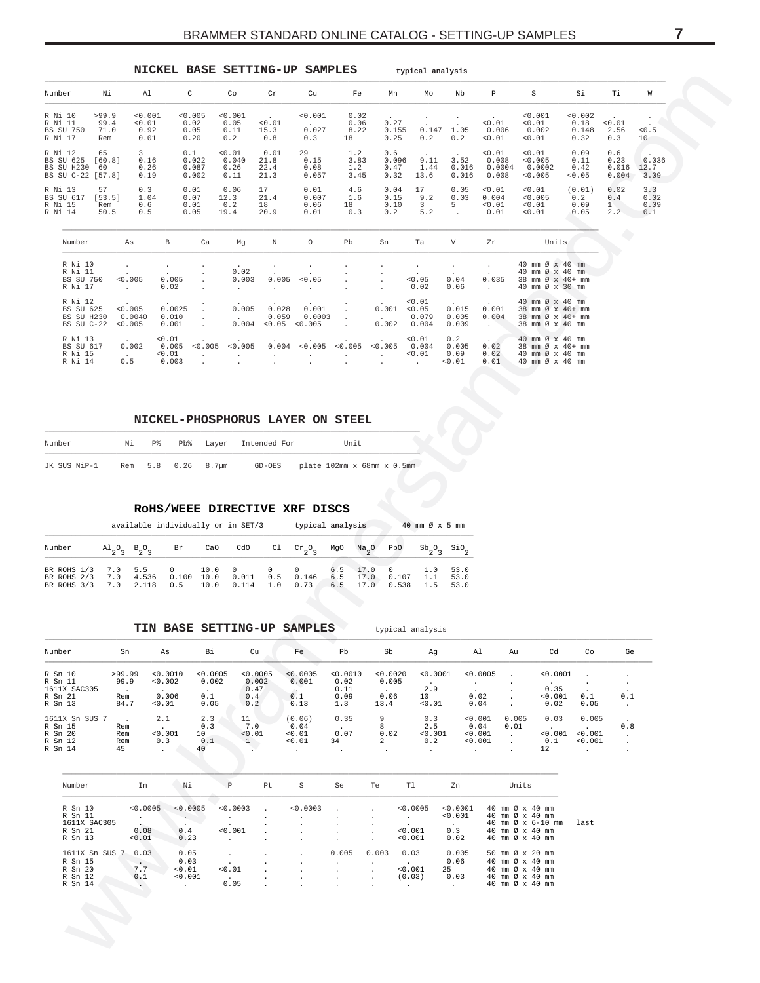## BRAMMER STANDARD ONLINE CATALOG - SETTING-UP SAMPLES

<span id="page-6-0"></span>

| NICKEL BASE SETTING-UP SAMPLES                                    |                              |                                        |                                    |                                 |                                 |                                               |                               |                            |                                             | typical analysis                              |                                |                                    |                                                                            |                                  |                               |                            |
|-------------------------------------------------------------------|------------------------------|----------------------------------------|------------------------------------|---------------------------------|---------------------------------|-----------------------------------------------|-------------------------------|----------------------------|---------------------------------------------|-----------------------------------------------|--------------------------------|------------------------------------|----------------------------------------------------------------------------|----------------------------------|-------------------------------|----------------------------|
| Number                                                            | Νi                           | A1                                     |                                    | C                               | Co                              | $\operatorname{Cr}$                           | Cu                            | Fe                         | Mn                                          | Mo                                            | Nb                             | P                                  | S                                                                          | Si                               | Ti                            | W                          |
| R Ni 10<br>R Ni 11<br><b>BS SU 750</b><br>R Ni 17                 | >99.9<br>99.4<br>71.0<br>Rem | < 0.001<br>< 0.01<br>0.92<br>0.01      |                                    | < 0.005<br>0.02<br>0.05<br>0.20 | < 0.001<br>0.05<br>0.11<br>0.2  | $\ddot{\phantom{0}}$<br>< 0.01<br>15.3<br>0.8 | < 0.001<br>0.027<br>0.3       | 0.02<br>0.06<br>8.22<br>18 | 0.27<br>0.155<br>0.25                       | 0.147<br>0.2                                  | 1.05<br>0.2                    | < 0.01<br>0.006<br>< 0.01          | < 0.001<br>< 0.01<br>0.002<br>0.01                                         | < 0.002<br>0.18<br>0.148<br>0.32 | < 0.01<br>2.56<br>0.3         | < 0.5<br>10                |
| R Ni 12<br><b>BS SU 625</b><br>BS SU H230 60<br>BS SU C-22 [57.8] | 65<br>[60.8]                 | $\overline{3}$<br>0.16<br>0.26<br>0.19 |                                    | 0.1<br>0.022<br>0.087<br>0.002  | < 0.01<br>0.040<br>0.26<br>0.11 | 0.01<br>21.8<br>22.4<br>21.3                  | 29<br>0.15<br>0.08<br>0.057   | 1.2<br>3.83<br>1.2<br>3.45 | 0.6<br>0.096<br>0.47<br>0.32                | 9.11<br>1.44<br>13.6                          | 3.52<br>0.016<br>0.016         | < 0.01<br>0.008<br>0.0004<br>0.008 | 0.01<br>< 0.005<br>0.0002<br>< 0.005                                       | 0.09<br>0.11<br>0.42<br>< 0.05   | 0.6<br>0.23<br>0.016<br>0.004 | 0.036<br>12.7<br>3.09      |
| R Ni 13<br><b>BS SU 617</b><br>R Ni 15<br>R Ni 14                 | 57<br>[53.5]<br>Rem<br>50.5  | 0.3<br>1.04<br>0.6<br>0.5              |                                    | 0.01<br>0.07<br>0.01<br>0.05    | 0.06<br>12.3<br>0.2<br>19.4     | 17<br>21.4<br>18<br>20.9                      | 0.01<br>0.007<br>0.06<br>0.01 | 4.6<br>1.6<br>18<br>0.3    | 0.04<br>0.15<br>0.10<br>0.2                 | 17<br>9.2<br>$\overline{3}$<br>5.2            | 0.05<br>0.03<br>5              | < 0.01<br>0.004<br>< 0.01<br>0.01  | 0.01<br>< 0.005<br>< 0.01<br>< 0.01                                        | (0.01)<br>0.2<br>0.09<br>0.05    | 0.02<br>0.4<br>1<br>2.2       | 3.3<br>0.02<br>0.09<br>0.1 |
| Number                                                            |                              | As                                     | В                                  | Ca                              | Mq                              | Ν                                             | 0                             | Pb                         | Sn                                          | Ta                                            | V                              | Zr                                 | Units                                                                      |                                  | $\color{red} \bullet$         |                            |
| R Ni 10<br>R Ni 11<br><b>BS SU 750</b><br>R Ni 17                 |                              | < 0.005<br>$\sim$                      | 0.005<br>0.02                      |                                 | 0.02<br>0.003<br>$\cdot$        | 0.005                                         | < 0.05                        |                            | ÷<br>$\ddot{\phantom{a}}$                   | < 0.05<br>0.02                                | $\bullet$<br>0.04<br>0.06      | 0.035<br>$\sim$                    | 40 mm Ø x 40 mm<br>40 mm Ø x 40 mm<br>38 mm Ø x 40+ mm<br>40 mm Ø x 30 mm  |                                  |                               |                            |
| R Ni 12<br><b>BS SU 625</b><br>BS SU H230<br>BS SU C-22           |                              | < 0.005<br>0.0040<br>< 0.005           | 0.0025<br>0.010<br>0.001           |                                 | 0.005<br>0.004                  | 0.028<br>0.059<br>< 0.05                      | 0.001<br>0.0003<br>< 0.005    |                            | 0.001<br>$\sim$<br>0.002                    | < 0.01<br>< 0.05<br>0.079<br>0.004            | 0.015<br>0.005<br>0.009        | 0.001<br>0.004<br>$\sim$           | 40 mm Ø x 40 mm<br>38 mm Ø x 40+ mm<br>38 mm Ø x 40+ mm<br>38 mm Ø x 40 mm |                                  |                               |                            |
| R Ni 13<br>BS SU 617<br>R Ni 15<br>R Ni 14                        |                              | 0.002<br>$\ddot{\phantom{0}}$<br>0.5   | < 0.01<br>0.005<br>< 0.01<br>0.003 | < 0.005<br>$\cdot$              | < 0.005<br>$\cdot$              | 0.004                                         | < 0.005                       | < 0.005<br>$\cdot$         | < 0.005<br>$\ddot{\phantom{a}}$<br>$\Delta$ | < 0.01<br>0.004<br>< 0.01<br>$\sim$ 100 $\mu$ | 0.2<br>0.005<br>0.09<br>< 0.01 | 0.02<br>0.02<br>0.01               | 40 mm Ø x 40 mm<br>38 mm Ø x 40+ mm<br>40 mm Ø x 40 mm<br>40 mm Ø x 40 mm  |                                  |                               |                            |

#### NICKEL-PHOSPHORUS LAYER ON STEEL

| Number       | Νi | $P_{\infty}$ |                    | Pb% Laver Intended For | Unit                              |
|--------------|----|--------------|--------------------|------------------------|-----------------------------------|
| JK SUS NiP-1 |    |              | Rem 5.8 0.26 8.7um |                        | GD-OES plate 102mm x 68mm x 0.5mm |

#### ROHS/WEEE DIRECTIVE XRF DISCS

available individually or in SET/3 typical analysis 40 mm  $\varnothing$  x 5 mm

| Number $A_2O_3$ B <sub>2</sub> O <sub>3</sub> Br CaO CdO Cl Cr <sub>2</sub> O <sub>3</sub> MgO Na <sub>2</sub> O PbO Sb <sub>2</sub> O <sub>3</sub> SiO <sub>2</sub>                                      |  |  |  |  |  |  |
|-----------------------------------------------------------------------------------------------------------------------------------------------------------------------------------------------------------|--|--|--|--|--|--|
| BR ROHS 1/3 7.0 5.5 0 10.0 0 0 0 6.5 17.0 0 1.0 53.0<br>BR ROHS 2/3 7.0 4.536 0.100 10.0 0.011 0.5 0.146 6.5 17.0 0.107 1.1 53.0<br>BR ROHS 3/3 7.0 2.118 0.5 10.0 0.114 1.0 0.73 6.5 17.0 0.538 1.5 53.0 |  |  |  |  |  |  |

#### TIN BASE SETTING-UP SAMPLES typical analysis

| Number         | Sn     | As       | Bi       | Cu       | Fe       | Pb       | Sb           | Ag       | Al       | Au    | Cd       | Co      | Ge           |
|----------------|--------|----------|----------|----------|----------|----------|--------------|----------|----------|-------|----------|---------|--------------|
| R Sn 10        | >99.99 | < 0.0010 | < 0.0005 | < 0.0005 | < 0.0005 | < 0.0010 | < 0.0020     | < 0.0001 | < 0.0005 |       | < 0.0001 |         |              |
| R Sn 11        | 99.9   | < 0.002  | 0.002    | 0.002    | 0.001    | 0.02     | 0.005        |          |          |       |          | . .     |              |
| 1611X SAC305   |        |          | $\cdot$  | 0.47     |          | 0.11     |              | 2.9      |          |       | 0.35     |         |              |
| R Sn 21        | Rem    | 0.006    | 0.1      | 0.4      | 0.1      | 0.09     | 0.06         | 10       | 0.02     |       | < 0.001  | 0.1     | 0.1          |
| R Sn 13        | 84.7   | < 0.01   | 0.05     | 0.2      | 0.13     | 1.3      | 13.4         | < 0.01   | 0.04     |       | 0.02     | 0.05    | $\cdot$      |
| 1611X Sn SUS 7 |        | 2.1      | 2.3      | 11       | (0.06)   | 0.35     | 9            | 0.3      | < 0.001  | 0.005 | 0.03     | 0.005   |              |
| R Sn 15        | Rem    |          | 0.3      | 7.0      | 0.04     |          | 8            | 2.5      | 0.04     | 0.01  |          |         | 0.8          |
| R Sn 20        | Rem    | < 0.001  | 10       | < 0.01   | < 0.01   | 0.07     | 0.02         | < 0.001  | < 0.001  |       | < 0.001  | < 0.001 | $\mathbf{r}$ |
| R Sn 12        | Rem    | 0.3      | 0.1      |          | 0.01     | 34       | $\mathbf{2}$ | 0.2      | < 0.001  |       | 0.1      | < 0.001 | $\mathbf{r}$ |
| R Sn 14        | 45     |          | 40       |          |          |          |              |          | $\cdot$  |       | 12       | $\cdot$ |              |

| Number         | In       | Νi                   | P        | Pt                   | S        | Se      | Te      | T1       | Zn       | Units                            |      |
|----------------|----------|----------------------|----------|----------------------|----------|---------|---------|----------|----------|----------------------------------|------|
| R Sn 10        | < 0.0005 | < 0.0005             | < 0.0003 |                      | < 0.0003 |         |         | < 0.0005 | < 0.0001 | 40 mm $\varnothing \times 40$ mm |      |
| R Sn 11        |          | $\sim$               |          | $\ddot{\phantom{a}}$ |          |         |         |          | < 0.001  | 40 mm $\varnothing \times 40$ mm |      |
| 1611X SAC305   | $\sim$   |                      | $\cdot$  |                      |          |         |         |          |          | 40 mm $\varnothing$ x 6-10 mm    | last |
| R Sn 21        | 0.08     | 0.4                  | < 0.001  |                      |          |         |         | < 0.001  | 0.3      | 40 mm $\varnothing \times 40$ mm |      |
| R Sn 13        | < 0.01   | 0.23                 |          |                      |          |         |         | < 0.001  | 0.02     | 40 mm $\varnothing \times 40$ mm |      |
| 1611X Sn SUS 7 | 0.03     | 0.05                 |          |                      |          | 0.005   | 0.003   | 0.03     | 0.005    | 50 mm $\varnothing \times 20$ mm |      |
| R Sn 15        |          | 0.03                 |          |                      |          |         |         |          | 0.06     | 40 mm $\varnothing \times 40$ mm |      |
| R Sn 20        | 7.7      | < 0.01               | < 0.01   |                      |          |         |         | < 0.001  | 25       | 40 mm $\varnothing \times 40$ mm |      |
| R Sn 12        | 0.1      | < 0.001              |          |                      |          |         |         | (0.03)   | 0.03     | 40 mm $\varnothing \times 40$ mm |      |
| R Sn 14        |          | $\ddot{\phantom{0}}$ | 0.05     | $\ddot{\phantom{a}}$ | $\cdot$  | $\cdot$ | $\cdot$ |          |          | 40 mm $\varnothing$ x 40 mm      |      |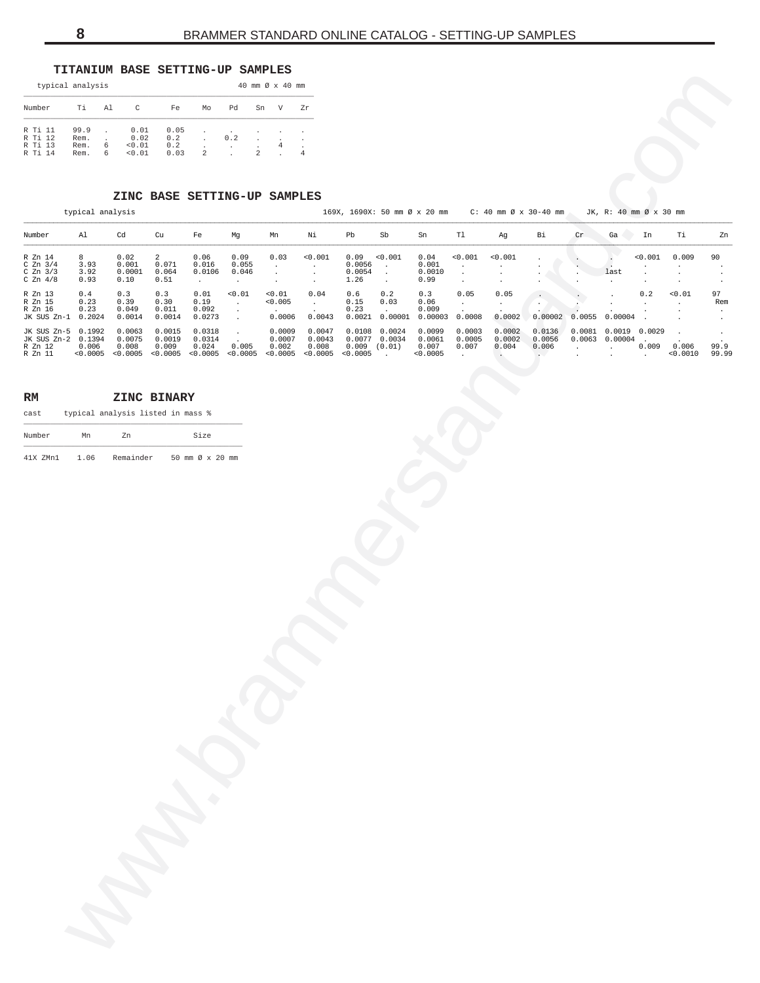## **TITANIUM BASE SETTING-UP SAMPLES**

|                                          | typical analysis             |        |                                  |                            |    |                                 | 40 mm $\varnothing \times 40$ mm      |                                                         |    |
|------------------------------------------|------------------------------|--------|----------------------------------|----------------------------|----|---------------------------------|---------------------------------------|---------------------------------------------------------|----|
| Number                                   | Тi                           | Al     | C                                | Fe                         | Mo | ÞЯ                              | Sn                                    | V                                                       | Zr |
| R Ti 11<br>R Ti 12<br>R Ti 13<br>R Ti 14 | 99.9<br>Rem.<br>Rem.<br>Rem. | 6<br>6 | 0.01<br>0.02<br>< 0.01<br>< 0.01 | 0.05<br>0.2<br>0.2<br>0.03 | 2  | 0.2<br>$\overline{\phantom{a}}$ | $\blacksquare$<br>$\lambda$<br>٠<br>2 | $\blacksquare$<br>$\blacksquare$<br>4<br>$\blacksquare$ |    |

## **ZINC BASE SETTING-UP SAMPLES**

<span id="page-7-0"></span>

| typical analysis                                 |                                       |                                        |                                          |                                   |                                                                 | 40 mm Ø x 40 mm                       |                                          |                                  |                                                                              |                                       |                                          |                                            |                                          |                     |                                                     |                                          |                             |                                     |
|--------------------------------------------------|---------------------------------------|----------------------------------------|------------------------------------------|-----------------------------------|-----------------------------------------------------------------|---------------------------------------|------------------------------------------|----------------------------------|------------------------------------------------------------------------------|---------------------------------------|------------------------------------------|--------------------------------------------|------------------------------------------|---------------------|-----------------------------------------------------|------------------------------------------|-----------------------------|-------------------------------------|
| Number                                           | Τi                                    | Al<br>C                                | Fe                                       | Mo                                | Pd                                                              | Sn<br>V                               | Ζr                                       |                                  |                                                                              |                                       |                                          |                                            |                                          |                     |                                                     |                                          |                             |                                     |
| R Ti 11<br>R Ti 12<br>R Ti 13<br>R Ti 14         | 99.9<br>Rem.<br>Rem.<br>Rem.          | 0.01<br>0.02<br>0.01<br>6<br>0.01<br>6 | 0.05<br>0.2<br>0.2<br>0.03               | $\sqrt{2}$                        | $0.2\,$<br>$\cdot$<br>$\overline{a}$                            | 4                                     | $\,4$                                    |                                  |                                                                              |                                       |                                          |                                            |                                          |                     |                                                     |                                          |                             |                                     |
|                                                  |                                       |                                        |                                          |                                   |                                                                 |                                       |                                          |                                  |                                                                              |                                       |                                          |                                            |                                          |                     |                                                     |                                          |                             |                                     |
|                                                  | typical analysis                      |                                        |                                          |                                   | ZINC BASE SETTING-UP SAMPLES                                    |                                       |                                          |                                  |                                                                              | 169X, 1690X: 50 mm Ø x 20 mm          |                                          |                                            | $C: 40$ mm $\varnothing \times 30-40$ mm |                     | JK, R: 40 mm Ø x 30 mm                              |                                          |                             |                                     |
| Number                                           | Al                                    | $_{\rm Cd}$                            | Cu                                       | Fe                                | Mg                                                              | Mn                                    | Νi                                       | Pb                               | Sb                                                                           | Sn                                    | $\mathtt{T}1$                            | Ag                                         | Вi                                       | $\operatorname{Cr}$ | Ga                                                  | In                                       | Тi                          | Zn                                  |
| R Zn 14<br>C $Zn$ 3/4<br>C Zn 3/3<br>C $Zn$ 4/8  | 8<br>3.93<br>3.92<br>0.93             | 0.02<br>0.001<br>0.0001<br>0.10        | $\overline{a}$<br>0.071<br>0.064<br>0.51 | 0.06<br>0.016<br>0.0106<br>$\sim$ | 0.09<br>0.055<br>0.046<br>$\sim$                                | 0.03<br>$\cdot$<br>$\cdot$<br>$\cdot$ | < 0.001<br>$\cdot$<br>$\cdot$<br>$\cdot$ | 0.09<br>0.0056<br>0.0054<br>1.26 | < 0.001<br>$\cdot$<br>$\cdot$<br>$\cdot$                                     | 0.04<br>0.001<br>0.0010<br>0.99       | < 0.001<br>$\cdot$<br>$\cdot$<br>$\cdot$ | < 0.001<br>$\ddot{\phantom{0}}$<br>$\cdot$ |                                          |                     | $\cdot$<br>$\mathcal{L}$<br>last<br>$\cdot$         | < 0.001<br>$\cdot$<br>$\cdot$<br>$\cdot$ | 0.009<br>$\cdot$<br>$\cdot$ | 90<br>$\cdot$<br>$\cdot$<br>$\cdot$ |
| R Zn 13<br>R Zn 15<br>R Zn 16<br>JK SUS Zn-1     | 0.4<br>0.23<br>0.23<br>0.2024         | 0.3<br>0.39<br>0.049<br>0.0014         | 0.3<br>0.30<br>0.011<br>0.0014           | 0.01<br>0.19<br>0.092<br>0.0273   | < 0.01<br>$\sim$<br>$\bullet$<br>$\cdot$                        | < 0.01<br>0.005<br>0.0006             | 0.04<br>$\sim$<br>0.0043                 | 0.6<br>0.15<br>0.23<br>0.0021    | 0.2<br>0.03<br>0.00001                                                       | 0.3<br>0.06<br>0.009<br>0.00003       | 0.05<br>$\cdot$<br>0.0008                | 0.05<br>$\cdot$<br>0.0002                  | 0.00002                                  | 0.0055              | 0.00004                                             | 0.2<br>$\cdot$                           | 0.01<br>$\cdot$             | 97<br>Rem<br>$\cdot$<br>$\cdot$     |
| JK SUS Zn-5<br>JK SUS Zn-2<br>R Zn 12<br>R Zn 11 | 0.1992<br>0.1394<br>0.006<br>< 0.0005 | 0.0063<br>0.0075<br>0.008              | 0.0015<br>0.0019<br>0.009                | 0.0318<br>0.0314<br>0.024         | $\cdot$<br>0.005<br>$< 0.0005$ $< 0.0005$ $< 0.0005$ $< 0.0005$ | 0.0009<br>0.0007<br>0.002<br>< 0.0005 | 0.0047<br>0.0043<br>0.008<br>< 0.0005    | < 0.0005                         | $0.0108$ 0.0024<br>0.0077 0.0034<br>$0.009$ $(0.01)$<br>$\ddot{\phantom{a}}$ | 0.0099<br>0.0061<br>0.007<br>< 0.0005 | 0.0003<br>0.0005<br>0.007<br>$\cdot$     | 0.0002<br>0.0002<br>0.004                  | 0.0136<br>0.0056<br>0.006                | $\cdot$             | 0.0081 0.0019 0.0029<br>$0.0063$ 0.00004<br>$\cdot$ | 0.009<br>$\ddot{\phantom{a}}$            | 0.006<br>< 0.0010           | $\cdot$<br>99.9<br>99.99            |
| RM                                               |                                       | ZINC BINARY                            |                                          |                                   |                                                                 |                                       |                                          |                                  |                                                                              |                                       |                                          |                                            |                                          |                     |                                                     |                                          |                             |                                     |
| cast                                             |                                       | typical analysis listed in mass %      |                                          |                                   |                                                                 |                                       |                                          |                                  |                                                                              |                                       |                                          |                                            |                                          |                     |                                                     |                                          |                             |                                     |
| Number                                           | Mn                                    | Zn                                     |                                          | Size                              |                                                                 |                                       |                                          |                                  |                                                                              |                                       |                                          |                                            |                                          |                     |                                                     |                                          |                             |                                     |
|                                                  |                                       |                                        |                                          |                                   |                                                                 |                                       |                                          |                                  |                                                                              |                                       |                                          |                                            |                                          |                     |                                                     |                                          |                             |                                     |
|                                                  |                                       | and a                                  |                                          |                                   |                                                                 |                                       |                                          |                                  |                                                                              |                                       |                                          |                                            |                                          |                     |                                                     |                                          |                             |                                     |

| RM | ZINC BINARY |
|----|-------------|
|    |             |

| cast   |    | typical analysis listed in mass % |      |  |
|--------|----|-----------------------------------|------|--|
| Number | Mn | 7.n                               | Size |  |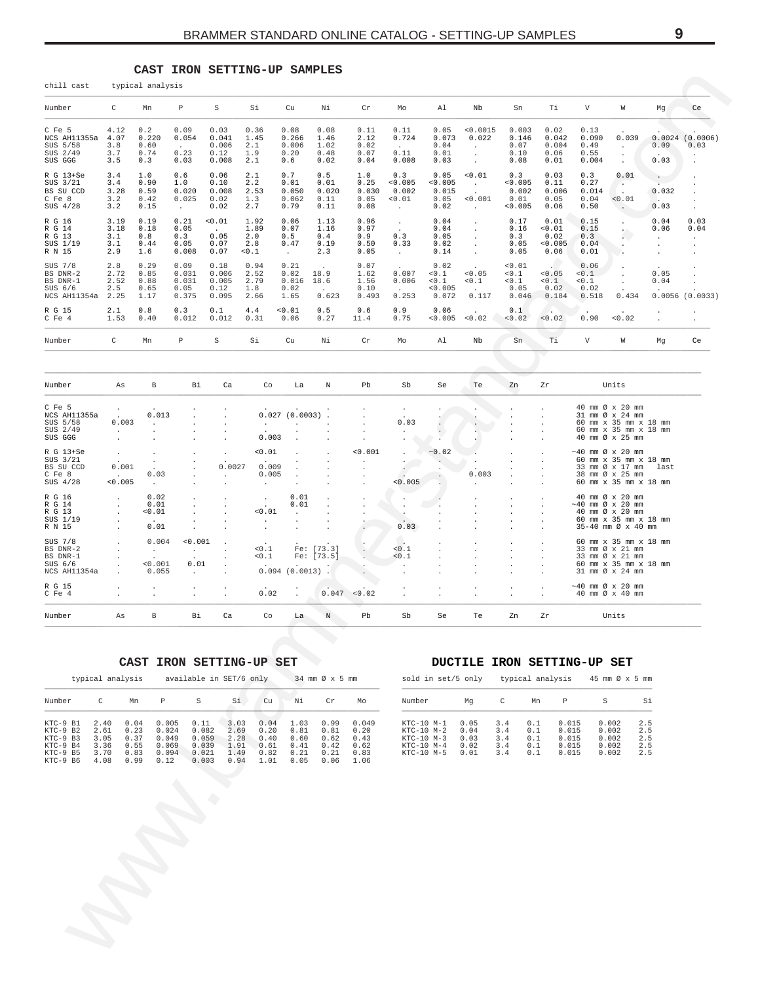#### CAST IRON SETTING-UP SAMPLES

<span id="page-8-0"></span>

| chill cast                                                   |                                                              | typical analysis                        |                                         |                                         |                                                      |                                        |                                      |                                                 |                                                         |                                          |                                                  |                                        |                                         |                                        |                                                                                                                |                                    |                             |
|--------------------------------------------------------------|--------------------------------------------------------------|-----------------------------------------|-----------------------------------------|-----------------------------------------|------------------------------------------------------|----------------------------------------|--------------------------------------|-------------------------------------------------|---------------------------------------------------------|------------------------------------------|--------------------------------------------------|----------------------------------------|-----------------------------------------|----------------------------------------|----------------------------------------------------------------------------------------------------------------|------------------------------------|-----------------------------|
| Number                                                       | C                                                            | Mn                                      | P                                       | S                                       | Si                                                   | Cu                                     | Νi                                   | $\operatorname{Cr}$                             | Mo                                                      | Al                                       | Nb                                               | Sn                                     | Τi                                      | V                                      | W                                                                                                              | Mg                                 | Ce                          |
| C Fe 5<br>NCS AH11355a<br>SUS 5/58<br>SUS 2/49<br>SUS GGG    | 4.12<br>4.07<br>3.8<br>3.7<br>3.5                            | 0.2<br>0.220<br>0.60<br>0.74<br>0.3     | 0.09<br>0.054<br>0.23<br>0.03           | 0.03<br>0.041<br>0.006<br>0.12<br>0.008 | 0.36<br>1.45<br>2.1<br>1.9<br>2.1                    | 0.08<br>0.266<br>0.006<br>0.20<br>0.6  | 0.08<br>1.46<br>1.02<br>0.48<br>0.02 | 0.11<br>2.12<br>0.02<br>0.07<br>0.04            | 0.11<br>0.724<br>$\sim$<br>0.11<br>0.008                | 0.05<br>0.073<br>0.04<br>0.01<br>0.03    | < 0.0015<br>0.022                                | 0.003<br>0.146<br>0.07<br>0.10<br>0.08 | 0.02<br>0.042<br>0.004<br>0.06<br>0.01  | 0.13<br>0.090<br>0.49<br>0.55<br>0.004 | 0.039<br>$\cdot$                                                                                               | 0.09<br>0.03                       | $0.0024$ $(0.0006)$<br>0.03 |
| R G 13+Se<br>SUS 3/21<br>BS SU CCD<br>C Fe 8<br>SUS 4/28     | 3.4<br>3.4<br>3.28<br>3.2<br>3.2                             | 1.0<br>0.90<br>0.59<br>0.42<br>0.15     | 0.6<br>1.0<br>0.020<br>0.025<br>$\sim$  | 0.06<br>0.10<br>0.008<br>0.02<br>0.02   | 2.1<br>2.2<br>2.53<br>1.3<br>2.7                     | 0.7<br>0.01<br>0.050<br>0.062<br>0.79  | 0.5<br>0.01<br>0.020<br>0.11<br>0.11 | 1.0<br>0.25<br>0.030<br>0.05<br>0.08            | 0.3<br>< 0.005<br>0.002<br>0.01<br>$\ddot{\phantom{a}}$ | 0.05<br>< 0.005<br>0.015<br>0.05<br>0.02 | 0.01<br>$\cdot$<br>$\cdot$<br>< 0.001<br>$\cdot$ | 0.3<br>0.005<br>0.002<br>0.01<br>0.005 | 0.03<br>0.11<br>0.006<br>0.05<br>0.06   | 0.3<br>0.27<br>0.014<br>0.04<br>0.50   | 0.01<br>٠.<br>$\mathcal{L}$<br>< 0.01                                                                          | $\cdot$<br>$\sim$<br>0.032<br>0.03 |                             |
| R G 16<br>R G 14<br>R G 13<br>SUS 1/19<br>R N 15             | 3.19<br>3.18<br>3.1<br>3.1<br>2.9                            | 0.19<br>0.18<br>0.8<br>0.44<br>1.6      | 0.21<br>0.05<br>0.3<br>0.05<br>0.008    | 0.01<br>0.05<br>0.07<br>0.07            | 1.92<br>1.89<br>2.0<br>2.8<br>< 0.1                  | 0.06<br>0.07<br>0.5<br>0.47<br>$\cdot$ | 1.13<br>1.16<br>0.4<br>0.19<br>2.3   | 0.96<br>0.97<br>0.9<br>0.50<br>0.05             | $\ddot{\phantom{a}}$<br>0.3<br>0.33<br>$\blacksquare$   | 0.04<br>0.04<br>0.05<br>0.02<br>0.14     |                                                  | 0.17<br>0.16<br>0.3<br>0.05<br>0.05    | 0.01<br>0.01<br>0.02<br>< 0.005<br>0.06 | 0.15<br>0.15<br>0.3<br>0.04<br>0.01    |                                                                                                                | 0.04<br>0.06<br>$\cdot$<br>$\cdot$ | 0.03<br>0.04<br>$\cdot$     |
| SUS 7/8<br>BS DNR-2<br>BS DNR-1<br>$SUS$ 6/6<br>NCS AH11354a | 2.8<br>2.72<br>2.52<br>2.5<br>2.25                           | 0.29<br>0.85<br>0.88<br>0.65<br>1.17    | 0.09<br>0.031<br>0.031<br>0.05<br>0.375 | 0.18<br>0.006<br>0.005<br>0.12<br>0.095 | 0.94<br>2.52<br>2.79<br>1.8<br>2.66                  | 0.21<br>0.02<br>0.016<br>0.02<br>1.65  | 18.9<br>18.6<br>0.623                | 0.07<br>1.62<br>1.56<br>0.10<br>0.493           | 0.007<br>0.006<br>0.253                                 | 0.02<br>< 0.1<br>0.1<br>< 0.005<br>0.072 | < 0.05<br>0.1<br>0.117                           | 0.01<br>0.1<br>0.1<br>0.05<br>0.046    | < 0.05<br>0.1<br>0.02<br>0.184          | 0.06<br>< 0.1<br>0.1<br>0.02<br>0.518  | 0.434                                                                                                          | $\cdot$<br>0.05<br>0.04            | $0.0056$ (0.0033)           |
| R G 15<br>C Fe 4                                             | 2.1<br>1.53                                                  | 0.8<br>0.40                             | 0.3<br>0.012                            | 0.1<br>0.012                            | 4.4<br>0.31                                          | 0.01<br>0.06                           | 0.5<br>0.27                          | 0.6<br>11.4                                     | 0.9<br>0.75                                             | 0.06<br>< 0.005                          | $\ddot{\phantom{a}}$<br>< 0.02                   | 0.1<br>< 0.02                          | $\sim$<br>< 0.02                        | $\ddot{\phantom{a}}$<br>0.90           | $\cdot$<br>0.02                                                                                                |                                    |                             |
| Number                                                       | C                                                            | Mn                                      | P                                       | S                                       | Si                                                   | Cu                                     | Νi                                   | $\operatorname{Cr}$                             | Mo                                                      | Al                                       | Nb                                               | Sn                                     | Τi                                      | V                                      | W                                                                                                              | Mg                                 | Ce                          |
|                                                              |                                                              |                                         |                                         |                                         |                                                      |                                        |                                      |                                                 |                                                         |                                          |                                                  |                                        |                                         |                                        |                                                                                                                |                                    |                             |
| Number                                                       | As                                                           | В                                       | Βi                                      | Ca                                      | Co                                                   | La                                     | N                                    | Pb                                              | Sb                                                      | Se                                       | Te                                               | Zn                                     | Zr                                      |                                        | Units                                                                                                          |                                    |                             |
| C Fe 5<br>NCS AH11355a<br>SUS 5/58<br>SUS 2/49<br>SUS GGG    | $\cdot$<br>0.003<br>$\mathbf{r}$                             | 0.013                                   |                                         |                                         | $\cdot$<br>0.003                                     | 0.027(0.0003)<br>$\cdot$<br>$\cdot$    |                                      | $\ddot{\phantom{0}}$                            | 0.03                                                    | $\Box$                                   |                                                  |                                        |                                         |                                        | 40 mm Ø x 20 mm<br>31 mm Ø x 24 mm<br>60 mm x 35 mm x 18 mm<br>60 mm x 35 mm x 18 mm<br>40 mm Ø x 25 mm        |                                    |                             |
| R G 13+Se<br>SUS 3/21<br>BS SU CCD<br>C Fe 8<br>SUS 4/28     | $\ddot{\phantom{a}}$<br>0.001<br>$\sim$ 100 $\pm$<br>< 0.005 | $\cdot$<br>0.03<br>$\ddot{\phantom{0}}$ |                                         | $\cdot$<br>0.0027<br>$\cdot$            | 0.01<br>0.009<br>0.005<br>$\cdot$                    | $\cdot$<br>$\ddot{\phantom{a}}$        | $\ddot{\phantom{0}}$                 | 0.001<br>$\blacksquare$<br>$\ddot{\phantom{a}}$ | $\cdot$<br>٠<br>0.005                                   | ~0.02<br>$\mathbf{r}$                    | 0.003                                            |                                        |                                         |                                        | $\sim$ 40 mm Ø x 20 mm<br>60 mm x 35 mm x 18 mm<br>33 mm Ø x 17 mm<br>38 mm Ø x 25 mm<br>60 mm x 35 mm x 18 mm | last                               |                             |
| R G 16<br>R G 14<br>R G 13<br>SUS 1/19                       |                                                              | 0.02<br>0.01<br>0.01                    |                                         | $\cdot$                                 | $\ddot{\phantom{a}}$<br>0.01<br>$\ddot{\phantom{a}}$ | 0.01<br>0.01<br>$\cdot$<br>$\cdot$     |                                      |                                                 |                                                         |                                          |                                                  |                                        |                                         |                                        | 40 mm Ø x 20 mm<br>$\sim$ 40 mm Ø x 20 mm<br>40 mm Ø x 20 mm<br>60 mm x 35 mm x 18 mm                          |                                    |                             |

 $\ddot{\phantom{a}}$ 

 $\ddot{\phantom{a}}$ 

 $\ddot{\phantom{a}}$ 

 $\cdot$ 

 $\mathbb{R}^2$ 

Se

 $0.03$ 

 $50.1$ 

 $< 0.1$ 

 $\frac{1}{2}$ 

 $\frac{1}{2}$ 

 ${\tt Sb}$ 

 $\begin{bmatrix} 1 & 1 & 1 \\ 1 & 1 & 1 \\ 1 & 1 & 1 \\ 1 & 1 & 1 \end{bmatrix}$ 

 $\ddot{\phantom{a}}$ 

 $\frac{1}{2}$ 

 $\ddot{\phantom{a}}$ 

÷.

÷,

Te

## CAST IRON SETTING-UP SET

 $0.01$ 

 $0.004$ 

 $\mathbb{R}^3$ 

 $\frac{1}{0.001}$ 

÷,

 $\, {\bf B}$ 

 $\begin{bmatrix} 1 \\ 1 \\ 2 \end{bmatrix}$ 

 $\begin{bmatrix} 1 & 1 & 1 \\ 1 & 1 & 1 \\ 1 & 1 & 1 \\ 1 & 1 & 1 \end{bmatrix}$ 

 $\frac{1}{2}$ 

 $_{\rm As}$ 

 $\frac{1}{2}$ 

 $10.001$ 

 $\sim$ 

 $0.01$ 

 $\Delta$ 

÷,

 $_{\rm Bi}$ 

 $\ddot{\phantom{a}}$ 

 $\ddot{\phantom{a}}$ 

 $\overline{a}$ 

÷,

 $<sup>ca</sup>$ </sup>

Ting<br>Ting<br>Ting

 $0.094$  (0.0013)

 $\mathbb{I}$ 

 $_{\rm La}$ 

 $\frac{1}{2}$ 

 $\,$  N

:<br>Fe: [73.3]<br>Fe: [73.5]

 $\frac{1}{2}$ 

 $_{\rm Pb}$ 

 $0.047 < 0.02$ 

 $\frac{1}{2}$ 

 $\frac{1}{0.1}$ <br><0.1

 $0.02$ 

 $_{\rm Co}$ 

R G 16<br>R G 14<br>R G 13<br>SUS 1/19<br>R N 15

SUS  $7/8$ 

R G 15<br>C Fe 4

Number

BS DNR-2<br>BS DNR-1<br>SUS 6/6<br>NCS AH11354a

|                                                                                  | typical analysis                             |                                              |                                                   | available in SET/6 only                           |                                              |                                              |                                              | 34 mm Ø x 5 mm                               |                                               |
|----------------------------------------------------------------------------------|----------------------------------------------|----------------------------------------------|---------------------------------------------------|---------------------------------------------------|----------------------------------------------|----------------------------------------------|----------------------------------------------|----------------------------------------------|-----------------------------------------------|
| Number                                                                           |                                              | Mn                                           | Р                                                 | S                                                 | Si                                           | Cu                                           | Νi                                           | Cr                                           | Mo                                            |
| KTC-9 B1<br>$KTC-9$ B2<br>$KTC-9$ B3<br>$KTC-9$ $B4$<br>$KTC-9$ B5<br>$KTC-9$ B6 | 2.40<br>2.61<br>3.05<br>3.36<br>3.70<br>4.08 | 0.04<br>0.23<br>0.37<br>0.55<br>0.83<br>0.99 | 0.005<br>0.024<br>0.049<br>0.069<br>0.094<br>0.12 | 0.11<br>0.082<br>0.059<br>0.039<br>0.021<br>0.003 | 3.03<br>2.69<br>2.28<br>1.91<br>1.49<br>0.94 | 0.04<br>0.20<br>0.40<br>0.61<br>0.82<br>1.01 | 1.03<br>0.81<br>0.60<br>0.41<br>0.21<br>0.05 | 0.99<br>0.81<br>0.62<br>0.42<br>0.21<br>0.06 | 0.049<br>0.20<br>0.43<br>0.62<br>0.83<br>1.06 |

#### DUCTILE IRON SETTING-UP SET

 $\begin{array}{c} \bullet \\ \bullet \\ \bullet \\ \bullet \end{array}$ 

 $\begin{bmatrix} 1 & 1 & 1 \\ 1 & 1 & 1 \\ 1 & 1 & 1 \end{bmatrix}$ 

 $\frac{1}{2}$ 

 $\mathop{\rm Zr}\nolimits$ 

 $\ddot{\phantom{a}}$ 

 $\ddot{\phantom{a}}$ 

÷,

Zn

 $\begin{array}{c c c c c c c c} 40 & \text{mm} & \text{if} & \text{if} & \text{if} & \text{if} \\ -40 & \text{mm} & \text{if} & \text{if} & \text{if} & \text{if} \\ 40 & \text{mm} & \text{if} & \text{if} & \text{if} & \text{if} & \text{if} \\ 40 & \text{mm} & \text{if} & \text{if} & \text{if} & \text{if} & \text{if} & \text{if} \\ 60 & \text{mm} & \text{if} & \text{if} & \text{if} & \text{if} & \text{if} & \text{if} & \text{if} \\$ 

60 mm  $x$  35 mm  $x$  18 mm<br>33 mm  $\emptyset$   $x$  21 mm<br>33 mm  $\emptyset$   $x$  21 mm<br>60 mm  $x$  35 mm  $x$  18 mm<br>31 mm  $\emptyset$   $x$  24 mm

 $\sim$ 40 mm Ø x 20 mm<br>40 mm Ø x 40 mm

Units

|                                                                                              | sold in set/5 only       |                          | typical analysis                 | 45 mm Ø x 5 mm                   |                          |
|----------------------------------------------------------------------------------------------|--------------------------|--------------------------|----------------------------------|----------------------------------|--------------------------|
| Number<br>Ma                                                                                 | C                        | Mn                       | P                                | S                                | Si                       |
| KTC-10 M-1<br>0.05<br>$KTC-10$ $M-2$<br>0.04<br>$KTC-10 M-3$<br>0.03<br>$KTC-10 M-4$<br>0.02 | 3.4<br>3.4<br>3.4<br>3.4 | 0.1<br>0.1<br>0.1<br>0.1 | 0.015<br>0.015<br>0.015<br>0.015 | 0.002<br>0.002<br>0.002<br>0.002 | 2.5<br>2.5<br>2.5<br>2.5 |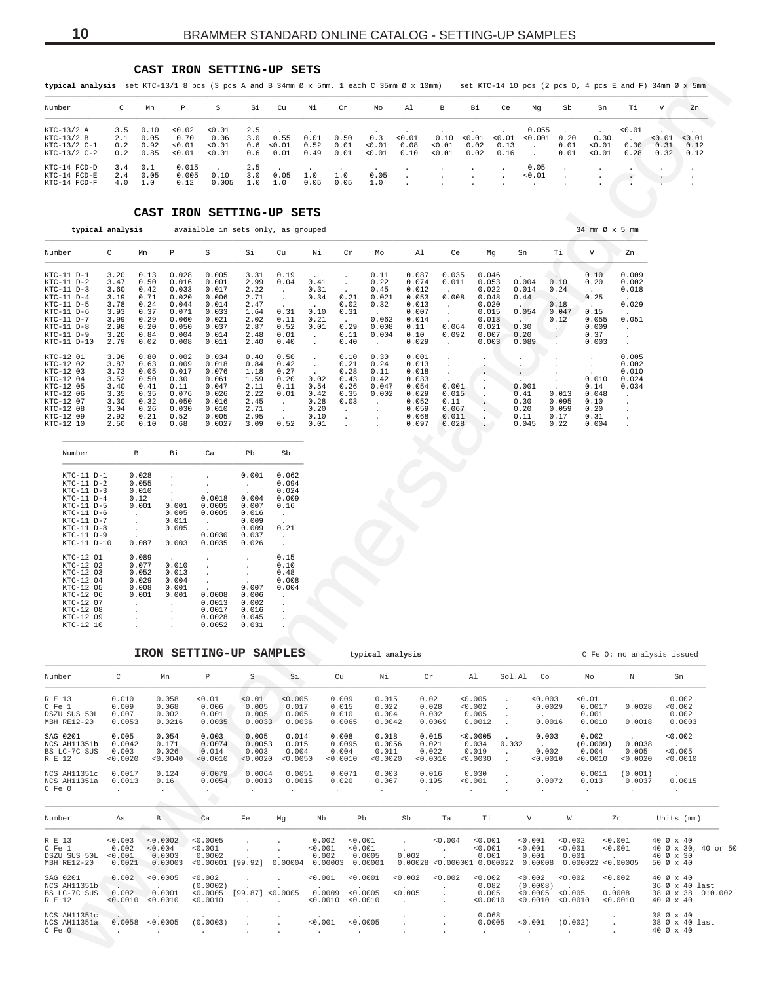#### **CAST IRON SETTING-UP SETS**

| Number                                                    | $\mathsf{C}$      | Mn                                       | P                                  | S                                  |                   | Si Cu                                  | Ni           | Cr                    | Мo                                                                                                | A1                                        | B                                                                                                                                                 | Вi     | Ce            | Ma                                              | Sb                   | Sn                       | Ti.                                   | V                         | Zn                     |
|-----------------------------------------------------------|-------------------|------------------------------------------|------------------------------------|------------------------------------|-------------------|----------------------------------------|--------------|-----------------------|---------------------------------------------------------------------------------------------------|-------------------------------------------|---------------------------------------------------------------------------------------------------------------------------------------------------|--------|---------------|-------------------------------------------------|----------------------|--------------------------|---------------------------------------|---------------------------|------------------------|
| KTC-13/2 A<br>KTC-13/2 B<br>KTC-13/2 C-1<br>$KTC-13/2C-2$ | 3.5<br>2.1<br>0.2 | 0.10<br>0.05<br>0.92<br>$0.2 \quad 0.85$ | < 0.02<br>0.70<br>< 0.01<br>< 0.01 | < 0.01<br>0.06<br>< 0.01<br>< 0.01 | 2.5<br>3.0        | 0.55<br>$0.6 \le 0.01$<br>$0.6$ $0.01$ | 0.01<br>0.52 | 0.50<br>0.01          | the contract of the contract of the contract of the contract of the contract of<br>$0.3 \le 0.01$ | $< 0.01$ 0.08                             | the contract of the contract of the contract of the contract of the contract of<br>< 0.01<br>$0.49$ $0.01$ < $0.01$ $0.10$ < $0.01$ $0.02$ $0.16$ | 0.02   | 0.13          | $0.055$ .<br>$0.10 \le 0.01 \le 0.01 \le 0.001$ | 0.20<br>0.01<br>0.01 | 0.30<br>< 0.01<br>< 0.01 | $\sim 0.01$<br>$\sim$<br>0.30<br>0.28 | < 0.01<br>$-0.31$<br>0.32 | < 0.01<br>0.12<br>0.12 |
| KTC-14 FCD-D<br>KTC-14 FCD-E<br>KTC-14 FCD-F              | 3.4               | 0.1<br>2.4 0.05<br>$4.0 \quad 1.0$       | 0.015<br>0.005<br>0.12             | 0.10<br>0.005                      | 2.5<br>3.0<br>1.0 | 0.05<br>1.0                            | 1.0<br>0.05  | $\sim$<br>1.0<br>0.05 | $\sim$<br>0.05<br>1.0                                                                             | <b>Contract Contract</b><br>$\sim$ $\sim$ | <b>Contract Contract Contract Contract</b>                                                                                                        | $\sim$ | $\sim$ $\sim$ | 0.05<br>$\langle 0.01$ .                        |                      |                          |                                       |                           |                        |

## **CAST IRON SETTING-UP SETS**

<span id="page-9-0"></span>

| typical analysis set KTC-13/1 8 pcs (3 pcs A and B 34mm Ø x 5mm, 1 each C 35mm Ø x 10mm)                                                                                    |                                                                              |                                                                                                                                                                        |                                                                                                                                                                                           |                                                                                                                                    |                                                                                       |                                                                            |                                                                            |                                                                                      |                                                                                                            |                                                                                                   |                                                    |                                                                                        |                                                                                         |                                                                      |                                                                    | set KTC-14 10 pcs (2 pcs D, 4 pcs E and F) 34mm $\emptyset$ x 5mm                                |                        |                                     |
|-----------------------------------------------------------------------------------------------------------------------------------------------------------------------------|------------------------------------------------------------------------------|------------------------------------------------------------------------------------------------------------------------------------------------------------------------|-------------------------------------------------------------------------------------------------------------------------------------------------------------------------------------------|------------------------------------------------------------------------------------------------------------------------------------|---------------------------------------------------------------------------------------|----------------------------------------------------------------------------|----------------------------------------------------------------------------|--------------------------------------------------------------------------------------|------------------------------------------------------------------------------------------------------------|---------------------------------------------------------------------------------------------------|----------------------------------------------------|----------------------------------------------------------------------------------------|-----------------------------------------------------------------------------------------|----------------------------------------------------------------------|--------------------------------------------------------------------|--------------------------------------------------------------------------------------------------|------------------------|-------------------------------------|
| Number                                                                                                                                                                      | C                                                                            | Р<br>Mn                                                                                                                                                                | S                                                                                                                                                                                         | Si                                                                                                                                 | Cu                                                                                    | Νi                                                                         | Cr                                                                         | Mo                                                                                   | Al                                                                                                         | В                                                                                                 | Вi                                                 | Сe                                                                                     | Mg                                                                                      | Sb                                                                   | Sn                                                                 | Тi                                                                                               | V                      | Zn                                  |
| KTC-13/2 A<br>$KTC-13/2 B$<br>$KTC-13/2 C-1$<br>$KTC-13/2 C-2$                                                                                                              | 3.5<br>2.1<br>0.2<br>0.2                                                     | 0.10<br>0.05<br>0.92<br>0.01<br>0.01<br>0.85                                                                                                                           | 0.02<br>0.01<br>0.70<br>0.06<br>0.01<br>0.01                                                                                                                                              | 2.5<br>3.0<br>0.6<br>0.6                                                                                                           | 0.55<br>0.01<br>0.01                                                                  | 0.01<br>0.52<br>0.49                                                       | 0.50<br>0.01<br>0.01                                                       | 0.3<br>0.01<br>0.01                                                                  | <0.01<br>0.08<br>0.10                                                                                      | 0.10<br>0.01<br>0.01                                                                              | 0.01<br>0.02<br>0.02                               | 0.01<br>0.13<br>0.16                                                                   | 0.055<br>0.001<br>$\ddot{\phantom{a}}$                                                  | 0.20<br>0.01<br>0.01                                                 | 0.30<br>0.01<br>0.01                                               | 0.01<br>0.30<br>0.28                                                                             | < 0.01<br>0.31<br>0.32 | 0.01<br>0.12<br>0.12                |
| KTC-14 FCD-D<br>KTC-14 FCD-E<br>KTC-14 FCD-F                                                                                                                                | 3.4<br>2.4<br>4.0                                                            | 0.1<br>0.05<br>1.0                                                                                                                                                     | 0.015<br>0.005<br>0.10<br>0.12<br>0.005                                                                                                                                                   | 2.5<br>3.0<br>1.0                                                                                                                  | 0.05<br>1.0                                                                           | 1.0<br>0.05                                                                | 1.0<br>0.05                                                                | 0.05<br>1.0                                                                          | $\blacksquare$                                                                                             |                                                                                                   | $\cdot$                                            | $\ddot{\phantom{0}}$                                                                   | 0.05<br>0.01                                                                            |                                                                      |                                                                    |                                                                                                  |                        |                                     |
|                                                                                                                                                                             |                                                                              | CAST                                                                                                                                                                   | IRON SETTING-UP SETS                                                                                                                                                                      |                                                                                                                                    |                                                                                       |                                                                            |                                                                            |                                                                                      |                                                                                                            |                                                                                                   |                                                    |                                                                                        |                                                                                         |                                                                      |                                                                    |                                                                                                  |                        |                                     |
|                                                                                                                                                                             | typical analysis                                                             |                                                                                                                                                                        | avaialble in sets only, as grouped                                                                                                                                                        |                                                                                                                                    |                                                                                       |                                                                            |                                                                            |                                                                                      |                                                                                                            |                                                                                                   |                                                    |                                                                                        |                                                                                         |                                                                      | 34 mm Ø x 5 mm                                                     |                                                                                                  |                        |                                     |
| Number                                                                                                                                                                      | C                                                                            | Mn<br>Ρ                                                                                                                                                                | S                                                                                                                                                                                         | Si                                                                                                                                 | Cu                                                                                    | Νi                                                                         | Cr                                                                         | Mo                                                                                   | Al                                                                                                         | Ce                                                                                                |                                                    | Mg                                                                                     | Sn                                                                                      | Тi                                                                   | V                                                                  | Zn                                                                                               |                        |                                     |
| $KTC-11$ $D-1$<br>KTC-11 D-2<br>$KTC-11$ $D-3$<br>$KTC-11$ $D-4$<br>$KTC-11$ $D-5$<br>KTC-11 D-6<br>$KTC-11$ $D-7$<br>$KTC-11$ $D-8$<br>$KTC-11$ $D-9$<br>KTC-11 D-10       | 3.20<br>3.47<br>3.60<br>3.19<br>3.78<br>3.93<br>3.99<br>2.98<br>3.20<br>2.79 | 0.13<br>0.028<br>0.50<br>0.016<br>0.42<br>0.033<br>0.71<br>0.020<br>0.24<br>0.044<br>0.37<br>0.071<br>0.29<br>0.060<br>0.20<br>0.050<br>0.84<br>0.004<br>0.02<br>0.008 | 0.005<br>0.001<br>0.017<br>0.006<br>0.014<br>0.033<br>0.021<br>0.037<br>0.014<br>0.011                                                                                                    | 3.31<br>2.99<br>2.22<br>2.71<br>2.47<br>1.64<br>2.02<br>2.87<br>2.48<br>2.40                                                       | 0.19<br>0.04<br>$\cdot$<br>$\cdot$<br>0.31<br>0.11<br>0.52<br>0.01<br>0.40            | 0.41<br>0.31<br>0.34<br>0.10<br>0.21<br>0.01<br>$\cdot$<br>$\cdot$         | 0.21<br>0.02<br>0.31<br>$\sim$<br>0.29<br>0.11<br>0.40                     | 0.11<br>0.22<br>0.45<br>0.021<br>0.32<br>$\sim$<br>0.062<br>0.008<br>0.004<br>$\sim$ | 0.087<br>0.074<br>0.012<br>0.053<br>0.013<br>0.007<br>0.014<br>0.11<br>0.10<br>0.029                       | 0.035<br>0.011<br>0.008<br>$\cdot$<br>$\cdot$<br>0.064<br>0.092<br>$\ddot{\phantom{a}}$           |                                                    | 0.046<br>0.053<br>0.022<br>0.048<br>0.020<br>0.015<br>0.013<br>0.021<br>0.007<br>0.003 | 0.004<br>0.014<br>0.44<br><b>STATISTICS</b><br>0.054<br>$\sim$<br>0.30<br>0.20<br>0.089 | 0.10<br>0.24<br>$\sim$<br>0.18<br>0.047<br>0.12<br>$\sim$<br>$\cdot$ | 0.10<br>0.20<br>0.25<br>0.15<br>0.055<br>0.009<br>0.37<br>0.003    | 0.009<br>0.002<br>0.018<br>0.029<br>0.051<br>$\cdot$<br>$\cdot$<br>$\cdot$                       |                        |                                     |
| KTC-12 01<br>KTC-12 02<br>KTC-12 03<br>KTC-12 04<br>KTC-12 05<br>KTC-12 06<br>KTC-12 07<br>KTC-12 08<br>KTC-12 09<br>KTC-12 10                                              | 3.96<br>3.87<br>3.73<br>3.52<br>3.40<br>3.35<br>3.30<br>3.04<br>2.92<br>2.50 | 0.80<br>0.002<br>0.63<br>0.009<br>0.05<br>0.017<br>0.50<br>0.30<br>0.41<br>0.11<br>0.35<br>0.076<br>0.32<br>0.050<br>0.26<br>0.030<br>0.21<br>0.52<br>0.10<br>0.68     | 0.034<br>0.018<br>0.076<br>0.061<br>0.047<br>0.026<br>0.016<br>0.010<br>0.005<br>0.0027                                                                                                   | 0.40<br>0.84<br>1.18<br>1.59<br>2.11<br>2.22<br>2.45<br>2.71<br>2.95<br>3.09                                                       | 0.50<br>0.42<br>0.27<br>0.20<br>0.11<br>0.01<br>$\bullet$<br>$\bullet$<br>0.52        | $\cdot$<br>$\cdot$<br>0.02<br>0.54<br>0.42<br>0.28<br>0.20<br>0.10<br>0.01 | 0.10<br>0.21<br>0.28<br>0.43<br>0.26<br>0.35<br>0.03<br>$\cdot$<br>$\cdot$ | 0.30<br>0.24<br>0.11<br>0.42<br>0.047<br>0.002<br>$\cdot$<br>$\cdot$                 | 0.001<br>0.013<br>0.018<br>0.033<br>0.054<br>0.029<br>0.052<br>0.059<br>0.068<br>0.097                     | $\ddot{\phantom{1}}$<br>$\cdot$<br>$\bullet$<br>0.001<br>0.015<br>0.11<br>0.067<br>0.011<br>0.028 | $\ddot{\phantom{0}}$<br>$\cdot$<br>¥.<br>$\bullet$ |                                                                                        | $\cdot$<br>$\cdot$<br>0.001<br>0.41<br>0.30<br>0.20<br>0.11<br>0.045                    | 0.013<br>0.095<br>0.059<br>0.17<br>0.22                              | $\cdot$<br>0.010<br>0.14<br>0.048<br>0.10<br>0.20<br>0.31<br>0.004 | 0.005<br>0.002<br>0.010<br>0.024<br>0.034<br>$\cdot$<br>$\cdot$<br>$\cdot$<br>$\cdot$<br>$\cdot$ |                        |                                     |
| Number                                                                                                                                                                      | В                                                                            | Вi                                                                                                                                                                     | Ca                                                                                                                                                                                        | Pb                                                                                                                                 | Sb                                                                                    |                                                                            |                                                                            |                                                                                      |                                                                                                            |                                                                                                   |                                                    |                                                                                        |                                                                                         |                                                                      |                                                                    |                                                                                                  |                        |                                     |
| $KTC-11$ $D-1$<br>$KTC-11 D-2$<br>$KTC-11$ $D-3$<br>$KTC-11$ $D-4$<br>$KTC-11$ $D-5$<br>$KTC-11$ $D-6$<br>$KTC-11$ $D-7$<br>$KTC-11$ $D-8$<br>$KTC-11$ $D-9$<br>KTC-11 D-10 | 0.12<br>$\cdot$<br>$\cdot$<br>$\cdot$                                        | 0.028<br>0.055<br>$\cdot$<br>0.010<br>0.001<br>0.001<br>0.005<br>0.011<br>0.005<br>$\ddot{\phantom{a}}$<br>0.087<br>0.003                                              | $\cdot$<br>0.0018<br>0.0005<br>0.0005<br>$\cdot$<br>0.0030<br>0.0035                                                                                                                      | 0.001<br>$\cdot$<br>0.004<br>0.007<br>0.016<br>0.009<br>0.009<br>0.037<br>0.026                                                    | 0.062<br>0.094<br>0.024<br>0.009<br>0.16<br>$\cdot$<br>0.21<br>$\bullet$<br>$\bullet$ |                                                                            |                                                                            |                                                                                      |                                                                                                            |                                                                                                   |                                                    |                                                                                        |                                                                                         |                                                                      |                                                                    |                                                                                                  |                        |                                     |
| KTC-12 01<br>KTC-12 02<br>KTC-12 03<br>KTC-12 04<br>KTC-12 05<br>KTC-12 06<br>KTC-12 07<br>KTC-12 08<br>KTC-12 09<br>KTC-12 10                                              | $\cdot$<br>$\cdot$                                                           | 0.089<br>0.077<br>0.010<br>0.052<br>0.013<br>0.029<br>0.004<br>0.008<br>0.001<br>0.001<br>0.001                                                                        | $\cdot$<br>$\cdot$<br>0.0008<br>0.0013<br>0.0017<br>0.0028<br>0.0052                                                                                                                      | $\cdot$<br>$\cdot$<br>$\cdot$<br>0.007<br>0.006<br>0.002<br>0.016<br>0.045<br>0.031                                                | 0.15<br>0.10<br>0.48<br>0.008<br>0.004<br>$\cdot$                                     |                                                                            |                                                                            |                                                                                      |                                                                                                            |                                                                                                   |                                                    |                                                                                        |                                                                                         |                                                                      |                                                                    |                                                                                                  |                        |                                     |
|                                                                                                                                                                             |                                                                              |                                                                                                                                                                        | IRON SETTING-UP SAMPLES                                                                                                                                                                   |                                                                                                                                    |                                                                                       |                                                                            |                                                                            | typical analysis                                                                     |                                                                                                            |                                                                                                   |                                                    |                                                                                        |                                                                                         |                                                                      |                                                                    | C Fe O: no analysis issued                                                                       |                        |                                     |
| Number                                                                                                                                                                      | $\mathbb C$                                                                  | Mn                                                                                                                                                                     | P.                                                                                                                                                                                        | S                                                                                                                                  | Si.                                                                                   |                                                                            | Cu —                                                                       | Ni                                                                                   |                                                                                                            |                                                                                                   |                                                    |                                                                                        | Cr Al Sol.Al Co                                                                         |                                                                      | Mo                                                                 | N                                                                                                | Sn                     |                                     |
| R E 13<br>$C \rvert \rvert \rvert \rvert \rvert$<br>DSZU SUS 50L 0.007<br>MBH RE12-20                                                                                       | 0.010<br>0.009<br>0.0053                                                     | 0.058<br>0.068<br>0.002<br>0.0216                                                                                                                                      | < 0.01<br>0.006<br>0.001<br>0.0035                                                                                                                                                        |                                                                                                                                    | $< 0.01$ $< 0.005$<br>$0.005$ 0.017<br>$0.005$ 0.005<br>$0.0033$ $0.0036$             |                                                                            | 0.009<br>0.015<br>0.010<br>0.0065                                          | 0.015<br>0.022<br>0.004<br>0.0042                                                    |                                                                                                            | 0.02<br>0.028<br>0.002<br>0.0069                                                                  | $< 0.005$ .<br>$0.002$ .<br>0.005<br>$0.0012$ .    | <b>Contract</b>                                                                        | < 0.003<br><b>Contract Contract</b>                                                     | 0.0029<br>0.0016                                                     | < 0.01<br>0.0017<br>0.001<br>0.0010                                | 0.0028<br><b>Contractor</b><br>0.0018                                                            | < 0.002                | 0.002<br>0.002<br>0.0003            |
| SAG 0201<br>NCS AH11351b 0.0042 0.171<br>BS LC-7C SUS 0.003<br>R E 12                                                                                                       | 0.005<br>< 0.0020                                                            | 0.054<br>0.026                                                                                                                                                         | 0.003<br>0.0074<br>0.014<br>< 0.0040 < 0.0010                                                                                                                                             | 0.005<br>$0.0053$ 0.015<br>0.003                                                                                                   | 0.014<br>< 0.0020 < 0.0050 < 0.0010                                                   |                                                                            | 0.008<br>0.0095<br>$0.004$ 0.004                                           | 0.018<br>0.0056<br>0.011                                                             | 0.021<br>$0.0020$ $0.0010$ $0.0030$ .                                                                      | 0.015<br>0.022                                                                                    | $0.0005$ .<br>$0.034$ 0.032<br>$0.019$ .           |                                                                                        | <b>Contractor</b>                                                                       | 0.003<br>0.002<br>< 0.0010                                           | 0.002<br>0.004<br>< 0.0010                                         | $(0.0009)$ 0.0038<br>0.005<br>< 0.0020                                                           | <b>Contractor</b>      | < 0.002<br>< 0.005<br>< 0.0010      |
| NCS AH11351c 0.0017<br>NCS AH11351a  0.0013<br>C Fe 0                                                                                                                       | <b>Contractor</b>                                                            | 0.124<br>0.16<br><b>CONTRACTOR</b>                                                                                                                                     | 0.0079<br>0.0054<br><b>Contract</b>                                                                                                                                                       | 0.0064<br><b>Contract Contract</b>                                                                                                 | 0.0051<br>$0.0013$ $0.0015$<br><b>Contractor</b>                                      |                                                                            | 0.0071<br>0.020<br><b>Contractor</b>                                       | 0.003<br>0.067<br><b>Contract Contract</b>                                           | 0.016                                                                                                      | 0.195<br><b>Contractor</b>                                                                        | $0.030$ .<br>$0.001$ .<br>and the company          | $\sim 10^{-1}$                                                                         |                                                                                         | 0.0072<br>$\sim 10^{11}$ km s $^{-1}$                                | 0.013<br><b>Contractor</b>                                         | $0.0011$ $(0.001)$<br>0.0037<br><b>Contract Contract</b>                                         |                        | 0.0015<br><b>Contractor</b>         |
| Number As                                                                                                                                                                   |                                                                              | $\mathbf{B}$                                                                                                                                                           | Ca                                                                                                                                                                                        | Fe Mg                                                                                                                              |                                                                                       |                                                                            |                                                                            |                                                                                      |                                                                                                            |                                                                                                   |                                                    |                                                                                        |                                                                                         |                                                                      |                                                                    | Nb Pb Sb Ta Ti V W Zr Units (mm)                                                                 |                        |                                     |
| RE 13<br>CFe 1<br>DSZU SUS 50L <0.001 0.0003<br>MBH RE12-20                                                                                                                 |                                                                              | 0.002 < 0.004                                                                                                                                                          | $< 0.003$ $< 0.0002$ $< 0.0005$<br>< 0.001<br>0.0002<br>$0.0021$ $0.00003$ <0.00001 [99.92] 0.00004 0.00003 0.00001 0.00028 <0.000001 0.000022 0.00008 0.000022 <0.00005 50 $\alpha$ x 40 | $\begin{tabular}{cccccc} . & . & . & 0.002 & <0.001 \\ . & . & . & <0.001 & <0.001 \\ . & . & . & 0.002 & 0.0005 \\ \end{tabular}$ |                                                                                       |                                                                            | 0.002 < 0.001                                                              |                                                                                      | $\Delta \sim 10^4$<br>$\begin{array}{cccc} . & . & . & . & . & 0.001 \\ 0.002 & . & . & 0.001 \end{array}$ |                                                                                                   |                                                    | < 0.001                                                                                | . $< 0.004$ $< 0.001$ $< 0.001$ $< 0.002$ $< 0.001$<br>$< 0.001$ $< 0.001$              |                                                                      | $0.001$ $0.001$ .                                                  | < 0.001                                                                                          | 40 Ø x 40<br>40 Ø x 30 | 40 Ø x 30, 40 or 5                  |
| SAG 0201<br>NCS AH11351b<br>BS LC-7C SUS 0.002 0.0001<br>R E 12                                                                                                             |                                                                              | 0.002 < 0.0005<br>< 0.0010 < 0.0010                                                                                                                                    | < 0.002<br>(0.0002)<br>< 0.0010                                                                                                                                                           | <b>Carl Corp.</b><br>$\Delta \sim 10^{-11}$<br>$< 0.0005$ [99.87] $< 0.0005$ 0.0009 $< 0.0005$<br>and the company of the com-      | <b>Contractor</b><br><b>Carl Corporation</b>                                          | <b>Contractor</b>                                                          | $< 0.001$ $< 0.0001$<br>< 0.0010 < 0.0010                                  | <b>Contract Contract Contract</b>                                                    | $< 0.002$ $< 0.002$ $< 0.002$<br><b>Contractor</b><br>< 0.005<br><b>Contractor</b>                         | <b>Contractor</b><br>$\sim 10^{-11}$<br>$\sim 100$                                                | 0.082<br>0.005                                     | < 0.0010                                                                               | $< 0.002$ $< 0.002$<br>$(0.0008)$ .<br>< 0.0005 < 0.005                                 |                                                                      | < 0.0010 < 0.0010 < 0.0010                                         | < 0.002<br><b>Contractor</b><br>0.0008                                                           | 40 Ø x 40<br>40 Ø x 40 | 36 Ø x 40 last<br>38 Ø x 38 0:0.002 |
| NCS AH11351c                                                                                                                                                                |                                                                              |                                                                                                                                                                        |                                                                                                                                                                                           |                                                                                                                                    |                                                                                       |                                                                            | $< 0.001$ $< 0.0005$<br>the company of the company                         |                                                                                      | $\mathcal{A}=\mathcal{A}$ , $\mathcal{A}=\mathcal{A}$<br>$\sim 10^{-11}$                                   | $\sim$                                                                                            |                                                    | <b>Contract Contract</b>                                                               | $0.0005$ < 0.001 (0.002) .<br>and the control of the con-                               |                                                                      |                                                                    | $\sim 100$ km s $^{-1}$                                                                          | 38 Ø x 40<br>40 Ø x 40 | 38 Ø x 40 last                      |

| Number                                                                                                                                                   | B                                                                            | Вi                                                          | Ca                                   | Pb                                                          | Sb                                                                                      |
|----------------------------------------------------------------------------------------------------------------------------------------------------------|------------------------------------------------------------------------------|-------------------------------------------------------------|--------------------------------------|-------------------------------------------------------------|-----------------------------------------------------------------------------------------|
| $KTC-11$ $D-1$<br>$KTC-11$ $D-2$<br>$KTC-11$ $D-3$<br>$KTC-11$ $D-4$<br>KTC-11 D-5<br>$KTC-11$ $D-6$<br>$KTC-11$ $D-7$<br>$KTC-11$ $D-8$<br>$KTC-11$ D-9 | 0.028<br>0.055<br>0.010<br>0.12<br>0.001<br>í.<br>ä.<br>í.<br>$\blacksquare$ | $\blacksquare$<br>0.001<br>0.005<br>0.011<br>0.005          | 0.0018<br>0.0005<br>0.0005<br>0.0030 | 0.001<br>0.004<br>0.007<br>0.016<br>0.009<br>0.009<br>0.037 | 0.062<br>0.094<br>0.024<br>0.009<br>0.16<br>$\overline{\phantom{a}}$<br>۰<br>0.21<br>ä, |
| KTC-11 D-10<br>KTC-12 01                                                                                                                                 | 0.087<br>0.089                                                               | 0.003                                                       | 0.0035<br>$\blacksquare$             | 0.026                                                       | 0.15                                                                                    |
| KTC-12 02<br>KTC-12 03<br>KTC-12 04                                                                                                                      | 0.077<br>0.052<br>0.029                                                      | 0.010<br>0.013<br>0.004                                     |                                      | $\blacksquare$                                              | 0.10<br>0.48<br>0.008                                                                   |
| KTC-12 05<br>KTC-12 06<br>KTC-12 07                                                                                                                      | 0.008<br>0.001                                                               | 0.001<br>0.001                                              | 0.0008<br>0.0013                     | 0.007<br>0.006<br>0.002                                     | 0.004<br>ä,                                                                             |
| KTC-12 08<br>KTC-12 09<br>KTC-12 10                                                                                                                      | ä.<br>$\blacksquare$<br>٠                                                    | $\ddot{\phantom{a}}$<br>ä.<br>$\overline{\phantom{a}}$<br>٠ | 0.0017<br>0.0028<br>0.0052           | 0.016<br>0.045<br>0.031                                     | ä.<br>ä.                                                                                |

|                                                    |                                      | IRON SETTING-UP                     |                                      |                                      | SAMPLES                             |                                      | typical analysis                     |                                     |                                              |        |                             |                                        | C Fe O: no analysis issued  |                                     |
|----------------------------------------------------|--------------------------------------|-------------------------------------|--------------------------------------|--------------------------------------|-------------------------------------|--------------------------------------|--------------------------------------|-------------------------------------|----------------------------------------------|--------|-----------------------------|----------------------------------------|-----------------------------|-------------------------------------|
| Number                                             | C                                    | Mn                                  | P                                    | S                                    | Si                                  | Cu                                   | Νi                                   | Cr                                  | A1                                           | Sol.Al | Co                          | Mo                                     | N                           | Sn                                  |
| R E 13<br>C Fe 1<br>DSZU SUS 50L<br>MBH RE12-20    | 0.010<br>0.009<br>0.007<br>0.0053    | 0.058<br>0.068<br>0.002<br>0.0216   | < 0.01<br>0.006<br>0.001<br>0.0035   | < 0.01<br>0.005<br>0.005<br>0.0033   | < 0.005<br>0.017<br>0.005<br>0.0036 | 0.009<br>0.015<br>0.010<br>0.0065    | 0.015<br>0.022<br>0.004<br>0.0042    | 0.02<br>0.028<br>0.002<br>0.0069    | < 0.005<br>< 0.002<br>0.005<br>0.0012        |        | < 0.003<br>0.0029<br>0.0016 | < 0.01<br>0.0017<br>0.001<br>0.0010    | 0.0028<br>0.0018            | 0.002<br>< 0.002<br>0.002<br>0.0003 |
| SAG 0201<br>NCS AH11351b<br>BS LC-7C SUS<br>R E 12 | 0.005<br>0.0042<br>0.003<br>< 0.0020 | 0.054<br>0.171<br>0.026<br>< 0.0040 | 0.003<br>0.0074<br>0.014<br>< 0.0010 | 0.005<br>0.0053<br>0.003<br>< 0.0020 | 0.014<br>0.015<br>0.004<br>< 0.0050 | 0.008<br>0.0095<br>0.004<br>< 0.0010 | 0.018<br>0.0056<br>0.011<br>< 0.0020 | 0.015<br>0.021<br>0.022<br>< 0.0010 | < 0.0005<br>0.034<br>0.019<br>< 0.0030       | 0.032  | 0.003<br>0.002<br>< 0.0010  | 0.002<br>(0.0009)<br>0.004<br>< 0.0010 | 0.0038<br>0.005<br>< 0.0020 | < 0.002<br>< 0.005<br>< 0.0010      |
| NCS AH11351c<br>NCS AH11351a<br>C Fe 0             | 0.0017<br>0.0013                     | 0.124<br>0.16<br>$\mathbf{r}$       | 0.0079<br>0.0054                     | 0.0064<br>0.0013<br>$\mathbf{r}$     | 0.0051<br>0.0015                    | 0.0071<br>0.020<br>$\overline{a}$    | 0.003<br>0.067<br>$\sim$             | 0.016<br>0.195                      | 0.030<br>< 0.001<br>$\overline{\phantom{a}}$ |        | 0.0072<br>$\cdot$           | 0.0011<br>0.013<br>$\cdot$             | (0.001)<br>0.0037           | 0.0015                              |

| Number                                             | As                                    | B                                        | Ca                                                | Fe | Mq               | Nb                                   | Pb                                      | Sb                                    | Ta      | Тi                                                           | V                                           | W                                                 | Zr                            | Units (mm)                                                            |
|----------------------------------------------------|---------------------------------------|------------------------------------------|---------------------------------------------------|----|------------------|--------------------------------------|-----------------------------------------|---------------------------------------|---------|--------------------------------------------------------------|---------------------------------------------|---------------------------------------------------|-------------------------------|-----------------------------------------------------------------------|
| R E 13<br>C Fe 1<br>DSZU SUS 50L<br>MBH RE12-20    | < 0.003<br>0.002<br>< 0.001<br>0.0021 | < 0.0002<br>< 0.004<br>0.0003<br>0.00003 | < 0.0005<br>< 0.001<br>0.0002<br><0.00001 [99.92] |    | 0.00004          | 0.002<br>< 0.001<br>0.002<br>0.00003 | < 0.001<br>< 0.001<br>0.0005<br>0.00001 | 0.002                                 | < 0.004 | < 0.001<br>< 0.001<br>0.001<br>$0.00028 < 0.000001$ 0.000022 | < 0.001<br>< 0.001<br>0.001<br>0.00008      | < 0.002<br>< 0.001<br>0.001<br>0.000022 < 0.00005 | < 0.001<br>< 0.001            | 40 Ø x 40<br>40 Ø x 30, 40 or 50<br>40 Ø x 30<br>50 Ø x 40            |
| SAG 0201<br>NCS AH11351b<br>BS LC-7C SUS<br>R E 12 | 0.002<br>0.002<br>< 0.0010            | < 0.0005<br>0.0001<br>< 0.0010           | < 0.002<br>(0.0002)<br>< 0.0005<br>< 0.0010       |    | [99.87] < 0.0005 | < 0.001<br>0.0009<br>< 0.0010        | < 0.0001<br>< 0.0005<br>< 0.0010        | < 0.002<br>< 0.005<br><b>Contract</b> | < 0.002 | < 0.002<br>0.082<br>0.005<br>< 0.0010                        | < 0.002<br>(0.0008)<br>< 0.0005<br>< 0.0010 | < 0.002<br>< 0.005<br>< 0.0010                    | < 0.002<br>0.0008<br>< 0.0010 | $40$ Ø x $40$<br>36 Ø x 40 last<br>38 Ø x 38 0:0.002<br>$40$ Ø x $40$ |
| NCS AH11351c<br>NCS AH11351a<br>C Fe 0             |                                       | 0.0058 < 0.0005                          | (0.0003)                                          |    | $\overline{a}$   | $\sim$<br>< 0.001<br>$\sim$          | < 0.0005                                |                                       | $\sim$  | 0.068<br>0.0005                                              | < 0.001                                     | (0.002)                                           |                               | 38 Ø x 40<br>38 Ø x 40 last<br>$40$ Ø x $40$                          |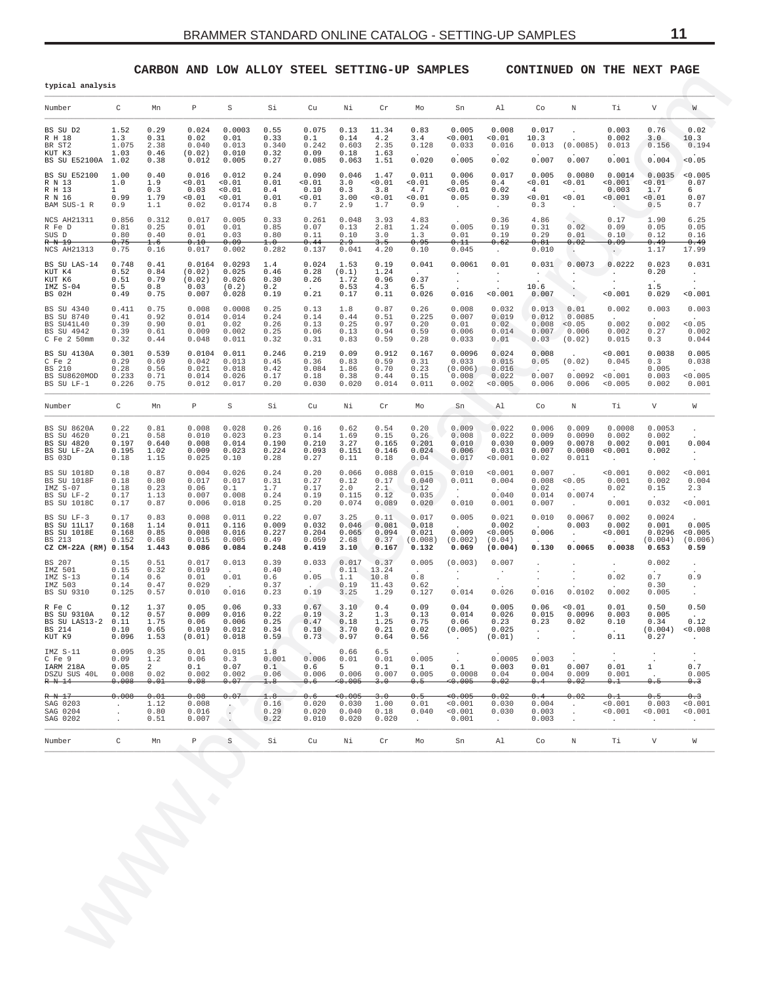## **CARBON AND LOW ALLOY STEEL SETTING-UP SAMPLES CONTINUED ON THE NEXT PAGE**

<span id="page-10-0"></span>

| typical analysis                                                                  |                                         |                                            |                                             |                                            |                                         |                                          |                                                                           |                                         |                                                         |                                                                                      |                                                |                                                |                                                    |                                     |                                               |                                                                       |
|-----------------------------------------------------------------------------------|-----------------------------------------|--------------------------------------------|---------------------------------------------|--------------------------------------------|-----------------------------------------|------------------------------------------|---------------------------------------------------------------------------|-----------------------------------------|---------------------------------------------------------|--------------------------------------------------------------------------------------|------------------------------------------------|------------------------------------------------|----------------------------------------------------|-------------------------------------|-----------------------------------------------|-----------------------------------------------------------------------|
| Number                                                                            | C                                       | Mn                                         | P                                           | $\rm S$                                    | Si                                      | $\operatorname{Cu}$                      | Νi                                                                        | Cr                                      | Mo                                                      | Sn                                                                                   | Al                                             | Co                                             | Ν                                                  | Τi                                  | V                                             | W                                                                     |
| BS SU D2<br>R H 18<br>BR ST2<br>KUT K3<br>BS SU E52100A                           | 1.52<br>1.3<br>1.075<br>1.03<br>1.02    | 0.29<br>0.31<br>2.38<br>0.46<br>0.38       | 0.024<br>0.02<br>0.040<br>(0.02)<br>0.012   | 0.0003<br>0.01<br>0.013<br>0.010<br>0.005  | 0.55<br>0.33<br>0.340<br>0.32<br>0.27   | 0.075<br>0.1<br>0.242<br>0.09<br>0.085   | 0.13<br>0.14<br>0.603<br>0.18<br>0.063                                    | 11.34<br>4.2<br>2.35<br>1.63<br>1.51    | 0.83<br>3.4<br>0.128<br>0.020                           | 0.005<br>0.001<br>0.033<br>0.005                                                     | 0.008<br>0.01<br>0.016<br>0.02                 | 0.017<br>10.3<br>0.013<br>0.007                | (0.0085)<br>0.007                                  | 0.003<br>0.002<br>0.013<br>0.001    | 0.76<br>3.0<br>0.156<br>0.004                 | 0.02<br>10.3<br>0.194<br>0.05                                         |
| BS SU E52100<br>R N 13<br>R H 13<br>R N 16<br>BAM SUS-1 R                         | 1.00<br>1.0<br>1<br>0.99<br>0.9         | 0.40<br>1.9<br>0.3<br>1.79<br>1.1          | 0.016<br>< 0.01<br>0.03<br>0.01<br>0.02     | 0.012<br>0.01<br>0.01<br>0.01<br>0.0174    | 0.24<br>0.01<br>0.4<br>0.01<br>0.8      | 0.090<br>0.01<br>0.10<br>0.01<br>0.7     | 0.046<br>3.0<br>0.3<br>3.00<br>2.9                                        | 1.47<br>0.01<br>3.8<br>0.01<br>1.7      | 0.011<br>0.01<br>4.7<br>0.01<br>0.9                     | 0.006<br>0.05<br>0.01<br>0.05<br>$\ddot{\phantom{a}}$                                | 0.017<br>0.4<br>0.02<br>0.39<br>$\cdot$        | 0.005<br>0.01<br>$\overline{4}$<br>0.01<br>0.3 | 0.0080<br>0.01<br>0.01<br>$\cdot$                  | 0.0014<br>< 0.001<br>0.003<br>0.001 | 0.0035<br>0.01<br>1.7<br>0.01<br>0.5          | < 0.005<br>0.07<br>6<br>0.07<br>0.7                                   |
| NCS AH21311<br>R Fe D<br>SUS D<br>R N 19<br>NCS AH21313                           | 0.856<br>0.81<br>0.80<br>0.75<br>0.75   | 0.312<br>0.25<br>0.40<br>1.6<br>0.16       | 0.017<br>0.01<br>0.01<br>0.10<br>0.017      | 0.005<br>0.01<br>0.03<br>0.09<br>0.002     | 0.33<br>0.85<br>0.80<br>1.0<br>0.282    | 0.261<br>0.07<br>0.11<br>0.44<br>0.137   | 0.048<br>0.13<br>0.10<br>2.9<br>0.041                                     | 3.93<br>2.81<br>3.0<br>3.5<br>4.20      | 4.83<br>1.24<br>1.3<br>0.95<br>0.10                     | 0.005<br>0.01<br>0.11<br>0.045                                                       | 0.36<br>0.19<br>0.19<br>0.62                   | 4.86<br>0.31<br>0.29<br>0.81<br>0.010          | 0.02<br>0.01<br>0.02                               | 0.17<br>0.09<br>0.10<br>0.09        | 1.90<br>0.05<br>0.12<br>0.49<br>1.17          | 6.25<br>0.05<br>0.16<br>0.49<br>17.99                                 |
| BS SU LAS-14<br>KUT K4<br>KUT K6<br>IMZ S-04<br>BS 02H                            | 0.748<br>0.52<br>0.51<br>0.5<br>0.49    | 0.41<br>0.84<br>0.79<br>0.8<br>0.75        | 0.0164<br>(0.02)<br>(0.02)<br>0.03<br>0.007 | 0.0293<br>0.025<br>0.026<br>(0.2)<br>0.028 | 1.4<br>0.46<br>0.30<br>0.2<br>0.19      | 0.024<br>0.28<br>0.26<br>0.21            | 1.53<br>(0.1)<br>1.72<br>0.53<br>0.17                                     | 0.19<br>1.24<br>0.96<br>4.3<br>0.11     | 0.041<br>0.37<br>6.5<br>0.026                           | 0.0061<br>$\cdot$<br>$\cdot$<br>0.016                                                | $\cdot$<br>0.01<br>< 0.001                     | 0.031<br>10.6<br>0.007                         | $\blacksquare$<br>0.0073<br>$\cdot$                | $\sim$<br>0.0222<br>0.001           | 0.023<br>0.20<br>$\cdot$<br>1.5<br>0.029      | 0.031<br>$\cdot$<br>0.001                                             |
| BS SU 4340<br>BS SU 8740<br>BS SU41L40<br>BS SU 4942<br>$C$ Fe $2$ 50mm           | 0.411<br>0.41<br>0.39<br>0.39<br>0.32   | 0.75<br>0.92<br>0.90<br>0.61<br>0.44       | 0.008<br>0.014<br>0.01<br>0.009<br>0.048    | 0.0008<br>0.014<br>0.02<br>0.002<br>0.011  | 0.25<br>0.24<br>0.26<br>0.25<br>0.32    | 0.13<br>0.14<br>0.13<br>0.06<br>0.31     | 1.8<br>0.44<br>0.25<br>0.13<br>0.83                                       | 0.87<br>0.51<br>0.97<br>0.94<br>0.59    | 0.26<br>0.225<br>0.20<br>0.59<br>0.28                   | 0.008<br>0.007<br>0.01<br>0.006<br>0.033                                             | 0.032<br>0.019<br>0.02<br>0.014<br>0.01        | 0.013<br>0.012<br>0.008<br>0.007<br>0.03       | 0.01<br>0.0085<br>< 0.05<br>0.006<br>(0.02)        | 0.002<br>0.002<br>0.002<br>0.015    | 0.003<br>0.002<br>0.27<br>0.3                 | 0.003<br>0.05<br>0.002<br>0.044                                       |
| BS SU 4130A<br>$C$ Fe $2$<br>BS 210<br>BS SU8620MOD<br>BS SU LF-1                 | 0.301<br>0.29<br>0.28<br>0.233<br>0.226 | 0.539<br>0.69<br>0.56<br>0.71<br>0.75      | 0.0104<br>0.042<br>0.021<br>0.014<br>0.012  | 0.011<br>0.013<br>0.018<br>0.026<br>0.017  | 0.246<br>0.45<br>0.42<br>0.17<br>0.20   | 0.219<br>0.36<br>0.084<br>0.18<br>0.030  | 0.09<br>0.83<br>1.86<br>0.38<br>0.020                                     | 0.912<br>0.59<br>0.70<br>0.44<br>0.014  | 0.167<br>0.31<br>0.23<br>0.15<br>0.011                  | 0.0096<br>0.033<br>(0.006)<br>0.008<br>0.002                                         | 0.024<br>0.015<br>0.016<br>0.022<br>< 0.005    | 0.008<br>0.05<br>0.007<br>0.006                | (0.02)<br>0.0092<br>0.006                          | 0.001<br>0.045<br>< 0.001<br>0.005  | 0.0038<br>0.3<br>0.005<br>0.003<br>0.002      | 0.005<br>0.038<br>0.005<br>0.001                                      |
| Number                                                                            | C                                       | Mn                                         | $\mathbb P$                                 | $\rm S$                                    | Si                                      | Cu                                       | Νi                                                                        | Cr                                      | Mо                                                      | Sn                                                                                   | Al                                             | Co                                             | Ν                                                  | Τi                                  | $\boldsymbol{\nabla}$                         | W                                                                     |
| BS SU 8620A<br>BS SU 4620<br>BS SU 4820<br>BS SU LF-2A<br>BS 03D                  | 0.22<br>0.21<br>0.197<br>0.195<br>0.18  | 0.81<br>0.58<br>0.640<br>1.02<br>1.15      | 0.008<br>0.010<br>0.008<br>0.009<br>0.025   | 0.028<br>0.023<br>0.014<br>0.023<br>0.10   | 0.26<br>0.23<br>0.190<br>0.224<br>0.28  | 0.16<br>0.14<br>0.210<br>0.093<br>0.27   | 0.62<br>1.69<br>3.27<br>0.151<br>0.11                                     | 0.54<br>0.15<br>0.165<br>0.146<br>0.18  | 0.20<br>0.26<br>0.201<br>0.024<br>0.04                  | 0.009<br>0.008<br>0.010<br>0.006<br>0.017                                            | 0.022<br>0.022<br>0.030<br>0.031<br>0.001      | 0.006<br>0.009<br>0.009<br>0.007<br>0.02       | 0.009<br>0.0090<br>0.0078<br>0.0080<br>0.011       | 0.0008<br>0.002<br>0.002<br>0.001   | 0.0053<br>0.002<br>0.001<br>0.002<br>$\cdot$  | 0.004<br>$\cdot$                                                      |
| BS SU 1018D<br><b>BS SU 1018F</b><br>IMZ S-07<br>BS SU LF-2<br><b>BS SU 1018C</b> | 0.18<br>0.18<br>0.18<br>0.17<br>0.17    | 0.87<br>0.80<br>0.23<br>1.13<br>0.87       | 0.004<br>0.017<br>0.06<br>0.007<br>0.006    | 0.026<br>0.017<br>0.1<br>0.008<br>0.018    | 0.24<br>0.31<br>1.7<br>0.24<br>0.25     | 0.20<br>0.27<br>0.17<br>0.19<br>0.20     | 0.066<br>0.12<br>2.0<br>0.115<br>0.074                                    | 0.088<br>0.17<br>2.1<br>0.12<br>0.089   | 0.015<br>0.040<br>0.12<br>0.035<br>0.020                | 0.010<br>0.011<br>$\cdot$<br>0.010                                                   | < 0.001<br>0.004<br>0.040<br>0.001             | 0.007<br>0.008<br>0.02<br>0.014<br>0.007       | < 0.05<br>0.0074<br>$\ddot{\phantom{a}}$           | 0.001<br>0.001<br>0.02<br>0.001     | 0.002<br>0.002<br>0.15<br>0.032               | 0.001<br>0.004<br>2.3<br>0.001                                        |
| BS SU LF-3<br>BS SU 11L17<br><b>BS SU 1018E</b><br>BS 213<br>CZ CM-22A (RM) 0.154 | 0.17<br>0.168<br>0.168<br>0.152         | 0.83<br>1.14<br>0.85<br>0.68<br>1.443      | 0.008<br>0.011<br>0.008<br>0.015<br>0.086   | 0.011<br>0.116<br>0.016<br>0.005<br>0.084  | 0.22<br>0.009<br>0.227<br>0.49<br>0.248 | 0.07<br>0.032<br>0.204<br>0.059<br>0.419 | 3.25<br>0.046<br>0.065<br>2.68<br>3.10                                    | 0.11<br>0.081<br>0.094<br>0.37<br>0.167 | 0.017<br>0.018<br>0.021<br>(0.008)<br>0.132             | 0.005<br>0.009<br>(0.002)<br>0.069                                                   | 0.021<br>0.002<br>< 0.005<br>(0.04)<br>(0.004) | 0.010<br>0.006<br>0.130                        | 0.0067<br>0.003<br>$\ddot{\phantom{a}}$<br>0.0065  | 0.002<br>0.002<br>0.001<br>0.0038   | 0.0024<br>0.001<br>0.0296<br>(0.004)<br>0.653 | 0.005<br>< 0.005<br>(0.006)<br>0.59                                   |
| BS 207<br>IMZ 501<br>IMZ S-13<br>IMZ 503<br>BS SU 9310                            | 0.15<br>0.15<br>0.14<br>0.14<br>0.125   | 0.51<br>0.32<br>0.6<br>0.47<br>0.57        | 0.017<br>0.019<br>0.01<br>0.029<br>0.010    | 0.013<br>0.01<br>0.016                     | 0.39<br>0.40<br>0.6<br>0.37<br>0.23     | 0.033<br>0.05<br>0.19                    | 0.017<br>0.11<br>1.1<br>0.19<br>3.25                                      | 0.37<br>13.24<br>10.8<br>11.43<br>1.29  | 0.005<br>$\ddot{\phantom{a}}$<br>$0.8$<br>0.62<br>0.127 | (0.003)<br>$\cdot$<br>$\cdot$<br>0.014                                               | 0.007<br>$\cdot$<br>$\cdot$<br>0.026           | 0.016                                          | 0.0102                                             | 0.02<br>0.002                       | 0.002<br>0.7<br>0.30<br>0.005                 | $\cdot$<br>0.9<br>$\cdot$<br>$\cdot$                                  |
| R Fe C<br>BS SU 9310A<br>BS SU LAS13-2<br>BS 214<br>KUT K9                        | 0.12<br>0.12<br>0.11<br>0.10<br>0.096   | 1.37<br>0.57<br>1.75<br>0.65<br>1.53       | 0.05<br>0.009<br>0.06<br>0.019<br>(0.01)    | 0.06<br>0.016<br>0.006<br>0.012<br>0.018   | 0.33<br>0.22<br>0.25<br>0.34<br>0.59    | 0.67<br>0.19<br>0.47<br>0.10<br>0.73     | 3.10<br>3.2<br>0.18<br>3.70<br>0.97                                       | 0.4<br>1.3<br>1.25<br>0.21<br>0.64      | 0.09<br>0.13<br>0.75<br>0.02<br>0.56                    | 0.04<br>0.014<br>0.06<br>(0.005)                                                     | 0.005<br>0.026<br>0.23<br>0.025<br>(0.01)      | 0.06<br>0.015<br>0.23                          | 0.01<br>0.0096<br>0.02                             | 0.01<br>0.003<br>0.10<br>0.11       | 0.50<br>0.005<br>0.34<br>(0.004)<br>0.27      | 0.50<br>0.12<br>0.008<br>$\cdot$                                      |
| IMZ S-11<br>C Fe 9<br>IARM 218A<br>DSZU SUS 40L<br>R N 14                         | 0.095<br>0.09<br>0.05<br>0.008<br>0.008 | 0.35<br>1.2<br>$2^{\circ}$<br>0.02<br>0.01 | 0.01<br>0.06<br>0.1<br>0.002<br>0.08        | 0.015<br>0.3<br>0.07<br>0.002<br>0.07      | 1.8<br>0.001<br>0.1<br>0.06<br>1.8      | 0.006<br>0.6<br>0.006<br>0.6             | 0.66<br>0.01<br>$5 -$<br>0.006<br>$\leftrightarrow$ $\leftrightarrow$ 005 | 6.5<br>0.01<br>0.1<br>0.007<br>3.0      | 0.005<br>0.1<br>0.005<br>0.5                            | 0.1<br>0.0008<br>$\leftrightarrow$ $\leftrightarrow$ 005                             | 0.0005<br>0.003<br>0.04<br>0.02                | 0.003<br>0.01<br>0.004<br>0.4                  | 0.007<br>0.009<br>0.02                             | $\bullet$<br>0.01<br>0.001<br>0.1   | $\mathbf{1}$<br>0.5                           | $\ensuremath{\mathsf{0}}$ . $\ensuremath{\mathsf{7}}$<br>0.005<br>0.3 |
| R N 17<br>SAG 0203<br>SAG 0204<br>SAG 0202                                        | 0.008<br>$\cdot$<br>$\cdot$<br>$\cdot$  | 0.01<br>1.12<br>0.80<br>0.51               | 0.08<br>0.008<br>0.016<br>0.007             | 0.07<br>$\ddot{\cdot}$                     | 1.8<br>0.16<br>0.29<br>0.22             | 0.6<br>0.020<br>0.020<br>0.010           | <del>&lt;0.005</del><br>0.030<br>0.040<br>0.020                           | 3.0<br>1.00<br>0.18<br>0.020            | 0.5<br>0.01<br>0.040<br>$\sim$                          | $\leftrightarrow$ $\leftrightarrow$ 005 $\leftrightarrow$<br>0.001<br>0.001<br>0.001 | 0.02<br>0.030<br>0.030<br>$\cdot$              | 0.4<br>0.004<br>0.003<br>0.003                 | 0.02<br>$\cdot$<br>$\cdot$<br>$\ddot{\phantom{0}}$ | 0.1<br>0.001<br>0.001<br>$\bullet$  | 0.5<br>0.003<br>< 0.001<br>$\cdot$            | 0.3<br>0.001<br>0.001<br>$\cdot$                                      |
|                                                                                   | C                                       | Mn                                         | $\mathbb P$                                 | S                                          | Si                                      | Cu                                       | Νi                                                                        | Cr                                      | Mо                                                      | Sn                                                                                   | Al                                             | Co                                             | Ν                                                  | Тi                                  | $\boldsymbol{\mathrm{V}}$                     | $\mathbb W$                                                           |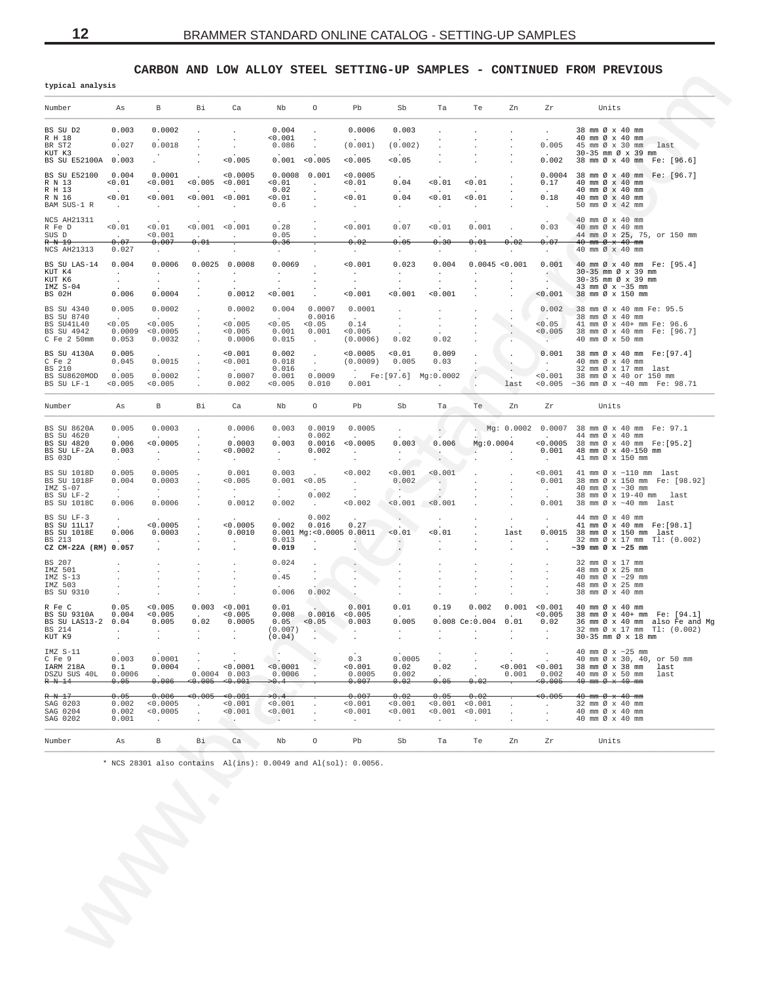CARBON AND LOW ALLOY STEEL SETTING-UP SAMPLES - CONTINUED FROM PREVIOUS

| typıcal analysıs                  |                                    |                                           |                                   |                                     |                                               |                                              |                                               |                            |                                                                                                                                                                                                                                |                                |                                     |                                                      |                                                                                                                   |
|-----------------------------------|------------------------------------|-------------------------------------------|-----------------------------------|-------------------------------------|-----------------------------------------------|----------------------------------------------|-----------------------------------------------|----------------------------|--------------------------------------------------------------------------------------------------------------------------------------------------------------------------------------------------------------------------------|--------------------------------|-------------------------------------|------------------------------------------------------|-------------------------------------------------------------------------------------------------------------------|
| Number                            | As                                 | B                                         | Bi                                | Ca                                  | Nb                                            | $\circ$                                      | Pb                                            | Sb                         | Ta                                                                                                                                                                                                                             | Te                             | Zn                                  | Zr                                                   | Units                                                                                                             |
| BS SU D2                          | 0.003                              | 0.0002                                    |                                   | $\cdot$                             | 0.004                                         | $\sim$                                       | 0.0006                                        | 0.003                      |                                                                                                                                                                                                                                | $\sim$                         | $\sim$                              | <b>Contract Contract</b>                             | 38 mm Ø x 40 mm                                                                                                   |
| R H 18<br>BR ST2                  | 0.027                              | 0.0018                                    | $\cdot$                           | $\sim$<br>$\sim$                    | < 0.001<br>0.086                              | $\sim$                                       | (0.001)                                       | (0.002)                    |                                                                                                                                                                                                                                | $\sim$                         | $\sim$                              |                                                      | $40 \text{ mm} \otimes x 40 \text{ mm}$<br>$0.005$ 45 mm $\emptyset$ x 30 mm ast                                  |
| KUT K3<br>BS SU E52100A 0.003     | $\sim$                             | $\sim$ $-$                                | $\cdot$<br>$\blacksquare$         | 0.005                               |                                               | 0.001 < 0.005                                | 0.005                                         | 0.05                       |                                                                                                                                                                                                                                |                                |                                     | $\sim$ $\sim$<br>0.002                               | 30-35 mm Ø x 39 mm<br>38 mm Ø x 40 mm Fe: [96.6]                                                                  |
| BS SU E52100<br>R N 13            | 0.004<br>< 0.01                    | 0.0001                                    | $< 0.001$ $< 0.005$ $< 0.001$     | < 0.0005                            | $0.0008$ $0.001$<br>< 0.01                    | $\sim 100$                                   | 0.0005<br>< 0.01                              | 0.04                       | 0.01                                                                                                                                                                                                                           | < 0.01                         |                                     | 0.17                                                 | 0.0004 38 mm Ø x 40 mm Fe: [96.7]<br>40 mm Ø x 40 mm                                                              |
| R H 13<br>R N 16<br>BAM SUS-1 R   | 0.01<br>$\sim 100$                 | 0.001<br><b>Contractor</b>                | $< 0.001$ $< 0.001$<br>$\sim 100$ | $\sim 100$ km s $^{-1}$             | 0.02<br>< 0.01<br>0.6                         | $\sim$ $\sim$<br>$\sim$                      | 0.01<br>$\sim 100$                            | 0.04<br><b>Contract</b>    | 0.01<br>$\sim 10^{-11}$                                                                                                                                                                                                        | < 0.01<br>$\sim$ $-$           |                                     | 0.18<br>$\sim$ $\sim$                                | 40 mm Ø x 40 mm<br>40 mm Ø x 40 mm<br>50 mm Ø x 42 mm                                                             |
| NCS AH21311<br>R Fe D             | < 0.01                             | < 0.01                                    | $< 0.001$ $< 0.001$               |                                     | 0.28                                          |                                              | 0.001                                         | 0.07                       | 0.01                                                                                                                                                                                                                           | 0.001                          |                                     | 0.03                                                 | 40 mm Ø x 40 mm<br>40 mm Ø x 40 mm                                                                                |
| SUS D<br>R N 19-                  | <b>College</b><br>0.07             | 0.001<br>0.007                            | $\sim$ $\sim$<br>0.01             | <b>Contractor</b>                   | 0.05<br>0.36                                  |                                              | $\sim$<br>0.02                                | 0.05                       | 0.30                                                                                                                                                                                                                           | 0.01                           | 0.02                                | $\ddot{\phantom{0}}$<br>0.07                         | 44 mm Ø x 25, 75, or 150 mm<br>$40$ mm $\varnothing$ x $40$ mm                                                    |
| NCS AH21313                       | 0.027                              | $\sim$ $-$                                | $\sim$                            | $\sim$                              | $\sim 10^{-1}$                                |                                              | $\sim$ 100 $\pm$                              | $\sim$                     | $\sim 10^{-11}$                                                                                                                                                                                                                | $\sim$                         | $\sim$                              | $\sim$ $-$                                           | 40 mm Ø x 40 mm                                                                                                   |
| BS SU LAS-14<br>KUT K4<br>KUT K6  | 0.004<br>$\sim 10^{-11}$<br>$\sim$ | 0.0006<br>$\sim$<br>$\sim$                | $\sim$<br>$\blacksquare$          | $0.0025$ 0.0008<br>$\sim$<br>$\sim$ | 0.0069<br>$\sim$<br>$\sim$                    | $\cdot$                                      | 0.001<br>$\sim 100$<br>$\sim$                 | 0.023<br>$\sim$<br>$\sim$  | 0.004<br>$\sim$ $-$<br>$\sim 100$                                                                                                                                                                                              | $\sim$<br>$\sim$               | 0.0045 < 0.001<br>$\sim$<br>$\cdot$ | 0.001<br>$\mathcal{L}(\mathcal{C})$<br>$\sim$ $\sim$ | 40 mm Ø x 40 mm Fe: [95.4]<br>30-35 mm Ø x 39 mm<br>30-35 mm Ø x 39 mm                                            |
| IMZ S-04<br>BS 02H                | 0.006                              | 0.0004                                    | $\sim$                            | 0.0012                              | 0.001                                         |                                              | < 0.001                                       | 0.001                      | 0.001                                                                                                                                                                                                                          |                                |                                     | < 0.001                                              | 43 mm $\varnothing$ x ~35 mm<br>38 mm Ø x 150 mm                                                                  |
| BS SU 4340                        | 0.005                              | 0.0002                                    | $\sim 10^{-11}$                   | 0.0002                              |                                               | $0.004$ 0.0007 0.0001                        |                                               | $\sim$                     | $\sim 100$                                                                                                                                                                                                                     | $\sim$                         | $\sim$ $\sim$                       | 0.002                                                | 38 mm Ø x 40 mm Fe: 95.5                                                                                          |
| BS SU 8740<br>BS SU41L40          | $\sim$<br>< 0.05                   | < 0.005                                   | $\sim$<br>$\sim$                  | $\sim$<br>< 0.005                   | <b>Contract Contract</b><br>$< 0.05$ $< 0.05$ | 0.0016                                       | <b>Contract Contract</b><br>0.14              | $\sim$ $-$<br>$\cdot$      | $\sim$ $\sim$<br>$\sim 10^{-10}$                                                                                                                                                                                               | $\ddot{\phantom{1}}$<br>$\sim$ | $\sim$                              | $\sim$<br>< 0.05                                     | 38 mm Ø x 40 mm<br>41 mm Ø x 40+ mm Fe: 96.6                                                                      |
| BS SU 4942<br>C Fe 2 50mm         | 0.053                              | 0.0009 < 0.0005<br>0.0032                 | $\cdot$                           | < 0.005<br>0.0006                   | 0.015                                         | $0.001$ $0.001$ <0.005<br>$\sim 100$         | (0.0006)                                      | 0.02                       | 0.02                                                                                                                                                                                                                           |                                | $\sim$ $\sim$                       | <b>Contract</b>                                      | $<0.005$ 38 mm Ø x 40 mm Fe: [96.7]<br>40 mm Ø x 50 mm                                                            |
| BS SU 4130A<br>C Fe 2             | 0.005<br>0.045                     | 0.0015                                    | $\sim$ 100 $\pm$                  | < 0.001<br>< 0.001                  | 0.002<br>0.018                                | <b>Contractor</b><br>$\sim 100$ km s $^{-1}$ | < 0.0005<br>(0.0009) 0.005                    | < 0.01                     | 0.009<br>0.03                                                                                                                                                                                                                  | $\sim$                         | A.,<br>$\mathcal{O}(\mathcal{E})$   | <b>Contract</b>                                      | $0.001$ 38 mm Ø x 40 mm Fe: [97.4]<br>40 mm Ø x 40 mm                                                             |
| BS 210<br>BS SU8620MOD            | 0.005                              | 0.0002                                    |                                   | <b>Contract</b><br>0.0007           | 0.016<br>0.001<br>< 0.005                     | 0.0009                                       | $[Fe:[97.6] \quad Mg:0.0002$<br>0.001         |                            |                                                                                                                                                                                                                                |                                |                                     |                                                      | 32 mm $\emptyset$ x 17 mm last<br><0.001 38 mm Ø x 40 or 150 mm<br><0.005 ~36 mm $\varnothing$ x ~40 mm Fe: 98.71 |
| BS SU LF-1                        | 0.005                              | < 0.005                                   |                                   | 0.002                               |                                               | 0.010                                        |                                               | $\sim 100$ km s $^{-1}$    | $\sim 10^{-11}$                                                                                                                                                                                                                |                                | last                                |                                                      |                                                                                                                   |
| Number                            | As                                 | B                                         | Bi                                | Ca                                  | Nb                                            | $\circ$                                      | Pb                                            | Sb                         | Ta the state of the state of the state of the state of the state of the state of the state of the state of the state of the state of the state of the state of the state of the state of the state of the state of the state o | Te                             | Zn                                  | Zr                                                   | Units                                                                                                             |
| BS SU 8620A<br>BS SU 4620         | 0.005                              | 0.0003                                    |                                   | 0.0006                              |                                               | $0.003$ $0.0019$ $0.0005$<br>0.002           |                                               | <b>Contract</b>            | $\rightarrow$                                                                                                                                                                                                                  |                                |                                     |                                                      | . Mg: 0.0002 0.0007 38 mm Ø x 40 mm Fe: 97.1<br>44 mm Ø x 40 mm                                                   |
| BS SU 4820                        | 0.006                              | < 0.0005                                  |                                   | 0.0003                              |                                               | $0.003$ $0.0016$ <0.0005                     |                                               | 0.003                      | 0.006                                                                                                                                                                                                                          | Mg:0.0004                      |                                     |                                                      | <0.0005 38 mm Ø x 40 mm Fe: [95.2]                                                                                |
| BS SU LF-2A<br>BS 03D             | 0.003<br><b>Contract</b>           | $\sim 100$ km s $^{-1}$<br>$\sim$         | $\cdot$                           | < 0.0002<br>$\sim 100$              | $\sim 10^{-11}$<br>$\sim$                     | 0.002<br>$\sim$                              | <b>Contract</b><br>$\sim$                     | $\sim$                     | the contract of the contract of<br>$\mathcal{A}^{\mathcal{A}}$                                                                                                                                                                 | <b>Contract Contract</b>       | $\sim 10$                           | $\sim 100$                                           | $0.001$ 48 mm $\varnothing$ x 40-150 mm<br>41 mm Ø x 150 mm                                                       |
| BS SU 1018D<br>BS SU 1018F        | 0.005<br>0.004                     | 0.0005<br>0.0003                          |                                   | 0.001<br>< 0.005                    | 0.003<br>0.001 < 0.05                         | $\sim 10^{-11}$                              | 0.002<br>$\sim 100$ km s $^{-1}$              | < 0.001<br>0.002           | < 0.001<br><b>Section</b>                                                                                                                                                                                                      | $\Delta \sim 100$              | $\sim$ 100 $\pm$<br>$\sim$          | < 0.001<br>0.001                                     | 41 mm $\varnothing$ x $\sim$ 110 mm last<br>38 mm Ø x 150 mm Fe: [98.92]                                          |
| IMZ S-07<br>BS SU LF-2            | $\sim 10^{-1}$                     | <b>Contract</b>                           | $\sim$                            | $\sim 1000$ km s $^{-1}$            | $\frac{1}{2}$ .                               | <b>Contract Contract</b><br>0.002            | $\sim$ 10 $\sim$                              | <b>AND</b>                 | - 11                                                                                                                                                                                                                           | $\sim$                         | $\sim$                              | $\sim 10^{-11}$                                      | 40 mm $\varnothing$ x $\sim$ 30 mm<br>38 mm Ø x 19-40 mm last                                                     |
| BS SU 1018C                       | 0.006                              | 0.0006                                    |                                   | 0.0012                              | 0.002                                         | <b>Contractor</b>                            | 0.002                                         |                            | $< 0.001$ $< 0.001$                                                                                                                                                                                                            |                                |                                     | 0.001                                                | 38 mm Ø x ~40 mm last                                                                                             |
| BS SU LF-3<br>BS SU 11L17         |                                    | < 0.0005                                  |                                   | < 0.0005                            |                                               | 0.002<br>$0.002$ $0.016$                     | 0.27                                          |                            | $\sim 100$                                                                                                                                                                                                                     | $\sim$                         | <b>Contract</b>                     | <b>Contract Contract</b>                             | 44 mm Ø x 40 mm<br>41 mm Ø x 40 mm Fe: [98.1]                                                                     |
| BS SU 1018E<br>BS 213             | 0.006                              | 0.0003                                    |                                   | 0.0010                              | 0.013                                         |                                              | $0.001$ Mg: < $0.0005$ 0.0011                 | < 0.01                     | < 0.01<br>$\sim$                                                                                                                                                                                                               |                                | last<br>$\sim$                      |                                                      | 0.0015 38 mm Ø x 150 mm last<br>32 mm Ø x 17 mm Tl: (0.002)                                                       |
| CZ CM-22A (RM) 0.057              |                                    | $\ddot{\phantom{1}}$                      |                                   | $\sim$ $\sim$                       | 0.019                                         | $\sim$ $\sim$<br>$\bullet$                   | $\sim$                                        | $\sim$                     |                                                                                                                                                                                                                                |                                |                                     | $\sim$                                               | $\sim$ 39 mm Ø x $\sim$ 25 mm                                                                                     |
| BS 207                            |                                    | $\cdot$                                   |                                   | $\cdot$                             | 0.024                                         |                                              |                                               |                            |                                                                                                                                                                                                                                |                                | $\cdot$                             | $\sim$                                               | 32 mm Ø x 17 mm                                                                                                   |
| IMZ 501<br>IMZ S-13               | $\cdot$<br>$\cdot$                 | $\sim$<br>$\sim$                          | $\cdot$                           | $\sim$                              | 0.45                                          |                                              | $\mathcal{L}_{\mathcal{A}}$<br>$\blacksquare$ | $\cdot$<br>$\cdot$         | $\sim$<br>$\sim$                                                                                                                                                                                                               | $\cdot$                        | $\cdot$                             | $\cdot$                                              | 48 mm Ø x 25 mm<br>40 mm Ø x ~29 mm                                                                               |
| IMZ 503<br>BS SU 9310             | $\sim$                             | $\sim$<br>$\sim$                          | $\cdot$                           |                                     | 0.006                                         | 0.002                                        |                                               |                            | $\ddot{\phantom{a}}$<br>$\sim$                                                                                                                                                                                                 |                                |                                     |                                                      | 48 mm Ø x 25 mm<br>38 mm Ø x 40 mm                                                                                |
| R Fe C                            | 0.05                               | < 0.005                                   |                                   | 0.003 < 0.001                       | 0.01                                          |                                              | 0.001                                         | 0.01                       | 0.19                                                                                                                                                                                                                           | 0.002                          |                                     | $0.001$ < $0.001$                                    | 40 mm Ø x 40 mm                                                                                                   |
| BS SU 9310A<br>BS SU LAS13-2 0.04 |                                    | $0.004 \t 0.005$<br>0.005                 | $\sim 10^{-10}$ km $^{-1}$        | < 0.005<br>0.02 0.0005              | 0.008<br>0.05                                 | 0.0016 < 0.005                               | $< 0.05$ 0.003                                | 0.005                      |                                                                                                                                                                                                                                | $0.008$ Ce:0.004 0.01 0.02     |                                     | < 0.005                                              | 38 mm Ø x 40+ mm Fe: [94.1]<br>36 mm Ø x 40 mm also Fe and Mg                                                     |
| BS 214<br>KUT K9                  | $\sim$<br>$\sim$                   | $\sim 1000$ km s $^{-1}$<br>$\sim$ $\sim$ | <b>Contract</b><br>$\sim$         | $\sim 100$<br>$\cdot$               | (0.007)<br>(0.04)                             |                                              | $\sim 10^{-11}$<br>$\sim$                     | $\sim 10^{-11}$<br>$\cdot$ | $\sim 10^{-11}$<br>$\sim$                                                                                                                                                                                                      | <b>Contract</b><br>$\sim$      | $\sim 100$<br>$\sim$                | $\sim 100$ km s $^{-1}$<br>$\cdot$                   | 32 mm Ø x 17 mm Tl: (0.002)<br>30-35 mm Ø x 18 mm                                                                 |
| IMZ S-11                          |                                    |                                           | $\sim$                            | $\sim$ $\sim$                       | $\sim$                                        |                                              |                                               |                            |                                                                                                                                                                                                                                |                                | <b>Contractor</b>                   | $\sim$                                               | 40 mm Ø x ~25 mm                                                                                                  |
| C Fe 9<br>IARM 218A               | 0.003<br>0.1                       | 0.0001<br>0.0004                          | $\blacksquare$                    | $\, - 0.0001$                       | $\sim$<br>< 0.0001                            |                                              | 0.3<br>< 0.001                                | 0.0005<br>0.02             | 0.02                                                                                                                                                                                                                           |                                | $< 0.001$ $< 0.001$                 |                                                      | 40 mm Ø x 30, 40, or 50 mm<br>38 mm Ø x 38 mm last                                                                |
| DSZU SUS 40L<br>R N 14-           | 0.0006<br>0.05                     | $\sim$<br>0.006                           |                                   | $0.0004$ 0.003                      | 0.0006<br>$20.4 -$                            |                                              | 0.0005<br>0.007                               | 0.002<br>0.02              | $\sim 10^{-1}$<br>0.05                                                                                                                                                                                                         | 0.02                           |                                     | $0.001$ $0.002$<br>40.005                            | 40 mm Ø x 50 mm<br>last<br>$40$ mm $\varnothing \times 40$ mm                                                     |
| R N 17                            | 0.05                               | 0.006                                     | 40.005                            | $\leftrightarrow$ 0.001             | $\times 0.4$                                  |                                              | 0.007                                         | 0.02                       | 0.05                                                                                                                                                                                                                           | $-0.02$                        |                                     | 40.005                                               | $40$ mm $\varnothing \times 40$ mm                                                                                |
| SAG 0203<br>SAG 0204              | 0.002<br>0.002                     | < 0.0005<br>< 0.0005                      | $\ddot{\phantom{a}}$<br>$\cdot$   | 0.001<br>< 0.001                    | < 0.001<br>< 0.001                            |                                              | 0.001<br>0.001                                | <0.001<br><0.001           | $< 0.001$ $< 0.001$<br>$< 0.001$ $< 0.001$                                                                                                                                                                                     |                                |                                     | $\cdot$<br>$\cdot$                                   | 32 mm Ø x 40 mm<br>40 mm Ø x 40 mm                                                                                |
| SAG 0202                          | 0.001                              | $\sim$                                    | $\cdot$                           | $\sim$ .                            | $\sim$                                        |                                              | $\sim$                                        | $\sim$                     | $\sim$                                                                                                                                                                                                                         | $\sim$                         |                                     | $\cdot$                                              | 40 mm Ø x 40 mm                                                                                                   |
| Number                            | As                                 | В                                         |                                   | Bi Ca                               | Nb                                            | $\circ$                                      | Pb                                            | Sb                         | Ta                                                                                                                                                                                                                             | Te                             | Zn                                  | Zr                                                   | Units                                                                                                             |
|                                   |                                    |                                           |                                   |                                     |                                               |                                              |                                               |                            |                                                                                                                                                                                                                                |                                |                                     |                                                      |                                                                                                                   |

\* NCS 28301 also contains  $\text{Al}(ins): 0.0049$  and  $\text{Al}(sol): 0.0056$ .

<span id="page-11-0"></span> $12$ 

typical analysis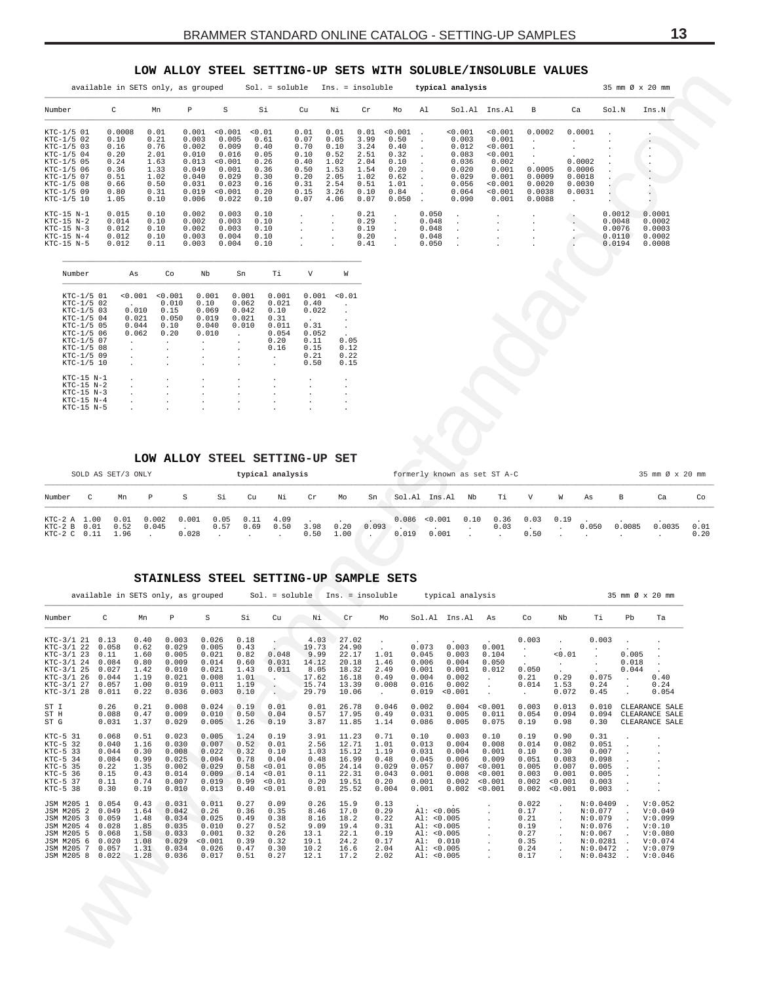## LOW ALLOY STEEL SETTING-UP SETS WITH SOLUBLE/INSOLUBLE VALUES

<span id="page-12-0"></span>

|            | available in SETS only, as grouped |      |       |         | $Sol. = soluble$ |      | $Ins. = insoluble$ |      |              |       | typical analysis |               |        |        |        | 35 mm Ø x 20 mm |
|------------|------------------------------------|------|-------|---------|------------------|------|--------------------|------|--------------|-------|------------------|---------------|--------|--------|--------|-----------------|
| Number     | C                                  | Mn   | P     | S       | Si               | Cu   | Νi                 | Cr   | Mo           | A1    |                  | Sol.Al Ins.Al | B      | Ca     | Sol.N  | Ins.N           |
| KTC-1/5 01 | 0.0008                             | 0.01 | 0.001 | < 0.001 | < 0.01           | 0.01 | 0.01               | 0.01 | < 0.001      |       | < 0.001          | < 0.001       | 0.0002 | 0.0001 |        |                 |
| KTC-1/5 02 | 0.10                               | 0.21 | 0.003 | 0.005   | 0.61             | 0.07 | 0.05               | 3.99 | 0.50         |       | 0.003            | 0.001         |        |        |        | $\cdot$         |
| KTC-1/5 03 | 0.16                               | 0.76 | 0.002 | 0.009   | 0.40             | 0.70 | 0.10               | 3.24 | 0.40         |       | 0.012            | 0.001         |        |        |        | $\cdot$         |
| KTC-1/5 04 | 0.20                               | 2.01 | 0.010 | 0.016   | 0.05             | 0.10 | 0.52               | 2.51 | 0.32         |       | 0.083            | < 0.001       |        |        |        |                 |
| KTC-1/5 05 | 0.24                               | 1.63 | 0.013 | < 0.001 | 0.26             | 0.40 | 1.02               | 2.04 | 0.10         |       | 0.036            | 0.002         |        | 0.0002 |        |                 |
| KTC-1/5 06 | 0.36                               | 1.33 | 0.049 | 0.001   | 0.36             | 0.50 | 1.53               | 1.54 | 0.20         |       | 0.020            | 0.001         | 0.0005 | 0.0006 |        |                 |
| KTC-1/5 07 | 0.51                               | 1.02 | 0.040 | 0.029   | 0.30             | 0.20 | 2.05               | 1.02 | 0.62         |       | 0.029            | 0.001         | 0.0009 | 0.0018 |        |                 |
| KTC-1/5 08 | 0.66                               | 0.50 | 0.031 | 0.023   | 0.16             | 0.31 | 2.54               | 0.51 | 1.01         |       | 0.056            | < 0.001       | 0.0020 | 0.0030 |        |                 |
| KTC-1/5 09 | 0.80                               | 0.31 | 0.019 | < 0.001 | 0.20             | 0.15 | 3.26               | 0.10 | 0.84         |       | 0.064            | < 0.001       | 0.0038 | 0.0031 |        |                 |
| KTC-1/5 10 | 1.05                               | 0.10 | 0.006 | 0.022   | 0.10             | 0.07 | 4.06               | 0.07 | 0.050        |       | 0.090            | 0.001         | 0.0088 |        |        |                 |
| KTC-15 N-1 | 0.015                              | 0.10 | 0.002 | 0.003   | 0.10             |      |                    | 0.21 | $\mathbf{r}$ | 0.050 |                  |               |        |        | 0.0012 | 0.0001          |
| KTC-15 N-2 | 0.014                              | 0.10 | 0.002 | 0.003   | 0.10             |      |                    | 0.29 | $\sim$       | 0.048 |                  |               |        |        | 0.0048 | 0.0002          |
| KTC-15 N-3 | 0.012                              | 0.10 | 0.002 | 0.003   | 0.10             |      |                    | 0.19 | $\mathbf{r}$ | 0.048 |                  |               |        |        | 0.0076 | 0.0003          |
| KTC-15 N-4 | 0.012                              | 0.10 | 0.003 | 0.004   | 0.10             |      |                    | 0.20 | $\sim$       | 0.048 |                  |               |        |        | 0.0110 | 0.0002          |
| KTC-15 N-5 | 0.012                              | 0.11 | 0.003 | 0.004   | 0.10             |      |                    | 0.41 |              | 0.050 |                  |               |        |        | 0.0194 | 0.0008          |

| Number       | As             | Сo             | Nb      | Sn    | Тi              | V                    | W              |
|--------------|----------------|----------------|---------|-------|-----------------|----------------------|----------------|
| KTC-1/5 01   | < 0.001        | < 0.001        | 0.001   | 0.001 | 0.001           | 0.001                | < 0.01         |
| KTC-1/5 02   | $\sim$         | 0.010          | 0.10    | 0.062 | 0.021           | 0.40                 | $\cdot$        |
| KTC-1/5 03   | 0.010          | 0.15           | 0.069   | 0.042 | 0.10            | 0.022                | $\blacksquare$ |
| KTC-1/5 04   | 0.021          | 0.050          | 0.019   | 0.021 | 0.31            | $\sim$               | $\blacksquare$ |
| KTC-1/5 05   | 0.044          | 0.10           | 0.040   | 0.010 | 0.011           | 0.31                 | ä.             |
| KTC-1/5 06   | 0.062          | 0.20           | 0.010   | ×.    | 0.054           | 0.052                | $\blacksquare$ |
| KTC-1/5 07   | $\blacksquare$ | $\cdot$        | ٠       | ×.    | 0.20            | 0.11                 | 0.05           |
| KTC-1/5 08   |                | $\cdot$        | $\cdot$ | ×.    | 0.16            | 0.15                 | 0.12           |
| KTC-1/5 09   |                | $\cdot$        | $\cdot$ | ×.    | $\blacksquare$  | 0.21                 | 0.22           |
| KTC-1/5 10   |                |                | $\cdot$ |       | $\blacksquare$  | 0.50                 | 0.15           |
|              |                |                |         |       |                 |                      |                |
| $KTC-15 N-1$ |                | $\cdot$        | ٠       | ۰     | $\cdot$         | $\cdot$              | ٠              |
| $KTC-15 N-2$ |                | $\cdot$        | $\cdot$ | ۰     |                 | $\cdot$              | $\cdot$        |
| $KTC-15 N-3$ |                | $\cdot$        | $\cdot$ |       |                 | $\ddot{\phantom{1}}$ | $\cdot$        |
| $KTC-15 N-4$ |                | $\blacksquare$ | $\cdot$ | ٠.    |                 | $\blacksquare$       | $\cdot$        |
| KTC-15 N-5   |                |                |         |       | $\cdot$ $\cdot$ | $\cdot$              |                |

## LOW ALLOY STEEL SETTING-UP SET

| SOLD AS SET/3 ONLY<br>typical analysis       |  |                      |                |                |              |                     |      |              |              |       | formerly known as set ST A-C |                        |      |      |                              |   |       | 35 mm Ø x 20 mm |        |              |
|----------------------------------------------|--|----------------------|----------------|----------------|--------------|---------------------|------|--------------|--------------|-------|------------------------------|------------------------|------|------|------------------------------|---|-------|-----------------|--------|--------------|
| Number                                       |  | Mn                   | P              | S.             | Si           | Cu                  | Νi   | Cr           | Mo           | Sn    |                              | Sol.Al Ins.Al Nb       |      | Ti   | V                            | W | As    | B               | Ca     | Co           |
| KTC-2 A 1.00<br>KTC-2 B 0.01<br>KTC-2 C 0.11 |  | 0.01<br>0.52<br>1.96 | 0.002<br>0.045 | 0.001<br>0.028 | 0.05<br>0.57 | $0.11$ 4.09<br>0.69 | 0.50 | 3.98<br>0.50 | 0.20<br>1.00 | 0.093 | 0.019                        | 0.086 < 0.001<br>0.001 | 0.10 | 0.03 | $0.36$ $0.03$ $0.19$<br>0.50 |   | 0.050 | 0.0085          | 0.0035 | 0.01<br>0.20 |

#### STAINLESS STEEL SETTING-UP SAMPLE SETS

|                                                                                                                       | available in SETS only, as grouped                                   |                                                              |                                                                      |                                                                       |                                                              | $Sol. = soluble$                                                     |                                                                   | Ins. = insoluble                                                     |                                                                 |                                                                                         | typical analysis                                                           |                                                                             |                                                                    |                                                                                                                                 |                                                                                          |                         | 35 mm Ø x 20 mm                                                                     |
|-----------------------------------------------------------------------------------------------------------------------|----------------------------------------------------------------------|--------------------------------------------------------------|----------------------------------------------------------------------|-----------------------------------------------------------------------|--------------------------------------------------------------|----------------------------------------------------------------------|-------------------------------------------------------------------|----------------------------------------------------------------------|-----------------------------------------------------------------|-----------------------------------------------------------------------------------------|----------------------------------------------------------------------------|-----------------------------------------------------------------------------|--------------------------------------------------------------------|---------------------------------------------------------------------------------------------------------------------------------|------------------------------------------------------------------------------------------|-------------------------|-------------------------------------------------------------------------------------|
| Number                                                                                                                | С                                                                    | Mn                                                           | Р                                                                    | S                                                                     | Si                                                           | Cu                                                                   | Νi                                                                | cr                                                                   | Mo                                                              | Sol.Al                                                                                  | Ins.Al                                                                     | As                                                                          | Co                                                                 | Nb                                                                                                                              | Тi                                                                                       | Pb                      | Ta                                                                                  |
| KTC-3/1 21<br>KTC-3/1 22<br>KTC-3/1 23<br>KTC-3/1 24<br>KTC-3/1 25<br>KTC-3/1 26<br>KTC-3/1 27<br>KTC-3/1 28          | 0.13<br>0.058<br>0.11<br>0.084<br>0.027<br>0.044<br>0.057<br>0.011   | 0.40<br>0.62<br>1.60<br>0.80<br>1.42<br>1.19<br>1.00<br>0.22 | 0.003<br>0.029<br>0.005<br>0.009<br>0.010<br>0.021<br>0.019<br>0.036 | 0.026<br>0.005<br>0.021<br>0.014<br>0.021<br>0.008<br>0.011<br>0.003  | 0.18<br>0.43<br>0.82<br>0.60<br>1.43<br>1.01<br>1.19<br>0.10 | 0.048<br>0.031<br>0.011                                              | 4.03<br>19.73<br>9.99<br>14.12<br>8.05<br>17.62<br>15.74<br>29.79 | 27.02<br>24.90<br>22.17<br>20.18<br>18.32<br>16.18<br>13.39<br>10.06 | 1.01<br>1.46<br>2.49<br>0.49<br>0.008<br>$\mathbf{r}$           | 0.073<br>0.045<br>0.006<br>0.001<br>0.004<br>0.016<br>0.019                             | $\bullet$<br>0.003<br>0.003<br>0.004<br>0.001<br>0.002<br>0.002<br>< 0.001 | 0.001<br>0.104<br>0.050<br>0.012                                            | 0.003<br>0.050<br>0.21<br>0.014<br>$\blacksquare$                  | $\ddot{\phantom{0}}$<br>$\ddot{\phantom{0}}$<br>< 0.01<br>$\ddot{\phantom{0}}$<br>$\ddot{\phantom{0}}$<br>0.29<br>1.53<br>0.072 | 0.003<br>$\cdot$<br>0.075<br>0.24<br>0.45                                                | 0.005<br>0.018<br>0.044 | 0.40<br>0.24<br>0.054                                                               |
| ST I<br>ST H<br>ST G                                                                                                  | 0.26<br>0.088<br>0.031                                               | 0.21<br>0.47<br>1.37                                         | 0.008<br>0.009<br>0.029                                              | 0.024<br>0.010<br>0.005                                               | 0.19<br>0.50<br>1.26                                         | 0.01<br>0.04<br>0.19                                                 | 0.01<br>0.57<br>3.87                                              | 26.78<br>17.95<br>11.85                                              | 0.046<br>0.49<br>1.14                                           | 0.002<br>0.031<br>0.086                                                                 | 0.004<br>0.005<br>0.005                                                    | < 0.001<br>0.011<br>0.075                                                   | 0.003<br>0.054<br>0.19                                             | 0.013<br>0.094<br>0.98                                                                                                          | 0.010<br>0.094<br>0.30                                                                   |                         | CLEARANCE SALE<br>CLEARANCE SALE<br>CLEARANCE SALE                                  |
| KTC-5 31<br>KTC-5 32<br>$KTC-5$ 33<br>$KTC-5$ 34<br>KTC-5 35<br>KTC-5 36<br>$KTC-5$ 37<br>KTC-5 38                    | 0.068<br>0.040<br>0.044<br>0.084<br>0.22<br>0.15<br>0.11<br>0.30     | 0.51<br>1.16<br>0.30<br>0.99<br>1.35<br>0.43<br>0.74<br>0.19 | 0.023<br>0.030<br>0.008<br>0.025<br>0.002<br>0.014<br>0.007<br>0.010 | 0.005<br>0.007<br>0.022<br>0.004<br>0.029<br>0.009<br>0.019<br>0.013  | 1.24<br>0.52<br>0.32<br>0.78<br>0.58<br>0.14<br>0.99<br>0.40 | 0.19<br>0.01<br>0.10<br>0.04<br>< 0.01<br>< 0.01<br>< 0.01<br>< 0.01 | 3.91<br>2.56<br>1.03<br>0.48<br>0.05<br>0.11<br>0.20<br>0.01      | 11.23<br>12.71<br>15.12<br>16.99<br>24.14<br>22.31<br>19.51<br>25.52 | 0.71<br>1.01<br>1.19<br>0.48<br>0.029<br>0.043<br>0.20<br>0.004 | 0.10<br>0.013<br>0.031<br>0.045<br>0.057<br>0.001<br>0.001<br>0.001                     | 0.003<br>0.004<br>0.004<br>0.006<br>0.007<br>0.008<br>0.002<br>0.002       | 0.10<br>0.008<br>0.001<br>0.009<br>< 0.001<br>< 0.001<br>< 0.001<br>< 0.001 | 0.19<br>0.014<br>0.10<br>0.051<br>0.005<br>0.003<br>0.002<br>0.002 | 0.90<br>0.082<br>0.30<br>0.083<br>0.007<br>0.001<br>< 0.001<br>< 0.001                                                          | 0.31<br>0.051<br>0.007<br>0.098<br>0.005<br>0.005<br>0.003<br>0.003                      |                         |                                                                                     |
| JSM M205 1<br>JSM M205 2<br>JSM M205 3<br>JSM M205 4<br>JSM M205 5<br>JSM M205<br>-6<br><b>JSM M205</b><br>JSM M205 8 | 0.054<br>0.049<br>0.059<br>0.028<br>0.068<br>0.020<br>0.057<br>0.022 | 0.43<br>1.64<br>1.48<br>1.85<br>1.58<br>1.08<br>1.31<br>1.28 | 0.031<br>0.042<br>0.034<br>0.035<br>0.033<br>0.029<br>0.034<br>0.036 | 0.011<br>0.26<br>0.025<br>0.010<br>0.001<br>< 0.001<br>0.026<br>0.017 | 0.27<br>0.36<br>0.49<br>0.27<br>0.32<br>0.39<br>0.47<br>0.51 | 0.09<br>0.35<br>0.38<br>0.52<br>0.26<br>0.32<br>0.30<br>0.27         | 0.26<br>8.46<br>8.16<br>9.09<br>13.1<br>19.1<br>10.2<br>12.1      | 15.9<br>17.0<br>18.2<br>19.4<br>22.1<br>24.2<br>16.6<br>17.2         | 0.13<br>0.29<br>0.22<br>0.31<br>0.19<br>0.17<br>2.04<br>2.02    | AI: <0.005<br>AI: <0.005<br>AI: <0.005<br>AI: <0.005<br>Al:<br>AI: <0.005<br>AI: <0.005 | 0.010                                                                      | ÷.                                                                          | 0.022<br>0.17<br>0.21<br>0.19<br>0.27<br>0.35<br>0.24<br>0.17      |                                                                                                                                 | N:0.0409<br>N:0.077<br>N:0.079<br>N:0.076<br>N:0.067<br>N:0.0281<br>N:0.0472<br>N:0.0432 |                         | V:0.052<br>V:0.049<br>V:0.099<br>V:0.10<br>V:0.080<br>V:0.074<br>V:0.079<br>V:0.046 |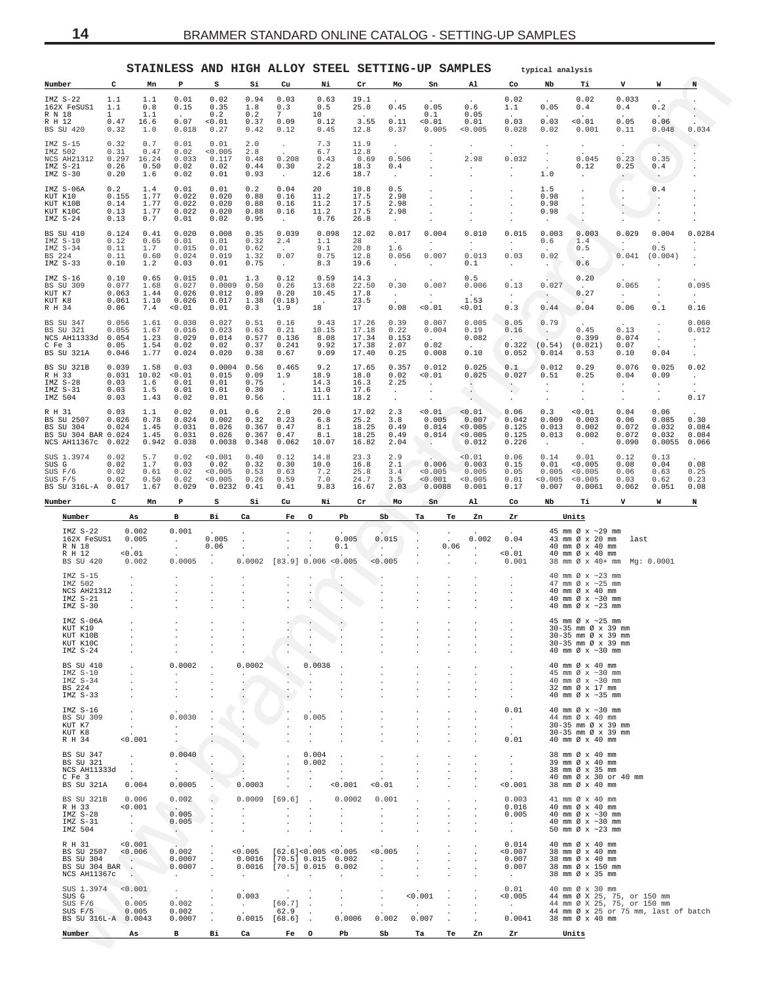<span id="page-13-0"></span>

|                            |                                                                           |                                                                                     |                                      |                                                |                                             |                                        |                                                               |                                                                                                          |                                                   |                                                              |                                                   | STAINLESS AND HIGH ALLOY STEEL SETTING-UP SAMPLES                        |                                                                  | typical analysis                                       |                                                                                                                                                 |                                                |                                                |                                      |
|----------------------------|---------------------------------------------------------------------------|-------------------------------------------------------------------------------------|--------------------------------------|------------------------------------------------|---------------------------------------------|----------------------------------------|---------------------------------------------------------------|----------------------------------------------------------------------------------------------------------|---------------------------------------------------|--------------------------------------------------------------|---------------------------------------------------|--------------------------------------------------------------------------|------------------------------------------------------------------|--------------------------------------------------------|-------------------------------------------------------------------------------------------------------------------------------------------------|------------------------------------------------|------------------------------------------------|--------------------------------------|
| Number                     |                                                                           | c                                                                                   | Mn                                   | P                                              | s                                           | Si                                     | Cu                                                            | Ni                                                                                                       | Cr                                                | Mo                                                           | Sn                                                | Al                                                                       | Co                                                               | Nb                                                     | Тi                                                                                                                                              | v                                              | W                                              | N                                    |
|                            | IMZ S-22<br>162X FeSUS1                                                   | 1.1<br>1.1                                                                          | 1.1<br>0.8                           | 0.01<br>0.15                                   | 0.02<br>0.35                                | 0.94<br>1.8                            | 0.03<br>0.3                                                   | 0.63<br>0.5                                                                                              | 19.1<br>25.0                                      | 0.45                                                         | 0.05                                              | 0.6                                                                      | 0.02<br>1.1                                                      | 0.05                                                   | 0.02<br>0.4                                                                                                                                     | 0.033<br>0.4                                   | 0.2                                            |                                      |
| R N 18<br>R H 12           | BS SU 420                                                                 | $\mathbf{1}$<br>0.47<br>0.32                                                        | 1.1<br>16.6<br>1.0                   | 0.07<br>0.018                                  | 0.2<br>0.01<br>0.27                         | 0.2<br>0.37<br>0.42                    | 7<br>0.09<br>0.12                                             | 10<br>0.12<br>0.45                                                                                       | 3.55<br>12.8                                      | $\sim$<br>0.11<br>0.37                                       | 0.1<br>< 0.01<br>0.005                            | 0.05<br>0.01<br>0.005                                                    | 0.03<br>0.028                                                    | 0.03<br>0.02                                           | 0.01<br>0.001                                                                                                                                   | 0.05<br>0.11                                   | 0.06<br>0.048                                  | 0.034                                |
|                            | IMZ S-15<br>IMZ 502<br>NCS AH21312<br>IMZ S-21<br>$IMZ S-30$              | 0.32<br>0.31<br>0.297<br>0.26<br>0.20                                               | 0.7<br>0.47<br>16.24<br>0.50<br>1.6  | 0.01<br>0.02<br>0.033<br>0.02<br>0.02          | 0.01<br>0.005<br>0.117<br>0.02<br>0.01      | 2.0<br>2.8<br>0.48<br>0.44<br>0.93     | $\ddot{\phantom{0}}$<br>0.208<br>0.30<br>$\ddot{\phantom{a}}$ | 7.3<br>6.7<br>0.43<br>2.2<br>12.6                                                                        | 11.9<br>12.8<br>0.69<br>18.3<br>18.7              | $\ddot{\phantom{0}}$<br>0.506<br>0.4<br>$\ddot{\phantom{a}}$ |                                                   | $\cdot$<br>2.98<br>$\sim$                                                | $\sim$<br>0.032<br>$\cdot$<br>$\cdot$                            | 1.0                                                    | $\ddot{\phantom{0}}$<br>0.045<br>0.12<br>$\cdot$                                                                                                | $\cdot$<br>0.23<br>0.25<br>$\sim$              | $\sim$<br>0.35<br>0.4                          |                                      |
|                            | IMZ S-06A<br>KUT K10<br>KUT K10B<br>KUT K10C<br>$IMZ S-24$                | 0.2<br>0.155<br>0.14<br>0.13<br>0.13                                                | 1.4<br>1.77<br>1.77<br>1.77<br>0.7   | 0.01<br>0.022<br>0.022<br>0.022<br>0.01        | 0.01<br>0.020<br>0.020<br>0.020<br>0.02     | 0.2<br>0.88<br>0.88<br>0.88<br>0.95    | 0.04<br>0.16<br>0.16<br>0.16<br>$\sim$                        | 20<br>11.2<br>11.2<br>11.2<br>0.76                                                                       | 10.8<br>17.5<br>17.5<br>17.5<br>26.8              | 0.5<br>2.98<br>2.98<br>2.98<br>$\cdot$                       |                                                   |                                                                          | $\cdot$<br>$\cdot$<br>$\cdot$                                    | 1.5<br>0.98<br>0.98<br>0.98<br>$\cdot$                 | $\cdot$<br>$\cdot$<br>$\cdot$<br>$\cdot$<br>$\ddot{\phantom{1}}$                                                                                | $\cdot$                                        | 0.4<br>$\cdot$<br>$\cdot$                      |                                      |
| BS 224                     | BS SU 410<br>IMZ S-10<br>$IMZ S-34$<br>$IMZ S-33$                         | 0.124<br>0.12<br>0.11<br>0.11<br>0.10                                               | 0.41<br>0.65<br>1.7<br>0.60<br>1.2   | 0.020<br>0.01<br>0.015<br>0.024<br>0.03        | 0.008<br>0.01<br>0.01<br>0.019<br>0.01      | 0.35<br>0.32<br>0.62<br>1.32<br>0.75   | 0.039<br>2.4<br>0.07<br>$\sim$                                | 0.098<br>1.1<br>9.1<br>0.75<br>8.3                                                                       | 12.02<br>28<br>20.8<br>12.8<br>19.6               | 0.017<br>$\sim$<br>1.6<br>0.056<br>$\sim$                    | 0.004<br>$\cdot$<br>0.007<br>$\ddot{\phantom{a}}$ | 0.010<br>$\sim$<br>0.013<br>0.1                                          | 0.015<br>$\sim$<br>0.03<br>$\cdot$                               | 0.003<br>0.6<br>0.02<br>$\sim$                         | 0.003<br>1.4<br>0.5<br>$\sim$<br>0.6                                                                                                            | 0.029<br>$\cdot$<br>0.041                      | 0.004<br>$\sim$<br>0.5<br>(0.004)              | 0.0284                               |
| KUT K7<br>KUT K8<br>R H 34 | IMZ S-16<br>BS SU 309                                                     | 0.10<br>0.077<br>0.063<br>0.061<br>0.06                                             | 0.65<br>1.68<br>1.44<br>1.10<br>7.4  | 0.015<br>0.027<br>0.026<br>0.026<br>< 0.01     | 0.01<br>0.0009<br>0.012<br>0.017<br>0.01    | 1.3<br>0.50<br>0.89<br>1.38<br>0.3     | 0.12<br>0.26<br>0.20<br>(0.18)<br>1.9                         | 0.59<br>13.68<br>10.45<br>$\overline{a}$<br>18                                                           | 14.3<br>22.50<br>17.8<br>23.5<br>17               | 0.30<br>$\sim$<br>0.08                                       | 0.007<br>$\sim$<br>< 0.01                         | 0.5<br>0.006<br>$\sim$<br>1.53<br>0.01                                   | 0.13<br>$\cdot$<br>0.3                                           | 0.027<br>$\sim$<br>0.44                                | 0.20<br>$\sim$<br>0.27<br>0.04                                                                                                                  | 0.065<br>$\cdot$<br>0.06                       | 0.1                                            | 0.095<br>$\cdot$<br>0.16             |
| C Fe 3                     | BS SU 347<br>BS SU 321<br>NCS AH11333d<br>BS SU 321A                      | 0.056<br>0.055<br>0.054<br>0.05<br>0.046                                            | 1.61<br>1.67<br>1.23<br>1.54<br>1.77 | 0.030<br>0.016<br>0.029<br>0.02<br>0.024       | 0.027<br>0.023<br>0.014<br>0.02<br>0.020    | 0.51<br>0.63<br>0.577<br>0.37<br>0.38  | 0.16<br>0.21<br>0.136<br>0.241<br>0.67                        | 9.43<br>10.15<br>8.08<br>9.92<br>9.09                                                                    | 17.26<br>17.18<br>17.34<br>17.38<br>17.40         | 0.39<br>0.22<br>0.153<br>2.07<br>0.25                        | 0.007<br>0.004<br>0.02<br>0.008                   | 0.005<br>0.19<br>0.082<br>0.10                                           | 0.05<br>0.16<br>0.322<br>0.052                                   | 0.79<br>$\cdot$ .<br>(0.54)<br>0.014                   | 0.45<br>0.399<br>(0.021)<br>0.53                                                                                                                | 0.13<br>0.074<br>0.07<br>0.10                  | $\cdot$<br>0.04                                | 0.060<br>0.012<br>$\cdot$<br>$\cdot$ |
| R H 33                     | BS SU 321B<br>$IMZ S-28$<br>IMZ S-31<br>IMZ 504                           | 0.039<br>0.031<br>0.03<br>0.03<br>0.03                                              | 1.58<br>10.02<br>1.6<br>1.5<br>1.43  | 0.03<br>0.01<br>0.01<br>0.01<br>0.02           | 0.0004<br>0.015<br>0.01<br>0.01<br>0.01     | 0.56<br>0.09<br>0.75<br>0.30<br>0.56   | 0.465<br>1.9<br>$\sim$<br>$\cdot$                             | 9.2<br>18.9<br>14.3<br>11.0<br>11.1                                                                      | 17.65<br>18.0<br>16.3<br>17.6<br>18.2             | 0.357<br>0.02<br>2.25<br>$\sim$<br>$\sim$                    | 0.012<br>< 0.01<br>$\cdot$<br>$\cdot$<br>$\cdot$  | 0.025<br>0.025<br>$\ddot{\phantom{0}}$<br>$\sim$<br>$\ddot{\phantom{0}}$ | 0.1<br>0.027<br>$\cdot$<br>$\sim$<br>$\cdot$                     | 0.012<br>0.51<br>$\cdot$<br>$\cdot$                    | 0.29<br>0.25<br>$\cdot$<br>$\cdot$<br>$\cdot$                                                                                                   | 0.076<br>0.04<br>$\cdot$<br>$\cdot$<br>$\cdot$ | 0.025<br>0.09<br>$\cdot$<br>$\cdot$<br>$\cdot$ | 0.02<br>$\cdot$<br>$\cdot$<br>0.17   |
| R H 31                     | BS SU 2507<br>BS SU 304<br>BS SU 304 BAR 0.024<br>NCS AH11367c            | 0.03<br>0.026<br>0.024<br>0.022                                                     | 1.1<br>0.78<br>1.45<br>1.45<br>0.942 | 0.02<br>0.024<br>0.031<br>0.031<br>0.038       | 0.01<br>0.002<br>0.026<br>0.026<br>0.0038   | 0.6<br>0.32<br>0.367<br>0.367<br>0.348 | 2.0<br>0.23<br>0.47<br>0.47<br>0.062                          | 20.0<br>6.8<br>8.1<br>8.1<br>10.07                                                                       | 17.02<br>25.2<br>18.25<br>18.25<br>16.82          | 2.3<br>3.8<br>0.49<br>0.49<br>2.04                           | 0.01<br>0.005<br>0.014<br>0.014<br>$\sim$         | < 0.01<br>0.007<br>< 0.005<br>0.005<br>0.012                             | 0.06<br>0.042<br>0.125<br>0.125<br>0.226                         | 0.3<br>0.009<br>0.013<br>0.013<br>$\ddot{\phantom{0}}$ | 0.01<br>0.003<br>0.002<br>0.002<br>$\sim$                                                                                                       | 0.04<br>0.06<br>0.072<br>0.072<br>0.090        | 0.06<br>0.085<br>0.032<br>0.032<br>0.0055      | 0.30<br>0.084<br>0.084<br>0.066      |
| SUS G                      | SUS 1.3974<br>SUS F/6<br>SUS F/5<br>BS SU 316L-A 0.017                    | 0.02<br>0.02<br>0.02<br>0.02                                                        | 5.7<br>1.7<br>0.61<br>0.50<br>1.67   | 0.02<br>0.03<br>0.02<br>0.02<br>0.029          | < 0.001<br>0.02<br>0.005<br>0.005<br>0.0232 | 0.40<br>0.32<br>0.53<br>0.26<br>0.41   | 0.12<br>0.30<br>0.63<br>0.59<br>0.41                          | 14.8<br>10.0<br>7.2<br>7.0<br>9.83                                                                       | 23.3<br>16.8<br>25.8<br>24.7<br>16.67             | 2.9<br>2.1<br>3.4<br>3.5<br>2.03                             | 0.006<br>< 0.005<br>0.001<br>0.0088               | < 0.01<br>0.003<br>0.005<br>0.005<br>0.001                               | 0.06<br>0.15<br>0.05<br>0.01<br>0.17                             | 0.14<br>0.01<br>0.005<br>0.005<br>0.007                | 0.01<br>0.005<br>0.005<br>0.005<br>0.0061                                                                                                       | 0.12<br>0.08<br>0.06<br>0.03<br>0.062          | 0.13<br>0.04<br>0.63<br>0.62<br>0.051          | 0.08<br>0.25<br>0.23<br>0.08         |
| Number                     |                                                                           | c                                                                                   | Mn                                   | Р                                              | s                                           | Si                                     | Cu                                                            | Ni                                                                                                       | Cr                                                | Mo                                                           | Sn                                                | Al                                                                       | Co                                                               | Nb                                                     | Тi                                                                                                                                              | v                                              | W                                              | N                                    |
|                            | Number                                                                    | As                                                                                  |                                      | в                                              | Вi                                          | Ca                                     | Fe                                                            | $\circ$<br>Pb                                                                                            | Sb                                                | Ta                                                           | Тe                                                | Zn                                                                       | Zr                                                               |                                                        | Units                                                                                                                                           |                                                |                                                |                                      |
|                            | $IMZ S-22$<br>162X FeSUS1<br>R N 18<br>R H 12<br>BS SU 420                | 0.002<br>0.005<br>0.01<br>0.002                                                     |                                      | 0.001<br>$\cdot$<br>$\cdot$<br>0.0005          | 0.005<br>0.06                               | $\cdot$<br>0.0002                      |                                                               | 0.005<br>0.1<br>$[83.9]$ 0.006 <0.005                                                                    | 0.015<br>$\sim$<br>< 0.005                        |                                                              | 0.06<br>$\ddot{\phantom{0}}$                      | 0.002<br>$\cdot$                                                         | 0.04<br>0.01<br>0.001                                            |                                                        | 45 mm Ø x ~29 mm<br>43 mm Ø x 20 mm<br>40 mm Ø x 40 mm<br>40 mm Ø x 40 mm<br>38 mm Ø x 40+ mm Mg: 0.0001                                        | last                                           |                                                |                                      |
|                            | $IMZ S-15$<br>IMZ 502<br>NCS AH21312<br>IMZ S-21                          |                                                                                     |                                      |                                                |                                             |                                        |                                                               |                                                                                                          |                                                   |                                                              |                                                   |                                                                          |                                                                  |                                                        |                                                                                                                                                 |                                                |                                                |                                      |
|                            | $IMZ S-30$                                                                |                                                                                     |                                      |                                                |                                             |                                        |                                                               |                                                                                                          |                                                   |                                                              |                                                   |                                                                          |                                                                  |                                                        | 40 mm $\varnothing$ x ~23 mm<br>47 mm $\varnothing$ x ~25 mm<br>40 mm Ø x 40 mm<br>40 mm $\varnothing$ x ~30 mm<br>40 mm $\varnothing$ x ~23 mm |                                                |                                                |                                      |
|                            | IMZ S-06A<br>KUT K10<br>KUT K10B<br>KUT K10C<br>$IMZ S-24$                | $\cdot$                                                                             |                                      |                                                |                                             |                                        |                                                               |                                                                                                          |                                                   |                                                              |                                                   |                                                                          |                                                                  |                                                        | 45 mm $\varnothing$ x ~25 mm<br>30-35 mm Ø x 39 mm<br>30-35 mm Ø x 39 mm<br>30-35 mm Ø x 39 mm<br>40 mm Ø x ~30 mm                              |                                                |                                                |                                      |
|                            | <b>BS SU 410</b><br>$IMZ S-10$<br>$IMZ S-34$<br>BS 224<br>$IMZ S-33$      | $\ddot{\phantom{a}}$<br>$\cdot$<br>$\mathbf{r}$<br>$\ddot{\phantom{a}}$             |                                      | 0.0002<br>$\lambda$                            |                                             | 0.0002<br>$\ddot{\phantom{a}}$         | $\mathbf{r}$<br>$\ddot{\phantom{0}}$                          | 0.0038                                                                                                   |                                                   |                                                              |                                                   |                                                                          | $\overline{\phantom{a}}$<br>$\ddot{\phantom{a}}$<br>$\cdot$      |                                                        | 40 mm Ø x 40 mm<br>45 mm $\varnothing$ x $\sim$ 30 mm<br>40 mm $\varnothing$ x ~30 mm<br>32 mm Ø x 17 mm<br>40 mm Ø x ~35 mm                    |                                                |                                                |                                      |
|                            | $IMZ S-16$<br>BS SU 309<br>KUT K7<br>KUT K8<br>R H 34                     | $\cdot$<br>$\ddot{\phantom{a}}$<br>$\cdot$<br>< 0.001                               |                                      | 0.0030<br>$\cdot$<br>$\ddot{\phantom{a}}$      |                                             |                                        | $\ddot{\phantom{a}}$                                          | 0.005<br>$\mathbf{r}$<br>$\overline{\phantom{a}}$                                                        |                                                   |                                                              |                                                   |                                                                          | 0.01<br>$\sim$<br>$\cdot$<br>0.01                                |                                                        | 40 mm Ø x ~30 mm<br>44 mm Ø x 40 mm<br>30-35 mm Ø x 39 mm<br>30-35 mm Ø x 39 mm<br>40 mm Ø x 40 mm                                              |                                                |                                                |                                      |
|                            | BS SU 347<br><b>BS SU 321</b><br>NCS AH11333d<br>$C$ Fe $3$<br>BS SU 321A | $\cdot$<br>$\cdot$<br>$\sim$<br>0.004                                               |                                      | 0.0040<br>$\cdot$<br>$\cdot$<br>0.0005         | $\cdot$                                     | 0.0003                                 |                                                               | 0.004<br>$\blacksquare$<br>0.002<br>$\ddot{\phantom{a}}$<br>$\cdot$<br>$\overline{\phantom{a}}$<br>0.001 | 0.01                                              |                                                              |                                                   |                                                                          | $\cdot$<br>$\ddot{\phantom{a}}$<br>$\ddot{\phantom{a}}$<br>0.001 |                                                        | 38 mm Ø x 40 mm<br>39 mm Ø x 40 mm<br>38 mm Ø x 35 mm<br>40 mm Ø x 30 or 40 mm<br>38 mm Ø x 40 mm                                               |                                                |                                                |                                      |
|                            | BS SU 321B<br>R H 33<br>$IMZ S-28$<br>$IMZ S-31$<br>IMZ 504               | 0.006<br>0.001<br>$\sim$                                                            |                                      | 0.002<br>$\sim$<br>0.005<br>0.005<br>$\cdot$ . |                                             | 0.0009<br>$\mathbf{r}$                 | [69.6]<br>$\ddot{\phantom{a}}$                                | 0.0002<br>$\sim$<br>$\ddot{\phantom{a}}$                                                                 | 0.001<br>$\ddot{\phantom{a}}$                     |                                                              |                                                   |                                                                          | 0.003<br>0.016<br>0.005<br>$\cdot$<br>$\ddot{\phantom{a}}$       |                                                        | 41 mm Ø x 40 mm<br>40 mm Ø x 40 mm<br>40 mm $\varnothing$ x ~30 mm<br>40 mm $\varnothing$ x $\sim$ 30 mm<br>50 mm Ø x ~23 mm                    |                                                |                                                |                                      |
|                            | R H 31<br>BS SU 2507<br>BS SU 304<br>BS SU 304 BAR<br>NCS AH11367c        | < 0.001<br>0.006<br>$\sim$<br>$\ddot{\phantom{1}}$<br>$\mathcal{L}_{\mathcal{A}}$ . |                                      | 0.002<br>0.0007<br>0.0007<br>$\mathbf{r}$      | $\cdot$<br>$\overline{\phantom{a}}$         | < 0.005<br>0.0016<br>0.0016<br>$\cdot$ | [70.5] 0.015<br>$\cdot$                                       | [62.6]<0.005 <0.005<br>0.002<br>$[70.5]$ 0.015 0.002<br>$\overline{a}$<br>$\mathbf{r}$                   | 0.005<br>$\mathbf{r}$<br>$\overline{\phantom{a}}$ |                                                              |                                                   |                                                                          | 0.014<br>< 0.007<br>0.007<br>0.007<br>$\sim$                     |                                                        | 40 mm Ø x 40 mm<br>38 mm Ø x 40 mm<br>38 mm Ø x 40 mm<br>38 mm Ø x 150 mm<br>38 mm Ø x 35 mm                                                    |                                                |                                                |                                      |
|                            | SUS 1.3974                                                                | < 0.001                                                                             |                                      | $\cdot$                                        |                                             |                                        |                                                               |                                                                                                          |                                                   |                                                              |                                                   |                                                                          | 0.01                                                             |                                                        | 40 mm Ø x 30 mm                                                                                                                                 |                                                |                                                |                                      |
|                            | SUS G<br>$SUS$ $F/6$<br>$SUS$ $F/5$<br>BS SU 316L-A 0.0043<br>Number      | $\sim$<br>0.005<br>0.005<br>As                                                      |                                      | 0.002<br>0.002<br>0.0007<br>в                  | $\cdot$<br>Вi                               | 0.003<br>$\sim$<br>0.0015<br>Ca        | [60.7]<br>62.9<br>[68.6]<br>Fe                                | $\sim$<br>0.0006<br>$\mathbf{r}$<br>$\circ$<br>Pb                                                        | $\cdot$<br>$\ddot{\phantom{a}}$<br>0.002<br>Sb    | 0.001<br>$\ddot{\phantom{a}}$<br>0.007<br>Тa                 | Тe                                                | Zn                                                                       | < 0.005<br>$\sim$<br>0.0041<br>Zr                                |                                                        | 44 mm Ø X 25, 75, or 150 mm<br>44 mm Ø X 25, 75, or 150 mm<br>44 mm Ø x 25 or 75 mm, last of batch<br>38 mm Ø x 40 mm<br>Units                  |                                                |                                                |                                      |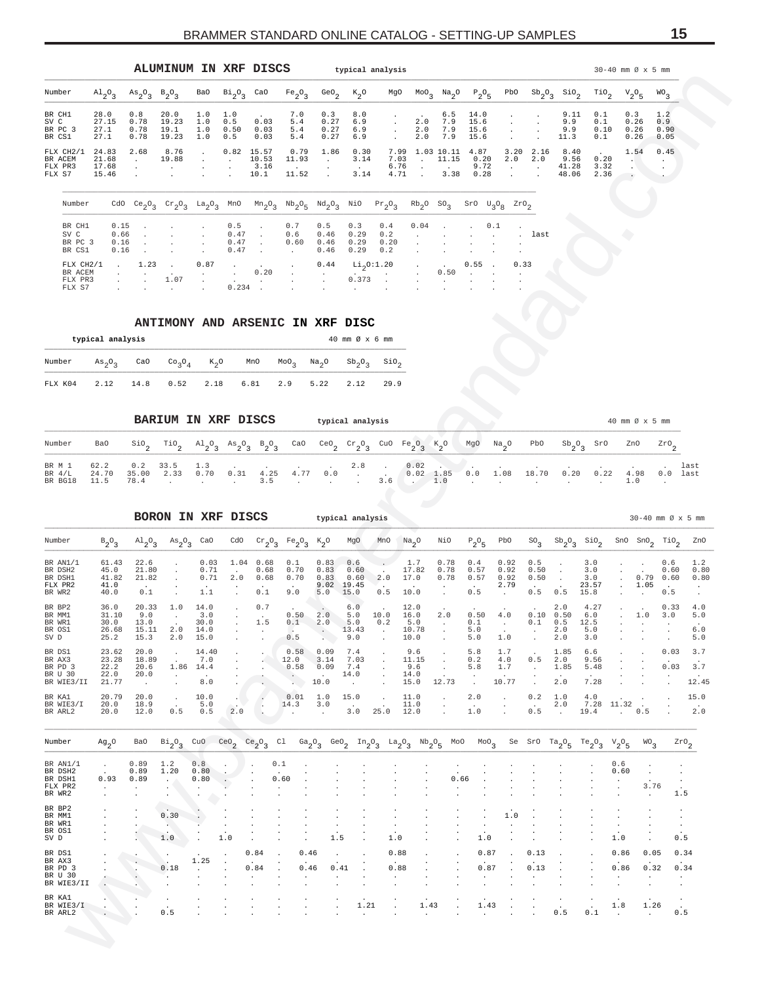<span id="page-14-0"></span>

|                                           |                                  |                                         | <b>ALUMINUM</b>                |                          |                           | IN XRF DISCS                   |                                |                             | typical analysis         |                              |                          |                          |                              |             |             |                                |                           | $30-40$ mm $\varnothing \times 5$ mm |                            |
|-------------------------------------------|----------------------------------|-----------------------------------------|--------------------------------|--------------------------|---------------------------|--------------------------------|--------------------------------|-----------------------------|--------------------------|------------------------------|--------------------------|--------------------------|------------------------------|-------------|-------------|--------------------------------|---------------------------|--------------------------------------|----------------------------|
| Number                                    | $A1_{2}O_{3}$                    | $A \cdot S_2$ <sup>O</sup> <sub>3</sub> | $B_2O_3$                       | BaO                      | $Bi_{2}O_{3}$             | CaO                            | Fe <sub>2</sub> O <sub>3</sub> | $\mathrm{Geo}_{2}$          | $k_{2}^{\circ}$          | MgO                          | $MOO_{\alpha}$           | $Na_{2}O$                | $P_2O_5$                     | PbO         | $Sb_2O_3$   | $\frac{\text{SiO}}{2}$         | $\mathcal{I}^{10}$        | $V_2O_5$                             | WO <sub>3</sub>            |
| BR CH1<br>SV C<br>BR PC 3<br>BR CS1       | 28.0<br>27.15<br>27.1<br>27.1    | 0.8<br>0.78<br>0.78<br>0.78             | 20.0<br>19.23<br>19.1<br>19.23 | 1.0<br>1.0<br>1.0<br>1.0 | 1.0<br>0.5<br>0.50<br>0.5 | 0.03<br>0.03<br>0.03           | 7.0<br>5.4<br>5.4<br>5.4       | 0.3<br>0.27<br>0.27<br>0.27 | 8.0<br>6.9<br>6.9<br>6.9 |                              | 2.0<br>2.0<br>2.0        | 6.5<br>7.9<br>7.9<br>7.9 | 14.0<br>15.6<br>15.6<br>15.6 |             |             | 9.11<br>9.9<br>9.9<br>11.3     | 0.1<br>0.1<br>0.10<br>0.1 | 0.3<br>0.26<br>0.26<br>0.26          | 1.2<br>0.9<br>0.90<br>0.05 |
| FLX CH2/1<br>BR ACEM<br>FLX PR3<br>FLX S7 | 24.83<br>21.68<br>17.68<br>15.46 | 2.68                                    | 8.76<br>19.88                  |                          | 0.82<br>$\sim$            | 15.57<br>10.53<br>3.16<br>10.1 | 0.79<br>11.93<br>11.52         | 1.86                        | 0.30<br>3.14<br>3.14     | 7.99<br>7.03<br>6.76<br>4.71 | 1.03<br>$\sim$<br>$\sim$ | 10.11<br>11.15<br>3.38   | 4.87<br>0.20<br>9.72<br>0.28 | 3.20<br>2.0 | 2.16<br>2.0 | 8.40<br>9.56<br>41.28<br>48.06 | 0.20<br>3.32<br>2.36      | 1.54                                 | 0.45                       |

| Number    |          |                 |                                     |                                   |                                     |                   |                                   |                                   |           | CdO Ce <sub>2</sub> O <sub>3</sub> Cr <sub>2</sub> O <sub>3</sub> La <sub>2</sub> O <sub>3</sub> MnO Mn <sub>2</sub> O <sub>3</sub> Nb <sub>2</sub> O <sub>5</sub> Nd <sub>2</sub> O <sub>3</sub> NiO Pr <sub>2</sub> O <sub>3</sub> Rb <sub>2</sub> O SO <sub>3</sub> SrO U <sub>3</sub> O <sub>8</sub> ZrO <sub>2</sub> |                   |                                                                                 |  |        |
|-----------|----------|-----------------|-------------------------------------|-----------------------------------|-------------------------------------|-------------------|-----------------------------------|-----------------------------------|-----------|---------------------------------------------------------------------------------------------------------------------------------------------------------------------------------------------------------------------------------------------------------------------------------------------------------------------------|-------------------|---------------------------------------------------------------------------------|--|--------|
| BR CH1    |          |                 |                                     | $0.15$ 0.5 .                      |                                     |                   | 0.7                               | 0.5                               | 0.3       | $0.4$ $0.04$ . $0.1$ .                                                                                                                                                                                                                                                                                                    |                   |                                                                                 |  |        |
| SV C      | 0.66     |                 |                                     | <b>Contract Contract Contract</b> | 0.47                                | <b>Contractor</b> | 0.6                               | 0.46                              | 0.29      | 0.2                                                                                                                                                                                                                                                                                                                       |                   |                                                                                 |  | . last |
| BR PC 3   | 0.16     | <b>Contract</b> |                                     |                                   | $0.47$ .                            |                   | 0.60                              | 0.46                              | 0.29      | 0.20                                                                                                                                                                                                                                                                                                                      |                   | the company of the company of the company                                       |  |        |
| BR CS1    | $0.16$ . |                 |                                     | $\sim$ 0.47 $\sim$                |                                     |                   | <b>Contract Contract Contract</b> | $0.46$ $0.29$ $0.2$               |           |                                                                                                                                                                                                                                                                                                                           |                   | the company of the company of the company                                       |  |        |
| FLX CH2/1 |          | $1.23$ .        |                                     | 0.87                              | and the company of the company      |                   | $\sim$                            |                                   |           | $0.44$ Li <sub>n</sub> O:1.20 0.55 . 0.33                                                                                                                                                                                                                                                                                 |                   |                                                                                 |  |        |
| BR ACEM   |          |                 | the company of the company of       | $\sim$ $\sim$                     |                                     | 0.20              | $\sim$                            | <b>Contract Contract Contract</b> |           | the company of the company of                                                                                                                                                                                                                                                                                             | <b>Contractor</b> | $0.50$                                                                          |  |        |
| FLX PR3   |          |                 | 1.07                                | <b>Contractor</b>                 | the contract of the contract of the |                   | and the company of the com-       |                                   | $0.373$ . |                                                                                                                                                                                                                                                                                                                           |                   | the contract of the contract of the contract of the contract of the contract of |  |        |
| FLX S7    |          |                 | the contract of the contract of the |                                   |                                     |                   |                                   |                                   |           |                                                                                                                                                                                                                                                                                                                           |                   |                                                                                 |  |        |

|                                                                                                                                                             | typical analysis |  |  |  | $40 \text{ mm}$ $\varnothing$ $\times$ 6 mm |  |
|-------------------------------------------------------------------------------------------------------------------------------------------------------------|------------------|--|--|--|---------------------------------------------|--|
| Number $As_0O_3$ CaO Co <sub>2</sub> O <sub>4</sub> K <sub>2</sub> O MnO MoO <sub>2</sub> Na <sub>2</sub> O Sb <sub>2</sub> O <sub>2</sub> SiO <sub>2</sub> |                  |  |  |  |                                             |  |
| FLX K04 2.12 14.8 0.52 2.18 6.81 2.9 5.22 2.12 29.9                                                                                                         |                  |  |  |  |                                             |  |

| Number                        |  |  |      |  |  |                      |  |      | BaO SiO, TiO, Al <sub>2</sub> O, As <sub>2</sub> O, B <sub>2</sub> O, CaO CeO, Cr <sub>2</sub> O, CuO Fe <sub>2</sub> O, K <sub>2</sub> O MgO Na <sub>2</sub> O PbO Sb <sub>2</sub> O, SrO ZnO ZrO,                                      |      |       |          |  |
|-------------------------------|--|--|------|--|--|----------------------|--|------|------------------------------------------------------------------------------------------------------------------------------------------------------------------------------------------------------------------------------------------|------|-------|----------|--|
| BR M 1<br>BR $4/L$<br>BR BG18 |  |  | 4.25 |  |  | 4.77 0.0 . 0.02 1.85 |  | 1 08 | 18 70<br>and the contract of $\begin{bmatrix} 3.5 & 1 \end{bmatrix}$ , $\begin{bmatrix} 3.6 & 1 \end{bmatrix}$ , $\begin{bmatrix} 1.0 & 1 \end{bmatrix}$ , $\begin{bmatrix} 1 & 0 \end{bmatrix}$ , $\begin{bmatrix} 1 & 0 \end{bmatrix}$ | 0.20 | 4 9 8 | 0.0 last |  |

| Number                                                                                                        | $A1_{2}O_{3}$                                           | $\mathrm{As}_{2}\mathrm{O}_{2}$<br>3             | $B_2O_3$                                                                  | Ba0                                                              | $Bi_{2}O_{3}$               | CaO                                  | $Fe_2O_3$                                                                                 | GeO.                                                     | $k_{2}^{\circ}$                                   | MgO                                               | MoO                                  | Na <sub>2</sub> O                                  | $P_2O_5$                                        | PbO                                                  | $\mathrm{Sb}_{2}$ <sup>O</sup> <sub>3</sub> | SiO,                             | $\overline{110}$ <sub>2</sub>        | $v_2^o$ <sub>5</sub>                      |                                      | WO.<br>3                             |                          |
|---------------------------------------------------------------------------------------------------------------|---------------------------------------------------------|--------------------------------------------------|---------------------------------------------------------------------------|------------------------------------------------------------------|-----------------------------|--------------------------------------|-------------------------------------------------------------------------------------------|----------------------------------------------------------|---------------------------------------------------|---------------------------------------------------|--------------------------------------|----------------------------------------------------|-------------------------------------------------|------------------------------------------------------|---------------------------------------------|----------------------------------|--------------------------------------|-------------------------------------------|--------------------------------------|--------------------------------------|--------------------------|
| BR CH1<br>SV C<br>BR PC 3<br>BR CS1                                                                           | 28.0<br>27.15<br>27.1<br>27.1                           | 0.8<br>0.78<br>0.78<br>0.78                      | 20.0<br>19.23<br>19.1<br>19.23                                            | 1.0<br>1.0<br>1.0<br>1.0                                         | 1.0<br>0.5<br>0.50<br>0.5   | 0.03<br>0.03<br>0.03                 | 7.0<br>5.4<br>5.4<br>5.4                                                                  | 0.3<br>0.27<br>0.27<br>0.27                              | 8.0<br>6.9<br>6.9<br>6.9                          |                                                   | 2.0<br>2.0<br>2.0                    | 6.5<br>7.9<br>7.9<br>7.9                           | 14.0<br>15.6<br>15.6<br>15.6                    |                                                      |                                             | 9.11<br>9.9<br>9.9<br>11.3       | 0.1<br>0.1<br>0.10<br>0.1            | 0.3<br>0.26<br>0.26<br>0.26               |                                      | 1.2<br>0.9<br>0.90<br>0.05           |                          |
| FLX CH2/1<br>BR ACEM<br>FLX PR3<br>FLX S7                                                                     | 24.83<br>21.68<br>17.68<br>15.46                        | 2.68<br>$\cdot$<br>$\bullet$                     | 8.76<br>19.88<br>$\cdot$                                                  |                                                                  | 0.82                        | 15.57<br>10.53<br>3.16<br>10.1       | 0.79<br>11.93<br>11.52                                                                    | 1.86<br>$\cdot$                                          | 0.30<br>3.14<br>3.14                              | 7.99<br>7.03<br>6.76<br>4.71                      | $\cdot$                              | 1.03 10.11<br>11.15<br>3.38                        | 4.87<br>0.20<br>9.72<br>0.28                    | 3.20<br>2.0<br>$\cdot$                               | 2.16<br>2.0<br>$\cdot$                      | 8.40<br>9.56<br>41.28<br>48.06   | 0.20<br>3.32<br>2.36                 | 1.54<br>$\cdot$<br>$\cdot$                |                                      | 0.45<br>$\cdot$                      |                          |
| Number                                                                                                        |                                                         | CdO $Ce_{2}O_{3}$                                |                                                                           | $\mathrm{Cr}_{2}\mathrm{O}_{3}$ La <sub>2</sub> $\mathrm{O}_{3}$ | MnO                         |                                      | $\mathrm{Mn}_2\mathrm{O}_3\quad \mathrm{Nb}_2\mathrm{O}_5\quad \mathrm{Nd}_2\mathrm{O}_3$ |                                                          | NiO                                               | $Pr_2O_3$                                         | $Rb_2$ <sup>O</sup>                  | SO <sub>3</sub>                                    | $S_{r0}$ $U_{30g}$                              |                                                      | $\mbox{zro}_{2}$                            |                                  |                                      |                                           |                                      |                                      |                          |
| BR CH1<br>SV C<br>BR PC 3<br>BR CS1                                                                           | 0.15<br>0.66<br>0.16<br>0.16                            |                                                  |                                                                           |                                                                  | 0.5<br>0.47<br>0.47<br>0.47 |                                      | 0.7<br>0.6<br>0.60                                                                        | 0.5<br>$0.46\,$<br>0.46<br>0.46                          | 0.3<br>0.29<br>0.29<br>0.29                       | 0.4<br>0.2<br>0.20<br>0.2                         | 0.04                                 |                                                    |                                                 | 0.1                                                  | last                                        |                                  |                                      |                                           |                                      |                                      |                          |
| FLX CH2/1<br>BR ACEM<br>FLX PR3<br>FLX S7                                                                     |                                                         | 1.23                                             | 1.07                                                                      | 0.87<br>$\cdot$                                                  | 0.234                       | 0.20                                 | $\bullet$                                                                                 | 0.44<br>$\cdot$                                          | $Li_2$ 0:1.20<br>0.373                            |                                                   |                                      | 0.50                                               | 0.55                                            | 0.33                                                 |                                             |                                  |                                      |                                           |                                      |                                      |                          |
|                                                                                                               |                                                         |                                                  |                                                                           |                                                                  |                             |                                      | ANTIMONY AND ARSENIC IN XRF DISC                                                          |                                                          |                                                   |                                                   |                                      |                                                    |                                                 |                                                      |                                             |                                  |                                      |                                           |                                      |                                      |                          |
| Number                                                                                                        | typical analysis<br>$As_2O_3$                           | CaO                                              | CO <sub>3</sub> O <sub>4</sub>                                            | $K_2$ O                                                          |                             | MnO                                  | MOO <sub>3</sub>                                                                          | Na <sub>2</sub> O                                        | 40 mm Ø x 6 mm<br>$\mathrm{Sb}_{2}\mathrm{O}_{3}$ | $\mathop{\mathsf{Si0}}\nolimits_2$                |                                      |                                                    |                                                 |                                                      |                                             |                                  |                                      |                                           |                                      |                                      |                          |
| FLX K04                                                                                                       | 2.12                                                    | 14.8                                             | 0.52                                                                      | 2.18                                                             |                             | 6.81                                 | 2.9                                                                                       | 5.22                                                     | 2.12                                              | 29.9                                              |                                      |                                                    |                                                 |                                                      |                                             |                                  |                                      |                                           |                                      |                                      |                          |
|                                                                                                               |                                                         |                                                  | BARIUM IN XRF DISCS                                                       |                                                                  |                             |                                      |                                                                                           |                                                          | typical analysis                                  |                                                   |                                      |                                                    |                                                 |                                                      |                                             |                                  |                                      | 40 mm Ø x 5 mm                            |                                      |                                      |                          |
| Number                                                                                                        | Ba0                                                     | $\mathop{\mathsf{Si0}}\nolimits_2$               | $\mathcal{I}^{10}$                                                        |                                                                  | $A1_2O_3$ $As_2O_3$         | $B_2O_3$                             | CaO                                                                                       | ceo <sub>2</sub>                                         | $\operatorname{Cr}_2O_3$                          | CuO $Fe_2O_3$                                     |                                      | $K_2^o$                                            | MgO                                             | $\sqrt{N}a_2$ O                                      | PbO                                         | $Sb_2O_3$                        | SrO                                  | ZnO                                       |                                      | $z_{x0}$                             |                          |
| BR M 1<br>BR $4/L$<br>BR BG18                                                                                 | 62.2<br>24.70<br>11.5                                   | 0.2<br>35.00<br>78.4                             | 33.5<br>2.33                                                              | 1.3<br>0.70                                                      | 0.31                        | 4.25<br>3.5                          | 4.77                                                                                      | 0.0                                                      | 2.8<br>$\cdot$                                    | 3.6                                               | 0.02<br>$0.02 \quad 1.85$<br>$\sim$  | 1.0                                                | 0.0                                             | 1.08                                                 | 18.70                                       | 0.20                             | 0.22                                 | 1.0                                       | 4.98                                 | 0.0                                  | last<br>last             |
|                                                                                                               |                                                         |                                                  | BORON IN XRF DISCS                                                        |                                                                  |                             |                                      |                                                                                           | typical analysis                                         |                                                   |                                                   |                                      |                                                    |                                                 |                                                      |                                             |                                  |                                      |                                           | $30-40$ mm $\varnothing \times 5$ mm |                                      |                          |
| Number                                                                                                        | $B_2O_3$                                                | $\mathrm{^{Al}_{2}O_{3}}$                        | $As_{2}O_{3}$                                                             | CaO                                                              | cdo                         | $\mathrm{cr}_2\mathrm{O}_3$          | $Fe_2O_3$                                                                                 | $K_2^o$                                                  | MgO                                               | MnO                                               | $\mathrm{Na}_2\mathrm{O}$            | NiO                                                | $P_2O_5$                                        | PbO                                                  | SO <sub>3</sub>                             | $Sb_2O_3$                        | $\frac{\text{SiO}}{2}$               | SnO                                       | $_{\rm SnO}_{2}$                     | $\mathbb{T}^{10}$ <sub>2</sub>       | ZnO                      |
| BR AN1/1<br>BR DSH2<br>BR DSH1<br>FLX PR2<br>BR WR2                                                           | 61.43<br>45.0<br>41.82<br>41.0<br>40.0                  | 22.6<br>21.80<br>21.82<br>0.1                    |                                                                           | 0.03<br>0.71<br>0.71<br>1.1                                      | 1.04<br>2.0                 | 0.68<br>0.68<br>0.68<br>0.1          | 0.1<br>0.70<br>0.70<br>9.0                                                                | 0.83<br>0.83<br>0.83<br>9.02<br>5.0                      | 0.6<br>0.60<br>0.60<br>19.45<br>15.0              | 2.0<br>0.5                                        | 1.7<br>17.82<br>17.0<br>10.0         | 0.78<br>0.78<br>0.78                               | 0.4<br>0.57<br>0.57<br>0.5                      | 0.92<br>0.92<br>0.92<br>2.79<br>$\ddot{\phantom{a}}$ | 0.5<br>0.50<br>0.50<br>0.5                  | $\cdot$<br>$\cdot$<br>0.5        | 3.0<br>3.0<br>$3.0$<br>23.57<br>15.8 |                                           | 0.79<br>1.05                         | 0.6<br>0.60<br>0.60<br>0.5           | 1.2<br>0.80<br>0.80      |
| BR BP2<br>BR MM1<br>BR WR1<br>BR OS1<br>SV D                                                                  | 36.0<br>31.10<br>30.0<br>26.68<br>25.2                  | 20.33<br>9.0<br>13.0<br>15.11<br>15.3            | 1.0<br>$\cdot$<br>2.0                                                     | 14.0<br>3.0<br>30.0<br>14.0<br>$2.0$ 15.0                        |                             | 0.7<br>1.5                           | 0.50<br>0.1<br>0.5                                                                        | 2.0<br>2.0<br>$\left\langle \cdot , \cdot \right\rangle$ | 6.0<br>5.0<br>5.0<br>13.43<br>9.0                 | 10.0<br>0.2<br>$\sim$                             | 12.0<br>16.0<br>5.0<br>10.78<br>10.0 | 2.0<br>$\sim$<br>$\cdot$                           | 0.50<br>0.1<br>5.0<br>5.0                       | 4.0<br>$\sim$ $-$<br>1.0                             | 0.10<br>0.1<br>$\cdot$                      | 2.0<br>0.50<br>0.5<br>2.0<br>2.0 | 4.27<br>6.0<br>12.5<br>5.0<br>3.0    |                                           | 1.0<br>$\cdot$                       | 0.33<br>3.0<br>$\cdot$               | 4.0<br>5.0<br>6.0<br>5.0 |
| BR DS1<br>BR AX3<br>BR PD 3<br>BR U 30<br>BR WIE3/II                                                          | 23.62<br>23.28<br>22.2<br>22.0<br>21.77                 | 20.0<br>18.89<br>20.6<br>20.0<br>$\sim 100$      | $\cdot$<br>$\sim$<br>$\cdot$                                              | 14.40<br>7.0<br>1.86 14.4<br>8.0                                 |                             |                                      | 0.58 0.09<br>12.0<br>0.58<br>$\sim$ $\sim$<br>$\mathcal{L}^{\text{max}}$                  | 3.14<br>0.09<br>$\sim$<br>10.0                           | 7.4<br>7.03<br>7.4<br>14.0<br>$\sim 100$          | $\cdot$<br>$\cdot$<br>$\cdot$<br>$\sim$<br>$\sim$ | 9.6<br>11.15<br>9.6<br>14.0<br>15.0  | $\cdot$<br>$\cdot$<br>$\cdot$<br>12.73             | 5.8<br>0.2<br>5.8<br>$\cdot$<br>$\sim$          | 1.7<br>4.0<br>1.7<br>10.77                           | 0.5<br>$\sim$<br>$\cdot$<br>$\cdot$         | 1.85<br>2.0<br>1.85<br>2.0       | 6.6<br>9.56<br>5.48<br>7.28          |                                           |                                      | 0.03<br>0.03                         | 3.7<br>3.7<br>12.45      |
| BR KA1<br>BR WIE3/I<br>BR ARL2                                                                                | 20.79<br>20.0<br>20.0                                   | 20.0<br>18.9<br>12.0                             | $\sim$<br>$\cdot$<br>0.5                                                  | 10.0<br>5.0<br>0.5                                               | 2.0                         |                                      | 0.01<br>14.3<br>and a series                                                              | 1.0<br>3.0<br>$\sim 10^{-1}$                             | 15.0<br>$\sim 100$<br>3.0                         | $\ddot{\phantom{a}}$<br>25.0                      | 11.0<br>11.0<br>12.0                 | $\cdot$<br>$\cdot$<br>$\ddot{\phantom{a}}$         | 2.0<br>$\ddot{\phantom{a}}$<br>1.0              | $\cdot$<br>$\cdot$                                   | 0.2<br>$\ddot{\phantom{a}}$<br>0.5          | 1.0<br>2.0<br>$\sim 10^{-1}$     | 4.0<br>19.4                          | $7.28$ 11.32.<br>$\ddots$ 0.5             | $\cdot$                              |                                      | 15.0<br>2.0              |
|                                                                                                               |                                                         |                                                  |                                                                           |                                                                  |                             | $Ce_{2}O_{3}$                        | Cl $Ga_2O_3$                                                                              |                                                          |                                                   |                                                   |                                      | GeO <sub>2</sub> $In_2O_3$ $La_2O_3$ $Nb_2O_5$ MoO | $^{MO}$ <sub>3</sub>                            |                                                      | Se Sr0 Ta $_2$ <sup>O</sup> <sub>5</sub>    |                                  | $Te_{2}O_{3}$                        | $V_2O_5$                                  | WO <sub>3</sub>                      | $z_{x0}$                             |                          |
|                                                                                                               | $Ag_2O$                                                 | BaO                                              | $Bi_{2}O_{3}$                                                             | CuO $CeO2$                                                       |                             |                                      |                                                                                           |                                                          |                                                   |                                                   |                                      |                                                    |                                                 |                                                      |                                             |                                  |                                      |                                           |                                      |                                      |                          |
|                                                                                                               | $\sim$<br>0.93<br>$\sim$ $\sim$<br>$\ddot{\phantom{a}}$ | 0.89<br>0.89<br>0.89<br>$\sim$<br>$\blacksquare$ | 1.2<br>1.20<br>$\sim$<br>$\overline{\phantom{a}}$<br>$\ddot{\phantom{a}}$ | 0.8<br>0.80<br>0.80<br>$\cdot$                                   |                             |                                      | 0.1<br>0.60<br>$\cdot$<br>$\cdot$                                                         |                                                          |                                                   |                                                   |                                      | 0.66<br>$\cdot$                                    |                                                 |                                                      |                                             |                                  |                                      | 0.6<br>0.60<br>$\cdot$<br>$\epsilon$      | $\cdot$<br>$\cdot$<br>3.76<br>$\sim$ | $\cdot$<br>$\cdot$<br>$\cdot$<br>1.5 |                          |
| Number<br>BR AN1/1<br>BR DSH2<br>BR DSH1<br>FLX PR2<br>BR WR2<br>BR BP2<br>BR MM1<br>BR WR1<br>BR OS1<br>SV D |                                                         | $\bullet$                                        | 0.30<br>$\Delta \phi$<br>1.0                                              | ٠.                                                               | $\cdot$<br>1.0              | $\ddot{\phantom{a}}$                 |                                                                                           | $\cdot$<br>1.5                                           |                                                   | $\cdot$<br>$\cdot$<br>$\cdot$<br>$1.0$            |                                      |                                                    | $\cdot$<br>$\cdot$<br>1.0                       | 1.0<br>$\cdot$                                       |                                             |                                  |                                      | $\ddot{\phantom{a}}$<br>$1.0$             | $\cdot$                              | $\cdot$<br>$\cdot$<br>$\cdot$<br>0.5 |                          |
| BR DS1<br>BR AX3<br>BR PD 3<br>BR U 30<br>BR WIE3/II                                                          |                                                         | $\cdot$                                          | 0.18<br>$\cdot$<br>$\cdot$                                                | 1.25<br>$\cdot$                                                  | $\cdot$                     | 0.84<br>0.84<br>$\ddot{\phantom{a}}$ | 0.46<br>0.46<br>$\cdot$<br>$\cdot$                                                        | $\cdot$<br>0.41<br>$\cdot$                               | $\cdot$                                           | 0.88<br>0.88<br>$\sim$<br>$\cdot$                 |                                      |                                                    | 0.87<br>0.87<br>$\cdot$<br>$\ddot{\phantom{a}}$ |                                                      | 0.13<br>0.13<br>$\cdot$                     |                                  |                                      | 0.86<br>0.86<br>$\cdot$<br>$\blacksquare$ | 0.05<br>0.32<br>$\cdot$<br>$\cdot$   | 0.34<br>$\bullet$<br>$\cdot$         | 0.34                     |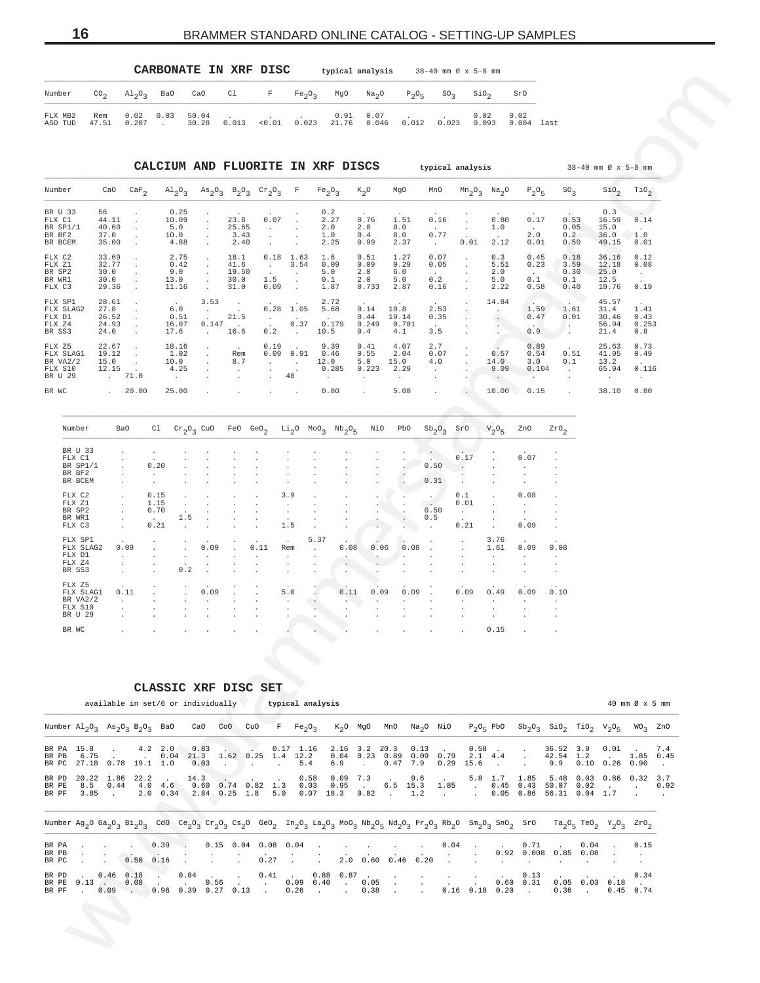# <span id="page-15-0"></span>**16** BRAMMER STANDARD ONLINE CATALOG - SETTING-UP SAMPLES

|                    |                 |                |                          | CARBONATE IN XRF DISC |        |                                                                                                  | typical analysis                                                                                                                                         |       |       | 38-40 mm Ø x 5-8 mm |               |      |
|--------------------|-----------------|----------------|--------------------------|-----------------------|--------|--------------------------------------------------------------------------------------------------|----------------------------------------------------------------------------------------------------------------------------------------------------------|-------|-------|---------------------|---------------|------|
| Number             | CO <sub>2</sub> |                |                          |                       |        |                                                                                                  | $\text{Al}_2\text{O}_2$ BaO CaO Cl F Fe <sub>2</sub> O <sub>2</sub> MgO Na <sub>2</sub> O P <sub>2</sub> O <sub>5</sub> SO <sub>2</sub> SiO <sub>2</sub> |       |       |                     | SrO           |      |
| FLX MB2<br>ASO TUD | Rem<br>47.51    | $0.02 \t 0.03$ | 50.04<br>$0.207$ . 30.28 | 0.013                 | < 0.01 | the company's company's company's company's company's company's company's<br>$0.023$ 21.76 0.046 | $0.91 \quad 0.07 \qquad .$                                                                                                                               | 0.012 | 0.023 | 0.02<br>0.093       | 0.02<br>0.004 | last |

| Cl<br>Ba0<br>CaO<br>F<br>SO <sub>3</sub><br>$\sin \theta_2$<br>Number<br>$\rm{CO}_{2}$<br>$\mathrm{Al}_{2}\mathrm{O}_{3}$<br>Fe <sub>2</sub> O <sub>3</sub><br>MgO<br>Na <sub>2</sub> O<br>$P_2O_5$<br>SrO<br>0.02<br>0.03<br>50.04<br>0.07<br>0.02<br>FLX MB2<br>0.91<br>0.02<br>Rem<br>$0.013$ < $0.01$ 0.023 21.76<br>$0.046$ $0.012$ $0.023$ 0.093<br>ASO TUD<br>47.51<br>0.207<br>30.28<br>0.004 last<br>$\sim 10^{-11}$<br>CALCIUM AND FLUORITE IN XRF DISCS<br>typical analysis<br>$38 - 40$ mm $\varnothing$ x 5-8 mm<br>Number<br>CaO<br>$\text{Al}_2\text{O}_3$ $\text{As}_2\text{O}_3$ $\text{B}_2\text{O}_3$ $\text{Cr}_2\text{O}_3$ F<br>$K_2O$<br>MgO<br>$Mn2$ <sup>O</sup> <sub>3</sub> $Na2$ <sup>O</sup><br>SO <sub>3</sub><br>SiO <sub>2</sub><br>TiO <sub>2</sub><br>$\texttt{CaF}_2$<br>$Fe_2O_3$<br>MnO<br>$P_2O_5$<br>BR U 33<br>56<br>0.25<br>0.2<br>0.3<br>23.8<br>0.07<br>0.76<br>0.80<br>0.17<br>0.53<br>FLX C1<br>44.11<br>10.09<br>2.27<br>1.51<br>0.16<br>16.59<br>0.14<br>40.60<br>5.0<br>25.65<br>2.0<br>2.0<br>8.0<br>1.0<br>0.05<br>15.0<br>BR SP1/1<br>$\sim$<br>$\sim$<br>$\sim$<br>$\sim$<br>$0\,.77$<br>3.43<br>0.2<br>BR BF2<br>37.0<br>1.0<br>0.4<br>8.0<br>2.0<br>36.0<br>1.0<br>10.0<br>$\cdot$<br>2.40<br>BR BCEM<br>35.00<br>2.25<br>2.37<br>0.01<br>2.12<br>0.01<br>0.50<br>49.15<br>4.88<br>0.99<br>$\sim 10^{-11}$<br>0.01<br>$\cdot$<br>FLX C2<br>33.69<br>2.75<br>18.1<br>$0.18$ 1.63<br>0.51<br>1.27<br>0.07<br>0.3<br>0.45<br>0.18<br>0.12<br>1.6<br>36.16<br>$\cdot$<br>$\cdot$<br>$\cdot$<br>32.77<br>FLX Z1<br>0.42<br>41.6<br>3.54<br>0.09<br>0.29<br>0.05<br>5.51<br>0.23<br>3.59<br>12.18<br>0.08<br>0.09<br>$\sim$<br>$\cdot$<br>BR SP2<br>30.0<br>9.0<br>19.50<br>2.0<br>6.0<br>2.0<br>0.30<br>25.0<br>5.0<br>$\sim$ $-$<br>$\cdot$<br>$\cdot$<br>0.2<br>BR WR1<br>30.0<br>30.0<br>1.5<br>0.1<br>2.0<br>5.0<br>5.0<br>0.1<br>0.1<br>12.5<br>13.0<br>$\cdot$<br>$\cdot$<br>29.36<br>11.16<br>31.0<br>0.09<br>1.87<br>0.733<br>0.16<br>2.22<br>0.58<br>0.40<br>19.76<br>FLX C3<br>2.87<br>0.19<br>$\ddot{\phantom{a}}$<br>$\sim$<br>$\sim$<br>FLX SP1<br>28.61<br>2.72<br>45.57<br>3.53<br>14.84<br>$\sim$<br>$\sim 100$<br>27.8<br>$0.28$ 1.05<br>2.53<br>1.59<br>FLX SLAG2<br>6.0<br>5.68<br>0.14<br>10.8<br>1.61<br>31.4<br>1.41<br>$\pm$<br>$\sim$<br>21.5<br>FLX D1<br>26.52<br>0.51<br>19.14<br>0.35<br>0.47<br>0.01<br>30.46<br>0.43<br>$\sim 10^{-11}$<br>$\sim$<br>0.44<br>$\cdot$<br>0.147<br>0.37<br>0.179<br>FLX Z4<br>24.93<br>16.07<br>$\sim 100$<br>0.249<br>0.701<br>56.94<br>0.253<br>$\sim$<br>$\sim$<br>0.9<br>BR SS3<br>24.0<br>17.6<br>16.6<br>0.2<br>10.5<br>0.4<br>3.5<br>21.4<br>$\sim$<br>4.1<br>0.8<br><b>Contractor</b><br>$\ddot{\phantom{1}}$<br>$\cdot$<br>FLX Z5<br>0.19<br>9.39<br>0.41<br>4.07<br>2.7<br>0.89<br>0.73<br>22.67<br>18.16<br>25.63<br>$\cdot$<br>$\cdot$<br>$\sim$<br>$\cdot$<br>0.09 0.91<br>0.57<br>0.54<br>FLX SLAG1<br>19.12<br>1.02<br>0.46<br>0.55<br>2.04<br>0.07<br>0.51<br>41.95<br>0.49<br>Rem<br>$\cdot$<br>$\cdot$<br>BR VA2/2<br>15.0<br>5.0<br>3.0<br>0.1<br>13.2<br>10.0<br>8.7<br>12.0<br>15.0<br>4.0<br>14.0<br>$\sim$<br>$\sim$<br>$\ddot{\phantom{0}}$<br>$\cdot$<br>FLX S10<br>12.15<br>0.285<br>0.223<br>0.104<br>65.94<br>4.25<br>2.29<br>9.09<br>0.116<br>$\sim$<br>$\ddot{\phantom{0}}$<br>$\sim$<br>$\sim$<br>. 71.0<br>BR U 29<br>48<br>$\sim$<br>$\sim$<br>$\cdot$ .<br>$\sim$<br>$\sim$<br>$\sim$ $^{-1}$<br>$\sim$<br>$\sim$<br>$\ddot{\phantom{1}}$<br>$\cdot$<br>$\sim$<br>$\cdot$<br>. 20.00<br>25.00<br>5.00<br>10.00 0.15<br>38.10 0.80<br>BR WC<br>0.80<br>41<br>$\cdot$<br>Cl $Cr_2O_3$ CuO FeO GeO <sub>2</sub> Li <sub>2</sub> O MoO <sub>3</sub> Nb <sub>2</sub> O <sub>5</sub><br>NiO PbO<br>Ba0<br>$Sb_2O_3$<br>SrO<br>$V_2O_5$<br>ZnO<br>2r0 <sub>2</sub><br>Number<br>BR U 33<br>0.07<br>0.17<br>FLX C1<br>$\cdot$<br>0.20<br>0.50<br>BR SP1/1<br>$\blacksquare$ .<br>$\sim$<br>BR BF2<br>$\sim$<br>0.31<br>BR BCEM<br>$\sim$<br>$\bullet$<br>0.15<br>0.08<br>FLX C2<br>3.9<br>0.1<br>$\cdot$<br>FLX Z1<br>1.15<br>0.01<br>$\ddot{\phantom{a}}$<br>$\sim$<br>$\cdot$<br>BR SP2<br>0.70<br>0.50<br>$\sim$<br>×.<br>$\cdot$<br>$\ddot{\phantom{1}}$<br>BR WR1<br>0.5<br>1.5<br>$\sim$<br>$\cdot$<br>0.09<br>0.21<br>1.5<br>0.21<br>FLX C3<br>$\ddot{\phantom{a}}$<br>$\cdot$<br>$\sim$<br>3.76<br>FLX SP1<br>5.37<br>$\cdot$<br>0.09<br>0.11<br>0.08<br>0.06<br>0.08<br>0.09<br>0.08<br>FLX SLAG2<br>0.09<br>1.61<br>Rem<br>FLX D1<br>$\cdot$<br>$\cdot$<br>$\cdot$<br>$\cdot$<br>$\cdot$<br>$\cdot$<br>$\cdot$<br>$\bullet$<br>FLX Z4<br>$\cdot$<br>$\cdot$<br>$\cdot$<br>0.2<br>BR SS3<br>$\cdot$<br>FLX 25<br>0.09<br>0.09<br>5.0<br>0.11<br>0.09<br>0.09<br>0.09<br>0.49<br>0.10<br>FLX SLAG1<br>0.11<br>BR VA2/2<br>$\cdot$<br>$\ddot{\phantom{a}}$<br>$\cdot$<br>$\cdot$<br>FLX S10<br>$\cdot$<br>BR U 29<br>BR WC<br>0.15<br>CLASSIC XRF DISC SET<br>available in set/6 or individually typical analysis<br>40 mm Ø x 5 mm<br>Number $\text{Al}_2\text{O}_3$ $\text{As}_2\text{O}_3$ $\text{B}_2\text{O}_3$ BaO CaO CoO CuO<br>F Fe <sub>2</sub> O <sub>3</sub> K <sub>2</sub> O MgO MnO Na <sub>2</sub> O NiO P <sub>2</sub> O <sub>5</sub> PbO Sb <sub>2</sub> O <sub>3</sub> SiO <sub>2</sub> TiO <sub>2</sub> V <sub>2</sub> O <sub>5</sub> WO <sub>3</sub> ZnO<br>$0.17$ 1.16 2.16 3.2 20.3 0.13<br>36.52 3.9 0.01 .<br>$0.58$ .<br>7.4<br>BR PA 15.8 . 4.2 2.0 0.83 . 0.17 1.16<br>BR PB 6.75 0.04 21.3 1.62 0.25 1.4 12.2<br>$\sim 10^{-11}$<br>$\sim$ $\sim$<br>$0.04$ 0.23 0.89 0.09 0.79 2.1 4.4<br>42.54 1.2 . 1.85 0.45<br>BR PC 27.18 0.78 19.1 1.0<br>0.47, 7.9<br>$9.9 \quad 0.10 \quad 0.26 \quad 0.90 \quad .$<br>$0.29$ 15.6 .<br>$0.03$<br>6.9<br>5.4<br><b>Contractor</b><br>$\sim 10^{-11}$<br>$\sim$<br>$0.58$ $0.09$ 7.3<br>BR PD 20.22 1.86 22.2 .<br>14.3<br>9.6<br>5.8 1.7 1.85 5.48 0.03 0.86 0.32 3.7<br>$0.60$ 0.74 0.82 1.3 0.03 0.95 . 6.5 15.3 1.85<br>$0.45$ 0.43 50.07 0.02 0.92<br>BR PE 8.5 0.44 4.0 4.6<br>$2.0$ $0.34$ $2.84$ $0.25$ $1.8$ $5.0$ $0.07$ $18.3$ $0.82$ $1.2$<br>BR PF 3.85.<br>$0.05$ 0.86 56.31 0.04 1.7<br><b>Contractor</b><br>Number Ag <sub>2</sub> O Ga <sub>2</sub> O <sub>3</sub> Bi <sub>2</sub> O <sub>3</sub> CdO Ce <sub>2</sub> O <sub>3</sub> Cr <sub>2</sub> O <sub>3</sub> Cs <sub>2</sub> O GeO <sub>2</sub> In <sub>2</sub> O <sub>3</sub> La <sub>2</sub> O <sub>3</sub> NoO <sub>3</sub> Nb <sub>2</sub> O <sub>3</sub> Nd <sub>2</sub> O <sub>3</sub> Pr <sub>2</sub> O <sub>3</sub> Rb <sub>2</sub> O <sub>3</sub> Sm <sub>2</sub> O <sub>3</sub> SnO <sub>2</sub> SrO <sub>2</sub> TeO <sub>2</sub> Y <sub>2</sub> O <sub>3</sub> ZrO <sub>2</sub><br>0.39<br>$0.15$ 0.04 0.08 0.04<br>BR PA<br>$0.04$ .<br>0.71<br>0.04<br>0.15<br>$\sim$<br>$0.92$ 0.008 0.85 0.08 .<br>BR PB<br>$\mathbf{A} = \{ \mathbf{A} \in \mathcal{A} \}$ .<br>$\sim$ $-$<br>0.50 0.16<br>$2.0$ 0.60 0.46 0.20 .<br>$\sim 10^7$<br>$0.27$ .<br>BR PC<br><b>ALCOHOL</b><br>$\sim$<br>$\sim$<br>$0.88$ $0.87$ .<br>0.34<br>$0.60$ $0.31$ $0.05$ $0.03$ $0.18$ .<br>BR PF<br>$0.36$ .<br>$0.45$ 0.74 |  |  |  |  |  |  |  |  |  |  |  |
|---------------------------------------------------------------------------------------------------------------------------------------------------------------------------------------------------------------------------------------------------------------------------------------------------------------------------------------------------------------------------------------------------------------------------------------------------------------------------------------------------------------------------------------------------------------------------------------------------------------------------------------------------------------------------------------------------------------------------------------------------------------------------------------------------------------------------------------------------------------------------------------------------------------------------------------------------------------------------------------------------------------------------------------------------------------------------------------------------------------------------------------------------------------------------------------------------------------------------------------------------------------------------------------------------------------------------------------------------------------------------------------------------------------------------------------------------------------------------------------------------------------------------------------------------------------------------------------------------------------------------------------------------------------------------------------------------------------------------------------------------------------------------------------------------------------------------------------------------------------------------------------------------------------------------------------------------------------------------------------------------------------------------------------------------------------------------------------------------------------------------------------------------------------------------------------------------------------------------------------------------------------------------------------------------------------------------------------------------------------------------------------------------------------------------------------------------------------------------------------------------------------------------------------------------------------------------------------------------------------------------------------------------------------------------------------------------------------------------------------------------------------------------------------------------------------------------------------------------------------------------------------------------------------------------------------------------------------------------------------------------------------------------------------------------------------------------------------------------------------------------------------------------------------------------------------------------------------------------------------------------------------------------------------------------------------------------------------------------------------------------------------------------------------------------------------------------------------------------------------------------------------------------------------------------------------------------------------------------------------------------------------------------------------------------------------------------------------------------------------------------------------------------------------------------------------------------------------------------------------------------------------------------------------------------------------------------------------------------------------------------------------------------------------------------------------------------------------------------------------------------------------------------------------------------------------------------------------------------------------------------------------------------------------------------------------------------------------------------------------------------------------------------------------------------------------------------------------------------------------------------------------------------------------------------------------------------------------------------------------------------------------------------------------------------------------------------------------------------------------------------------------------------------------------------------------------------------------------------------------------------------------------------------------------------------------------------------------------------------------------------------------------------------------------------------------------------------------------------------------------------------------------------------------------------------------------------------------------------------------------------------------------------------------------------------------------------------------------------------------------------------------------------------------------------------------------------------------------------------------------------------------------------------------------------------------------------------------------------------------------------------------------------------------------------------------------------------------------------------------------------------------------------------------------------------------------------------------------------------------------------------------------------------------------------------------------------------------------------------------------------------------------------------------------------------------------------------------------------------------------------------------------------------------------------------------------------------------------------------------------------------------------------------------------------------------------------------------------------------------------------------------------------------------------------------------------------------------------------------------------------------------------------------------------------------------------------------------------------------------------------------------------------------------------------------------------------------------------------------------------------------------------------------------------------------------------------------------------------------------------------------------------------------------------------------------------------------------------------------------------------------------------------------------------------------------------------------------------------------------|--|--|--|--|--|--|--|--|--|--|--|
|                                                                                                                                                                                                                                                                                                                                                                                                                                                                                                                                                                                                                                                                                                                                                                                                                                                                                                                                                                                                                                                                                                                                                                                                                                                                                                                                                                                                                                                                                                                                                                                                                                                                                                                                                                                                                                                                                                                                                                                                                                                                                                                                                                                                                                                                                                                                                                                                                                                                                                                                                                                                                                                                                                                                                                                                                                                                                                                                                                                                                                                                                                                                                                                                                                                                                                                                                                                                                                                                                                                                                                                                                                                                                                                                                                                                                                                                                                                                                                                                                                                                                                                                                                                                                                                                                                                                                                                                                                                                                                                                                                                                                                                                                                                                                                                                                                                                                                                                                                                                                                                                                                                                                                                                                                                                                                                                                                                                                                                                                                                                                                                                                                                                                                                                                                                                                                                                                                                                                                                                                                                                                                                                                                                                                                                                                                                                                                                                                                                                                                                                                                                                                                                                                                                                                                                                                                                                                                                                                                                                                                                                                                               |  |  |  |  |  |  |  |  |  |  |  |
|                                                                                                                                                                                                                                                                                                                                                                                                                                                                                                                                                                                                                                                                                                                                                                                                                                                                                                                                                                                                                                                                                                                                                                                                                                                                                                                                                                                                                                                                                                                                                                                                                                                                                                                                                                                                                                                                                                                                                                                                                                                                                                                                                                                                                                                                                                                                                                                                                                                                                                                                                                                                                                                                                                                                                                                                                                                                                                                                                                                                                                                                                                                                                                                                                                                                                                                                                                                                                                                                                                                                                                                                                                                                                                                                                                                                                                                                                                                                                                                                                                                                                                                                                                                                                                                                                                                                                                                                                                                                                                                                                                                                                                                                                                                                                                                                                                                                                                                                                                                                                                                                                                                                                                                                                                                                                                                                                                                                                                                                                                                                                                                                                                                                                                                                                                                                                                                                                                                                                                                                                                                                                                                                                                                                                                                                                                                                                                                                                                                                                                                                                                                                                                                                                                                                                                                                                                                                                                                                                                                                                                                                                                               |  |  |  |  |  |  |  |  |  |  |  |
|                                                                                                                                                                                                                                                                                                                                                                                                                                                                                                                                                                                                                                                                                                                                                                                                                                                                                                                                                                                                                                                                                                                                                                                                                                                                                                                                                                                                                                                                                                                                                                                                                                                                                                                                                                                                                                                                                                                                                                                                                                                                                                                                                                                                                                                                                                                                                                                                                                                                                                                                                                                                                                                                                                                                                                                                                                                                                                                                                                                                                                                                                                                                                                                                                                                                                                                                                                                                                                                                                                                                                                                                                                                                                                                                                                                                                                                                                                                                                                                                                                                                                                                                                                                                                                                                                                                                                                                                                                                                                                                                                                                                                                                                                                                                                                                                                                                                                                                                                                                                                                                                                                                                                                                                                                                                                                                                                                                                                                                                                                                                                                                                                                                                                                                                                                                                                                                                                                                                                                                                                                                                                                                                                                                                                                                                                                                                                                                                                                                                                                                                                                                                                                                                                                                                                                                                                                                                                                                                                                                                                                                                                                               |  |  |  |  |  |  |  |  |  |  |  |
|                                                                                                                                                                                                                                                                                                                                                                                                                                                                                                                                                                                                                                                                                                                                                                                                                                                                                                                                                                                                                                                                                                                                                                                                                                                                                                                                                                                                                                                                                                                                                                                                                                                                                                                                                                                                                                                                                                                                                                                                                                                                                                                                                                                                                                                                                                                                                                                                                                                                                                                                                                                                                                                                                                                                                                                                                                                                                                                                                                                                                                                                                                                                                                                                                                                                                                                                                                                                                                                                                                                                                                                                                                                                                                                                                                                                                                                                                                                                                                                                                                                                                                                                                                                                                                                                                                                                                                                                                                                                                                                                                                                                                                                                                                                                                                                                                                                                                                                                                                                                                                                                                                                                                                                                                                                                                                                                                                                                                                                                                                                                                                                                                                                                                                                                                                                                                                                                                                                                                                                                                                                                                                                                                                                                                                                                                                                                                                                                                                                                                                                                                                                                                                                                                                                                                                                                                                                                                                                                                                                                                                                                                                               |  |  |  |  |  |  |  |  |  |  |  |
|                                                                                                                                                                                                                                                                                                                                                                                                                                                                                                                                                                                                                                                                                                                                                                                                                                                                                                                                                                                                                                                                                                                                                                                                                                                                                                                                                                                                                                                                                                                                                                                                                                                                                                                                                                                                                                                                                                                                                                                                                                                                                                                                                                                                                                                                                                                                                                                                                                                                                                                                                                                                                                                                                                                                                                                                                                                                                                                                                                                                                                                                                                                                                                                                                                                                                                                                                                                                                                                                                                                                                                                                                                                                                                                                                                                                                                                                                                                                                                                                                                                                                                                                                                                                                                                                                                                                                                                                                                                                                                                                                                                                                                                                                                                                                                                                                                                                                                                                                                                                                                                                                                                                                                                                                                                                                                                                                                                                                                                                                                                                                                                                                                                                                                                                                                                                                                                                                                                                                                                                                                                                                                                                                                                                                                                                                                                                                                                                                                                                                                                                                                                                                                                                                                                                                                                                                                                                                                                                                                                                                                                                                                               |  |  |  |  |  |  |  |  |  |  |  |
|                                                                                                                                                                                                                                                                                                                                                                                                                                                                                                                                                                                                                                                                                                                                                                                                                                                                                                                                                                                                                                                                                                                                                                                                                                                                                                                                                                                                                                                                                                                                                                                                                                                                                                                                                                                                                                                                                                                                                                                                                                                                                                                                                                                                                                                                                                                                                                                                                                                                                                                                                                                                                                                                                                                                                                                                                                                                                                                                                                                                                                                                                                                                                                                                                                                                                                                                                                                                                                                                                                                                                                                                                                                                                                                                                                                                                                                                                                                                                                                                                                                                                                                                                                                                                                                                                                                                                                                                                                                                                                                                                                                                                                                                                                                                                                                                                                                                                                                                                                                                                                                                                                                                                                                                                                                                                                                                                                                                                                                                                                                                                                                                                                                                                                                                                                                                                                                                                                                                                                                                                                                                                                                                                                                                                                                                                                                                                                                                                                                                                                                                                                                                                                                                                                                                                                                                                                                                                                                                                                                                                                                                                                               |  |  |  |  |  |  |  |  |  |  |  |
|                                                                                                                                                                                                                                                                                                                                                                                                                                                                                                                                                                                                                                                                                                                                                                                                                                                                                                                                                                                                                                                                                                                                                                                                                                                                                                                                                                                                                                                                                                                                                                                                                                                                                                                                                                                                                                                                                                                                                                                                                                                                                                                                                                                                                                                                                                                                                                                                                                                                                                                                                                                                                                                                                                                                                                                                                                                                                                                                                                                                                                                                                                                                                                                                                                                                                                                                                                                                                                                                                                                                                                                                                                                                                                                                                                                                                                                                                                                                                                                                                                                                                                                                                                                                                                                                                                                                                                                                                                                                                                                                                                                                                                                                                                                                                                                                                                                                                                                                                                                                                                                                                                                                                                                                                                                                                                                                                                                                                                                                                                                                                                                                                                                                                                                                                                                                                                                                                                                                                                                                                                                                                                                                                                                                                                                                                                                                                                                                                                                                                                                                                                                                                                                                                                                                                                                                                                                                                                                                                                                                                                                                                                               |  |  |  |  |  |  |  |  |  |  |  |
|                                                                                                                                                                                                                                                                                                                                                                                                                                                                                                                                                                                                                                                                                                                                                                                                                                                                                                                                                                                                                                                                                                                                                                                                                                                                                                                                                                                                                                                                                                                                                                                                                                                                                                                                                                                                                                                                                                                                                                                                                                                                                                                                                                                                                                                                                                                                                                                                                                                                                                                                                                                                                                                                                                                                                                                                                                                                                                                                                                                                                                                                                                                                                                                                                                                                                                                                                                                                                                                                                                                                                                                                                                                                                                                                                                                                                                                                                                                                                                                                                                                                                                                                                                                                                                                                                                                                                                                                                                                                                                                                                                                                                                                                                                                                                                                                                                                                                                                                                                                                                                                                                                                                                                                                                                                                                                                                                                                                                                                                                                                                                                                                                                                                                                                                                                                                                                                                                                                                                                                                                                                                                                                                                                                                                                                                                                                                                                                                                                                                                                                                                                                                                                                                                                                                                                                                                                                                                                                                                                                                                                                                                                               |  |  |  |  |  |  |  |  |  |  |  |
|                                                                                                                                                                                                                                                                                                                                                                                                                                                                                                                                                                                                                                                                                                                                                                                                                                                                                                                                                                                                                                                                                                                                                                                                                                                                                                                                                                                                                                                                                                                                                                                                                                                                                                                                                                                                                                                                                                                                                                                                                                                                                                                                                                                                                                                                                                                                                                                                                                                                                                                                                                                                                                                                                                                                                                                                                                                                                                                                                                                                                                                                                                                                                                                                                                                                                                                                                                                                                                                                                                                                                                                                                                                                                                                                                                                                                                                                                                                                                                                                                                                                                                                                                                                                                                                                                                                                                                                                                                                                                                                                                                                                                                                                                                                                                                                                                                                                                                                                                                                                                                                                                                                                                                                                                                                                                                                                                                                                                                                                                                                                                                                                                                                                                                                                                                                                                                                                                                                                                                                                                                                                                                                                                                                                                                                                                                                                                                                                                                                                                                                                                                                                                                                                                                                                                                                                                                                                                                                                                                                                                                                                                                               |  |  |  |  |  |  |  |  |  |  |  |
|                                                                                                                                                                                                                                                                                                                                                                                                                                                                                                                                                                                                                                                                                                                                                                                                                                                                                                                                                                                                                                                                                                                                                                                                                                                                                                                                                                                                                                                                                                                                                                                                                                                                                                                                                                                                                                                                                                                                                                                                                                                                                                                                                                                                                                                                                                                                                                                                                                                                                                                                                                                                                                                                                                                                                                                                                                                                                                                                                                                                                                                                                                                                                                                                                                                                                                                                                                                                                                                                                                                                                                                                                                                                                                                                                                                                                                                                                                                                                                                                                                                                                                                                                                                                                                                                                                                                                                                                                                                                                                                                                                                                                                                                                                                                                                                                                                                                                                                                                                                                                                                                                                                                                                                                                                                                                                                                                                                                                                                                                                                                                                                                                                                                                                                                                                                                                                                                                                                                                                                                                                                                                                                                                                                                                                                                                                                                                                                                                                                                                                                                                                                                                                                                                                                                                                                                                                                                                                                                                                                                                                                                                                               |  |  |  |  |  |  |  |  |  |  |  |
|                                                                                                                                                                                                                                                                                                                                                                                                                                                                                                                                                                                                                                                                                                                                                                                                                                                                                                                                                                                                                                                                                                                                                                                                                                                                                                                                                                                                                                                                                                                                                                                                                                                                                                                                                                                                                                                                                                                                                                                                                                                                                                                                                                                                                                                                                                                                                                                                                                                                                                                                                                                                                                                                                                                                                                                                                                                                                                                                                                                                                                                                                                                                                                                                                                                                                                                                                                                                                                                                                                                                                                                                                                                                                                                                                                                                                                                                                                                                                                                                                                                                                                                                                                                                                                                                                                                                                                                                                                                                                                                                                                                                                                                                                                                                                                                                                                                                                                                                                                                                                                                                                                                                                                                                                                                                                                                                                                                                                                                                                                                                                                                                                                                                                                                                                                                                                                                                                                                                                                                                                                                                                                                                                                                                                                                                                                                                                                                                                                                                                                                                                                                                                                                                                                                                                                                                                                                                                                                                                                                                                                                                                                               |  |  |  |  |  |  |  |  |  |  |  |
|                                                                                                                                                                                                                                                                                                                                                                                                                                                                                                                                                                                                                                                                                                                                                                                                                                                                                                                                                                                                                                                                                                                                                                                                                                                                                                                                                                                                                                                                                                                                                                                                                                                                                                                                                                                                                                                                                                                                                                                                                                                                                                                                                                                                                                                                                                                                                                                                                                                                                                                                                                                                                                                                                                                                                                                                                                                                                                                                                                                                                                                                                                                                                                                                                                                                                                                                                                                                                                                                                                                                                                                                                                                                                                                                                                                                                                                                                                                                                                                                                                                                                                                                                                                                                                                                                                                                                                                                                                                                                                                                                                                                                                                                                                                                                                                                                                                                                                                                                                                                                                                                                                                                                                                                                                                                                                                                                                                                                                                                                                                                                                                                                                                                                                                                                                                                                                                                                                                                                                                                                                                                                                                                                                                                                                                                                                                                                                                                                                                                                                                                                                                                                                                                                                                                                                                                                                                                                                                                                                                                                                                                                                               |  |  |  |  |  |  |  |  |  |  |  |
|                                                                                                                                                                                                                                                                                                                                                                                                                                                                                                                                                                                                                                                                                                                                                                                                                                                                                                                                                                                                                                                                                                                                                                                                                                                                                                                                                                                                                                                                                                                                                                                                                                                                                                                                                                                                                                                                                                                                                                                                                                                                                                                                                                                                                                                                                                                                                                                                                                                                                                                                                                                                                                                                                                                                                                                                                                                                                                                                                                                                                                                                                                                                                                                                                                                                                                                                                                                                                                                                                                                                                                                                                                                                                                                                                                                                                                                                                                                                                                                                                                                                                                                                                                                                                                                                                                                                                                                                                                                                                                                                                                                                                                                                                                                                                                                                                                                                                                                                                                                                                                                                                                                                                                                                                                                                                                                                                                                                                                                                                                                                                                                                                                                                                                                                                                                                                                                                                                                                                                                                                                                                                                                                                                                                                                                                                                                                                                                                                                                                                                                                                                                                                                                                                                                                                                                                                                                                                                                                                                                                                                                                                                               |  |  |  |  |  |  |  |  |  |  |  |
|                                                                                                                                                                                                                                                                                                                                                                                                                                                                                                                                                                                                                                                                                                                                                                                                                                                                                                                                                                                                                                                                                                                                                                                                                                                                                                                                                                                                                                                                                                                                                                                                                                                                                                                                                                                                                                                                                                                                                                                                                                                                                                                                                                                                                                                                                                                                                                                                                                                                                                                                                                                                                                                                                                                                                                                                                                                                                                                                                                                                                                                                                                                                                                                                                                                                                                                                                                                                                                                                                                                                                                                                                                                                                                                                                                                                                                                                                                                                                                                                                                                                                                                                                                                                                                                                                                                                                                                                                                                                                                                                                                                                                                                                                                                                                                                                                                                                                                                                                                                                                                                                                                                                                                                                                                                                                                                                                                                                                                                                                                                                                                                                                                                                                                                                                                                                                                                                                                                                                                                                                                                                                                                                                                                                                                                                                                                                                                                                                                                                                                                                                                                                                                                                                                                                                                                                                                                                                                                                                                                                                                                                                                               |  |  |  |  |  |  |  |  |  |  |  |
|                                                                                                                                                                                                                                                                                                                                                                                                                                                                                                                                                                                                                                                                                                                                                                                                                                                                                                                                                                                                                                                                                                                                                                                                                                                                                                                                                                                                                                                                                                                                                                                                                                                                                                                                                                                                                                                                                                                                                                                                                                                                                                                                                                                                                                                                                                                                                                                                                                                                                                                                                                                                                                                                                                                                                                                                                                                                                                                                                                                                                                                                                                                                                                                                                                                                                                                                                                                                                                                                                                                                                                                                                                                                                                                                                                                                                                                                                                                                                                                                                                                                                                                                                                                                                                                                                                                                                                                                                                                                                                                                                                                                                                                                                                                                                                                                                                                                                                                                                                                                                                                                                                                                                                                                                                                                                                                                                                                                                                                                                                                                                                                                                                                                                                                                                                                                                                                                                                                                                                                                                                                                                                                                                                                                                                                                                                                                                                                                                                                                                                                                                                                                                                                                                                                                                                                                                                                                                                                                                                                                                                                                                                               |  |  |  |  |  |  |  |  |  |  |  |
|                                                                                                                                                                                                                                                                                                                                                                                                                                                                                                                                                                                                                                                                                                                                                                                                                                                                                                                                                                                                                                                                                                                                                                                                                                                                                                                                                                                                                                                                                                                                                                                                                                                                                                                                                                                                                                                                                                                                                                                                                                                                                                                                                                                                                                                                                                                                                                                                                                                                                                                                                                                                                                                                                                                                                                                                                                                                                                                                                                                                                                                                                                                                                                                                                                                                                                                                                                                                                                                                                                                                                                                                                                                                                                                                                                                                                                                                                                                                                                                                                                                                                                                                                                                                                                                                                                                                                                                                                                                                                                                                                                                                                                                                                                                                                                                                                                                                                                                                                                                                                                                                                                                                                                                                                                                                                                                                                                                                                                                                                                                                                                                                                                                                                                                                                                                                                                                                                                                                                                                                                                                                                                                                                                                                                                                                                                                                                                                                                                                                                                                                                                                                                                                                                                                                                                                                                                                                                                                                                                                                                                                                                                               |  |  |  |  |  |  |  |  |  |  |  |
|                                                                                                                                                                                                                                                                                                                                                                                                                                                                                                                                                                                                                                                                                                                                                                                                                                                                                                                                                                                                                                                                                                                                                                                                                                                                                                                                                                                                                                                                                                                                                                                                                                                                                                                                                                                                                                                                                                                                                                                                                                                                                                                                                                                                                                                                                                                                                                                                                                                                                                                                                                                                                                                                                                                                                                                                                                                                                                                                                                                                                                                                                                                                                                                                                                                                                                                                                                                                                                                                                                                                                                                                                                                                                                                                                                                                                                                                                                                                                                                                                                                                                                                                                                                                                                                                                                                                                                                                                                                                                                                                                                                                                                                                                                                                                                                                                                                                                                                                                                                                                                                                                                                                                                                                                                                                                                                                                                                                                                                                                                                                                                                                                                                                                                                                                                                                                                                                                                                                                                                                                                                                                                                                                                                                                                                                                                                                                                                                                                                                                                                                                                                                                                                                                                                                                                                                                                                                                                                                                                                                                                                                                                               |  |  |  |  |  |  |  |  |  |  |  |
|                                                                                                                                                                                                                                                                                                                                                                                                                                                                                                                                                                                                                                                                                                                                                                                                                                                                                                                                                                                                                                                                                                                                                                                                                                                                                                                                                                                                                                                                                                                                                                                                                                                                                                                                                                                                                                                                                                                                                                                                                                                                                                                                                                                                                                                                                                                                                                                                                                                                                                                                                                                                                                                                                                                                                                                                                                                                                                                                                                                                                                                                                                                                                                                                                                                                                                                                                                                                                                                                                                                                                                                                                                                                                                                                                                                                                                                                                                                                                                                                                                                                                                                                                                                                                                                                                                                                                                                                                                                                                                                                                                                                                                                                                                                                                                                                                                                                                                                                                                                                                                                                                                                                                                                                                                                                                                                                                                                                                                                                                                                                                                                                                                                                                                                                                                                                                                                                                                                                                                                                                                                                                                                                                                                                                                                                                                                                                                                                                                                                                                                                                                                                                                                                                                                                                                                                                                                                                                                                                                                                                                                                                                               |  |  |  |  |  |  |  |  |  |  |  |
|                                                                                                                                                                                                                                                                                                                                                                                                                                                                                                                                                                                                                                                                                                                                                                                                                                                                                                                                                                                                                                                                                                                                                                                                                                                                                                                                                                                                                                                                                                                                                                                                                                                                                                                                                                                                                                                                                                                                                                                                                                                                                                                                                                                                                                                                                                                                                                                                                                                                                                                                                                                                                                                                                                                                                                                                                                                                                                                                                                                                                                                                                                                                                                                                                                                                                                                                                                                                                                                                                                                                                                                                                                                                                                                                                                                                                                                                                                                                                                                                                                                                                                                                                                                                                                                                                                                                                                                                                                                                                                                                                                                                                                                                                                                                                                                                                                                                                                                                                                                                                                                                                                                                                                                                                                                                                                                                                                                                                                                                                                                                                                                                                                                                                                                                                                                                                                                                                                                                                                                                                                                                                                                                                                                                                                                                                                                                                                                                                                                                                                                                                                                                                                                                                                                                                                                                                                                                                                                                                                                                                                                                                                               |  |  |  |  |  |  |  |  |  |  |  |
|                                                                                                                                                                                                                                                                                                                                                                                                                                                                                                                                                                                                                                                                                                                                                                                                                                                                                                                                                                                                                                                                                                                                                                                                                                                                                                                                                                                                                                                                                                                                                                                                                                                                                                                                                                                                                                                                                                                                                                                                                                                                                                                                                                                                                                                                                                                                                                                                                                                                                                                                                                                                                                                                                                                                                                                                                                                                                                                                                                                                                                                                                                                                                                                                                                                                                                                                                                                                                                                                                                                                                                                                                                                                                                                                                                                                                                                                                                                                                                                                                                                                                                                                                                                                                                                                                                                                                                                                                                                                                                                                                                                                                                                                                                                                                                                                                                                                                                                                                                                                                                                                                                                                                                                                                                                                                                                                                                                                                                                                                                                                                                                                                                                                                                                                                                                                                                                                                                                                                                                                                                                                                                                                                                                                                                                                                                                                                                                                                                                                                                                                                                                                                                                                                                                                                                                                                                                                                                                                                                                                                                                                                                               |  |  |  |  |  |  |  |  |  |  |  |
|                                                                                                                                                                                                                                                                                                                                                                                                                                                                                                                                                                                                                                                                                                                                                                                                                                                                                                                                                                                                                                                                                                                                                                                                                                                                                                                                                                                                                                                                                                                                                                                                                                                                                                                                                                                                                                                                                                                                                                                                                                                                                                                                                                                                                                                                                                                                                                                                                                                                                                                                                                                                                                                                                                                                                                                                                                                                                                                                                                                                                                                                                                                                                                                                                                                                                                                                                                                                                                                                                                                                                                                                                                                                                                                                                                                                                                                                                                                                                                                                                                                                                                                                                                                                                                                                                                                                                                                                                                                                                                                                                                                                                                                                                                                                                                                                                                                                                                                                                                                                                                                                                                                                                                                                                                                                                                                                                                                                                                                                                                                                                                                                                                                                                                                                                                                                                                                                                                                                                                                                                                                                                                                                                                                                                                                                                                                                                                                                                                                                                                                                                                                                                                                                                                                                                                                                                                                                                                                                                                                                                                                                                                               |  |  |  |  |  |  |  |  |  |  |  |
|                                                                                                                                                                                                                                                                                                                                                                                                                                                                                                                                                                                                                                                                                                                                                                                                                                                                                                                                                                                                                                                                                                                                                                                                                                                                                                                                                                                                                                                                                                                                                                                                                                                                                                                                                                                                                                                                                                                                                                                                                                                                                                                                                                                                                                                                                                                                                                                                                                                                                                                                                                                                                                                                                                                                                                                                                                                                                                                                                                                                                                                                                                                                                                                                                                                                                                                                                                                                                                                                                                                                                                                                                                                                                                                                                                                                                                                                                                                                                                                                                                                                                                                                                                                                                                                                                                                                                                                                                                                                                                                                                                                                                                                                                                                                                                                                                                                                                                                                                                                                                                                                                                                                                                                                                                                                                                                                                                                                                                                                                                                                                                                                                                                                                                                                                                                                                                                                                                                                                                                                                                                                                                                                                                                                                                                                                                                                                                                                                                                                                                                                                                                                                                                                                                                                                                                                                                                                                                                                                                                                                                                                                                               |  |  |  |  |  |  |  |  |  |  |  |
|                                                                                                                                                                                                                                                                                                                                                                                                                                                                                                                                                                                                                                                                                                                                                                                                                                                                                                                                                                                                                                                                                                                                                                                                                                                                                                                                                                                                                                                                                                                                                                                                                                                                                                                                                                                                                                                                                                                                                                                                                                                                                                                                                                                                                                                                                                                                                                                                                                                                                                                                                                                                                                                                                                                                                                                                                                                                                                                                                                                                                                                                                                                                                                                                                                                                                                                                                                                                                                                                                                                                                                                                                                                                                                                                                                                                                                                                                                                                                                                                                                                                                                                                                                                                                                                                                                                                                                                                                                                                                                                                                                                                                                                                                                                                                                                                                                                                                                                                                                                                                                                                                                                                                                                                                                                                                                                                                                                                                                                                                                                                                                                                                                                                                                                                                                                                                                                                                                                                                                                                                                                                                                                                                                                                                                                                                                                                                                                                                                                                                                                                                                                                                                                                                                                                                                                                                                                                                                                                                                                                                                                                                                               |  |  |  |  |  |  |  |  |  |  |  |
|                                                                                                                                                                                                                                                                                                                                                                                                                                                                                                                                                                                                                                                                                                                                                                                                                                                                                                                                                                                                                                                                                                                                                                                                                                                                                                                                                                                                                                                                                                                                                                                                                                                                                                                                                                                                                                                                                                                                                                                                                                                                                                                                                                                                                                                                                                                                                                                                                                                                                                                                                                                                                                                                                                                                                                                                                                                                                                                                                                                                                                                                                                                                                                                                                                                                                                                                                                                                                                                                                                                                                                                                                                                                                                                                                                                                                                                                                                                                                                                                                                                                                                                                                                                                                                                                                                                                                                                                                                                                                                                                                                                                                                                                                                                                                                                                                                                                                                                                                                                                                                                                                                                                                                                                                                                                                                                                                                                                                                                                                                                                                                                                                                                                                                                                                                                                                                                                                                                                                                                                                                                                                                                                                                                                                                                                                                                                                                                                                                                                                                                                                                                                                                                                                                                                                                                                                                                                                                                                                                                                                                                                                                               |  |  |  |  |  |  |  |  |  |  |  |
|                                                                                                                                                                                                                                                                                                                                                                                                                                                                                                                                                                                                                                                                                                                                                                                                                                                                                                                                                                                                                                                                                                                                                                                                                                                                                                                                                                                                                                                                                                                                                                                                                                                                                                                                                                                                                                                                                                                                                                                                                                                                                                                                                                                                                                                                                                                                                                                                                                                                                                                                                                                                                                                                                                                                                                                                                                                                                                                                                                                                                                                                                                                                                                                                                                                                                                                                                                                                                                                                                                                                                                                                                                                                                                                                                                                                                                                                                                                                                                                                                                                                                                                                                                                                                                                                                                                                                                                                                                                                                                                                                                                                                                                                                                                                                                                                                                                                                                                                                                                                                                                                                                                                                                                                                                                                                                                                                                                                                                                                                                                                                                                                                                                                                                                                                                                                                                                                                                                                                                                                                                                                                                                                                                                                                                                                                                                                                                                                                                                                                                                                                                                                                                                                                                                                                                                                                                                                                                                                                                                                                                                                                                               |  |  |  |  |  |  |  |  |  |  |  |
|                                                                                                                                                                                                                                                                                                                                                                                                                                                                                                                                                                                                                                                                                                                                                                                                                                                                                                                                                                                                                                                                                                                                                                                                                                                                                                                                                                                                                                                                                                                                                                                                                                                                                                                                                                                                                                                                                                                                                                                                                                                                                                                                                                                                                                                                                                                                                                                                                                                                                                                                                                                                                                                                                                                                                                                                                                                                                                                                                                                                                                                                                                                                                                                                                                                                                                                                                                                                                                                                                                                                                                                                                                                                                                                                                                                                                                                                                                                                                                                                                                                                                                                                                                                                                                                                                                                                                                                                                                                                                                                                                                                                                                                                                                                                                                                                                                                                                                                                                                                                                                                                                                                                                                                                                                                                                                                                                                                                                                                                                                                                                                                                                                                                                                                                                                                                                                                                                                                                                                                                                                                                                                                                                                                                                                                                                                                                                                                                                                                                                                                                                                                                                                                                                                                                                                                                                                                                                                                                                                                                                                                                                                               |  |  |  |  |  |  |  |  |  |  |  |
|                                                                                                                                                                                                                                                                                                                                                                                                                                                                                                                                                                                                                                                                                                                                                                                                                                                                                                                                                                                                                                                                                                                                                                                                                                                                                                                                                                                                                                                                                                                                                                                                                                                                                                                                                                                                                                                                                                                                                                                                                                                                                                                                                                                                                                                                                                                                                                                                                                                                                                                                                                                                                                                                                                                                                                                                                                                                                                                                                                                                                                                                                                                                                                                                                                                                                                                                                                                                                                                                                                                                                                                                                                                                                                                                                                                                                                                                                                                                                                                                                                                                                                                                                                                                                                                                                                                                                                                                                                                                                                                                                                                                                                                                                                                                                                                                                                                                                                                                                                                                                                                                                                                                                                                                                                                                                                                                                                                                                                                                                                                                                                                                                                                                                                                                                                                                                                                                                                                                                                                                                                                                                                                                                                                                                                                                                                                                                                                                                                                                                                                                                                                                                                                                                                                                                                                                                                                                                                                                                                                                                                                                                                               |  |  |  |  |  |  |  |  |  |  |  |
|                                                                                                                                                                                                                                                                                                                                                                                                                                                                                                                                                                                                                                                                                                                                                                                                                                                                                                                                                                                                                                                                                                                                                                                                                                                                                                                                                                                                                                                                                                                                                                                                                                                                                                                                                                                                                                                                                                                                                                                                                                                                                                                                                                                                                                                                                                                                                                                                                                                                                                                                                                                                                                                                                                                                                                                                                                                                                                                                                                                                                                                                                                                                                                                                                                                                                                                                                                                                                                                                                                                                                                                                                                                                                                                                                                                                                                                                                                                                                                                                                                                                                                                                                                                                                                                                                                                                                                                                                                                                                                                                                                                                                                                                                                                                                                                                                                                                                                                                                                                                                                                                                                                                                                                                                                                                                                                                                                                                                                                                                                                                                                                                                                                                                                                                                                                                                                                                                                                                                                                                                                                                                                                                                                                                                                                                                                                                                                                                                                                                                                                                                                                                                                                                                                                                                                                                                                                                                                                                                                                                                                                                                                               |  |  |  |  |  |  |  |  |  |  |  |
|                                                                                                                                                                                                                                                                                                                                                                                                                                                                                                                                                                                                                                                                                                                                                                                                                                                                                                                                                                                                                                                                                                                                                                                                                                                                                                                                                                                                                                                                                                                                                                                                                                                                                                                                                                                                                                                                                                                                                                                                                                                                                                                                                                                                                                                                                                                                                                                                                                                                                                                                                                                                                                                                                                                                                                                                                                                                                                                                                                                                                                                                                                                                                                                                                                                                                                                                                                                                                                                                                                                                                                                                                                                                                                                                                                                                                                                                                                                                                                                                                                                                                                                                                                                                                                                                                                                                                                                                                                                                                                                                                                                                                                                                                                                                                                                                                                                                                                                                                                                                                                                                                                                                                                                                                                                                                                                                                                                                                                                                                                                                                                                                                                                                                                                                                                                                                                                                                                                                                                                                                                                                                                                                                                                                                                                                                                                                                                                                                                                                                                                                                                                                                                                                                                                                                                                                                                                                                                                                                                                                                                                                                                               |  |  |  |  |  |  |  |  |  |  |  |
|                                                                                                                                                                                                                                                                                                                                                                                                                                                                                                                                                                                                                                                                                                                                                                                                                                                                                                                                                                                                                                                                                                                                                                                                                                                                                                                                                                                                                                                                                                                                                                                                                                                                                                                                                                                                                                                                                                                                                                                                                                                                                                                                                                                                                                                                                                                                                                                                                                                                                                                                                                                                                                                                                                                                                                                                                                                                                                                                                                                                                                                                                                                                                                                                                                                                                                                                                                                                                                                                                                                                                                                                                                                                                                                                                                                                                                                                                                                                                                                                                                                                                                                                                                                                                                                                                                                                                                                                                                                                                                                                                                                                                                                                                                                                                                                                                                                                                                                                                                                                                                                                                                                                                                                                                                                                                                                                                                                                                                                                                                                                                                                                                                                                                                                                                                                                                                                                                                                                                                                                                                                                                                                                                                                                                                                                                                                                                                                                                                                                                                                                                                                                                                                                                                                                                                                                                                                                                                                                                                                                                                                                                                               |  |  |  |  |  |  |  |  |  |  |  |
|                                                                                                                                                                                                                                                                                                                                                                                                                                                                                                                                                                                                                                                                                                                                                                                                                                                                                                                                                                                                                                                                                                                                                                                                                                                                                                                                                                                                                                                                                                                                                                                                                                                                                                                                                                                                                                                                                                                                                                                                                                                                                                                                                                                                                                                                                                                                                                                                                                                                                                                                                                                                                                                                                                                                                                                                                                                                                                                                                                                                                                                                                                                                                                                                                                                                                                                                                                                                                                                                                                                                                                                                                                                                                                                                                                                                                                                                                                                                                                                                                                                                                                                                                                                                                                                                                                                                                                                                                                                                                                                                                                                                                                                                                                                                                                                                                                                                                                                                                                                                                                                                                                                                                                                                                                                                                                                                                                                                                                                                                                                                                                                                                                                                                                                                                                                                                                                                                                                                                                                                                                                                                                                                                                                                                                                                                                                                                                                                                                                                                                                                                                                                                                                                                                                                                                                                                                                                                                                                                                                                                                                                                                               |  |  |  |  |  |  |  |  |  |  |  |
|                                                                                                                                                                                                                                                                                                                                                                                                                                                                                                                                                                                                                                                                                                                                                                                                                                                                                                                                                                                                                                                                                                                                                                                                                                                                                                                                                                                                                                                                                                                                                                                                                                                                                                                                                                                                                                                                                                                                                                                                                                                                                                                                                                                                                                                                                                                                                                                                                                                                                                                                                                                                                                                                                                                                                                                                                                                                                                                                                                                                                                                                                                                                                                                                                                                                                                                                                                                                                                                                                                                                                                                                                                                                                                                                                                                                                                                                                                                                                                                                                                                                                                                                                                                                                                                                                                                                                                                                                                                                                                                                                                                                                                                                                                                                                                                                                                                                                                                                                                                                                                                                                                                                                                                                                                                                                                                                                                                                                                                                                                                                                                                                                                                                                                                                                                                                                                                                                                                                                                                                                                                                                                                                                                                                                                                                                                                                                                                                                                                                                                                                                                                                                                                                                                                                                                                                                                                                                                                                                                                                                                                                                                               |  |  |  |  |  |  |  |  |  |  |  |
|                                                                                                                                                                                                                                                                                                                                                                                                                                                                                                                                                                                                                                                                                                                                                                                                                                                                                                                                                                                                                                                                                                                                                                                                                                                                                                                                                                                                                                                                                                                                                                                                                                                                                                                                                                                                                                                                                                                                                                                                                                                                                                                                                                                                                                                                                                                                                                                                                                                                                                                                                                                                                                                                                                                                                                                                                                                                                                                                                                                                                                                                                                                                                                                                                                                                                                                                                                                                                                                                                                                                                                                                                                                                                                                                                                                                                                                                                                                                                                                                                                                                                                                                                                                                                                                                                                                                                                                                                                                                                                                                                                                                                                                                                                                                                                                                                                                                                                                                                                                                                                                                                                                                                                                                                                                                                                                                                                                                                                                                                                                                                                                                                                                                                                                                                                                                                                                                                                                                                                                                                                                                                                                                                                                                                                                                                                                                                                                                                                                                                                                                                                                                                                                                                                                                                                                                                                                                                                                                                                                                                                                                                                               |  |  |  |  |  |  |  |  |  |  |  |

| Number    | Ba0                        | C1              | $Cr_2O_3$ CuO                       |                |                            |               |                                                 |              | FeO GeO <sub>2</sub> Li <sub>2</sub> O MoO <sub>3</sub> Nb <sub>2</sub> O <sub>5</sub> | NiO PbO |      | $Sb_2O_3$ SrO |                          | $V_2O_5$                    | ZnO                               | 2r0 <sub>2</sub> |
|-----------|----------------------------|-----------------|-------------------------------------|----------------|----------------------------|---------------|-------------------------------------------------|--------------|----------------------------------------------------------------------------------------|---------|------|---------------|--------------------------|-----------------------------|-----------------------------------|------------------|
| BR U 33   |                            |                 |                                     |                |                            |               |                                                 |              |                                                                                        |         |      |               |                          |                             |                                   |                  |
| FLX C1    |                            | $\sim$ $\sim$   | $\sim$                              |                | $\sim$                     |               |                                                 |              |                                                                                        |         |      |               | 0.17                     | $\mathcal{L}^{\mathcal{A}}$ | 0.07                              |                  |
| BR SP1/1  |                            | 0.20            |                                     |                | and the control            |               |                                                 |              | $\sim$                                                                                 |         |      | 0.50          |                          |                             |                                   |                  |
| BR BF2    |                            |                 |                                     |                |                            |               |                                                 |              |                                                                                        |         |      |               |                          |                             |                                   |                  |
| BR BCEM   |                            |                 |                                     |                |                            |               |                                                 |              |                                                                                        |         |      | 0.31          |                          |                             |                                   |                  |
| FLX C2    |                            | 0.15            | $\sim$                              |                |                            | $\sim$ $\sim$ | 3.9                                             |              |                                                                                        |         |      |               | 0.1                      | $\sim$                      | 0.08                              |                  |
| FLX Z1    | $\mathcal{L}^{\text{max}}$ | 1.15            |                                     | <b>Service</b> |                            |               | the contract of the contract of the contract of |              | $\sim$                                                                                 |         |      |               | 0.01                     | $\sim$                      |                                   |                  |
| BR SP2    |                            | 0.70            | $\sim$                              | $\sim$         |                            | $\sim$ $\sim$ | $\sim$                                          |              |                                                                                        |         |      | 0.50          | $\sim$                   |                             |                                   |                  |
| BR WR1    |                            | $\sim 10^{-11}$ | 1.5                                 | $\sim 10$      | <b>Contract Contract</b>   |               | $\sim$                                          |              | $\mathbf{r}$                                                                           |         |      | 0.5           | $\sim$                   | $\mathcal{L}^{\pm}$         | $\sim$                            |                  |
| FLX C3    | $\sim$                     | 0.21            | $\sim$                              |                | and the state of the state |               | 1.5                                             |              |                                                                                        |         |      | $\sim$        | 0.21                     |                             | 0.09                              |                  |
| FLX SP1   |                            |                 | $\ddot{\phantom{0}}$                |                | $\ddot{\phantom{0}}$       | $\sim$        | $\sim$                                          | 5.37         | $\sim$                                                                                 |         |      | $\cdot$       | <b>Contract Contract</b> | 3.76                        |                                   |                  |
| FLX SLAG2 | 0.09                       | n.              | $\mathbf{r}$                        | 0.09           | $\sim$                     | 0.11          | Rem                                             | $\sim$       | 0.08                                                                                   | 0.06    | 0.08 | $\sim$        | <b>Contractor</b>        | 1.61                        | 0.09                              | 0.08             |
| FLX D1    |                            | $\sim$          | and the contract of the contract of |                |                            |               |                                                 | $\mathbf{r}$ |                                                                                        |         |      |               |                          |                             |                                   |                  |
| FLX Z4    |                            |                 | and the state of the state of the   |                |                            | $\sim$ $\sim$ |                                                 |              |                                                                                        |         |      |               |                          |                             |                                   |                  |
| BR SS3    | and the contract of the    |                 | 0.2                                 | $\sim 10^{-1}$ |                            |               |                                                 |              | $\sim$                                                                                 |         |      |               |                          |                             |                                   |                  |
| FLX Z5    |                            |                 |                                     |                |                            |               | $\cdot$                                         |              | $\ddot{\phantom{1}}$                                                                   |         |      |               |                          |                             |                                   |                  |
| FLX SLAG1 | 0.11                       | $\sim$          | $\sim$                              | 0.09           |                            | and the state | 5.0                                             |              | 0.11                                                                                   | 0.09    | 0.09 | n.            | 0.09                     | 0.49                        | 0.09                              | 0.10             |
| BR VA2/2  |                            |                 | $\sim$                              |                |                            |               | $\mathbf{r}$                                    |              |                                                                                        |         |      |               |                          | $\cdot$                     |                                   |                  |
| FLX S10   |                            |                 | the company of the company of       |                |                            |               |                                                 |              |                                                                                        |         |      |               |                          |                             | and the state of the state of the |                  |
| BR U 29   |                            |                 |                                     |                |                            |               |                                                 |              |                                                                                        |         |      |               |                          |                             |                                   |                  |
| BR WC     |                            |                 |                                     |                |                            |               |                                                 |              |                                                                                        |         |      |               | $\sim$                   | 0.15                        |                                   |                  |

## **CLASSIC XRF DISC SET**

|  |  | available in set/6 or individually                                                                                                                                                                                                                                                                                                                      |  | typical analysis |  |  |  |  |  | 40 mm Ø x 5 mm |  |
|--|--|---------------------------------------------------------------------------------------------------------------------------------------------------------------------------------------------------------------------------------------------------------------------------------------------------------------------------------------------------------|--|------------------|--|--|--|--|--|----------------|--|
|  |  | Number Al <sub>2</sub> O <sub>3</sub> As <sub>2</sub> O <sub>3</sub> B <sub>2</sub> O <sub>3</sub> BaO CaO CoO CuO F Fe <sub>2</sub> O <sub>3</sub> K <sub>2</sub> O MgO MnO Na <sub>2</sub> O NiO P <sub>2</sub> O <sub>5</sub> PbO Sb <sub>2</sub> O <sub>3</sub> SiO <sub>2</sub> TiO <sub>2</sub> V <sub>2</sub> O <sub>5</sub> WO <sub>3</sub> ZnO |  |                  |  |  |  |  |  |                |  |
|  |  | BR PA 15.8 . 4.2 2.0 0.83 . 0.17 1.16 2.16 3.2 20.3 0.13 . 0.58 36.52 3.9 0.01 . 7.4<br>BR PB 6.75 . 0.04 21.3 1.62 0.25 1.4 12.2 0.04 0.23 0.89 0.09 0.79 2.1 4.4 . 42.54 1.2 . 1.85 0.45<br>BR PC 27.18 0.78 19.1 1.0 0.03 5.4 6.9 . 0.47 7.9 0.29 15.6 9.9 0.10 0.26 0.90 .                                                                          |  |                  |  |  |  |  |  |                |  |
|  |  | BR PD 20.22 1.86 22.2 . 14.3 0.58 0.09 7.3 . 9.6 . 5.8 1.7 1.85 5.48 0.03 0.86 0.32 3.7<br>BR PE 8.5 0.44 4.0 4.6 0.60 0.74 0.82 1.3 0.03 0.95 . 6.5 15.3 1.85 . 0.45 0.43 50.07 0.02 0.92<br>BR PF 3.85 . 2.0 0.34 2.84 0.25 1.8 5.0 0.07 18.3 0.82 . 1.2 . 0.05 0.86 56.31 0.04 1.7                                                                   |  |                  |  |  |  |  |  |                |  |

| Number Ag <sub>2</sub> O Ga <sub>2</sub> O <sub>3</sub> Bi <sub>2</sub> O <sub>3</sub> CdO Ce <sub>2</sub> O <sub>3</sub> Cr <sub>2</sub> O <sub>3</sub> Cs <sub>2</sub> O GeO <sub>2</sub> In <sub>2</sub> O <sub>3</sub> La <sub>2</sub> O <sub>3</sub> MoO <sub>3</sub> Nb <sub>2</sub> O <sub>5</sub> Nd <sub>2</sub> O <sub>3</sub> Pr <sub>2</sub> O <sub>3</sub> Rb <sub>2</sub> O Sm <sub>2</sub> O <sub>3</sub> SnO <sub>2</sub> SrO Ta <sub>2</sub> O <sub>5</sub> TeO <sub>2</sub> Y <sub>2</sub> O <sub>3</sub> ZrO <sub>2</sub> |  |  |  |  |  |  |  |  |                                                    |  |  |
|----------------------------------------------------------------------------------------------------------------------------------------------------------------------------------------------------------------------------------------------------------------------------------------------------------------------------------------------------------------------------------------------------------------------------------------------------------------------------------------------------------------------------------------------|--|--|--|--|--|--|--|--|----------------------------------------------------|--|--|
| BR PA 0.39 . 0.15 0.04 0.08 0.04 0.04 0.71 . 0.04 . 0.15<br>BRPC 0.50 0.16 0.27 2.0 0.60 0.46 0.20                                                                                                                                                                                                                                                                                                                                                                                                                                           |  |  |  |  |  |  |  |  |                                                    |  |  |
| BRPE 0.13 . 0.08 0.56 0.09 0.40 . 0.05 0.60 0.31 0.05 0.03 0.18 .<br>BR PF . 0.09 . 0.96 0.39 0.27 0.13 . 0.26 0.38 0.16 0.18 0.20 . 0.36 . 0.45 0.74                                                                                                                                                                                                                                                                                                                                                                                        |  |  |  |  |  |  |  |  | BRPD . 0.46 0.18 . 0.84 0.41 . 0.88 0.87 0.13 0.34 |  |  |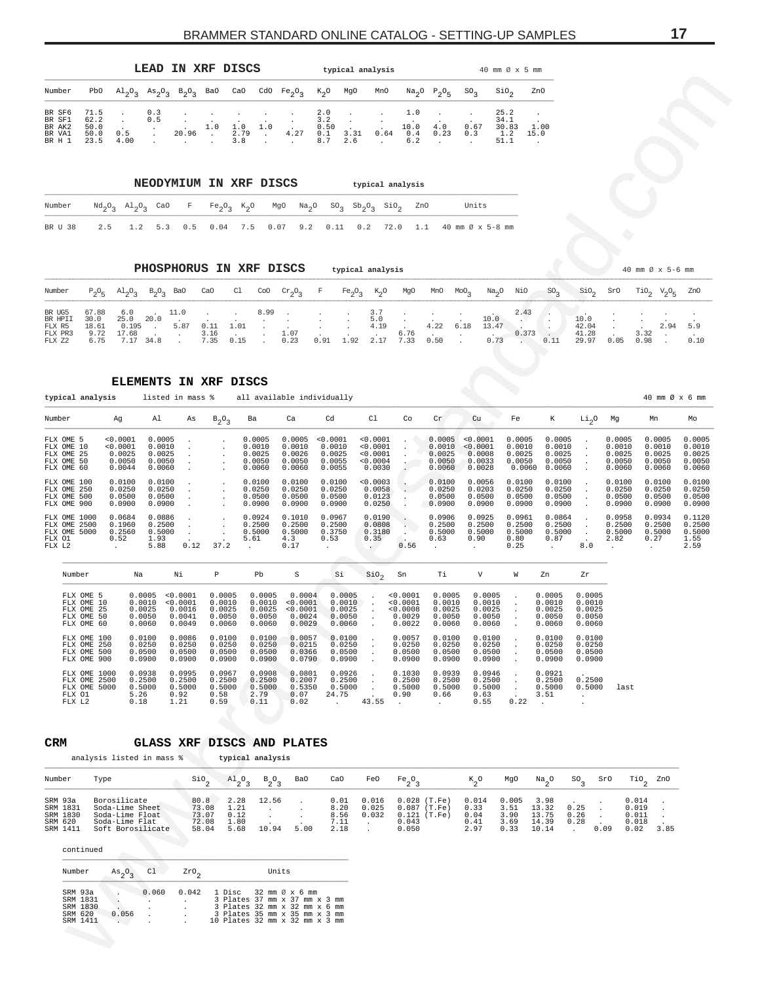<span id="page-16-0"></span>

|                                      |                              |      | LEAD IN XRF DISCS                                               |          |     |             |     |                                                            |                           |                       | typical analysis                          |                    |             |                 | 40 mm $\varnothing$ x 5 mm   |              |
|--------------------------------------|------------------------------|------|-----------------------------------------------------------------|----------|-----|-------------|-----|------------------------------------------------------------|---------------------------|-----------------------|-------------------------------------------|--------------------|-------------|-----------------|------------------------------|--------------|
| Number                               | PbO                          |      | $\mathrm{Al}_{2}\mathrm{O}_{2}$ $\mathrm{As}_{2}\mathrm{O}_{2}$ | $B_2O_2$ | Ba0 | CaO         |     | CdO $Fe_2O_2$                                              | $K_{\gamma}O$             | MgO                   | MnO                                       |                    | $Na2O5O5$   | SO <sub>2</sub> | SiO.                         | ZnO          |
| BR SF6<br>BR SF1<br>BR AK2<br>BR VA1 | 71.5<br>62.2<br>50.0<br>50.0 | 0.5  | 0.3<br>0.5                                                      | 20.96    | 1.0 | 1.0<br>2.79 | 1.0 | the contract of the contract of the con-<br>$\sim$<br>4.27 | 2.0<br>3.2<br>0.50<br>0.1 | $\sim$ $\sim$<br>3.31 | <b>Contract Contract Contract</b><br>0.64 | 1.0<br>10.0<br>0.4 | 4.0<br>0.23 | 0.67<br>0.3     | 25.2<br>34.1<br>30.83<br>1.2 | 1.00<br>15.0 |
| BR H 1                               | 23.5                         | 4.00 |                                                                 |          |     | 3.8         |     |                                                            | 8.7                       | 2.6                   |                                           | 6.2                |             |                 | 51.1                         |              |

|  |  |  |  |  |  | Number $\text{Nd}_2\text{O}_3$ $\text{Al}_2\text{O}_3$ CaO F Fe <sub>2</sub> O <sub>3</sub> K <sub>2</sub> O MgO Na <sub>2</sub> O SO <sub>3</sub> Sb <sub>2</sub> O <sub>3</sub> SiO <sub>2</sub> ZnO Units |
|--|--|--|--|--|--|--------------------------------------------------------------------------------------------------------------------------------------------------------------------------------------------------------------|
|  |  |  |  |  |  | BRU 38 2.5 1.2 5.3 0.5 0.04 7.5 0.07 9.2 0.11 0.2 72.0 1.1 40 mm Ø x 5-8 mm                                                                                                                                  |

| Number                                                                                                            |  |  |  |  |  |  |  |  | P <sub>2</sub> O <sub>5</sub> Al <sub>2</sub> O <sub>3</sub> B <sub>2</sub> O <sub>3</sub> BaO CaO Cl CoO Cr <sub>2</sub> O <sub>3</sub> F Fe <sub>2</sub> O <sub>3</sub> K <sub>2</sub> O MgO MnO MoO <sub>3</sub> Na <sub>2</sub> O NiO SO <sub>3</sub> SiO <sub>2</sub> SrO TiO <sub>2</sub> V <sub>2</sub> O <sub>5</sub> ZnO |        |  |  |
|-------------------------------------------------------------------------------------------------------------------|--|--|--|--|--|--|--|--|-----------------------------------------------------------------------------------------------------------------------------------------------------------------------------------------------------------------------------------------------------------------------------------------------------------------------------------|--------|--|--|
| BR UG5                                                                                                            |  |  |  |  |  |  |  |  | $67.88$ $6.0$ $11.0$ $11.0$ $8.99$ $11.0$ $11.0$ $11.0$ $11.0$ $11.0$ $11.0$ $11.0$ $11.0$ $11.0$ $11.0$ $11.0$ $11.0$ $11.0$ $11.0$ $11.0$ $11.0$ $11.0$ $11.0$ $11.0$ $11.0$ $11.0$ $11.0$ $11.0$ $11.0$ $11.0$ $11.0$ $11.$                                                                                                    |        |  |  |
| BR HPII 30.0 25.0 20.0 5.0 10.0 10.0<br>FLX R5 18.61 0.195 . 5.87 0.11 1.01 4.19 . 4.22 6.18 13.47 42.04 2.94 5.9 |  |  |  |  |  |  |  |  |                                                                                                                                                                                                                                                                                                                                   |        |  |  |
| FLX PR3 9.72 17.68 3.16 1.07 6.76 0.373 .                                                                         |  |  |  |  |  |  |  |  | 41.28                                                                                                                                                                                                                                                                                                                             | $3.32$ |  |  |
|                                                                                                                   |  |  |  |  |  |  |  |  | 29.97  0.05  0.98  .  0.10                                                                                                                                                                                                                                                                                                        |        |  |  |

|                  | Number                                                            | PbO                                                               |                                                                                           | $A1_2O_3$ $As_2O_3$                            | $B_2O_3$                                       | Ba0                                                                              | CaO                                                                                                                               | CdO $Fe_2O_3$                                  | $K_2$ O<br>MgO                                                    | MnO                                                                        | Na <sub>2</sub> O                                      | $P_2O_5$                                           | ${\rm SO}_3$                                   | $\sin_2$                                                    | ZnO                                                        |                                                                            |                                                |                                                                                     |                                                |
|------------------|-------------------------------------------------------------------|-------------------------------------------------------------------|-------------------------------------------------------------------------------------------|------------------------------------------------|------------------------------------------------|----------------------------------------------------------------------------------|-----------------------------------------------------------------------------------------------------------------------------------|------------------------------------------------|-------------------------------------------------------------------|----------------------------------------------------------------------------|--------------------------------------------------------|----------------------------------------------------|------------------------------------------------|-------------------------------------------------------------|------------------------------------------------------------|----------------------------------------------------------------------------|------------------------------------------------|-------------------------------------------------------------------------------------|------------------------------------------------|
|                  | BR SF6<br>BR SF1<br>BR AK2<br>BR VA1<br>BR H 1                    | 71.5<br>62.2<br>50.0<br>50.0<br>23.5                              | 0.5<br>4.00                                                                               | 0.3<br>0.5<br>$\cdot$                          | 20.96<br>$\sim$                                | 1.0<br>$\sim$                                                                    | 1.0<br>1.0<br>2.79<br>$\cdot$<br>3.8                                                                                              | 4.27<br>$\ddot{\phantom{a}}$                   | 2.0<br>3.2<br>$\cdot$<br>0.50<br>3.31<br>0.1<br>8.7<br>2.6        | 0.64<br>$\sim$                                                             | 1.0<br>10.0<br>0.4<br>6.2                              | 4.0<br>0.23                                        | $\cdot$<br>0.67<br>0.3<br>$\ddot{\phantom{a}}$ | 25.2<br>34.1<br>30.83<br>1.2<br>51.1                        | 1.00<br>15.0                                               |                                                                            |                                                |                                                                                     |                                                |
|                  |                                                                   |                                                                   |                                                                                           |                                                |                                                |                                                                                  | NEODYMIUM IN XRF DISCS                                                                                                            |                                                |                                                                   |                                                                            | typical analysis                                       |                                                    |                                                |                                                             |                                                            |                                                                            |                                                |                                                                                     |                                                |
|                  | Number                                                            |                                                                   | $^{Nd}2^03$ $^{Al}2^03$                                                                   | CaO                                            | F                                              | Fe <sub>2</sub> O <sub>3</sub>                                                   | $K_{2}O$                                                                                                                          | MgO<br>Na <sub>2</sub> O                       | SO <sub>3</sub>                                                   | $\mathrm{Sb}_{2}\mathrm{O}_{3}$                                            | $\sin \sigma$                                          | ZnO                                                | Units                                          |                                                             |                                                            |                                                                            |                                                |                                                                                     |                                                |
|                  | BR U 38                                                           | 2.5                                                               | 1.2                                                                                       | 5.3                                            | 0.5                                            | 0.04                                                                             | 7.5<br>0.07                                                                                                                       | 9.2                                            | 0.11                                                              | 0.2                                                                        | 72.0                                                   | 1.1                                                | 40 mm Ø x 5-8 mm                               |                                                             |                                                            |                                                                            |                                                |                                                                                     |                                                |
|                  |                                                                   |                                                                   |                                                                                           |                                                |                                                |                                                                                  |                                                                                                                                   |                                                |                                                                   |                                                                            |                                                        |                                                    |                                                |                                                             |                                                            |                                                                            |                                                |                                                                                     |                                                |
| Number           |                                                                   | $P_2O_5$                                                          | $A1_{2}O_{3}$                                                                             | $B_2O_3$ BaO                                   |                                                | CaO                                                                              | PHOSPHORUS IN XRF DISCS<br>C1<br>CoO                                                                                              | $cr_2O_3$                                      | typical analysis<br>$\mathbf F$<br>Fe <sub>2</sub> O <sub>3</sub> | $K_2$ <sup>O</sup>                                                         | MgO                                                    | MnO                                                | $MO_{2}$<br>Na <sub>2</sub> O                  | NiO                                                         | SO <sub>3</sub>                                            | SiO <sub>2</sub>                                                           | SrO                                            | 40 mm Ø x 5-6 mm<br>$\text{TiO}_2 \quad \text{V}_2\text{O}_5$                       | ZnO                                            |
| BR UG5<br>FLX Z2 | BR HPII<br>FLX R5<br>FLX PR3                                      | 67.88<br>30.0<br>18.61<br>9.72<br>6.75                            | 6.0<br>25.0<br>0.195<br>17.68<br>7.17 34.8                                                | 20.0<br>$\sim$                                 | 11.0<br>5.87<br>$\cdot$                        | $\cdot$<br>$\cdot$<br>1.01<br>0.11<br>3.16<br>$\sim$<br>7.35<br>0.15             | 8.99                                                                                                                              | $\cdot$<br>1.07<br>0.23                        | $\cdot$<br>$\cdot$<br>0.91<br>1.92                                | 3.7<br>5.0<br>4.19<br>2.17                                                 | $\cdot$<br>6.76<br>7.33                                | 4.22<br>0.50                                       | 10.0<br>6.18<br>13.47<br>$\cdot$<br>0.73       | 2.43<br>$\mathbf{A}$<br>0.373<br>$\sim$ $\sim$              | ٠.<br>0.11                                                 | 10.0<br>42.04<br>41.28<br>29.97                                            | $\cdot$<br>0.05                                | 2.94<br>3.32<br>0.98                                                                | 5.9<br>0.10                                    |
|                  |                                                                   |                                                                   |                                                                                           |                                                |                                                | <b>ELEMENTS IN XRF DISCS</b>                                                     |                                                                                                                                   |                                                |                                                                   |                                                                            |                                                        |                                                    |                                                |                                                             |                                                            |                                                                            |                                                |                                                                                     |                                                |
|                  | Number                                                            | typical analysis                                                  | Aq                                                                                        | listed in mass %<br>Al                         | As                                             | $B_2O_3$                                                                         | all available individually<br>Ba                                                                                                  | Ca                                             | Cd                                                                | Cl                                                                         | Co                                                     | Cr                                                 | Cu                                             | Fe                                                          | К                                                          | Li <sub>2</sub> O                                                          | Mg                                             | 40 mm Ø x 6 mm<br>Mn                                                                | Mo                                             |
|                  | FLX OME 5<br>FLX OME 10<br>FLX OME 25<br>FLX OME 50<br>FLX OME 60 |                                                                   | 0.0001<br>0.0001<br>0.0025<br>0.0050<br>0.0044                                            | 0.0005<br>0.0010<br>0.0025<br>0.0050<br>0.0060 | $\cdot$                                        |                                                                                  | 0.0005<br>0.0010<br>0.0025<br>0.0050<br>0.0060                                                                                    | 0.0005<br>0.0010<br>0.0026<br>0.0050<br>0.0060 | < 0.0001<br>0.0010<br>0.0025<br>0.0055<br>0.0055                  | 0.0001<br>0.0001<br>0.0001<br>0.0004<br>0.0030                             | $\cdot$<br>$\cdot$<br>$\ddot{\phantom{0}}$             | 0.0005<br>0.0010<br>0.0025<br>0.0050<br>0.0060     | 0.0001<br>0.0001<br>0.0008<br>0.0033<br>0.0028 | 0.0005<br>0.0010<br>0.0025<br>0.0050<br>0.0060              | 0.0005<br>0.0010<br>0.0025<br>0.0050<br>0.0060             | $\bullet$<br>$\blacksquare$<br>$\blacksquare$                              | 0.0005<br>0.0010<br>0.0025<br>0.0050<br>0.0060 | 0.0005<br>0.0010<br>0.0025<br>0.0050<br>0.0060                                      | 0.0005<br>0.0010<br>0.0025<br>0.0050<br>0.0060 |
|                  | FLX OME 100<br>FLX OME 250<br>FLX OME 500<br>FLX OME 900          |                                                                   | 0.0100<br>0.0250<br>0.0500<br>0.0900                                                      | 0.0100<br>0.0250<br>0.0500<br>0.0900           |                                                |                                                                                  | 0.0100<br>0.0250<br>0.0500<br>0.0900                                                                                              | 0.0100<br>0.0250<br>0.0500<br>0.0900           | 0.0100<br>0.0250<br>0.0500<br>0.0900                              | 0.0003<br>0.0058<br>0.0123<br>0.0250                                       | $\bullet$ .<br>$\cdot$                                 | 0.0100<br>0.0250<br>0.0500<br>0.0900               | 0.0056<br>0.0203<br>0.0500<br>0.0900           | 0.0100<br>0.0250<br>0.0500<br>0.0900                        | 0.0100<br>0.0250<br>0.0500<br>0.0900                       | $\blacksquare$                                                             | 0.0100<br>0.0250<br>0.0500<br>0.0900           | 0.0100<br>0.0250<br>0.0500<br>0.0900                                                | 0.0100<br>0.0250<br>0.0500<br>0.0900           |
|                  | FLX OME 1000<br>FLX OME 2500<br>FLX OME 5000<br>FLX 01<br>FLX L2  |                                                                   | 0.0684<br>0.1960<br>0.2560<br>0.52                                                        | 0.0886<br>0.2500<br>0.5000<br>1.93<br>5.88     | $\cdot$<br>$\sim$<br>0.12                      | $\cdot$<br>$\cdot$<br>37.2                                                       | 0.0924<br>0.2500<br>0.5000<br>5.61                                                                                                | 0.1010<br>0.2500<br>0.5000<br>4.3<br>0.17      | 0.0967<br>0.2500<br>0.3750<br>0.53                                | 0.0190<br>0.0808<br>0.3180<br>0.35                                         | $\cdot$<br>$\mathbf{L}_{\mathbf{L}}$<br>$\sim$<br>0.56 | 0.0906<br>0.2500<br>0.5000<br>0.63                 | 0.0925<br>0.2500<br>0.5000<br>0.90             | 0.0961<br>0.2500<br>0.5000<br>0.80<br>0.25                  | 0.0864<br>0.2500<br>0.5000<br>0.87                         | $\sim$<br>$\sim$<br>8.0                                                    | 0.0958<br>0.2500<br>0.5000<br>2.82             | 0.0934<br>0.2500<br>0.5000<br>0.27                                                  | 0.1120<br>0.2500<br>0.5000<br>1.55<br>2.59     |
|                  | Number                                                            |                                                                   | Na                                                                                        |                                                | Νi                                             | Р                                                                                | Pb                                                                                                                                | S                                              | Si                                                                | $\sin \theta_2$                                                            | Sn                                                     | Тi                                                 | V                                              | W                                                           | Zn                                                         | Zr                                                                         |                                                |                                                                                     |                                                |
|                  |                                                                   | FLX OME 5<br>FLX OME 10<br>FLX OME 25<br>FLX OME 50<br>FLX OME 60 |                                                                                           | 0.0005<br>0.0010<br>0.0025<br>0.0050<br>0.0060 | 0.0001<br>0.0001<br>0.0016<br>0.0041<br>0.0049 | 0.0005<br>0.0010<br>0.0025<br>0.0050<br>0.0060                                   | 0.0005<br>0.0010<br>0.0025<br>0.0050<br>0.0060                                                                                    | 0.0004<br>0.0001<br>0.0001<br>0.0024<br>0.0029 | 0.0005<br>0.0010<br>0.0025<br>0.0050<br>0.0060                    | $\cdot$<br>$\cdot$                                                         | 0.0001<br>< 0.0001<br>0.0008<br>0.0029<br>0.0022       | 0.0005<br>0.0010<br>0.0025<br>0.0050<br>0.0060     | 0.0005<br>0.0010<br>0.0025<br>0.0050<br>0.0060 | $\cdot$<br>$\bullet$<br>$\cdot$                             | 0.0005<br>0.0010<br>0.0025<br>0.0050<br>0.0060             | 0.0005<br>0.0010<br>0.0025<br>0.0050<br>0.0060                             |                                                |                                                                                     |                                                |
|                  |                                                                   | FLX OME 100<br>FLX OME 250<br>FLX OME 500<br>FLX OME 900          |                                                                                           | 0.0100<br>0.0250<br>0.0500<br>0.0900           | 0.0086<br>0.0250<br>0.0500<br>0.0900           | 0.0100<br>0.0250<br>0.0500<br>0.0900                                             | 0.0100<br>0.0250<br>0.0500<br>0.0900                                                                                              | 0.0057<br>0.0215<br>0.0366<br>0.0790           | 0.0100<br>0.0250<br>0.0500<br>0.0900                              | $\cdot$                                                                    | 0.0057<br>0.0250<br>0.0500<br>0.0900                   | 0.0100<br>0.0250<br>0.0500<br>0.0900               | 0.0100<br>0.0250<br>0.0500<br>0.0900           | $\cdot$<br>$\cdot$<br>$\bullet$                             | 0.0100<br>0.0250<br>0.0500<br>0.0900                       | 0.0100<br>0.0250<br>0.0500<br>0.0900                                       |                                                |                                                                                     |                                                |
|                  | FLX 01<br>FLX L2                                                  | FLX OME 1000<br>FLX OME 2500<br>FLX OME 5000                      | 5.26<br>0.18                                                                              | 0.0938<br>0.2500<br>0.5000                     | 0.0995<br>0.2500<br>0.5000<br>0.92<br>1.21     | 0.0967<br>0.2500<br>0.5000<br>0.58<br>0.59                                       | 0.0908<br>0.2500<br>0.5000<br>2.79<br>0.11                                                                                        | 0.0801<br>0.2007<br>0.5350<br>0.07<br>0.02     | 0.0926<br>0.2500<br>0.5000<br>24.75<br>$\ddot{\phantom{a}}$       | $\cdot$<br>$\ddot{\phantom{1}}$<br>$\sim$<br>$\ddot{\phantom{0}}$<br>43.55 | 0.1030<br>0.2500<br>0.5000<br>0.90<br>$\sim$           | 0.0939<br>0.2500<br>0.5000<br>0.66<br>$\sim$ $-$   | 0.0946<br>0.2500<br>0.5000<br>0.63<br>0.55     | $\cdot$<br>$\sim$<br>$\sim$<br>$\ddot{\phantom{a}}$<br>0.22 | 0.0921<br>0.2500<br>0.5000<br>3.51<br>$\ddot{\phantom{a}}$ | 0.2500<br>0.5000<br>$\ddot{\phantom{1}}$<br>$\ddot{\phantom{a}}$           | last                                           |                                                                                     |                                                |
| CRM              |                                                                   |                                                                   | analysis listed in mass %                                                                 |                                                |                                                |                                                                                  | GLASS XRF DISCS AND PLATES<br>typical analysis                                                                                    |                                                |                                                                   |                                                                            |                                                        |                                                    |                                                |                                                             |                                                            |                                                                            |                                                |                                                                                     |                                                |
|                  | Number                                                            | Type                                                              |                                                                                           |                                                |                                                | $\operatorname{SiO}_2$                                                           | $A1_{2}O_3$<br>$B_2O_3$                                                                                                           | Ba0                                            | CaO                                                               | FeO                                                                        | Fe <sub>2</sub> O <sub>3</sub>                         |                                                    | $K_{2}O$                                       | MgO                                                         | $Na_{2}$ <sup>O</sup>                                      | $SO_{\mathcal{R}}$                                                         | SrO                                            | $\mathcal{T}$ <sub>10</sub><br>ZnO                                                  |                                                |
|                  | SRM 93a<br>SRM 1831<br>SRM 1830<br>SRM 620<br>SRM 1411            |                                                                   | Borosilicate<br>Soda-Lime Sheet<br>Soda-Lime Float<br>Soda-Lime Flat<br>Soft Borosilicate |                                                |                                                | 80.8<br>2.28<br>73.08<br>1.21<br>73.07<br>0.12<br>72.08<br>1.80<br>58.04<br>5.68 | 12.56<br>$\cdot$<br>$\cdot$<br>$\ddot{\phantom{a}}$<br>10.94                                                                      | $\cdot$<br>$\cdot$<br>5.00                     | 0.01<br>8.20<br>8.56<br>7.11<br>2.18                              | 0.016<br>0.025<br>0.032<br>$\sim$                                          | 0.043<br>0.050                                         | $0.028$ (T.Fe)<br>$0.087$ (T.Fe)<br>$0.121$ (T.Fe) | 0.014<br>0.33<br>0.04<br>0.41<br>2.97          | 0.005<br>3.51<br>3.90<br>3.69<br>0.33                       | 3.98<br>13.32<br>13.75<br>14.39<br>10.14                   | 0.25<br>$\cdot$<br>0.26<br>$\cdot$<br>0.28<br>0.09<br>$\ddot{\phantom{a}}$ |                                                | 0.014<br>0.019<br>$\ddot{\phantom{a}}$<br>0.011<br>$\cdot$<br>0.018<br>0.02<br>3.85 |                                                |
|                  |                                                                   | continued                                                         |                                                                                           |                                                |                                                |                                                                                  |                                                                                                                                   |                                                |                                                                   |                                                                            |                                                        |                                                    |                                                |                                                             |                                                            |                                                                            |                                                |                                                                                     |                                                |
|                  | Number                                                            |                                                                   | $As$ <sub>2</sub> <sup>O</sup> <sub>3</sub>                                               | C1                                             | ZrO                                            |                                                                                  |                                                                                                                                   | Units                                          |                                                                   |                                                                            |                                                        |                                                    |                                                |                                                             |                                                            |                                                                            |                                                |                                                                                     |                                                |
|                  | SRM 93a<br>SRM 620                                                | SRM 1831<br>SRM 1830<br>SRM 1411                                  | $\cdot$<br>Ĭ,<br>0.056<br>$\mathcal{L} \subset \mathcal{L}$                               | 0.060<br>$\cdot$<br>$\ddot{\phantom{a}}$       | 0.042<br>$\cdot$                               | 1 Disc                                                                           | 3 Plates 37 mm x 37 mm x 3 mm<br>3 Plates 32 mm x 32 mm x 6 mm<br>3 Plates 35 mm x 35 mm x 3 mm<br>10 Plates 32 mm x 32 mm x 3 mm | 32 mm Ø x 6 mm                                 |                                                                   |                                                                            |                                                        |                                                    |                                                |                                                             |                                                            |                                                                            |                                                |                                                                                     |                                                |

#### **CRM GLASS XRF DISCS AND PLATES**

| Number                                                 | Type                                                                                      | SiO,                                     | $A1_{2}0_{2}$                        | $B_{2}O_{2}$   | BaO  | CaO                            | FeO                          | Fe <sub>2</sub> O <sub>2</sub>                                       | $K_{\alpha}O$                         | MgO                           | Na O                                               |              | $SO_2$ SrO | TiO <sub>2</sub> ZnO                     |      |
|--------------------------------------------------------|-------------------------------------------------------------------------------------------|------------------------------------------|--------------------------------------|----------------|------|--------------------------------|------------------------------|----------------------------------------------------------------------|---------------------------------------|-------------------------------|----------------------------------------------------|--------------|------------|------------------------------------------|------|
| SRM 93a<br>SRM 1831<br>SRM 1830<br>SRM 620<br>SRM 1411 | Borosilicate<br>Soda-Lime Sheet<br>Soda-Lime Float<br>Soda-Lime Flat<br>Soft Borosilicate | 80.8<br>73.08<br>73.07<br>72.08<br>58.04 | 2.28<br>1.21<br>0.12<br>1.80<br>5.68 | 12.56<br>10.94 | 5.00 | 0.01<br>8.20<br>7.11 .<br>2.18 | 0.016<br>0.025<br>8.56 0.032 | $0.028$ (T.Fe)<br>$0.087$ (T.Fe)<br>$0.121$ (T.Fe)<br>0.043<br>0.050 | 0.014<br>0.33<br>0.04<br>0.41<br>2.97 | 0.005<br>3.90<br>3.69<br>0.33 | 3.98<br>3.51 13.32 0.25<br>13.75<br>14.39<br>10.14 | 0.26<br>0.28 | 0.09       | 0.014<br>0.019<br>0.011<br>0.018<br>0.02 | 3.85 |

| Number   | As O  | C1    | ZrO   |                                | Units |  |  |  |
|----------|-------|-------|-------|--------------------------------|-------|--|--|--|
| SRM 93a  |       | 0.060 | 0.042 | 1 Disc 32 mm Ø x 6 mm          |       |  |  |  |
| SRM 1831 |       |       |       | 3 Plates 37 mm x 37 mm x 3 mm  |       |  |  |  |
| SRM 1830 |       |       |       | 3 Plates 32 mm x 32 mm x 6 mm  |       |  |  |  |
| SRM 620  | 0.056 |       |       | 3 Plates 35 mm x 35 mm x 3 mm  |       |  |  |  |
| SRM 1411 |       |       |       | 10 Plates 32 mm x 32 mm x 3 mm |       |  |  |  |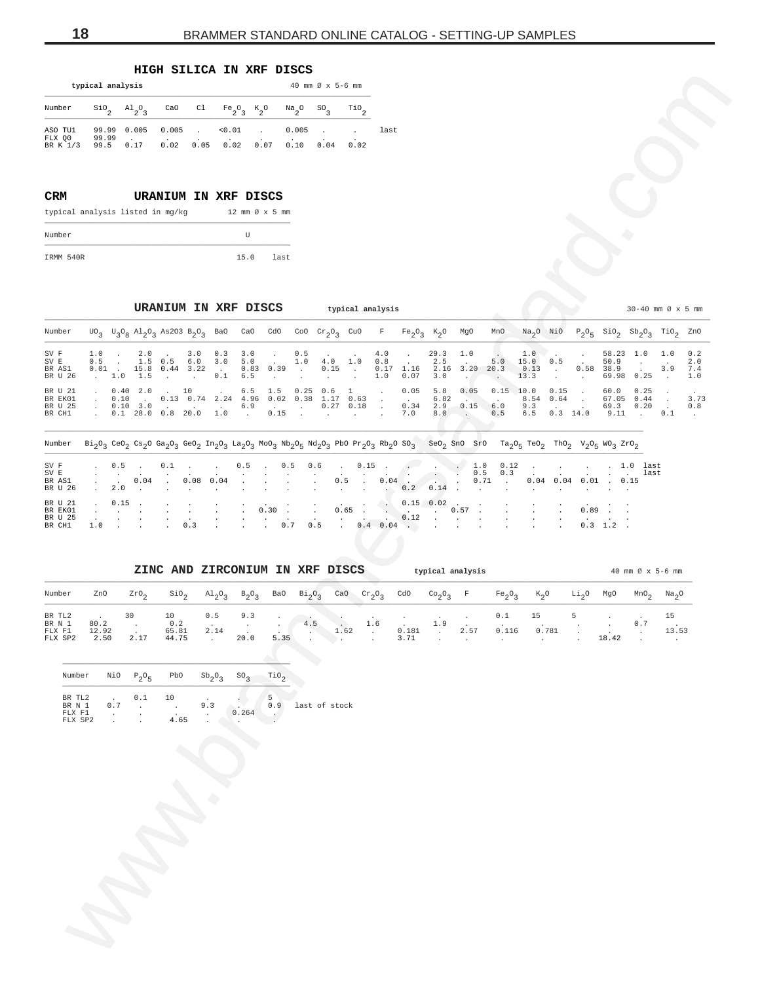## **HIGH SILICA IN XRF DISCS**

|                               | typical analysis       |               |                          |      |                                                                                                                                                                                                 |      |               | 40 mm $\varnothing$ x 5-6 mm |                  |      |
|-------------------------------|------------------------|---------------|--------------------------|------|-------------------------------------------------------------------------------------------------------------------------------------------------------------------------------------------------|------|---------------|------------------------------|------------------|------|
| Number                        |                        |               |                          |      | $\sin \theta_2$ al <sub>2</sub> <sup>0</sup> <sub>3</sub> CaO Cl Fe <sub>2</sub> <sup>0</sup> <sub>3</sub> K <sub>2</sub> <sup>0</sup> Na <sub>2</sub> <sup>0</sup> S <sup>0</sup> <sub>3</sub> |      |               |                              | TiO <sub>o</sub> |      |
| ASO TU1<br>FLX 00<br>BR K 1/3 | 99.99<br>99.99<br>99.5 | 0.005<br>0.17 | 0.005<br>$\cdot$<br>0.02 | 0.05 | < 0.01<br>0.02                                                                                                                                                                                  | 0.07 | 0.005<br>0.10 | 0.04                         | 0.02             | last |

## **CRM URANIUM IN XRF DISCS** typical analysis listed in mg/kg  $12 \text{ mm } \emptyset \times 5 \text{ mm}$ Number U

#### **URANIUM IN XRF DISCS typical analysis by a set of the set of the set of the set of the set of the set of the set of the set of the set of the set of the set of the set of the set of the set of the set of the set of th**

<span id="page-17-0"></span>

|                                         |                                    | typical analysis                                                           |                             |                                                                                                                                                                                                                                                                                                                                                                                                                     |                                 |                                            | 40 mm Ø x 5-6 mm                                          |                                                       |                               |                                               |                                     |                               |                                            |                                                                                                                       |                                      |                              |                                    |                                                                           |                   |                          |
|-----------------------------------------|------------------------------------|----------------------------------------------------------------------------|-----------------------------|---------------------------------------------------------------------------------------------------------------------------------------------------------------------------------------------------------------------------------------------------------------------------------------------------------------------------------------------------------------------------------------------------------------------|---------------------------------|--------------------------------------------|-----------------------------------------------------------|-------------------------------------------------------|-------------------------------|-----------------------------------------------|-------------------------------------|-------------------------------|--------------------------------------------|-----------------------------------------------------------------------------------------------------------------------|--------------------------------------|------------------------------|------------------------------------|---------------------------------------------------------------------------|-------------------|--------------------------|
| Number                                  | $\mathop{\mathsf{Si0}}\nolimits_2$ | $A1_{2}O_3$                                                                | CaO                         | C1                                                                                                                                                                                                                                                                                                                                                                                                                  | $Fe_2O_3$                       | $K_2^o$<br>$Na_{2}O$                       | $^{SO}$ <sub>3</sub>                                      | $\mathbb{T}^{i0}$ <sub>2</sub>                        |                               |                                               |                                     |                               |                                            |                                                                                                                       |                                      |                              |                                    |                                                                           |                   |                          |
| ASO TU1<br>FLX Q0<br>BR K 1/3           | 99.99<br>99.99<br>99.5             | 0.005<br>0.17                                                              | 0.005<br>0.02               | 0.05                                                                                                                                                                                                                                                                                                                                                                                                                | 0.01<br>0.02                    | 0.07                                       | 0.005<br>0.10<br>0.04                                     | $\cdot$<br>0.02                                       | last                          |                                               |                                     |                               |                                            |                                                                                                                       |                                      |                              |                                    |                                                                           |                   |                          |
| <b>CRM</b>                              |                                    | typical analysis listed in mg/kg                                           |                             | URANIUM IN XRF DISCS                                                                                                                                                                                                                                                                                                                                                                                                |                                 | 12 mm Ø x 5 mm                             |                                                           |                                                       |                               |                                               |                                     |                               |                                            |                                                                                                                       |                                      |                              |                                    |                                                                           |                   |                          |
| Number                                  |                                    |                                                                            |                             |                                                                                                                                                                                                                                                                                                                                                                                                                     | $\mathbf U$                     |                                            |                                                           |                                                       |                               |                                               |                                     |                               |                                            |                                                                                                                       |                                      |                              |                                    |                                                                           |                   |                          |
| IRMM 540R                               |                                    |                                                                            |                             |                                                                                                                                                                                                                                                                                                                                                                                                                     | 15.0                            | last                                       |                                                           |                                                       |                               |                                               |                                     |                               |                                            |                                                                                                                       |                                      |                              |                                    |                                                                           |                   |                          |
|                                         |                                    |                                                                            |                             | URANIUM IN XRF DISCS                                                                                                                                                                                                                                                                                                                                                                                                |                                 |                                            |                                                           | typical analysis                                      |                               |                                               |                                     |                               |                                            |                                                                                                                       |                                      |                              |                                    | $30-40$ mm $\varnothing \times 5$ mm                                      |                   |                          |
| Number                                  |                                    |                                                                            |                             | $\sigma_3$ $\sigma_3$ $\sigma_8$ Al <sub>2</sub> O <sub>3</sub> As2O3 B <sub>2</sub> O <sub>3</sub> BaO                                                                                                                                                                                                                                                                                                             | CaO                             | CdO                                        | Coo $cr_2O_3$ CuO                                         |                                                       | F                             |                                               | $Fe_2O_3$ K <sub>2</sub> O          | MgO                           | MnO                                        | $Na2O$ NiO                                                                                                            |                                      |                              |                                    | $P_2O_5$ SiO <sub>2</sub> Sb <sub>2</sub> O <sub>3</sub> TiO <sub>2</sub> |                   | ZnO                      |
| SV F<br>SV E<br>BR AS1<br>BR U 26       | 1.0<br>0.5<br>0.01                 | 2.0<br>$\cdot$<br>1.5<br>$\sim$<br>15.8<br>$\sim$ 100 $\sim$<br>1.5<br>1.0 | 0.5<br>$0.44$ 3.22          | 3.0<br>0.3<br>6.0<br>3.0<br>$\sim$<br>0.1<br>$\ddot{\phantom{a}}$                                                                                                                                                                                                                                                                                                                                                   | 3.0<br>5.0<br>6.5               | $0.83$ 0.39<br>$\sim$                      | 0.5<br>1.0<br>$\cdot$<br>$\cdot$                          | 4.0<br>1.0<br>0.15<br>$\sim$                          | 4.0<br>0.8<br>0.17<br>1.0     | 1.16<br>0.07                                  | 29.3<br>2.5<br>2.16<br>3.0          | 1.0<br>3.20<br>$\cdot$        | 5.0<br>20.3<br>$\sim$                      | 1.0<br>15.0<br>0.13<br>13.3                                                                                           | 0.5<br>$\sim$                        | 0.58<br>$\ddot{\phantom{a}}$ | 58.23 1.0<br>50.9<br>38.9<br>69.98 | 0.25                                                                      | 1.0<br>3.9        | 0.2<br>2.0<br>7.4<br>1.0 |
| BR U 21<br>BR EK01<br>BR U 25<br>BR CH1 |                                    | 0.40 2.0<br>0.10<br>$\sim$<br>0.10 3.0<br>$0.1$ 28.0 0.8 20.0              | 10                          | $0.13$ $0.74$ 2.24<br>$\sim$<br>$\overline{\phantom{a}}$<br>1.0                                                                                                                                                                                                                                                                                                                                                     | 6.5<br>4.96<br>6.9<br>$\sim 10$ | 1.5<br>$0.02 \quad 0.38$<br>$\sim$<br>0.15 | 0.25<br>0.6<br>$\cdot$<br>$\cdot$<br>$\ddot{\phantom{a}}$ | $\mathbf{1}$<br>1.17 0.63<br>$0.27$ $0.18$<br>$\cdot$ | $\cdot$<br>$\cdot$<br>$\cdot$ | 0.05<br>0.34<br>7.0                           | 5.8<br>6.82<br>2.9<br>8.0           | 0.05<br>0.15<br>$\sim$ $\sim$ | $0.15 \quad 10.0$<br>$\cdot$<br>6.0<br>0.5 | 8.54<br>9.3<br>6.5                                                                                                    | 0.15<br>0.64<br>$\sim$<br>$0.3$ 14.0 | $\cdot$<br>$\cdot$           | 60.0<br>69.3<br>9.11               | 0.25<br>67.05 0.44<br>0.20<br><b>Contractor</b>                           | 0.1               | 3.73<br>0.8<br>$\cdot$   |
| Number                                  |                                    |                                                                            |                             | $\mathrm{Bi_{2}O_{3}}\;\,\mathrm{CeO_{2}}\;\,\mathrm{Cs_{2}O}\;\,\mathrm{Ga_{2}O_{3}}\;\,\mathrm{GeO_{2}}\;\,\mathrm{In_{2}O_{3}}\;\,\mathrm{La_{2}O_{3}}\;\,\mathrm{Mo_{3}}\;\,\mathrm{Nb_{2}O_{5}}\;\,\mathrm{Nd_{2}O_{3}}\;\,\mathrm{Pbo}\;\,\mathrm{Pr_{2}O_{3}}\;\,\mathrm{Rb_{2}O}\;\,\mathrm{SO_{3}}\qquad \mathrm{SeO_{2}}\;\,\mathrm{SnO}\quad \mathrm{SrO}$                                               |                                 |                                            |                                                           |                                                       |                               |                                               |                                     |                               |                                            | $\text{ra}_2\text{o}_5 \text{ TeO}_2$ ThO <sub>2</sub> V <sub>2</sub> O <sub>5</sub> WO <sub>3</sub> ZrO <sub>2</sub> |                                      |                              |                                    |                                                                           |                   |                          |
| SV F<br>SV E<br>BR AS1<br>BR U 26       |                                    | 0.5<br>0.04<br>2.0                                                         | 0.1                         | 0.08<br>0.04                                                                                                                                                                                                                                                                                                                                                                                                        | 0.5                             | 0.5                                        | 0.6                                                       | 0.5                                                   | 0.15<br>0.04<br>$\sim$        | $\sim$ $ \sim$<br>Ø,<br>$\overline{a}$<br>0.2 | $\cdot$<br>0.14                     | 1.0<br>0.5<br>0.71            | 0.12<br>0.3<br>$\sim$                      |                                                                                                                       | $0.04$ 0.04                          | 0.01                         | $\ddot{\phantom{0}}$               | $1.0$ last<br>last<br>0.15<br>$\cdot$                                     |                   |                          |
| BR U 21<br>BR EK01<br>BR U 25<br>BR CH1 | 1.0                                | 0.15                                                                       |                             | 0.3                                                                                                                                                                                                                                                                                                                                                                                                                 |                                 | 0.30<br>0.7                                | 0.5                                                       | 0.65<br>$\cdot$                                       | $\cdot$<br>0.4 0.04           | 0.12<br>$\sim$ $\sim$                         | $0.15 \quad 0.02$<br>$\sim 10^{-1}$ | 0.57                          |                                            |                                                                                                                       |                                      | 0.89                         | $0.3 \quad 1.2$                    |                                                                           |                   |                          |
|                                         |                                    |                                                                            |                             | ZINC AND ZIRCONIUM IN XRF DISCS                                                                                                                                                                                                                                                                                                                                                                                     |                                 |                                            |                                                           |                                                       |                               |                                               |                                     | typical analysis              |                                            |                                                                                                                       |                                      |                              |                                    | 40 mm Ø x 5-6 mm                                                          |                   |                          |
| Number                                  | ZnO                                | ZrO <sub>2</sub>                                                           | $\text{SiO}_2$              | $A1_2O_3$                                                                                                                                                                                                                                                                                                                                                                                                           | $B_2O_3$                        | BaO                                        | $Bi_2O_3$                                                 | CaO                                                   | $\mathrm{cr}_2\mathrm{O}_3$   | cdo                                           | CO <sub>2</sub> O <sub>3</sub>      | F                             | Fe <sub>2</sub> O <sub>3</sub>             | $K_2$ <sup>O</sup>                                                                                                    |                                      | Li <sub>2</sub>              | MgO                                | MnO <sub>2</sub>                                                          | Na <sub>2</sub> O |                          |
| BR TL2<br>BR N 1                        | 80.2                               | 30                                                                         | 10<br>0.2                   | 0.5<br>${\tt FLX~F1} \qquad \qquad 12.92 \qquad . \qquad \qquad 65.81 \qquad \qquad 2.14 \qquad . \qquad . \qquad \qquad 1.62 \qquad . \qquad \qquad 0.181 \qquad . \qquad \qquad 2.57 \qquad \qquad 0.116 \qquad \qquad 0.781 \qquad . \qquad \qquad . \qquad \qquad . \qquad \qquad 13.53$ ${\tt FLX~SP2} \qquad \qquad 2.50 \qquad \qquad 2.17 \qquad \qquad 44.75 \qquad . \qquad \qquad 20.0 \qquad \qquad 5.$ | 9.3                             |                                            | 4.5                                                       |                                                       | 1.6                           |                                               | 1.9                                 |                               | 0.1                                        | 15                                                                                                                    | 5                                    |                              |                                    | 0.7                                                                       | 15                |                          |
| Number                                  |                                    | NiO $P_2O_5$                                                               | PbO                         |                                                                                                                                                                                                                                                                                                                                                                                                                     | $Sb_2O_3$ $SO_3$                | TiO <sub>2</sub>                           |                                                           |                                                       |                               |                                               |                                     |                               |                                            |                                                                                                                       |                                      |                              |                                    |                                                                           |                   |                          |
| BR TL2<br>BR N 1<br>FLX F1<br>FLX SP2   |                                    | 0.1<br><b>Contractor</b><br>$0.7$ .<br>$\sim 10^{-1}$<br><b>Carl Corp.</b> | 10<br>$\sim$ $\sim$<br>4.65 | 9.3<br>$\sim$                                                                                                                                                                                                                                                                                                                                                                                                       | $\Delta$<br>0.264               | 5 <sup>1</sup><br>$\sim$ $\sim$ $\sim$     | 0.9 last of stock                                         |                                                       |                               |                                               |                                     |                               |                                            |                                                                                                                       |                                      |                              |                                    |                                                                           |                   |                          |
|                                         |                                    |                                                                            |                             |                                                                                                                                                                                                                                                                                                                                                                                                                     |                                 |                                            |                                                           |                                                       |                               |                                               |                                     |                               |                                            |                                                                                                                       |                                      |                              |                                    |                                                                           |                   |                          |
|                                         |                                    |                                                                            |                             |                                                                                                                                                                                                                                                                                                                                                                                                                     |                                 |                                            |                                                           |                                                       |                               |                                               |                                     |                               |                                            |                                                                                                                       |                                      |                              |                                    |                                                                           |                   |                          |
|                                         |                                    |                                                                            |                             |                                                                                                                                                                                                                                                                                                                                                                                                                     |                                 |                                            |                                                           |                                                       |                               |                                               |                                     |                               |                                            |                                                                                                                       |                                      |                              |                                    |                                                                           |                   |                          |
|                                         |                                    |                                                                            |                             |                                                                                                                                                                                                                                                                                                                                                                                                                     |                                 |                                            |                                                           |                                                       |                               |                                               |                                     |                               |                                            |                                                                                                                       |                                      |                              |                                    |                                                                           |                   |                          |
|                                         |                                    |                                                                            |                             |                                                                                                                                                                                                                                                                                                                                                                                                                     |                                 |                                            |                                                           |                                                       |                               |                                               |                                     |                               |                                            |                                                                                                                       |                                      |                              |                                    |                                                                           |                   |                          |

| Number                                  | $Bi_2O_3$ CeO <sub>2</sub> Cs <sub>2</sub> O Ga <sub>2</sub> O <sub>3</sub> GeO <sub>2</sub> In <sub>2</sub> O <sub>3</sub> La <sub>2</sub> O <sub>3</sub> MoO <sub>3</sub> Nb <sub>2</sub> O <sub>5</sub> Nd <sub>2</sub> O <sub>3</sub> Pb0 Pr <sub>2</sub> O <sub>3</sub> Rb <sub>2</sub> O SO <sub>3</sub> SeO <sub>2</sub> SnO SrO |                              |        |     |                                     |  |                                             |                                                                                                                                                      |  |                                                      |                                   |              | $Ta_{2}O_{E}$ TeO <sub>2</sub>                     |                                           | ThO <sub>2</sub> $V_2O_F$ WO <sub>2</sub> $ZrO_2$                                                                                                                                                                                                         |                         |  |  |
|-----------------------------------------|-----------------------------------------------------------------------------------------------------------------------------------------------------------------------------------------------------------------------------------------------------------------------------------------------------------------------------------------|------------------------------|--------|-----|-------------------------------------|--|---------------------------------------------|------------------------------------------------------------------------------------------------------------------------------------------------------|--|------------------------------------------------------|-----------------------------------|--------------|----------------------------------------------------|-------------------------------------------|-----------------------------------------------------------------------------------------------------------------------------------------------------------------------------------------------------------------------------------------------------------|-------------------------|--|--|
| SV F<br>SV E<br>BR AS1<br>BR U 26       |                                                                                                                                                                                                                                                                                                                                         |                              |        |     |                                     |  |                                             | the contract of the contract of the contract of the contract of the contract of the contract of the contract of<br>$\blacksquare$ . 0.04 . 0.08 0.04 |  |                                                      | $0.5$ 0.04 . 0.71 .               | $0.5 \t 0.3$ | . 0.5 . 0.1 0.5 . 0.5 0.6 . 0.15 1.0 0.12 1.0 last |                                           | and the contract of the contract of the contract of the contract of the contract of the contract of the contract of the contract of the contract of the contract of the contract of the contract of the contract of the contra<br>$0.04$ 0.04 0.01 . 0.15 |                         |  |  |
| BR U 21<br>BR EK01<br>BR U 25<br>BR CH1 | $\sim$<br>1.0                                                                                                                                                                                                                                                                                                                           | and the contract of the con- | $\sim$ | 0.3 | the contract of the contract of the |  | $0.30$<br>the common contract of the common | $0.15$ 0.15 0.02                                                                                                                                     |  | $\cdot$ $\cdot$ $\cdot$ $\cdot$ $\cdot$ $\cdot$ 0.12 | the company's company's company's |              | . 0.7 0.5 . 0.4 0.04                               | <b>Contract Contract</b><br>$\sim$ $\sim$ | the contract of the contract of the contract of the contract of the contract of<br><b>Contract Contract</b><br>$\sim$                                                                                                                                     | $0.89$<br>$0.3 \t1.2$ . |  |  |

| ZINC AND ZIRCONIUM IN XRF DISCS | typical analysis | 40 mm $\varnothing$ x 5-6 mm |
|---------------------------------|------------------|------------------------------|
|---------------------------------|------------------|------------------------------|

| Number                                                                                                                                                   | ZnO  |      | ZrO <sub>2</sub> SiO <sub>2</sub> Al <sub>2</sub> O <sub>3</sub> B <sub>2</sub> O <sub>3</sub> BaO Bi <sub>2</sub> O <sub>3</sub> CaO Cr <sub>2</sub> O <sub>3</sub> CdO Co <sub>2</sub> O <sub>3</sub> F Fe <sub>2</sub> O <sub>3</sub> K <sub>2</sub> O Li <sub>2</sub> O MgO MnO <sub>2</sub> Na <sub>2</sub> O |  |  |  |  |  |  |  |  |
|----------------------------------------------------------------------------------------------------------------------------------------------------------|------|------|--------------------------------------------------------------------------------------------------------------------------------------------------------------------------------------------------------------------------------------------------------------------------------------------------------------------|--|--|--|--|--|--|--|--|
| BRTL2 . 30 10 0.5 9.3 0.1 15 5 15<br>BRN1 80.2 . 0.2 4.5 . 1.6 . 1.9 0.7 .<br>FLX F1 12.92 . 65.81 2.14 1.62 . 0.181 . 2.57 0.116 0.781 13.53<br>FLX SP2 | 2.50 | 2.17 | $44.75$ . 20.0 5.35 3.71 18.42                                                                                                                                                                                                                                                                                     |  |  |  |  |  |  |  |  |

| Number            |     |             | NiO $P_2O_E$ PbO $Sb_2O_2$ SO <sub>2</sub> |                |       | TiO <sub>0</sub> |               |
|-------------------|-----|-------------|--------------------------------------------|----------------|-------|------------------|---------------|
| BR TL2<br>BR N 1  | 0.7 | . 0.1       | 10                                         | 9.3            |       | 0.9              | last of stock |
| FLX F1<br>FLX SP2 |     | ٠<br>$\sim$ | 4.65                                       | $\blacksquare$ | 0.264 |                  |               |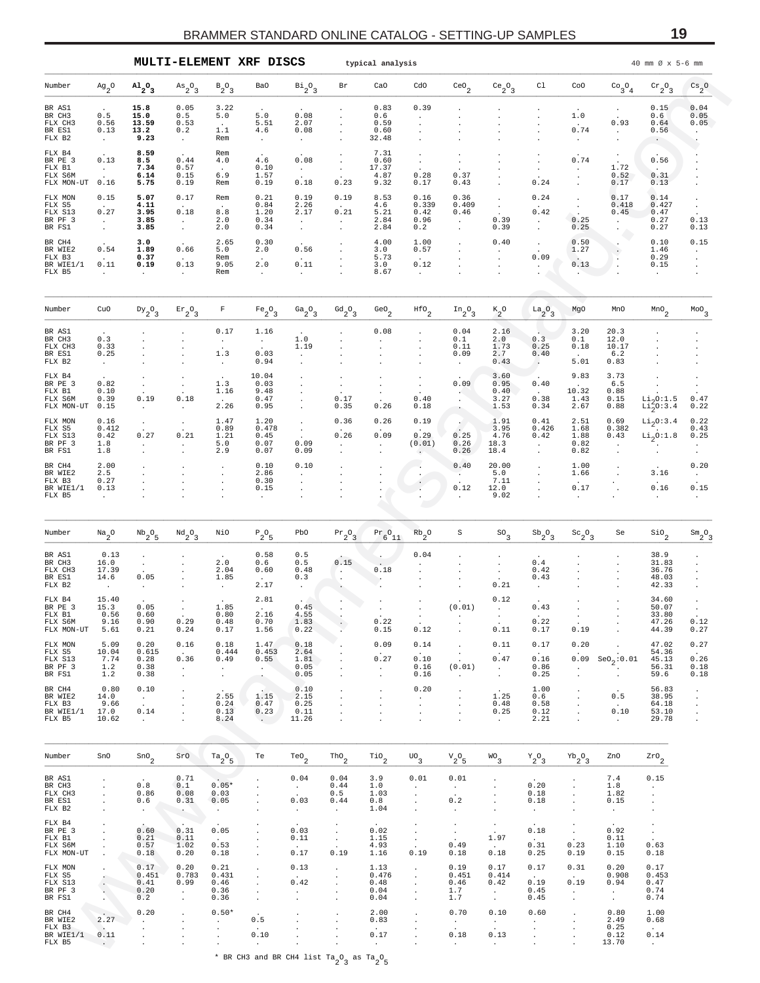<span id="page-18-0"></span>

|                                                         |                                                     |                                                    |                                                                          |                                                   | MULTI-ELEMENT XRF DISCS                             |                                                         |                                                                               | typical analysis                             |                                                                                      |                                                                       |                                               |                                                    |                                                           |                                                                 | 40 mm Ø x 5-6 mm                                  |                                                     |
|---------------------------------------------------------|-----------------------------------------------------|----------------------------------------------------|--------------------------------------------------------------------------|---------------------------------------------------|-----------------------------------------------------|---------------------------------------------------------|-------------------------------------------------------------------------------|----------------------------------------------|--------------------------------------------------------------------------------------|-----------------------------------------------------------------------|-----------------------------------------------|----------------------------------------------------|-----------------------------------------------------------|-----------------------------------------------------------------|---------------------------------------------------|-----------------------------------------------------|
| Number                                                  | $Ag_2O$                                             | $A1_{2}O_3$                                        | $As_{2}O_{3}$                                                            | $B_2O_3$                                          | Ba0                                                 | $\mathrm{Bi}_2\mathrm{O}_3$                             | Br                                                                            | CaO                                          | cdo                                                                                  | $\mathrm{ceo}_2$                                                      | $ce_2^o$ <sub>3</sub>                         | C1                                                 | CoO                                                       | $\begin{smallmatrix} \mathbb{C} & 0 \\ 3 & 4 \end{smallmatrix}$ | $\mathrm{cr}_2\mathrm{O}_3$                       | $\frac{\text{Cs}}{2}$ <sup>0</sup>                  |
| BR AS1<br>BR CH3<br>FLX CH3<br>BR ES1<br>FLX B2         | 0.5<br>0.56<br>0.13<br>$\cdot$                      | 15.8<br>15.0<br>13.59<br>13.2<br>9.23              | 0.05<br>0.5<br>0.53<br>0.2<br>$\cdot$                                    | 3.22<br>5.0<br>$\ddot{\phantom{a}}$<br>1.1<br>Rem | 5.0<br>5.51<br>4.6<br>$\ddot{\phantom{a}}$          | 0.08<br>2.07<br>0.08<br>$\cdot$                         |                                                                               | 0.83<br>0.6<br>0.59<br>0.60<br>32.48         | 0.39<br>$\ddot{\phantom{0}}$                                                         |                                                                       |                                               |                                                    | 1.0<br>0.74                                               | $\bullet$<br>0.93<br>$\blacksquare$                             | 0.15<br>0.6<br>0.64<br>0.56                       | 0.04<br>0.05<br>0.05                                |
| FLX B4<br>BR PE 3<br>FLX B1<br>FLX S6M<br>FLX MON-UT    | 0.13<br>$\sim$<br>0.16                              | 8.59<br>8.5<br>7.34<br>6.14<br>5.75                | 0.44<br>0.57<br>0.15<br>0.19                                             | Rem<br>4.0<br>$\ddot{\phantom{a}}$<br>6.9<br>Rem  | 4.6<br>0.10<br>1.57<br>0.19                         | 0.08<br>$\bullet$<br>0.18                               | $\cdot$<br>0.23                                                               | 7.31<br>0.60<br>17.37<br>4.87<br>9.32        | $\blacksquare$<br>0.28<br>0.17                                                       | 0.37<br>0.43                                                          |                                               | 0.24                                               | 0.74                                                      | 1.72<br>0.52<br>0.17                                            | 0.56<br>0.31<br>0.13                              |                                                     |
| FLX MON<br>FLX S5<br>FLX S13<br>BR PF 3<br>BR FS1       | 0.15<br>0.27<br>$\cdot$<br>$\cdot$                  | 5.07<br>4.11<br>3.95<br>3.85<br>3.85               | 0.17<br>0.18<br>$\cdot$<br>$\cdot$                                       | Rem<br>$\ddot{\phantom{a}}$<br>8.8<br>2.0<br>2.0  | 0.21<br>0.84<br>1.20<br>0.34<br>0.34                | 0.19<br>2.26<br>2.17<br>$\ddot{\phantom{a}}$<br>$\cdot$ | 0.19<br>0.21<br>$\ddot{\phantom{a}}$                                          | 8.53<br>4.6<br>5.21<br>2.84<br>2.84          | 0.16<br>0.339<br>0.42<br>0.96<br>0.2                                                 | 0.36<br>0.409<br>0.46<br>$\ddot{\phantom{0}}$<br>$\ddot{\phantom{0}}$ | $\cdot$<br>$\cdot$<br>$\cdot$<br>0.39<br>0.39 | 0.24<br>0.42<br>$\blacksquare$<br>$\blacksquare$   | $\cdot$<br>$\bullet$<br>0.25<br>0.25                      | 0.17<br>0.418<br>0.45<br>$\ddot{\phantom{0}}$                   | 0.14<br>0.427<br>0.47<br>0.27<br>0.27             | 0.13<br>0.13                                        |
| BR CH4<br>BR WIE2<br>FLX B3<br>BR WIE1/1<br>FLX B5      | 0.54<br>0.11<br>$\cdot$                             | 3.0<br>1.89<br>0.37<br>0.19                        | 0.66<br>0.13                                                             | 2.65<br>5.0<br>Rem<br>9.05<br>Rem                 | 0.30<br>2.0<br>2.0<br>$\cdot$                       | 0.56<br>0.11                                            |                                                                               | 4.00<br>3.0<br>5.73<br>3.0<br>8.67           | 1.00<br>0.57<br>0.12                                                                 |                                                                       | 0.40<br>$\cdot$                               | $\cdot$<br>0.09<br>$\ddot{\phantom{a}}$            | 0.50<br>1.27<br>0.13                                      | $\cdot$<br>$\cdot$                                              | 0.10<br>1.46<br>0.29<br>0.15                      | 0.15<br>$\bullet$                                   |
| Number                                                  | CuO                                                 | $Dy_2O_3$                                          | $Er_2O_3$                                                                | F                                                 | $Fe_2O_3$                                           | $Ga_{2}O_{3}$                                           | $^{Gd}2^{O}3$                                                                 | GeO $_2$                                     | $^{HfO}$ <sub>2</sub>                                                                | $In_{2}O_{3}$                                                         | $K_2^0$                                       | $a_2^0$                                            | MgO                                                       | MnO                                                             | $\mbox{\tt MnO}_2$                                | $^{MOO}$                                            |
| BR AS1<br>BR CH3<br>FLX CH3<br>BR ES1<br>FLX B2         | 0.3<br>0.33<br>0.25                                 |                                                    |                                                                          | 0.17<br>$\cdot$<br>1.3<br>$\ddot{\phantom{a}}$    | 1.16<br>$\cdot$<br>0.03<br>0.94                     | 1.0<br>1.19<br>$\cdot$                                  |                                                                               | 0.08                                         |                                                                                      | 0.04<br>$0.1\,$<br>0.11<br>0.09<br>$\cdot$                            | 2.16<br>2.0<br>1.73<br>2.7<br>0.43            | 0.3<br>0.25<br>0.40<br>$\blacksquare$              | 3.20<br>0.1<br>0.18<br>5.01                               | 20.3<br>12.0<br>10.17<br>6.2<br>0.83                            |                                                   |                                                     |
| FLX B4<br>BR PE 3<br>FLX B1<br>FLX S6M<br>FLX MON-UT    | 0.82<br>0.10<br>0.39<br>0.15                        | $\cdot$<br>0.19                                    | $\cdot$<br>0.18                                                          | 1.3<br>1.16<br>$\cdot$<br>2.26                    | 10.04<br>0.03<br>9.48<br>0.47<br>0.95               |                                                         | $\ddot{\phantom{a}}$<br>0.17<br>0.35                                          | $\ddot{\phantom{a}}$<br>$\cdot$<br>0.26      | $\cdot$<br>0.40<br>0.18                                                              | 0.09<br>$\cdot$<br>$\cdot$                                            | 3.60<br>0.95<br>0.40<br>3.27<br>1.53          | 0.40<br>$\sim$<br>0.38<br>0.34                     | 9.83<br>10.32<br>1.43<br>2.67                             | 3.73<br>6.5<br>0.88<br>0.15<br>0.88                             | $Li_2O:1.5$<br>$Li_2^2O:3.4$                      | 0.47<br>0.22                                        |
| FLX MON<br>FLX S5<br>FLX S13<br>BR PF 3<br>BR FS1       | 0.16<br>0.412<br>0.42<br>1.8<br>1.8                 | $\bullet$<br>0.27                                  | $\cdot$<br>0.21                                                          | 1.47<br>0.89<br>1.21<br>5.0<br>2.9                | 1.20<br>0.478<br>0.45<br>0.07<br>0.07               | $\cdot$<br>$\cdot$<br>0.09<br>0.09                      | 0.36<br>0.26<br>$\ddot{\phantom{0}}$                                          | 0.26<br>0.09<br>$\ddot{\phantom{0}}$         | 0.19<br>$\ddot{\phantom{0}}$<br>0.29<br>(0.01)                                       | 0.25<br>0.26<br>0.26                                                  | 1.91<br>3.95<br>4.76<br>18.3<br>18.4          | 0.41<br>0.426<br>0.42<br>$\blacksquare$<br>$\cdot$ | 2.51<br>1.68<br>1.88<br>0.82<br>0.82                      | 0.69<br>0.382<br>0.43<br>$\cdot$                                | $Li_2$ 0:3.4<br>$\rm{Li}_{2}$ 0:1.8               | 0.22<br>0.43<br>0.25<br>$\cdot$                     |
| BR CH4<br>BR WIE2<br>FLX B3<br>BR WIE1/1<br>FLX B5      | 2.00<br>2.5<br>0.27<br>0.13                         |                                                    |                                                                          | $\cdot$                                           | 0.10<br>2.86<br>0.30<br>0.15                        | 0.10                                                    |                                                                               |                                              | $\,$ .<br>$\cdot$                                                                    | 0.40<br>$\cdot$<br>0.12                                               | 20.00<br>5.0<br>7.11<br>12.0<br>9.02          |                                                    | 1.00<br>1.66<br>0.17                                      |                                                                 | 3.16<br>0.16<br>$\cdot$                           | 0.20<br>$\blacksquare$<br>0.15                      |
| Number                                                  | $\mathrm{Na}_2\mathrm{O}$                           | $^{\mathrm{Nb}}\mathrm{_{2}^{O}}\mathrm{_{5}}$     | $^{Nd}2^0$ 3                                                             | NiO                                               | $P_2O_5$                                            | PbO                                                     | $Pr_2O_3$                                                                     | $Pr_{6}O_{11}$                               | $Rb_2^0$                                                                             | S                                                                     | $^{SO}$ <sub>3</sub>                          | $\mathrm{Sb}_{2}$ <sup>O</sup> <sub>3</sub>        | $\mathrm{Sc}_{2}\mathrm{O}_{3}$                           | Se                                                              | $\mathop{\mathsf{si}}\nolimits_2$                 | $\mathrm{Sm}_2\mathrm{O}_3$                         |
| BR AS1<br>BR CH3<br>FLX CH3<br>BR ES1<br>FLX B2         | 0.13<br>16.0<br>17.39<br>14.6                       | $\cdot$<br>0.05                                    |                                                                          | 2.0<br>2.04<br>1.85                               | 0.58<br>0.6<br>0.60<br>2.17                         | 0.5<br>0.5<br>0.48<br>0.3                               | 0.15<br>$\blacksquare$<br>$\blacksquare$                                      | 0.18                                         | 0.04                                                                                 |                                                                       | $\cdot$<br>0.21                               | 0.4<br>0.42<br>0.43                                |                                                           |                                                                 | 38.9<br>31.83<br>36.76<br>48.03<br>42.33          |                                                     |
| FLX B4<br>BR PE 3<br>FLX B1<br>FLX S6M<br>FLX MON-UT    | 15.40<br>15.3<br>0.56<br>9.16<br>5.61               | 0.05<br>0.60<br>0.90<br>0.21                       | 0.29<br>0.24                                                             | 1.85<br>0.80<br>0.48<br>0.17                      | 2.81<br>2.16<br>0.70<br>1.56                        | 0.45<br>4.55<br>1.83<br>0.22                            | $\sim$<br>$\cdot$                                                             | 0.22<br>0.15                                 | $\sim$<br>0.12                                                                       | (0.01)<br>$\blacksquare$                                              | 0.12<br>$\sim$<br>0.11                        | 0.43<br>0.22<br>0.17                               | $\sim$<br>0.19                                            | $\cdot$<br>$\cdot$                                              | 34.60<br>50.07<br>33.80<br>47.26<br>44.39         | 0.12<br>0.27                                        |
| FLX MON<br>FLX S5<br>FLX S13<br>BR PF 3<br>BR FS1       | 5.09<br>10.04<br>7.74<br>1.2<br>1.2                 | 0.20<br>0.615<br>0.28<br>0.38<br>0.38              | 0.16<br>$\sim 10^{-11}$<br>0.36<br>$\mathcal{L}^{\mathcal{L}}$<br>$\sim$ | 0.18<br>0.444<br>0.49<br>$\sim$<br>$\sim$         | 1.47<br>0.453<br>0.55<br>$\sim$<br>$\sim$           | 0.18<br>2.64<br>1.81<br>0.05<br>0.05                    | $\ddot{\phantom{a}}$                                                          | 0.09<br>$\sim$<br>0.27<br>$\sim$<br>$\Delta$ | 0.14<br>$\sim$<br>0.10<br>0.16<br>0.16                                               | $\ddot{\phantom{a}}$<br>$\cdot$<br>$\sim$<br>(0.01)<br>$\sim$         | 0.11<br>0.47<br>$\sim$<br>$\cdot$             | 0.17<br>$\sim$<br>0.16<br>0.86<br>0.25             | 0.20<br>0.09<br>$\cdot$<br>$\cdot$                        | $\texttt{SeO}_{2} \!:\! 0.01$<br>$\ddot{\phantom{0}}$           | 47.02<br>54.36<br>45.13<br>56.31<br>59.6          | 0.27<br>$\sim 10^{-11}$<br>0.26<br>0.18<br>0.18     |
| BR CH4<br>BR WIE2<br>FLX B3<br>BR WIE1/1<br>FLX B5      | 0.80<br>14.0<br>9.66<br>17.0<br>10.62               | 0.10<br>$\sim 10^{-11}$<br>0.14<br>$\sim 10^{-10}$ | $\cdot$<br>$\cdot$<br>$\cdot$<br>$\cdot$<br>$\cdot$                      | 2.55<br>0.24<br>0.13<br>8.24                      | 1.15<br>0.47<br>0.23<br>$\sim 100$                  | 0.10<br>2.15<br>0.25<br>0.11<br>11.26                   | $\cdot$<br>$\cdot$<br>$\ddot{\phantom{a}}$                                    | $\cdot$<br>$\cdot$<br>$\ddot{\phantom{a}}$   | 0.20<br>$\ddot{\phantom{0}}$<br>$\ddot{\phantom{a}}$<br>$\blacksquare$               | $\cdot$<br>$\blacksquare$<br>$\ddot{\phantom{a}}$<br>$\blacksquare$   | 1.25<br>0.48<br>0.25<br>$\sim$                | 1.00<br>0.6<br>0.58<br>0.12<br>2.21                | $\bullet$<br>$\cdot$<br>$\cdot$<br>$\cdot$                | 0.5<br>$\sim 10^{-11}$<br>0.10<br>$\sim$                        | 56.83<br>38.95<br>64.18<br>53.10<br>29.78         | $\cdot$<br>$\cdot$<br>$\cdot$<br>$\cdot$<br>$\cdot$ |
| Number                                                  | SnO                                                 | $\sin\phi_2$                                       | SrO                                                                      | $ra_20_5$                                         | Te                                                  | $Te0$ <sub>2</sub>                                      | $\text{tho}_2$                                                                | $\mathsf{rio}_2$                             | $\mathrm{UO}_3$                                                                      | ${\rm v}_{2}^{\rm o}$ $\!$                                            | $WO_3$                                        | $Y_2O_3$                                           | $\mathrm{^{Yb}2^0_3}$                                     | ZnO                                                             | $z_{x0}$                                          |                                                     |
| BR AS1<br>BR CH3<br>FLX CH3<br>BR ES1<br>FLX B2         | $\cdot$<br>$\cdot$<br>$\cdot$<br>$\cdot$<br>$\cdot$ | 0.8<br>0.86<br>0.6<br>$\sim$                       | 0.71<br>0.1<br>0.08<br>0.31<br><b>Contract</b>                           | $0.05*$<br>0.03<br>0.05<br>$\sim$                 | $\cdot$<br>$\cdot$<br>$\cdot$                       | 0.04<br>$\sim$<br>0.03<br>$\sim$                        | 0.04<br>0.44<br>0.5<br>0.44<br>$\cdot$                                        | 3.9<br>1.0<br>1.03<br>0.8<br>1.04            | 0.01<br>$\ddot{\phantom{0}}$<br>$\blacksquare$<br>$\cdot$                            | 0.01<br>$\sim$<br>0.2<br>$\cdot$                                      | $\cdot$<br>$\cdot$                            | 0.20<br>0.18<br>0.18<br>$\sim$                     | $\cdot$                                                   | 7.4<br>1.8<br>1.82<br>0.15<br>$\sim$                            | 0.15<br>$\cdot$<br>$\cdot$<br>$\cdot$<br>$\cdot$  |                                                     |
| FLX B4<br>BR PE 3<br>FLX B1<br>FLX S6M<br>FLX MON-UT    | $\cdot$<br>$\cdot$<br>$\cdot$<br>$\cdot$<br>$\cdot$ | 0.60<br>0.21<br>0.57<br>0.18                       | 0.31<br>0.11<br>1.02<br>0.20                                             | 0.05<br>$\sim 10^{-11}$<br>0.53<br>0.18           | $\cdot$<br>$\cdot$<br>$\cdot$<br>$\cdot$            | 0.03<br>0.11<br>0.17                                    | $\cdot$<br>$\sim$<br>$\sim$<br>0.19                                           | 0.02<br>1.15<br>4.93<br>1.16                 | $\sim$<br>$\sim$<br>$\sim$<br>$\sim$<br>0.19                                         | $\sim$<br>$\sim$<br>$\sim$<br>0.49<br>0.18                            | $\sim$<br>1.97<br>$\sim$<br>0.18              | 0.18<br><b>Contract</b><br>0.31<br>0.25            | $\cdot$<br>$\sim$<br>$\ddot{\phantom{a}}$<br>0.23<br>0.19 | 0.92<br>0.11<br>1.10<br>0.15                                    | $\bullet$<br>$\sim$<br>0.63<br>0.18               |                                                     |
| FLX MON<br>FLX S5<br>FLX S13<br>BR PF 3<br>BR FS1       | ÷.<br>$\overline{\phantom{a}}$<br>- A.              | 0.17<br>0.451<br>0.41<br>0.20<br>0.2               | 0.20<br>0.783<br>0.99<br>$\sim$<br>$\cdot$                               | 0.21<br>0.431<br>0.46<br>0.36<br>0.36             | $\cdot$<br>$\cdot$<br>$\cdot$<br>$\cdot$<br>$\cdot$ | 0.13<br>0.42<br>$\cdot$<br>$\blacksquare$               | $\cdot$<br>$\cdot$<br>$\ddot{\phantom{a}}$<br>$\cdot$<br>$\ddot{\phantom{a}}$ | 1.13<br>0.476<br>0.48<br>0.04<br>0.04        | $\cdot$<br>$\ddot{\phantom{a}}$<br>$\cdot$<br>$\ddot{\phantom{a}}$<br>$\blacksquare$ | 0.19<br>0.451<br>0.46<br>1.7<br>1.7                                   | 0.17<br>0.414<br>0.42<br>$\sim$<br>$\sim$     | 0.17<br>$\sim$ $\sim$<br>0.19<br>0.45<br>0.45      | 0.31<br>$\sim$<br>0.19<br>$\sim$<br>$\sim$                | 0.20<br>0.908<br>0.94<br>$\sim$<br>$\sim$                       | 0.17<br>0.453<br>0.47<br>0.74<br>0.74             |                                                     |
| BR CH4<br>BR WIE2<br>FLX B3<br>BR WIE1/1 0.11<br>FLX B5 | 2.27<br>$\sim$<br>$\sim$ $\sim$                     | 0.20<br>$\ddot{\phantom{0}}$                       | $\cdot$                                                                  | $0.50*$<br>$\ddot{\phantom{0}}$<br>$\cdot$        | 0.5<br>0.10<br>$\sim$                               | $\cdot$<br>$\cdot$                                      |                                                                               | 2.00<br>0.83<br>$\sim$<br>0.17<br>$\sim$     | $\cdot$<br>$\cdot$                                                                   | 0.70<br>$\sim 10^{-11}$<br>0.18<br>$\sim 10^{-1}$                     | 0.10<br>$\sim$<br>0.13<br>$\sim$ $-$          | 0.60<br>$\sim$<br>$\cdot$<br>$\cdot$               | $\cdot$                                                   | 0.80<br>2.49<br>0.25<br>0.12<br>13.70                           | 1.00<br>0.68<br>$\sim$<br>0.14<br>$\sim 10^{-11}$ |                                                     |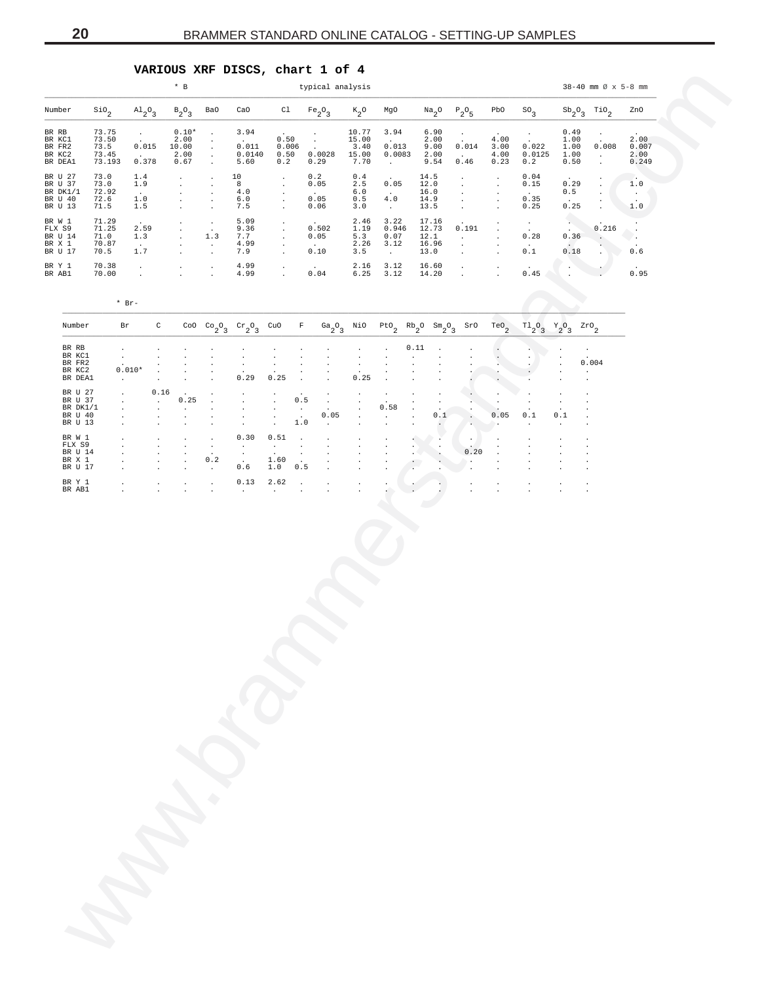## **VARIOUS XRF DISCS, chart 1 of 4**

<span id="page-19-0"></span>

|                                                      |                                           |                                                                     |                                                       | $*$ B                                                                                                                                     |                                                                                   |                                                          |                                                                                                       |                                                     | typical analysis                                                        |                                                 |                                                                 |                                                                |                                                                             |                                                                                                                       |                                                      |                                                         |                                        | $38 - 40$ mm $\varnothing$ x 5-8 mm                                                    |                                          |  |
|------------------------------------------------------|-------------------------------------------|---------------------------------------------------------------------|-------------------------------------------------------|-------------------------------------------------------------------------------------------------------------------------------------------|-----------------------------------------------------------------------------------|----------------------------------------------------------|-------------------------------------------------------------------------------------------------------|-----------------------------------------------------|-------------------------------------------------------------------------|-------------------------------------------------|-----------------------------------------------------------------|----------------------------------------------------------------|-----------------------------------------------------------------------------|-----------------------------------------------------------------------------------------------------------------------|------------------------------------------------------|---------------------------------------------------------|----------------------------------------|----------------------------------------------------------------------------------------|------------------------------------------|--|
| Number                                               | $^{\text{SiO}}{}_{2}$                     | $A1_{2}O_{3}$                                                       |                                                       | $B_2O_3$                                                                                                                                  | Ba0                                                                               | CaO                                                      |                                                                                                       |                                                     | Cl $Fe_2O_3$                                                            | $\kappa_{2}$ o                                  | MgO                                                             |                                                                |                                                                             | $Na2O2O5$                                                                                                             | PbO                                                  | $SO_3$                                                  |                                        | $\text{Sb}_{2}^{\phantom{2}0}$ $\text{G}$                                              | ZnO                                      |  |
| BR RB<br>BR KC1<br>BR FR2<br>BR KC2<br>BR DEA1       | 73.75<br>73.50<br>73.5<br>73.45<br>73.193 | $\sim 100$ km s $^{-1}$<br>0.015<br><b>Carlos</b><br>0.378          |                                                       | $0.10*$<br>2.00<br>10.00<br>2.00<br>0.67                                                                                                  | $\sim 100$ km s $^{-1}$<br>$\sim 10^{-1}$<br>$\sim 10^{-1}$<br>$\sim$             | 3.94<br>$\sim 10^{-10}$<br>0.011<br>0.0140<br>5.60       | 0.50<br>0.2                                                                                           | 0.006                                               | $\sim 100$<br>$\sim 10^{-11}$<br><b>Contract</b><br>0.50 0.0028<br>0.29 | 10.77<br>15.00<br>3.40<br>15.00<br>7.70         | 3.94<br>$\sim 10^{-11}$<br>0.013<br>0.0083<br><b>Contractor</b> |                                                                | 6.90<br>2.00<br>9.00<br>2.00<br>9.54                                        | $\sim 100$ km s $^{-1}$<br>$\sim 10^{-10}$<br>0.014<br>$\sim 10^{-10}$<br>0.46                                        | 4.00<br>3.00<br>4.00<br>0.23                         | $\frac{1}{2}$ , $\frac{1}{2}$<br>0.022<br>0.0125<br>0.2 | 0.49<br>1.00<br>1.00<br>1.00<br>0.50   | $\frac{1}{2}$ .<br>0.008<br>$\sim 10^{-10}$<br>$\sim 10$                               | 2.00<br>0.007<br>2.00<br>0.249           |  |
| BR U 27<br>BR U 37<br>BR DK1/1<br>BR U 40<br>BR U 13 | 73.0<br>73.0<br>72.92<br>72.6<br>71.5     | 1.4<br>1.9<br><b>Contract</b><br>1.0<br>1.5                         |                                                       | $\sim$<br><b>All Contracts</b><br>$\sim$<br>$\mathcal{A}^{\mathcal{A}}$ and $\mathcal{A}^{\mathcal{A}}$<br>$\sim 100$ km s $^{-1}$        | $\sim$<br>$\sim$<br>$\sim$<br>$\sim$<br>$\sim$                                    | 10<br>8<br>4.0<br>6.0<br>7.5                             | $\sim 100$<br>$\sim 100$ km s $^{-1}$<br>$\sim 100$ km s $^{-1}$<br>$\sim 100$ km s $^{-1}$<br>$\sim$ |                                                     | 0.2<br>0.05<br>$\sim 10^{-10}$ km s $^{-1}$<br>0.05<br>0.06             | 0.4<br>$6.0$<br>0.5<br>3.0                      | 2.5 0.05<br>$\sim 10^{-11}$<br>4.0<br>$\sim 100$ km s $^{-1}$   |                                                                | 14.5<br>12.0<br>16.0<br>14.9<br>13.5                                        | $\sim 10^{-11}$<br>$\sim 100$ km s $^{-1}$<br>$\sim 100$ km s $^{-1}$<br>$\sim 100$ km s $^{-1}$<br><b>Contractor</b> | $\cdot$<br>$\sim$<br>$\sim$<br>$\sim$<br>$\sim$      | 0.04<br>0.15<br><b>Contract</b><br>0.35<br>0.25         | 0.29<br>0.5<br>$\sim 10^{-11}$<br>0.25 | $\sim 100$ km s $^{-1}$                                                                | 1.0<br>$\sim$ $\sim$<br>1.0              |  |
| BR W 1<br>FLX S9<br>BR U 14<br>BR X 1<br>BR U 17     | 71.29<br>71.25<br>71.0<br>70.87<br>70.5   | 2.59<br>1.3<br>$\sim 100$<br>1.7                                    |                                                       | <b>Contractor</b><br><b>Contract Contract</b><br>$\mathbf{A} = \mathbf{0}$ , $\mathbf{0} = \mathbf{0}$<br>$\sim 100$<br><b>Contractor</b> | $\sim 100$ km s $^{-1}$<br>$\sim 100$<br>1.3<br>$\sim 100$ km s $^{-1}$<br>$\sim$ | 5.09<br>9.36<br>7.7<br>4.99<br>7.9                       | $\frac{1}{2}$<br>$\mathcal{L}^{\text{max}}_{\text{max}}$<br><b>Contract</b>                           |                                                     | 0.502<br>0.05<br>$\sim 10^{-10}$<br>0.10                                | 5.3<br>3.5                                      | $2.46$ $3.22$<br>0.07<br>$2.26$ $3.12$<br>$\sim 10^{-11}$       |                                                                | 17.16<br>12.1<br>16.96<br>13.0                                              | 1.19  0.946  12.73  0.191<br>$\sim 10^{-10}$ km $^{-1}$<br>$\sim$ $-$<br><b>Service</b>                               | $\sim$<br>$\sim 100$<br>$\sim$<br>$\cdot$<br>$\cdot$ | $\frac{1}{2}$ .<br>0.28<br>$\sim 100$ $\mu$<br>0.1      | $\sim$                                 | $\begin{array}{ccc}\n\cdot & & \circ & 216 \\ \end{array}$<br>$0.36$ .<br>$0.18$ . 0.6 | $\mathcal{L}(\mathcal{C})$<br>$\sqrt{2}$ |  |
| BR Y 1<br>BR AB1                                     | 70.38<br>70.00                            | $\sim 100$<br><b>Contract Contract</b>                              |                                                       | $\mathcal{L}(\mathcal{A})$ and $\mathcal{L}(\mathcal{A})$ and $\mathcal{L}(\mathcal{A})$<br><b>CALL CO</b>                                | $\sim$                                                                            | 4.99<br>$4.99$ .<br>$4.99$ .                             |                                                                                                       |                                                     | 0.04                                                                    |                                                 | $2.16$ $3.12$<br>$6.25$ $3.12$                                  |                                                                | 16.60<br>14.20                                                              | $\mathcal{L}^{\text{max}}_{\text{max}}$                                                                               | $\sim$<br>$\ddot{\phantom{a}}$                       | 0.45                                                    |                                        |                                                                                        | 0.95                                     |  |
| Number                                               |                                           | $*$ Br-                                                             |                                                       |                                                                                                                                           |                                                                                   |                                                          |                                                                                                       |                                                     |                                                                         |                                                 |                                                                 |                                                                |                                                                             |                                                                                                                       |                                                      |                                                         |                                        |                                                                                        |                                          |  |
| BR RB<br>BR KC1<br>BR FR2<br>BR KC2<br>BR DEA1       |                                           | $\sim$ $-$<br>$0.010*$<br>$\sim 10^{-10}$                           | $\cdot$<br>$\cdot$<br>$\sim$<br>$\sim 100$            |                                                                                                                                           | $\cdot$<br>$\cdot$                                                                | $\cdot$<br>$\cdot$<br>0.29                               | 0.25                                                                                                  | $\sim 10^{-10}$ km $^{-1}$                          | $\sim$                                                                  | $\cdot$<br>$\cdot$<br>0.25                      | $\ddot{\phantom{a}}$                                            | 0.11<br>$\cdot$<br>$\cdot$<br>$\cdot$                          |                                                                             |                                                                                                                       |                                                      |                                                         |                                        | 0.004<br>$\sim 10^{-11}$<br>$\cdot$                                                    |                                          |  |
| BR U 27<br>BR U 37<br>BR DK1/1<br>BR U 40<br>BR U 13 |                                           | $\sim 100$<br>$\sim$<br>$\sim$<br>$\cdot$<br>$\sim$                 | 0.16<br>$\sim 10^{-11}$<br>$\sim$<br>$\sim$<br>$\sim$ | $\ddot{\phantom{0}}$<br>0.25<br>$\sim 10^{-1}$<br>$\cdot$<br>$\cdot$                                                                      | $\cdot$<br>$\cdot$<br>$\cdot$<br>$\cdot$                                          | $\sim$<br>$\sim$<br>$\cdot$<br>$\sim$                    | $\sim 10^{-1}$<br>$\sim 100$ km s $^{-1}$<br><b>Contract</b><br>$\sim 10^{-1}$                        | 0.5<br>$\sim 100$<br>$\sim 100$ km s $^{-1}$<br>1.0 | $\sim$ 100 $\sim$<br><b>Contractor</b><br>0.05<br>$\sim 100$            | $\sim$<br>$\sim$<br>$\sim$<br>$\sim$<br>$\cdot$ | $\sim$<br>0.58<br>$\sim 10^{-11}$<br>$\cdot$                    | $\bullet$<br>$\sim$<br>$\bullet$<br>$\Box$<br>$\cdot$          | $\cdot$<br>$\bullet$<br>$\ddot{\phantom{a}}$<br>0.1<br>$\ddot{\phantom{a}}$ | $\mathcal{L}_{\text{max}}$<br>$\mathcal{L}_{\mathcal{D}}$<br>he i                                                     | $\cdot$<br>$\cdot$<br>0.05<br>$\cdot$                | 0.1<br>$\sim$                                           | 0.1<br>$\cdot$                         |                                                                                        |                                          |  |
| BR W 1<br>FLX S9<br>BR U 14<br>BR X 1<br>BR U 17     |                                           | $\cdot$<br>$\cdot$<br>$\sim$<br>$\sim$ 100 $\mu$<br>$\sim 10^{-11}$ | $\cdot$<br>$\cdot$<br>$\cdot$<br>$\cdot$<br>$\sim$    | $\cdot$<br>$\cdot$<br>$\cdot$<br>$\sim$<br>$\cdot$                                                                                        | $\sim$<br>$\sim$<br>$\sim$<br>0.2<br>$\sim 10^{-1}$                               | 0.30<br>$\sim 100$<br>$\mathcal{L}^{\mathcal{L}}$<br>0.6 | 0.51<br>$\sim 100$<br>$\sim$ 100 $\mu$<br>1.60<br>1.0 0.5                                             | $\sim 100$<br>$\sim$<br>$\cdot$<br>$\sim$           | $\cdot$<br>$\cdot$<br>$\ddot{\phantom{a}}$                              | $\cdot$<br>$\cdot$<br>$\cdot$<br>$\cdot$        | $\cdot$<br>$\overline{\phantom{a}}$                             | $\mathbf{C}$<br>$\cdot$<br>$\overline{\phantom{a}}$<br>$\cdot$ | $\sim$<br>$\sim$<br>$\cdot$                                                 | 0.20<br>$\sim$ $\sim$<br>$\cdot$                                                                                      |                                                      |                                                         |                                        |                                                                                        |                                          |  |
| BR Y 1<br>BR AB1                                     |                                           | <b>Contract Contract</b><br>$\sim$                                  | $\cdot$                                               | the control of the control of                                                                                                             | $\cdot$                                                                           | $0.13$ 2.62                                              | the committee of the                                                                                  | <b>Contractor</b><br>$\sim 100$                     | $\overline{\phantom{a}}$                                                |                                                 |                                                                 |                                                                |                                                                             | $\ddot{\phantom{a}}$                                                                                                  | $\cdot$<br>$\cdot$                                   | $\cdot$                                                 | $\cdot$                                |                                                                                        |                                          |  |
|                                                      |                                           |                                                                     |                                                       |                                                                                                                                           |                                                                                   |                                                          |                                                                                                       |                                                     |                                                                         |                                                 |                                                                 |                                                                |                                                                             |                                                                                                                       |                                                      |                                                         |                                        |                                                                                        |                                          |  |
|                                                      |                                           |                                                                     |                                                       |                                                                                                                                           |                                                                                   |                                                          |                                                                                                       |                                                     |                                                                         |                                                 |                                                                 |                                                                |                                                                             |                                                                                                                       |                                                      |                                                         |                                        |                                                                                        |                                          |  |

| Number   | Br       | C       |           | $\cos \cos^2 2^3$ $\cos^2 2^3$ $\cos^2 2^3$ |                      |                      | $\mathbf F$          |                      |                      |                          |                      | Ga <sub>2</sub> <sup>O</sup> <sub>3</sub> NiO PtO <sub>2</sub> Rb <sub>2</sub> <sup>O</sup> Sm <sub>2</sub> <sup>O</sup> <sub>3</sub> SrO |                          | TeO <sub>2</sub> | $T1_2O_3$ $Y_2O_3$ $ZrO_2$ |                      |           |
|----------|----------|---------|-----------|---------------------------------------------|----------------------|----------------------|----------------------|----------------------|----------------------|--------------------------|----------------------|-------------------------------------------------------------------------------------------------------------------------------------------|--------------------------|------------------|----------------------------|----------------------|-----------|
| BR RB    |          |         |           |                                             |                      |                      |                      |                      |                      |                          | 0.11                 |                                                                                                                                           |                          |                  |                            |                      |           |
| BR KC1   |          |         |           |                                             |                      |                      |                      |                      |                      |                          |                      |                                                                                                                                           |                          |                  | $\bullet$                  | $\ddot{\phantom{0}}$ |           |
| BR FR2   |          |         |           |                                             |                      |                      |                      |                      |                      |                          |                      |                                                                                                                                           |                          |                  |                            | $\blacksquare$       | 0.004     |
| BR KC2   | $0.010*$ |         |           |                                             |                      |                      |                      |                      |                      |                          |                      |                                                                                                                                           |                          |                  |                            |                      |           |
| BR DEA1  |          |         |           |                                             | $\cdot$              | $\cdot$<br>0.25      | $\bullet$            | ٠                    | $\cdot$              | $\cdot$                  | $\cdot$              |                                                                                                                                           |                          |                  |                            |                      | $\bullet$ |
|          | $\sim$   |         |           | $\ddot{\phantom{a}}$                        | 0.29                 |                      | $\sim$               | $\sim$ $\sim$        | 0.25                 | $\ddot{\phantom{a}}$     |                      |                                                                                                                                           |                          |                  |                            |                      | $\sim$    |
| BR U 27  |          | 0.16    | $\sim$    | $\mathbf{r}$                                |                      | $\cdot$              | $\cdot$              |                      |                      |                          |                      |                                                                                                                                           |                          |                  |                            |                      |           |
| BR U 37  |          | $\sim$  | 0.25      |                                             |                      | $\ddot{\phantom{0}}$ | 0.5                  | $\Delta$             | $\bullet$            | $\cdot$                  | $\sim$               | $\bullet$                                                                                                                                 |                          |                  |                            |                      |           |
| BR DK1/1 |          |         |           |                                             |                      | $\cdot$              | $\cdot$              | $\sim$               | $\sim$               | 0.58                     | $\cdot$              |                                                                                                                                           |                          |                  |                            |                      |           |
| BR U 40  |          |         |           |                                             | $\mathbf{r}$         | $\ddot{\phantom{0}}$ | $\ddot{\phantom{0}}$ | 0.05                 | $\sim$               | $\cdot$                  | $\mathbf{r}$         | 0.1                                                                                                                                       | $\overline{\phantom{a}}$ | 0.05             | 0.1                        | 0.1                  |           |
| BR U 13  |          |         |           |                                             | $\cdot$              | $\sim$               | 1.0                  | $\ddot{\phantom{0}}$ | $\cdot$              |                          |                      |                                                                                                                                           |                          |                  |                            |                      |           |
|          |          |         |           |                                             |                      |                      |                      |                      |                      | $\cdot$                  | $\cdot$              |                                                                                                                                           |                          |                  | $\bullet$                  |                      | $\cdot$   |
| BR W 1   |          |         |           | $\cdot$                                     | 0.30                 | 0.51                 | $\sim$               | $\cdot$              |                      |                          | $\sim$               |                                                                                                                                           | $\cdot$                  |                  |                            |                      |           |
| FLX S9   |          |         |           | $\cdot$                                     | $\cdot$              |                      |                      |                      |                      |                          |                      |                                                                                                                                           |                          | $\bullet$        |                            |                      |           |
| BR U 14  |          |         |           | $\cdot$                                     | $\cdot$              | $\cdot$              | $\cdot$              | $\bullet$            |                      |                          | $\cdot$              |                                                                                                                                           | 0.20                     | $\epsilon$       |                            |                      |           |
| BR X 1   |          |         |           | 0.2                                         | $\ddot{\phantom{0}}$ | 1.60                 | $\sim 10$            | $\lambda$            | $\cdot$              |                          | $\cdot$ .            |                                                                                                                                           |                          |                  |                            |                      |           |
| BR U 17  |          |         | $\cdot$   | $\ddot{\phantom{a}}$                        | 0.6                  | 1.0                  | 0.5                  | $\ddot{\phantom{a}}$ | $\ddot{\phantom{0}}$ | $\cdot$                  | $\sim$               |                                                                                                                                           |                          |                  |                            | $\cdot$              |           |
|          |          |         |           |                                             |                      |                      |                      |                      |                      |                          |                      |                                                                                                                                           |                          |                  |                            |                      |           |
| BR Y 1   |          |         |           | $\cdot$                                     | 0.13                 | 2.62                 | $\sim$               | $\cdot$              |                      | $\cdot$                  |                      |                                                                                                                                           | $\bullet$                |                  |                            |                      |           |
| BR AB1   |          | $\cdot$ | $\bullet$ | $\cdot$                                     | $\cdot$              | $\bullet$            | $\blacksquare$       | $\cdot$              | $\bullet$            | $\overline{\phantom{a}}$ | $\ddot{\phantom{1}}$ | $\sim$                                                                                                                                    | $\bullet$                | $\cdot$          | $\sim$                     | $\bullet$            | $\bullet$ |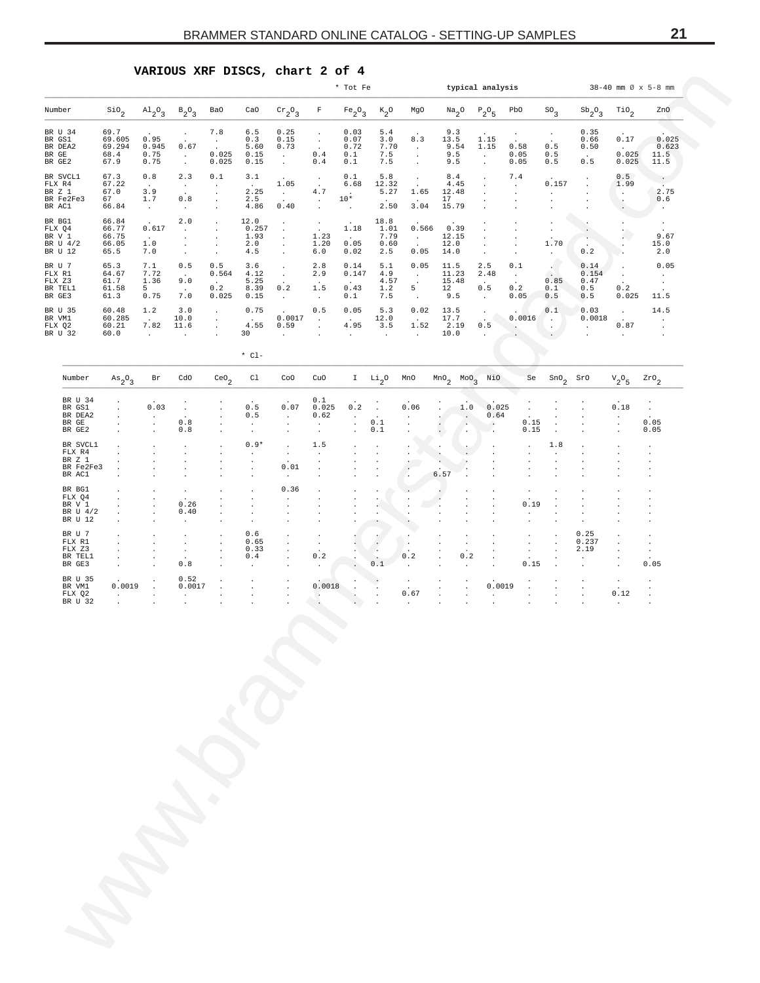<span id="page-20-0"></span>

|                                                     |                                            |                                                  |                                                        |                                                 |                                       |                                                                     |                                                                 | * Tot Fe                                  |                                               |                                                           |                                     |                                     | typical analysis                                     |                                                         |                                            |                                                 |                                    | $38 - 40$ mm $\varnothing$ x 5-8 mm |
|-----------------------------------------------------|--------------------------------------------|--------------------------------------------------|--------------------------------------------------------|-------------------------------------------------|---------------------------------------|---------------------------------------------------------------------|-----------------------------------------------------------------|-------------------------------------------|-----------------------------------------------|-----------------------------------------------------------|-------------------------------------|-------------------------------------|------------------------------------------------------|---------------------------------------------------------|--------------------------------------------|-------------------------------------------------|------------------------------------|-------------------------------------|
| Number                                              | $\sin \frac{\pi}{2}$                       | $\mathrm{^{Al}2^O_3}$                            | $B_2O_3$                                               | <b>BaO</b>                                      | CaO                                   | $\mathrm{cr}_2\mathrm{O}_3$                                         | F                                                               | $Fe_2O_3$                                 | $\kappa_{2}^{\phantom{2}}$ o                  | MgO                                                       | $\mathrm{Na}_2\mathrm{O}$           |                                     | $P_2O_5$                                             | PbO                                                     | $^{SO}$ 3                                  | $\mathrm{Sb}_{2}^{\phantom{2}}$ 0 $\phantom{0}$ | $\mathcal{T}^{\texttt{io}}{}_{2}$  | ZnO                                 |
| BR U 34<br>BR GS1<br>BR DEA2<br>BR GE<br>BR GE2     | 69.7<br>69.605<br>69.294<br>68.4<br>67.9   | 0.95<br>0.945<br>0.75<br>0.75                    | $\cdot$<br>0.67<br>$\sim$<br>$\sim$                    | 7.8<br>$\cdot$<br>0.025<br>0.025                | 6.5<br>0.3<br>5.60<br>0.15<br>0.15    | 0.25<br>0.15<br>0.73<br>$\sim 10^{-1}$<br>$\sim$                    | $\cdot$<br>$\blacksquare$<br>$\ddot{\phantom{a}}$<br>0.4<br>0.4 | 0.03<br>0.07<br>0.72<br>0.1<br>0.1        | 5.4<br>3.0<br>7.70<br>7.5<br>7.5              | 8.3<br>$\sim$<br>$\ddot{\phantom{a}}$<br>$\cdot$          | 9.3<br>13.5<br>9.54<br>9.5<br>9.5   |                                     | 1.15<br>1.15<br>$\sim$<br>$\ddot{\phantom{a}}$       | $\cdot$<br>$\ddot{\phantom{a}}$<br>0.58<br>0.05<br>0.05 | $\cdot$<br>0.5<br>0.5<br>0.5               | 0.35<br>0.66<br>0.50<br>$\sim$<br>0.5           | 0.17<br>$\sim$<br>0.025<br>0.025   | 0.025<br>0.623<br>11.5<br>11.5      |
| BR SVCL1<br>FLX R4<br>BR Z 1<br>BR Fe2Fe3<br>BR AC1 | 67.3<br>67.22<br>67.0<br>67<br>66.84       | 0.8<br>$\sim$<br>3.9<br>$1\,.7$<br>$\sim$ $\sim$ | 2.3<br>$\blacksquare$<br>0.8<br>$\sim$                 | 0.1<br>$\cdot$<br>$\cdot$                       | 3.1<br>$\sim$<br>2.25<br>2.5<br>4.86  | 1.05<br>$\sim 10^{-1}$<br>$\cdot$<br>0.40                           | $\cdot$<br>$\cdot$<br>$4\,.7$<br>$\sim$<br>$\cdot$              | 0.1<br>6.68<br>$\sim$<br>$10*$<br>$\cdot$ | 5.8<br>12.32<br>5.27<br>$\cdot$<br>2.50       | $\cdot$<br>$\ddot{\phantom{a}}$<br>1.65<br>$\sim$<br>3.04 | 8.4<br>4.45<br>12.48<br>17<br>15.79 |                                     |                                                      | 7.4<br>$\cdot$                                          | 0.157<br>$\cdot$                           |                                                 | 0.5<br>1.99<br>$\cdot$             | 2.75<br>0.6<br>$\cdot$              |
| BR BG1<br>FLX Q4<br>BR V 1<br>BR U 4/2<br>BR U 12   | 66.84<br>66.77<br>66.75<br>66.05<br>65.5   | 0.617<br>$\sim 100$<br>1.0<br>7.0                | 2.0<br>$\blacksquare$<br>$\cdot$<br>$\cdot$<br>$\cdot$ |                                                 | 12.0<br>0.257<br>1.93<br>2.0<br>4.5   | $\cdot$<br>$\bullet$<br>$\cdot$<br>$\bullet$<br>$\cdot$             | $\mathbb{C}$<br>1.23<br>1.20<br>6.0                             | 1.18<br>$\sim$<br>0.05<br>0.02            | 18.8<br>1.01<br>7.79<br>0.60<br>2.5           | 0.566<br>$\sim 10^{-11}$<br>$\ddot{\phantom{a}}$<br>0.05  | 0.39<br>12.15<br>12.0<br>14.0       |                                     | $\cdot$<br>$\cdot$                                   |                                                         | $\cdot$<br>$\cdot$<br>1.70<br>$\cdot$      | 0.2                                             | Ω.<br>$\cdot$                      | 9.67<br>15.0<br>2.0                 |
| BR U 7<br>FLX R1<br>FLX Z3<br>BR TEL1<br>BR GE3     | 65.3<br>64.67<br>61.7<br>61.58<br>61.3     | 7.1<br>7.72<br>1.36<br>$5^{\circ}$<br>0.75       | 0.5<br>$\ddot{\phantom{a}}$<br>9.0<br>$\sim$<br>7.0    | 0.5<br>0.564<br>$\sim 10^{-11}$<br>0.2<br>0.025 | 3.6<br>4.12<br>5.25<br>8.39<br>0.15   | $\bullet$<br>$\mathcal{L}_{\mathcal{A}}$<br>$\sim$<br>0.2<br>$\sim$ | 2.8<br>2.9<br>$\ddot{\phantom{1}}$<br>1.5<br>$\sim$             | 0.14<br>0.147<br>$\sim$<br>0.43<br>0.1    | 5.1<br>4.9<br>4.57<br>1.2<br>7.5              | 0.05<br>$\sim$<br>$\cdot$<br>5<br>$\sim$                  | 11.5<br>11.23<br>15.48<br>12<br>9.5 |                                     | 2.5<br>2.48<br>$\ddot{\phantom{a}}$<br>0.5<br>$\sim$ | 0.1<br>$\sim$<br>$\cdot$<br>0.2<br>0.05                 | $\ddot{\phantom{a}}$<br>0.85<br>0.1<br>0.5 | 0.14<br>0.154<br>0.47<br>0.5<br>0.5             | $\cdot$<br>$\cdot$<br>0.2<br>0.025 | 0.05<br>$\cdot$<br>11.5             |
| BR U 35<br>BR VM1<br>FLX Q2<br>BR U 32              | 60.48<br>60.285<br>60.21<br>60.0           | 1.2<br>$\sim$ $\sim$<br>7.82<br>$\sim$           | 3.0<br>10.0<br>11.6<br>$\cdot$                         | $\cdot$                                         | 0.75<br>$\sim 10^{-11}$<br>4.55<br>30 | 0.0017<br>0.59<br>$\ddot{\phantom{a}}$                              | 0.5<br>$\sim$<br>$\blacksquare$<br>$\ddot{\phantom{0}}$         | 0.05<br><b>Carlos</b><br>4.95<br>$\sim$   | 5.3<br>12.0<br>3.5<br>$\sim$                  | 0.02<br>$\sim 10^{-11}$<br>1.52<br>$\sim 10^{-11}$        | 13.5<br>17.7<br>2.19<br>10.0        |                                     | $\sim$<br>0.5<br>$\sim$                              | 0.0016<br>$\sim$                                        | 0.1<br>-140<br>$\sim$<br>$\sim$            | 0.03<br>0.0018<br>$\blacksquare$ .              | $\cdot$<br>0.87<br>$\sim$          | 14.5<br>$\cdot$                     |
|                                                     |                                            |                                                  |                                                        |                                                 | $*$ $C1 -$                            |                                                                     |                                                                 |                                           |                                               |                                                           |                                     |                                     |                                                      |                                                         |                                            |                                                 |                                    |                                     |
| Number<br>BR U 34                                   | $\mathrm{As}_{2}O_{3}$<br>$\cdot$          | Br                                               | CdO                                                    | $\mathrm{ceo}_2$                                | C1                                    | CoO                                                                 | CuO<br>0.1                                                      |                                           | $\scriptstyle\rm I\quad Li_{2}0$              | MnO                                                       | $MnO2$ $Moo3$                       |                                     | NiO                                                  | Se                                                      | $\mathop{\rm sno}\nolimits_2$              | SrO                                             | ${\rm v}_{2}^{\rm ~o}{}_{5}$       | $z_{\texttt{r0}}_{2}$               |
| BR GS1<br>BR DEA2<br>BR GE<br>BR GE2                | $\cdot$<br>$\cdot$<br>$\cdot$<br>$\cdot$   | 0.03<br>$\cdot$<br>$\cdot$                       | $\cdot$<br>0.8<br>0.8                                  |                                                 | 0.5<br>0.5                            | 0.07<br>$\ddot{\phantom{a}}$                                        | 0.025<br>0.62<br>$\cdot$<br>$\cdot$                             | 0.2<br>$\cdot$                            | $\cdot$<br>$\ddot{\phantom{a}}$<br>0.1<br>0.1 | 0.06                                                      |                                     | 1.0<br>$\sim$<br>$\cdot$<br>$\cdot$ | 0.025<br>0.64<br>$\cdot$                             | $\cdot$<br>0.15<br>0.15                                 | $\cdot$                                    |                                                 | 0.18<br>$\cdot$<br>$\blacksquare$  | $\cdot$<br>0.05<br>0.05             |
| BR SVCL1<br>FLX R4<br>BR Z 1<br>BR Fe2Fe3<br>BR AC1 |                                            |                                                  |                                                        |                                                 | $0.9*$                                | $\cdot$<br>0.01                                                     | 1.5<br>$\cdot$<br>$\cdot$                                       |                                           |                                               | $\ddot{\phantom{0}}$                                      | $\cdot$<br>ä,<br>6.57               |                                     |                                                      |                                                         | 1.8                                        |                                                 |                                    |                                     |
| BR BG1<br>FLX Q4<br>BR V 1                          | $\cdot$<br>$\cdot$                         |                                                  | 0.26                                                   |                                                 |                                       | 0.36                                                                |                                                                 |                                           |                                               |                                                           |                                     |                                     |                                                      | 0.19                                                    |                                            |                                                 |                                    |                                     |
| BR U 4/2<br>BR U 12<br>BR U 7                       | $\cdot$<br>$\cdot$                         |                                                  | 0.40<br>$\cdot$                                        |                                                 | 0.6                                   |                                                                     |                                                                 |                                           |                                               | $\cdot$                                                   |                                     |                                     |                                                      |                                                         |                                            | 0.25                                            |                                    |                                     |
| FLX R1<br>FLX Z3<br>BR TEL1<br>BR GE3               | $\cdot$<br>$\cdot$<br>$\cdot$              |                                                  | $\cdot$<br>$\cdot$<br>0.8                              |                                                 | 0.65<br>0.33<br>0.4                   |                                                                     | $\cdot$<br>0.2<br>$\cdot$                                       |                                           | $\cdot$<br>0.1                                | $\cdot$<br>0.2                                            |                                     | $\cdot$<br>0.2                      |                                                      | $\cdot$<br>$\cdot$<br>0.15                              |                                            | 0.237<br>2.19                                   | $\cdot$                            | 0.05                                |
| BR U 35<br>BR VM1<br>FLX Q2                         | 0.0019<br>$\blacksquare$<br>$\blacksquare$ | $\cdot$                                          | 0.52<br>0.0017                                         |                                                 |                                       |                                                                     | 0.0018<br>$\blacksquare$ .                                      | $\cdot$                                   |                                               | 0.67                                                      |                                     | $\cdot$                             | 0.0019                                               | $\cdot$                                                 |                                            |                                                 | 0.12                               |                                     |
| BR U 32                                             |                                            |                                                  |                                                        |                                                 |                                       |                                                                     |                                                                 |                                           |                                               |                                                           |                                     |                                     |                                                      |                                                         |                                            |                                                 |                                    |                                     |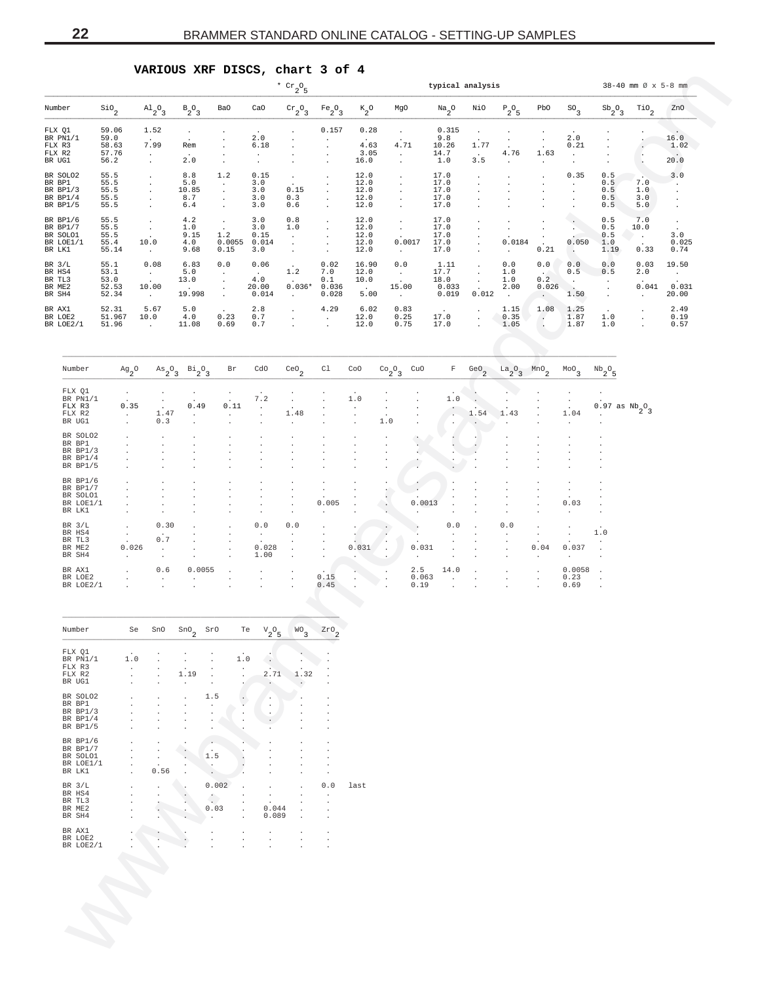## **VARIOUS XRF DISCS, chart 3 of 4**

|                                                          |                                          |                                                                        |                                          |                                                 |        |                                         | $^{\star}$ $\rm{cr}_{2} \rm{O}_{5}$                      |                                      |                                                |                                                     |                               |                                        | typical analysis                                        |                                         |                                                               |                                                       |                                                                | $38 - 40$ mm $\varnothing$ x 5-8 mm |                                                 |
|----------------------------------------------------------|------------------------------------------|------------------------------------------------------------------------|------------------------------------------|-------------------------------------------------|--------|-----------------------------------------|----------------------------------------------------------|--------------------------------------|------------------------------------------------|-----------------------------------------------------|-------------------------------|----------------------------------------|---------------------------------------------------------|-----------------------------------------|---------------------------------------------------------------|-------------------------------------------------------|----------------------------------------------------------------|-------------------------------------|-------------------------------------------------|
| Number                                                   | $\mathop{\mathsf{Si0}}\nolimits_2$       | $\mathrm{^{Al}_{2}O_{3}}$                                              | $B_2O_3$                                 | Ba0                                             |        | CaO                                     | $\mathrm{cr}_2\mathrm{O}_3$                              | $Fe_2O_3$                            | $\kappa_{2}$ o                                 | MgO                                                 |                               | $\mathrm{Na}_2\mathrm{O}$              | NiO                                                     | $P_2O_5$                                | PbO                                                           | $^{SO}$ <sub>3</sub>                                  | $\mathrm{Sb}_{2}^{\phantom{2}}$ $\mathrm{O}_{3}^{\phantom{2}}$ | $\mathop{\rm TiO}\nolimits_2$       | ZnO                                             |
| FLX Q1<br>BR PN1/1<br>FLX R3<br>FLX R2<br>BR UG1         | 59.06<br>59.0<br>58.63<br>57.76<br>56.2  | 1.52<br>7.99<br>$\cdot$<br>$\cdot$                                     | $\cdot$<br>Rem<br>2.0                    | $\cdot$                                         |        | 2.0<br>6.18<br>$\cdot$<br>$\cdot$       |                                                          | 0.157                                | 0.28<br>4.63<br>3.05<br>16.0                   | $\bullet$<br>4.71<br>$\cdot$<br>$\cdot$             |                               | 0.315<br>9.8<br>10.26<br>14.7<br>1.0   | $\cdot$<br>1.77<br>$\sim$<br>3.5                        | $\cdot$<br>$\cdot$<br>4.76<br>$\cdot$   | $\cdot$<br>$\cdot$<br>$\ddot{\phantom{a}}$<br>1.63<br>$\cdot$ | 2.0<br>0.21<br>$\cdot$<br>$\cdot$                     |                                                                |                                     | 16.0<br>1.02<br>20.0                            |
| BR SOLO2<br>BR BP1<br>BR BP1/3<br>BR $BP1/4$<br>BR BP1/5 | 55.5<br>55.5<br>55.5<br>55.5<br>55.5     |                                                                        | 8.8<br>5.0<br>10.85<br>8.7<br>6.4        | 1.2<br>$\cdot$<br>$\cdot$<br>$\cdot$            |        | 0.15<br>3.0<br>3.0<br>3.0<br>3.0        | $\cdot$<br>0.15<br>0.3<br>0.6                            | $\cdot$<br>$\cdot$<br>$\cdot$        | 12.0<br>12.0<br>12.0<br>12.0<br>12.0           | $\cdot$<br>$\cdot$<br>$\cdot$<br>$\cdot$<br>$\cdot$ |                               | 17.0<br>17.0<br>17.0<br>17.0<br>17.0   | $\cdot$<br>٠                                            |                                         | $\cdot$                                                       | 0.35<br>$\cdot$                                       | 0.5<br>0.5<br>0.5<br>0.5<br>0.5                                | 7.0<br>1.0<br>3.0<br>5.0            | 3.0<br>$\cdot$<br>$\cdot$<br>$\cdot$<br>$\cdot$ |
| BR BP1/6<br>BR BP1/7<br>BR SOLO1<br>BR LOE1/1<br>BR LK1  | 55.5<br>55.5<br>55.5<br>55.4<br>55.14    | $\cdot$<br>$\cdot$<br>10.0<br>$\cdot$                                  | 4.2<br>1.0<br>9.15<br>4.0<br>9.68        | $\cdot$<br>1.2<br>0.15                          | 0.0055 | 3.0<br>3.0<br>0.15<br>0.014<br>3.0      | 0.8<br>1.0<br>$\cdot$<br>$\cdot$<br>$\ddot{\phantom{a}}$ | $\cdot$<br>$\cdot$                   | 12.0<br>12.0<br>12.0<br>12.0<br>12.0           | $\cdot$<br>$\cdot$<br>$\cdot$                       | 0.0017                        | 17.0<br>17.0<br>17.0<br>17.0<br>17.0   | $\cdot$<br>$\ddot{\phantom{0}}$<br>$\ddot{\phantom{a}}$ | $\cdot$<br>$\cdot$<br>0.0184<br>$\cdot$ | $\cdot$<br>$\cdot$<br>$\cdot$<br>$\Delta$<br>0.21             | $\cdot$<br>0.050<br>$\sim$                            | 0.5<br>0.5<br>0.5<br>1.0<br>1.19                               | 7.0<br>10.0<br>$\cdot$<br>0.33      | $\cdot$<br>$\cdot$<br>3.0<br>0.025<br>0.74      |
| BR $3/L$<br>BR HS4<br>BR TL3<br>BR ME2<br>BR SH4         | 55.1<br>53.1<br>53.0<br>52.53<br>52.34   | 0.08<br>$\sim$<br>10.00<br>$\sim$                                      | 6.83<br>5.0<br>13.0<br>$\cdot$<br>19.998 | 0.0<br>$\cdot$<br>$\cdot$<br>$\cdot$<br>$\cdot$ |        | 0.06<br>$\sim$<br>4.0<br>20.00<br>0.014 | 1.2<br>$0.036*$<br>$\cdot$                               | 0.02<br>7.0<br>0.1<br>0.036<br>0.028 | 16.90<br>12.0<br>10.0<br>$\sim$ $\sim$<br>5.00 | 0.0<br>$\sim$<br>15.00<br>$\sim$                    |                               | 1.11<br>17.7<br>18.0<br>0.033<br>0.019 | $\cdot$<br>$\cdot$<br>$\cdot$<br>0.012                  | 0.0<br>1.0<br>1.0<br>2.00<br>$\cdot$    | $0.0$<br>$\sim$<br>0.2<br>0.026<br>$\epsilon$                 | 0.0<br>0.5<br>$\cdot$<br>$\ddot{\phantom{a}}$<br>1.50 | 0.0<br>0.5<br>$\cdot$<br>$\cdot$<br>$\cdot$                    | 0.03<br>2.0<br>0.041<br>$\cdot$     | 19.50<br>$\sim$<br>0.031<br>20.00               |
| BR AX1<br>BR LOE2<br>BR LOE2/1                           | 52.31<br>51.967<br>51.96                 | 5.67<br>10.0<br>$\cdot$                                                | 5.0<br>4.0<br>11.08                      | 0.23<br>0.69                                    |        | 2.8<br>0.7<br>0.7                       |                                                          | 4.29<br>$\cdot$<br>$\cdot$           | 6.02<br>12.0<br>12.0                           | 0.83<br>0.25<br>0.75                                |                               | 17.0<br>17.0                           | $\cdot$                                                 | 1.15<br>0.35<br>1.05                    | 1.08<br>$\left( \cdot \right)$<br>$\cdot$                     | 1.25<br>1.87<br>1.87                                  | 1.0<br>1.0                                                     |                                     | 2.49<br>0.19<br>0.57                            |
| Number                                                   | $\mathrm{Ag}_{2}\mathrm{O}$              | $\mathrm{As}_{2}O_{3}$                                                 | $B_1^1{}_{2}^0{}_{3}$                    |                                                 | Br     | cdo                                     | $\mathsf{ceo}_2$                                         | C1                                   | CoO                                            | $^{Co}2^{O}3$                                       | CuO                           | $\mathbb F$                            | GeO $_2$                                                | $a_2^0a_3$                              | MnO <sub>2</sub>                                              | $^{MO}$ <sub>3</sub>                                  | $^{\mathrm{Nb}} 2^{\mathrm{O}} 5$                              |                                     |                                                 |
| FLX Q1<br>BR PN1/1<br>FLX R3<br>FLX R2<br>BR UG1         | 0.35<br>$\cdot$                          | 1.47<br>0.3                                                            | 0.49<br>$\cdot$                          | $\ddot{\phantom{a}}$<br>$\ddot{\phantom{a}}$    | 0.11   | 7.2<br>$\cdot$                          | $\cdot$<br>1.48<br>$\cdot$                               | $\cdot$                              | $1.0$                                          | $\ddot{\phantom{a}}$<br>$\ddot{\phantom{a}}$<br>1.0 |                               | 1.0<br>$\cdot$<br>$\cdot$              | $\ddot{\phantom{a}}$<br>1.54                            | 1.43                                    |                                                               | 1.04<br>$\cdot$                                       | $0.97$ as $Nb_2O_3$<br>$\ddot{\phantom{a}}$                    |                                     |                                                 |
| BR SOLO2<br>BR BP1<br>BR BP1/3<br>BR BP1/4<br>BR BP1/5   |                                          |                                                                        |                                          |                                                 |        |                                         |                                                          |                                      |                                                |                                                     | $\cdot$<br>Ġ.<br>×.           | $\cdot$<br>$\cdot$                     |                                                         |                                         |                                                               |                                                       |                                                                |                                     |                                                 |
| BR BP1/6<br>BR BP1/7<br>BR SOLO1<br>BR LOE1/1<br>BR LK1  |                                          |                                                                        |                                          |                                                 |        |                                         | $\cdot$<br>$\cdot$<br>$\cdot$<br>$\cdot$                 | 0.005<br>$\cdot$                     |                                                | $\cdot$<br>$\sim$<br>$\ddot{\phantom{1}}$           | ٠<br>0.0013                   |                                        |                                                         |                                         |                                                               | $\cdot$<br>0.03<br>$\cdot$                            | $\cdot$<br>$\cdot$<br>$\cdot$                                  |                                     |                                                 |
| BR $3/L$<br>BR HS4<br>BR TL3<br>BR ME2<br>BR SH4         | $\cdot$<br>$\cdot$<br>0.026<br>$\bullet$ | 0.30<br>$\ddot{\phantom{a}}$<br>0.7<br>$\ddot{\phantom{a}}$<br>$\cdot$ |                                          |                                                 |        | $0.0$<br>$\cdot$<br>0.028<br>1.00       | $0.0$<br>$\cdot$<br>$\cdot$<br>$\cdot$                   | $\cdot$                              | $\cdot$<br>0.031                               | $\cdot$<br>$\cdot$<br>$\ddot{\phantom{a}}$          | 0.031<br>$\ddot{\phantom{0}}$ | 0.0<br>$\ddot{\phantom{a}}$<br>$\cdot$ |                                                         | 0.0<br>$\cdot$                          | $\ddot{\phantom{0}}$<br>$\ddot{\phantom{a}}$<br>0.04          | 0.037<br>$\cdot$                                      | $1.0$<br>$\cdot$<br>$\ddot{\phantom{a}}$                       |                                     |                                                 |
| BR AX1<br>BR LOE2<br>BR LOE2/1                           |                                          | 0.6<br>$\cdot$                                                         | 0.0055                                   | $\ddot{\phantom{a}}$                            |        | $\cdot$<br>$\cdot$                      | $\ddot{\phantom{a}}$                                     | 0.15<br>0.45                         |                                                |                                                     | 2.5<br>0.063<br>0.19          | 14.0<br>$\cdot$                        |                                                         |                                         | $\ddot{\phantom{a}}$<br>$\ddot{\phantom{a}}$                  | 0.0058<br>0.23<br>0.69                                | $\cdot$<br>$\ddot{\phantom{a}}$                                |                                     |                                                 |
| Number                                                   | Se                                       | SnO                                                                    | $_{\rm SnO}_{2}$                         | SrO                                             | Te     | $V \cap$<br>$2^{\circ}5$                | WO <sub>3</sub>                                          | $z$ ro $\rm _2$                      |                                                |                                                     |                               |                                        |                                                         |                                         |                                                               |                                                       |                                                                |                                     |                                                 |
| FLX Q1<br>BR PN1/1<br>FLX R3<br>FLX R2<br>BR UG1         | 1.0                                      |                                                                        | 1.19<br>$\blacksquare$                   |                                                 | 1.0    | 2.71<br>$\cdot$                         | 1.32                                                     |                                      |                                                |                                                     |                               |                                        |                                                         |                                         |                                                               |                                                       |                                                                |                                     |                                                 |
| BR SOLO2<br>BR BP1<br>BR BP1/3<br>BR BP1/4<br>BR BP1/5   |                                          |                                                                        |                                          | 1.5                                             |        |                                         |                                                          |                                      |                                                |                                                     |                               |                                        |                                                         |                                         |                                                               |                                                       |                                                                |                                     |                                                 |
| BR BP1/6<br>BR BP1/7<br>BR SOLO1<br>BR LOE1/1<br>BR LK1  |                                          | 0.56                                                                   |                                          | $\cdot$<br>1.5                                  |        |                                         |                                                          |                                      |                                                |                                                     |                               |                                        |                                                         |                                         |                                                               |                                                       |                                                                |                                     |                                                 |
| BR 3/L<br>BR HS4<br>BR TL3<br>BR ME2<br>BR SH4           |                                          |                                                                        |                                          | 0.002<br>Ĉ<br>0.03                              |        | 0.044<br>0.089                          |                                                          | 0.0<br>$\cdot$                       | last                                           |                                                     |                               |                                        |                                                         |                                         |                                                               |                                                       |                                                                |                                     |                                                 |
| BR AX1<br>BR LOE2                                        | BR LOE2/1                                |                                                                        |                                          |                                                 |        |                                         |                                                          |                                      |                                                |                                                     |                               |                                        |                                                         |                                         |                                                               |                                                       |                                                                |                                     |                                                 |

| Number    | $Ag2$ <sup>0</sup>   | $A\mathbf{s}$ <sub>2</sub> <sup>O</sup> <sub>3</sub> | $B_2^1O_3$           | Br           | cdo                  | ceo <sub>2</sub>         | C1                   | CoO          | $\begin{array}{cc} {\rm Co}_{2} {\rm O}_{3} & {\rm CuO} \end{array}$ |                      | F                    |        | GeO <sub>2</sub> $La_2O_3$ MnO <sub>2</sub> |              | $^{MO}$ <sub>3</sub> | $Nb_2O_5$               |
|-----------|----------------------|------------------------------------------------------|----------------------|--------------|----------------------|--------------------------|----------------------|--------------|----------------------------------------------------------------------|----------------------|----------------------|--------|---------------------------------------------|--------------|----------------------|-------------------------|
| FLX Q1    |                      |                                                      |                      |              |                      |                          |                      |              |                                                                      |                      |                      |        |                                             |              |                      |                         |
| BR PN1/1  | $\ddot{\phantom{0}}$ | $\cdot$                                              | $\ddot{\phantom{1}}$ |              | 7.2                  |                          |                      | 1.0          |                                                                      |                      | $1.0$                |        |                                             |              |                      |                         |
| FLX R3    | 0.35                 | $\sim$                                               | 0.49                 | 0.11         | $\Delta$             |                          |                      |              |                                                                      |                      | $\ddot{\phantom{0}}$ |        |                                             |              | $\cdot$              | $0.97$ as $Nb_{2}O_{3}$ |
| FLX R2    | $\mathbf{r}$         | 1.47                                                 | $\sim$               | $\sim$       | $\mathcal{L}^{\pm}$  | 1.48                     |                      | $\cdot$      | $\cdot$                                                              |                      | ÷                    | 1.54   | 1.43                                        |              | 1.04                 | $\ddot{\phantom{1}}$    |
| BR UG1    | $\mathbf{r}$         | 0.3                                                  | $\mathbf{r}$         |              | $\overline{a}$       | $\lambda$                |                      | $\mathbf{r}$ | 1.0                                                                  |                      | $\cdot$              |        | $\sim$                                      | $\mathbf{r}$ |                      | $\cdot$                 |
| BR SOLO2  |                      |                                                      |                      |              |                      |                          |                      |              |                                                                      |                      |                      |        |                                             |              |                      |                         |
| BR BP1    |                      |                                                      |                      |              |                      |                          |                      |              |                                                                      |                      |                      |        |                                             |              |                      |                         |
| BR BP1/3  |                      |                                                      |                      |              |                      |                          |                      |              |                                                                      |                      |                      |        |                                             |              |                      |                         |
| BR BP1/4  |                      |                                                      |                      |              |                      |                          |                      |              |                                                                      |                      |                      |        |                                             |              |                      |                         |
| BR BP1/5  |                      |                                                      |                      |              |                      |                          |                      |              |                                                                      |                      |                      |        |                                             |              |                      |                         |
| BR BP1/6  |                      |                                                      |                      |              |                      |                          |                      |              |                                                                      |                      |                      |        |                                             |              |                      |                         |
| BR BP1/7  |                      |                                                      |                      |              |                      |                          |                      |              |                                                                      |                      |                      |        |                                             |              |                      |                         |
| BR SOLO1  |                      |                                                      |                      |              |                      |                          |                      |              |                                                                      |                      |                      |        |                                             |              |                      |                         |
| BR LOE1/1 |                      |                                                      |                      |              |                      | $\mathbf{r}$             | 0.005                |              |                                                                      | 0.0013               |                      |        |                                             |              | 0.03                 |                         |
| BR LK1    |                      |                                                      |                      |              | $\cdot$              | $\overline{\phantom{a}}$ |                      |              |                                                                      |                      |                      |        |                                             |              | $\cdot$              |                         |
| BR $3/L$  | $\mathbf{r}$         | 0.30                                                 | $\mathbf{r}$         | $\mathbf{r}$ | 0.0                  | 0.0                      | $\ddot{\phantom{0}}$ |              |                                                                      | $\ddot{\phantom{a}}$ | 0.0                  | $\sim$ | 0.0                                         |              |                      | $\ddot{\phantom{1}}$    |
| BR HS4    | $\ddot{\phantom{0}}$ | $\cdot$                                              |                      | $\sim$       | $\ddot{\phantom{a}}$ |                          |                      |              |                                                                      |                      |                      |        |                                             | $\mathbf{r}$ | $\sim$               | 1.0                     |
| BR TL3    | $\ddot{\phantom{a}}$ | 0.7                                                  |                      |              | $\cdot$              |                          |                      |              |                                                                      |                      |                      |        |                                             |              |                      |                         |
| BR ME2    | 0.026                | $\sim$                                               |                      |              | 0.028                | $\mathbf{r}$             |                      | 0.031        | $\mathbf{r}$                                                         | 0.031                |                      |        |                                             | 0.04         | 0.037                |                         |
| BR SH4    | $\cdot$              | $\cdot$                                              |                      | $\sim$       | 1.00                 | $\cdot$                  | $\mathbf{r}$         |              |                                                                      |                      |                      |        |                                             |              |                      | $\cdot$                 |
| BR AX1    |                      | 0.6                                                  | 0.0055               |              | $\sim$               | $\cdot$                  | $\cdot$              |              |                                                                      | 2.5                  | 14.0                 |        | a.                                          | $\sim$       | 0.0058               | $\ddot{\phantom{a}}$    |
| BR LOE2   |                      |                                                      |                      |              |                      | $\cdot$                  | 0.15                 | $\cdot$      |                                                                      | 0.063                |                      |        |                                             | $\mathbf{r}$ | 0.23                 | $\sim$                  |
| BR LOE2/1 |                      |                                                      |                      |              |                      | $\cdot$                  | 0.45                 |              |                                                                      | 0.19                 |                      |        |                                             |              | 0.69                 | $\blacksquare$          |

| Number    | Se  | SnO  | $_{\rm SnO}_{2}$ | SrO   | Te  | ${\rm v}_{2}^{\rm ~o}{}_{5}$ | WO <sub>3</sub> | $2x0$ <sub>2</sub> |      |
|-----------|-----|------|------------------|-------|-----|------------------------------|-----------------|--------------------|------|
| FLX Q1    |     |      |                  |       |     |                              |                 |                    |      |
| BR PN1/1  | 1.0 |      |                  |       | 1.0 |                              |                 |                    |      |
| FLX R3    |     |      |                  |       |     |                              |                 |                    |      |
| FLX R2    |     |      | 1.19             |       |     | 2.71                         | 1.32            |                    |      |
| BR UG1    |     |      |                  |       |     |                              |                 |                    |      |
| BR SOLO2  |     |      |                  | 1.5   |     |                              |                 |                    |      |
| BR BP1    |     |      |                  |       |     |                              |                 |                    |      |
| BR BP1/3  |     |      |                  |       |     |                              |                 |                    |      |
| BR BP1/4  |     |      |                  |       |     |                              |                 |                    |      |
| BR BP1/5  |     |      |                  |       |     |                              |                 |                    |      |
| BR BP1/6  |     |      |                  |       |     |                              |                 |                    |      |
| BR BP1/7  |     |      |                  |       |     |                              |                 |                    |      |
| BR SOLO1  |     |      |                  | 1.5   |     |                              |                 |                    |      |
| BR LOE1/1 |     |      |                  |       |     |                              |                 |                    |      |
| BR LK1    |     | 0.56 |                  |       |     |                              |                 |                    |      |
| $BR$ 3/L  |     |      |                  | 0.002 |     |                              |                 | 0.0                | last |
| BR HS4    |     |      |                  |       |     |                              |                 |                    |      |
| BR TL3    |     |      |                  |       |     |                              |                 |                    |      |
| BR ME2    |     |      |                  | 0.03  |     | 0.044                        |                 |                    |      |
| BR SH4    |     |      |                  |       |     | 0.089                        |                 |                    |      |
| BR AX1    |     |      |                  |       |     |                              |                 |                    |      |
| BR LOE2   |     |      |                  |       |     |                              |                 |                    |      |
| BR LOE2/1 |     |      |                  |       |     |                              |                 |                    |      |

<span id="page-21-0"></span>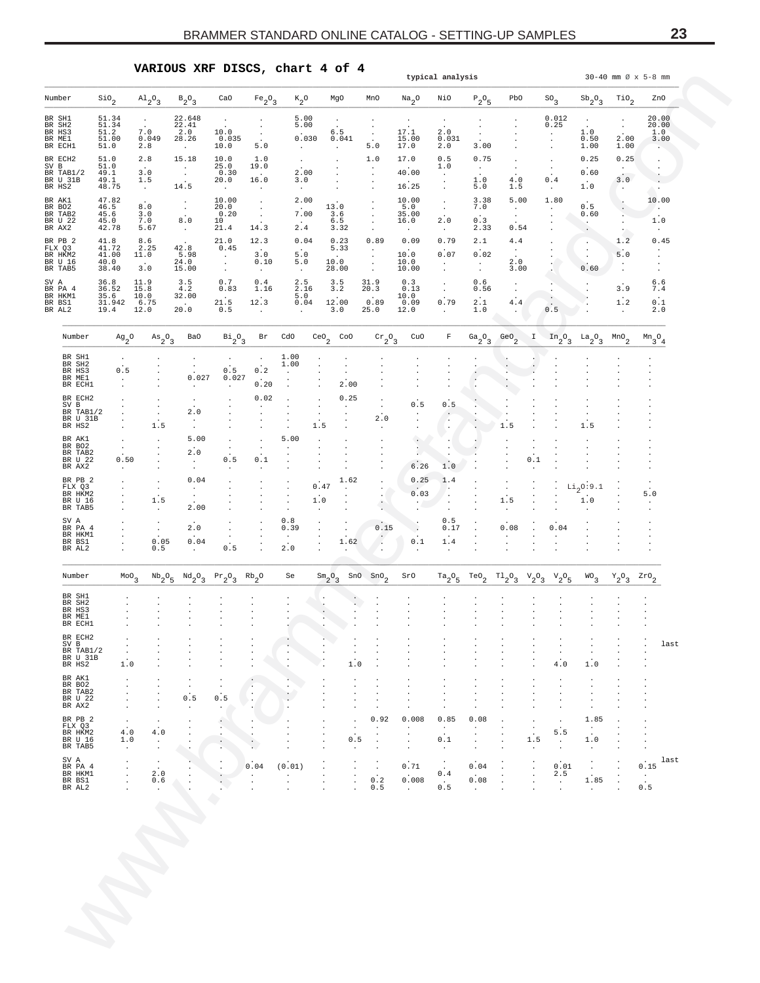**VARIOUS XRF DISCS, chart 4 of 4**

<span id="page-22-0"></span>

| Number                                             |                                                    |                                                                |                                                                  |                                                       |                                                   |                                         |                                                       |                                     |                                            |                                                     | typical analysis                         |                                                                             |                                          |                                                       |                                                       |                                      |                                                |                                                           | $30 - 40$ mm $\varnothing$ x 5-8 mm                  |
|----------------------------------------------------|----------------------------------------------------|----------------------------------------------------------------|------------------------------------------------------------------|-------------------------------------------------------|---------------------------------------------------|-----------------------------------------|-------------------------------------------------------|-------------------------------------|--------------------------------------------|-----------------------------------------------------|------------------------------------------|-----------------------------------------------------------------------------|------------------------------------------|-------------------------------------------------------|-------------------------------------------------------|--------------------------------------|------------------------------------------------|-----------------------------------------------------------|------------------------------------------------------|
|                                                    |                                                    | $\mathsf{Sio}_2$                                               | $A1_{2}O_3$                                                      | $B_2O_3$                                              | CaO                                               | $Fe_2O_3$                               | $\kappa_2$ o                                          |                                     | MgO                                        | MnO                                                 | $\mathrm{Na}_2\mathrm{O}$                | NiO                                                                         | $\mathbb{P}_2\mathbb{O}_5$               | PbO                                                   |                                                       | SO <sub>3</sub>                      | $\mathrm{Sb}_{2}\mathrm{O}_{3}$                | $\text{rio}_2$                                            | ZnO                                                  |
| BR SH1<br>BR SH2<br>BR HS3<br>BR ME1<br>BR ECH1    |                                                    | 51.34<br>51.34<br>51.2<br>51.00<br>51.0                        | $\sim$<br>7.0<br>0.049<br>2.8                                    | 22.648<br>22.41<br>2.0<br>28.26<br>$\sim$             | $\cdot$<br>10.0<br>0.035<br>10.0                  | $\cdot$<br>$\cdot$<br>$\cdot$<br>5.0    | 5.00<br>5.00<br>0.030<br>$\sim$                       |                                     | $\cdot$<br>$6.5$<br>0.041<br>$\bullet$     | $\cdot$<br>$\cdot$<br>$\cdot$<br>5.0                | $\cdot$<br>17.1<br>$15.00$<br>$17.0$     | $\cdot$<br>2.0<br>0.031<br>2.0                                              | $\cdot$<br>$\cdot$<br>3.00               |                                                       |                                                       | 0.012<br>0.25<br>$\cdot$<br>$\cdot$  | $\cdot$<br>1.0<br>0.50<br>1.00                 | $\cdot$<br>$\sim$<br>2.00<br>1.00                         | 20.00<br>20.00<br>1.0<br>3.00<br>$\cdot$ .           |
| BR ECH2<br>SV B<br>BR TAB1/2<br>BR U 31B<br>BR HS2 |                                                    | 51.0<br>51.0<br>49.1<br>49.1<br>48.75                          | 2.8<br>3.0<br>1.5<br>$\sim$                                      | 15.18<br>$\sim$<br>$\sim$<br>14.5                     | 10.0<br>25.0<br>0.30<br>20.0<br>$\sim$            | 1.0<br>19.0<br>16.0<br>$\sim$           | $\sim$<br>2.00<br>3.0<br>$\cdot$                      |                                     | $\cdot$<br>$\cdot$<br>$\cdot$<br>$\bullet$ | 1.0<br>$\bullet$<br>$\ddot{\phantom{a}}$<br>$\cdot$ | 17.0<br>40.00<br>16.25                   | 0.5<br>1.0<br>$\cdot$<br>$\cdot$<br>$\cdot$                                 | 0.75<br>$\sim$<br>1.0<br>5.0             | $\cdot$<br>$\cdot$<br>4.0<br>1.5                      |                                                       | $\cdot$<br>$\cdot$<br>0.4<br>$\cdot$ | 0.25<br>0.60<br>1.0                            | 0.25<br>$\sim$<br>3.0<br>$\cdot$                          | $\cdot$<br>$\cdot$<br>$\ddot{\phantom{a}}$<br>$\sim$ |
| BR AK1<br>BR BO2<br>BR TAB2<br>BR U 22<br>BR AX2   |                                                    | 47.82<br>46.5<br>45.6<br>45.0<br>42.78                         | 8.0<br>$\frac{3}{7}.\frac{0}{0}$<br>5.67                         | $\cdot$<br>$\sim$<br>8.0<br>$\sim$ $\sim$             | 10.00<br>20.0<br>0.20<br>10<br>21.4               | $\cdot$<br>$\bullet$<br>$\cdot$<br>14.3 | 2.00<br>7.00<br>$2:4$                                 | 13.0                                | 3.6<br>6.5<br>3.32                         | $\cdot$<br>$\cdot$<br>$\cdot$<br>$\cdot$<br>$\cdot$ | 10.00<br>5.0<br>35.00<br>16.0<br>$\cdot$ | $\cdot$<br>$\cdot$<br>2.0<br>$\cdot$                                        | 3.38<br>7.0<br>0.3<br>2.33               | 5.00<br>$\sim$<br>$\cdot$<br>0.54                     |                                                       | 1.80<br>$\sim$<br>$\cdot$            | 0.5<br>0.60<br>$\ddotsc$<br>$\cdot$            | $\cdot$<br>$\cdot$<br>$\blacksquare$<br>$\cdot$<br>$\sim$ | 10.00<br>$\sim$<br>1.0<br>$\cdot$                    |
| BR PB 2<br>FLX Q3<br>BR HKM2<br>BR U 16<br>BR TAB5 |                                                    | 41.8<br>41.72<br>41.00<br>40.0<br>38.40                        | 8.6<br>2.25<br>11.0<br>3.0                                       | 42.8<br>5.98<br>24.0<br>15.00                         | 21.0<br>0.45<br>$\sim$<br>$\sim$<br>$\cdot$       | 12.3<br>3.0<br>0.10<br>$\sim$           | 0.04<br>$5.0$<br>5.0<br>$\cdot$                       | 10.0                                | 0.23<br>5.33<br>28.00                      | 0.89<br>$\sim$<br>$\cdot$<br>$\sim$<br>$\cdot$      | 0.09<br>10.0<br>10.0<br>10.00            | 0.79<br>0.07<br>$\cdot$<br>$\cdot$                                          | 2.1<br>0.02<br>$\blacksquare$<br>$\cdot$ | 4.4<br>$\sim$<br>2.0<br>3.00                          |                                                       | $\sim$                               | $\cdot$<br>$\cdot$<br>$\cdot$<br>0.60          | 1.2<br>5.0<br>$\cdot$<br>$\ddot{\phantom{a}}$             | 0.45<br>$\sim$<br>$\cdot$                            |
| SV A<br>BR PA 4<br>BR HKM1<br>BR BS1<br>BR AL2     |                                                    | 36.8<br>36.52<br>35.6<br>$31.942$<br>$19.4$                    | 11.9<br>15.8<br>10.0<br>6.75<br>12.0                             | 3.5<br>4.2<br>32.00<br>20.0                           | 0.7<br>0.83<br>21.5<br>0.5                        | 0.4<br>1.16<br>12.3<br>$\cdot$          | $^{2.5}_{2.16}$<br>5.0<br>0.04<br>$\cdot$             |                                     | 3.5<br>3.2<br>12.00<br>3.0                 | 31.9<br>20.3<br>0.89<br>25.0                        | 0.3<br>0.13<br>10.0<br>0.09<br>12.0      | $\cdot$<br>$\cdot$<br>0.79<br>$\cdot$                                       | 0.6<br>0.56<br>2.1<br>1.0                | $\cdot$<br>$\bullet$<br>4.4<br>$\ddot{\phantom{0}}$   |                                                       | 0.5                                  | $\cdot$                                        | 3.9<br>$1.2\,$<br>$\cdot$                                 | 6.6<br>7.4<br>0.1<br>2.0                             |
| Number                                             |                                                    | $Ag_2^0$                                                       | $\mathrm{As}_{2}\mathrm{O}_{3}$                                  | Ba0                                                   | $Bi_{2}O_{3}$                                     | Br                                      | CdO                                                   | $CeO2$ $CoO$                        |                                            | $\rm{cr_{2}O_{3}}$                                  | CuO                                      | $\mathbb F$                                                                 | $a_2^o$ <sub>3</sub>                     | GeO $_2$                                              | $\mathbf{I}$                                          | $In_{2}O_{3}$                        | $a_2^0a_3$                                     | $\mbox{\tt MnO}_2$                                        | $Mn_{3}O_{4}$                                        |
| BR SH2                                             | BR SH1<br>BR HS3<br>BR ME1<br>BR ECH1              | $\cdot$<br>$0.5$<br>$\blacksquare$<br>$\overline{\phantom{a}}$ |                                                                  | $\bullet$<br>$\sim$<br>0.027<br>$\sim$                | $\cdot$<br>0.5<br>0.027<br>$\sim$                 | $\cdot$<br>$0.2\,$<br>0.20              | 1.00<br>1.00<br>$\cdot$<br>$\cdot$<br>$\cdot$         |                                     | $\cdot$<br>$\cdot$<br>2.00                 | $\cdot$<br>$\ddot{\phantom{a}}$                     |                                          | $\cdot$                                                                     |                                          | $\cdot$                                               |                                                       |                                      |                                                |                                                           |                                                      |
| SV B                                               | BR ECH2<br>BR TAB1/2<br>BR U 31B<br>BR HS2         | $\mathbf{r}$                                                   | $\cdot$<br>$\cdot$<br>$\cdot$<br>1.5                             | $\cdot$<br>2.0<br>$\cdot$<br>$\cdot$                  | $\cdot$                                           | 0.02<br>$\cdot$<br>$\cdot$              | $\cdot$<br>$\ddot{\phantom{a}}$                       | $\cdot$<br>$\blacksquare$<br>1.5    | 0.25<br>$\cdot$<br>$\cdot$                 | $\cdot$<br>$\cdot$<br>2.0                           | 0.5<br>$\cdot$                           | 0.5<br>$\ddot{\phantom{1}}$<br>$\ddot{\phantom{a}}$<br>$\ddot{\phantom{0}}$ | ÷                                        | $\cdot$<br>1.5                                        |                                                       |                                      | $\cdot$<br>$\cdot$<br>1.5                      |                                                           |                                                      |
|                                                    | BR AK1<br>BR BO2<br>BR TAB2<br>BR U 22<br>BR AX2   | $\cdot$<br>$\sim$<br>0.50<br>$\ddot{\phantom{1}}$              | $\cdot$<br>$\cdot$<br>$\cdot$                                    | 5.00<br>2.0<br>$\ddot{\phantom{1}}$<br>$\blacksquare$ | $\cdot$<br>$\cdot$<br>0.5<br>$\ddot{\phantom{a}}$ | $\cdot$<br>$\cdot$<br>0.1<br>$\cdot$    | 5.00<br>$\cdot$<br>$\cdot$                            | $\blacksquare$                      | $\cdot$                                    | $\cdot$                                             | $\cdot$<br>$\cdot$<br>6.26               | $\cdot$<br>$\cdot$<br>1.0                                                   |                                          | $\cdot$<br>$\cdot$                                    | $\cdot$<br>$\cdot$<br>0.1<br>$\overline{\phantom{a}}$ | $\cdot$                              | $\cdot$<br>$\cdot$                             |                                                           |                                                      |
|                                                    | BR PB 2<br>FLX 03<br>BR HKM2<br>BR U 16<br>BR TAB5 | $\cdot$<br>$\mathbf{r}$                                        | $\cdot$<br>$\bullet$<br>$\bullet$<br>1.5<br>$\ddot{\phantom{a}}$ | 0.04<br>$\sim$<br>$\cdot$<br>2.00                     | $\cdot$<br>$\cdot$<br>$\cdot$                     | $\cdot$<br>$\cdot$<br>$\bullet$         | $\cdot$<br>$\cdot$<br>$\cdot$<br>$\ddot{\phantom{a}}$ | 0.47<br>1.0<br>$\ddot{\phantom{a}}$ | 1.62<br>$\cdot$<br>$\cdot$                 | $\cdot$<br>$\cdot$<br>$\cdot$                       | 0.25<br>0.03                             | 1.4<br>$\cdot$<br>$\cdot$                                                   |                                          | $\cdot$<br>$\cdot$<br>1.5<br>$\overline{\phantom{a}}$ | $\cdot$<br>$\cdot$                                    |                                      | $\text{Li}_2\text{O}\colon\text{9.1}$<br>$1.0$ | $\cdot$<br>$\cdot$                                        | 5.0                                                  |
| SV A<br>BR AL2                                     | BR PA 4<br>BR HKM1<br>BR BS1                       |                                                                | $\cdot$<br>$\sim$<br>0.05<br>0.5                                 | 2.0<br>0.04                                           | $\cdot$<br>0.5                                    | $\cdot$<br>$\cdot$<br>$\cdot$           | 0.8<br>0.39<br>$\blacksquare$<br>2.0                  | $\cdot$                             | $\cdot$<br>1.62                            | 0.15<br>Ŷ                                           | $\cdot$<br>0.1                           | 0.5<br>0.17<br>1.4                                                          |                                          | 0.08<br>$\cdot$                                       |                                                       | 0.04                                 |                                                |                                                           |                                                      |
|                                                    | Number                                             | $\mathbf{r}$<br>$^{MO}$ <sub>3</sub>                           | $^{\mathrm{Nb}}\mathrm{_{2}^{O}}\mathrm{_{5}}$                   | $\ddot{\phantom{a}}$<br>$^{Nd}2^0$ 3                  | $Pr_2O_3$                                         | $Rb_2^0$                                | Se                                                    | $\mathrm{Sm}_2\mathrm{O}_3$         | $\cdot$<br>SnO                             | $\cdot$<br>$\text{Sno}_2$                           | $\cdot$<br>SrO                           | $\cdot$<br>$\mathrm{^{Ta} _2^O _5}$                                         | TeO <sub>2</sub>                         | T120                                                  | $v_{2^03}$                                            | $v_{2}$ <sup>o</sup> <sub>5</sub>    | $WO\over 3$                                    | $Y_2O_3$                                                  | $z_{\texttt{r0}}_{2}$                                |
|                                                    | BR SH1<br>BR SH2<br>BR HS3<br>BR ME1<br>BR ECH1    |                                                                |                                                                  |                                                       |                                                   |                                         |                                                       |                                     |                                            |                                                     |                                          |                                                                             |                                          |                                                       |                                                       |                                      |                                                |                                                           |                                                      |
| $\texttt{SV}\ \texttt{B}$                          | BR ECH2<br>BR TAB1/2<br>BR U 31B<br>BR HS2         | $\blacksquare$<br>$\cdot$<br>$1\,.$ $0\,$                      |                                                                  | $\cdot$                                               |                                                   |                                         | $\cdot$                                               |                                     | $\cdot$<br>$1\,.0$                         | $\cdot$                                             |                                          | $\ddot{\phantom{0}}$                                                        | $\ddot{\phantom{0}}$                     |                                                       | $\cdot$                                               | $\cdot$<br>$\cdot$<br>$4\,.$ $0\,$   | $\cdot$<br>$\cdot$<br>1.0                      |                                                           | last<br>$\cdot$                                      |
|                                                    | BR AK1<br>BR BO2<br>BR TAB2<br>BR U 22<br>BR AX2   | ٠<br>$\blacksquare$<br>$\blacksquare$                          |                                                                  | $\cdot$<br>0.5                                        | $\cdot$<br>0.5                                    | $\cdot$                                 | $\cdot$                                               |                                     | $\cdot$                                    | $\cdot$                                             |                                          | $\ddot{\phantom{a}}$                                                        |                                          |                                                       |                                                       | $\cdot$<br>$\cdot$                   | $\cdot$<br>$\cdot$                             |                                                           |                                                      |
|                                                    | BR PB 2<br>FLX Q3<br>BR HKM2<br>BR U 16<br>BR TAB5 | ٠<br>$\frac{4.0}{1.0}$<br>$\cdot$                              | $\cdot$<br>4.0<br>$\cdot$                                        |                                                       |                                                   | $\cdot$                                 |                                                       |                                     | 0.5                                        | 0.92<br>$\cdot$<br>$\cdot$<br>$\cdot$               | 0.008                                    | 0.85<br>$\cdot$<br>0.1                                                      | 0.08<br>$\cdot$                          |                                                       | $\cdot$<br>1.5                                        | ٠<br>5.5<br>$\cdot$                  | 1.85<br>$\cdot$<br>$1\,.$ $0\,$<br>$\cdot$     |                                                           |                                                      |
| SV A                                               | BR PA 4<br>BR HKM1<br>BR BS1<br>BR AL2             | $\cdot$<br>$\blacksquare$<br>$\blacksquare$                    | $\bullet$<br>2.0<br>0.6                                          |                                                       |                                                   | 0.04                                    | (0.01)<br>$\cdot$<br>$\cdot$                          |                                     |                                            | $\cdot$<br>0.2<br>0.5                               | 0.71<br>0.008                            | 0.4<br>$\blacksquare$<br>0.5                                                | 0.04<br>0.08                             |                                                       | $\blacksquare$<br>$\cdot$                             | $\frac{0.01}{2.5}$<br>$\cdot$        | $\cdot$<br>1.85<br>$\cdot$                     | $\cdot$<br>$\cdot$                                        | last<br>0.15<br>$\cdot$<br>$0.5$                     |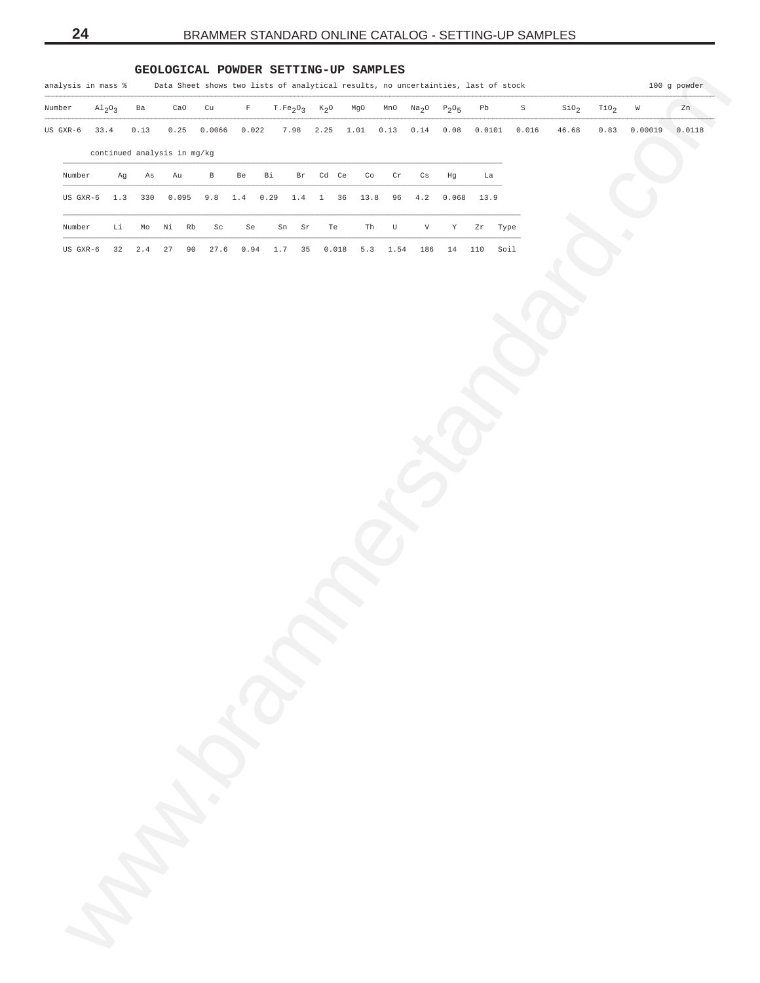## **GEOLOGICAL POWDER SETTING-UP SAMPLES**

<span id="page-23-0"></span>

| US GXR-6 | 33.4 |     |                             |       |                      |                     |                                                             |          |                           |                    |                    |                         |                           |             |            |      |       |       |      |         |        |
|----------|------|-----|-----------------------------|-------|----------------------|---------------------|-------------------------------------------------------------|----------|---------------------------|--------------------|--------------------|-------------------------|---------------------------|-------------|------------|------|-------|-------|------|---------|--------|
|          |      |     | 0.13                        | 0.25  |                      | 0.0066              | 0.022                                                       |          | 7.98                      | 2.25               | 1.01               | 0.13                    | $0\,.14$                  | 0.08        | 0.0101     |      | 0.016 | 46.68 | 0.83 | 0.00019 | 0.0118 |
|          |      |     | continued analysis in mg/kg |       |                      |                     |                                                             |          |                           |                    |                    |                         |                           |             |            |      |       |       |      |         |        |
| Number   |      | Ag  | Αs                          | Au    |                      | $\, {\bf B}$        | Be                                                          | Вi       | $\operatorname{Br}$       | Cd Ce              | $\mathbb{C} \circ$ | $\operatorname{\sf Cr}$ | $\mathtt{Cs}$             | Hg          | La         |      |       |       |      |         |        |
| US GXR-6 |      | 1.3 | 330                         | 0.095 |                      | $9.8$               | $1.4\,$                                                     | $0\,.29$ | 1.4                       | $\mathbf{1}$<br>36 | 13.8               | 96                      | $4\,\ldotp 2$             | 0.068       | 13.9       |      |       |       |      |         |        |
| Number   |      | Li  | Mo                          | Νi    | $\mathbb R\mathbb b$ | $\operatorname{Sc}$ | Se                                                          |          | ${\rm Sn}$<br>$\mbox{Sr}$ | Te                 | Th                 | $\mathbf U$             | $\boldsymbol{\mathrm{V}}$ | $\mathbf Y$ | ${\tt Zr}$ | Type |       |       |      |         |        |
| US GXR-6 |      | 32  | $2.4\,$                     | 27    | 90                   | 27.6                | $\ensuremath{\mathbf{0}}$ .<br>$\ensuremath{\mathbf{9}}\,4$ | 1.7      | 35                        | 0.018              | 5.3                | 1.54                    | 186                       | $1\,4$      | 110        | Soil |       |       |      |         |        |
|          |      |     |                             |       |                      |                     |                                                             |          |                           |                    |                    |                         |                           |             |            |      |       |       |      |         |        |
|          |      |     |                             |       |                      |                     |                                                             |          |                           |                    |                    |                         |                           |             |            |      |       |       |      |         |        |
|          |      |     |                             |       |                      |                     |                                                             |          |                           |                    |                    |                         |                           |             |            |      |       |       |      |         |        |
|          |      |     |                             |       |                      |                     |                                                             |          |                           |                    |                    |                         |                           |             |            |      |       |       |      |         |        |
|          |      |     |                             |       |                      |                     |                                                             |          |                           |                    |                    |                         |                           |             |            |      |       |       |      |         |        |
|          |      |     |                             |       |                      |                     |                                                             |          |                           |                    |                    |                         |                           |             |            |      |       |       |      |         |        |
|          |      |     |                             |       |                      |                     |                                                             |          |                           |                    |                    |                         |                           |             |            |      |       |       |      |         |        |
|          |      |     |                             |       |                      |                     |                                                             |          |                           |                    |                    |                         |                           |             |            |      |       |       |      |         |        |
|          |      |     |                             |       |                      |                     |                                                             |          |                           |                    |                    |                         |                           |             |            |      |       |       |      |         |        |
|          |      |     |                             |       |                      |                     |                                                             |          |                           |                    |                    |                         |                           |             |            |      |       |       |      |         |        |
|          |      |     |                             |       |                      |                     |                                                             |          |                           |                    |                    |                         |                           |             |            |      |       |       |      |         |        |
|          |      |     |                             |       |                      |                     |                                                             |          |                           |                    |                    |                         |                           |             |            |      |       |       |      |         |        |
|          |      |     |                             |       |                      |                     |                                                             |          |                           |                    |                    |                         |                           |             |            |      |       |       |      |         |        |
|          |      |     |                             |       |                      |                     |                                                             |          |                           |                    |                    |                         |                           |             |            |      |       |       |      |         |        |
|          |      |     |                             |       |                      |                     |                                                             |          |                           |                    |                    |                         |                           |             |            |      |       |       |      |         |        |
|          |      |     |                             |       |                      |                     |                                                             |          |                           |                    |                    |                         |                           |             |            |      |       |       |      |         |        |
|          |      |     |                             |       |                      |                     |                                                             |          |                           |                    |                    |                         |                           |             |            |      |       |       |      |         |        |
|          |      |     |                             |       |                      |                     |                                                             |          |                           |                    |                    |                         |                           |             |            |      |       |       |      |         |        |
|          |      |     |                             |       |                      |                     |                                                             |          |                           |                    |                    |                         |                           |             |            |      |       |       |      |         |        |
|          |      |     |                             |       |                      |                     |                                                             |          |                           |                    |                    |                         |                           |             |            |      |       |       |      |         |        |
|          |      |     |                             |       |                      |                     |                                                             |          |                           |                    |                    |                         |                           |             |            |      |       |       |      |         |        |
|          |      |     |                             |       |                      |                     |                                                             |          |                           |                    |                    |                         |                           |             |            |      |       |       |      |         |        |
|          |      |     |                             |       |                      |                     |                                                             |          |                           |                    |                    |                         |                           |             |            |      |       |       |      |         |        |
|          |      |     |                             |       |                      |                     |                                                             |          |                           |                    |                    |                         |                           |             |            |      |       |       |      |         |        |
|          |      |     |                             |       |                      |                     |                                                             |          |                           |                    |                    |                         |                           |             |            |      |       |       |      |         |        |
|          |      |     |                             |       |                      |                     |                                                             |          |                           |                    |                    |                         |                           |             |            |      |       |       |      |         |        |
|          |      |     |                             |       |                      |                     |                                                             |          |                           |                    |                    |                         |                           |             |            |      |       |       |      |         |        |
|          |      |     |                             |       |                      |                     |                                                             |          |                           |                    |                    |                         |                           |             |            |      |       |       |      |         |        |
|          |      |     |                             |       |                      | man de              |                                                             |          |                           |                    |                    |                         |                           |             |            |      |       |       |      |         |        |
|          |      |     |                             |       |                      |                     |                                                             |          |                           |                    |                    |                         |                           |             |            |      |       |       |      |         |        |
|          |      |     |                             |       |                      |                     |                                                             |          |                           |                    |                    |                         |                           |             |            |      |       |       |      |         |        |
|          |      |     |                             |       |                      |                     |                                                             |          |                           |                    |                    |                         |                           |             |            |      |       |       |      |         |        |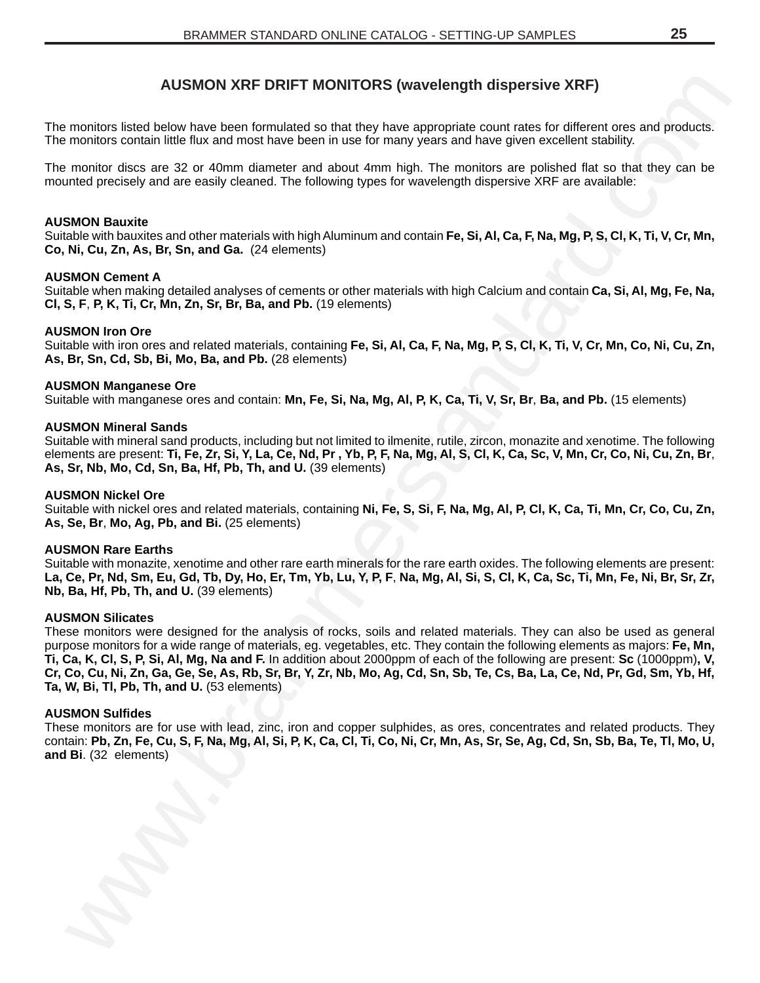# **AUSMON XRF DRIFT MONITORS (wavelength dispersive XRF)**

The monitors listed below have been formulated so that they have appropriate count rates for different ores and products. The monitors contain little flux and most have been in use for many years and have given excellent stability.

The monitor discs are 32 or 40mm diameter and about 4mm high. The monitors are polished flat so that they can be mounted precisely and are easily cleaned. The following types for wavelength dispersive XRF are available:

## **AUSMON Bauxite**

Suitable with bauxites and other materials with high Aluminum and contain **Fe, Si, Al, Ca, F, Na, Mg, P, S, Cl, K, Ti, V, Cr, Mn, Co, Ni, Cu, Zn, As, Br, Sn, and Ga.** (24 elements)

## **AUSMON Cement A**

Suitable when making detailed analyses of cements or other materials with high Calcium and contain **Ca, Si, Al, Mg, Fe, Na, Cl, S, F**, **P, K, Ti, Cr, Mn, Zn, Sr, Br, Ba, and Pb.** (19 elements)

## **AUSMON Iron Ore**

Suitable with iron ores and related materials, containing **Fe, Si, Al, Ca, F, Na, Mg, P, S, Cl, K, Ti, V, Cr, Mn, Co, Ni, Cu, Zn, As, Br, Sn, Cd, Sb, Bi, Mo, Ba, and Pb.** (28 elements)

## **AUSMON Manganese Ore**

Suitable with manganese ores and contain: **Mn, Fe, Si, Na, Mg, Al, P, K, Ca, Ti, V, Sr, Br**, **Ba, and Pb.** (15 elements)

## **AUSMON Mineral Sands**

Suitable with mineral sand products, including but not limited to ilmenite, rutile, zircon, monazite and xenotime. The following elements are present: **Ti, Fe, Zr, Si, Y, La, Ce, Nd, Pr , Yb, P, F, Na, Mg, Al, S, Cl, K, Ca, Sc, V, Mn, Cr, Co, Ni, Cu, Zn, Br**, **As, Sr, Nb, Mo, Cd, Sn, Ba, Hf, Pb, Th, and U.** (39 elements)

## **AUSMON Nickel Ore**

Suitable with nickel ores and related materials, containing **Ni, Fe, S, Si, F, Na, Mg, Al, P, Cl, K, Ca, Ti, Mn, Cr, Co, Cu, Zn, As, Se, Br**, **Mo, Ag, Pb, and Bi.** (25 elements)

### **AUSMON Rare Earths**

Suitable with monazite, xenotime and other rare earth minerals for the rare earth oxides. The following elements are present: **La, Ce, Pr, Nd, Sm, Eu, Gd, Tb, Dy, Ho, Er, Tm, Yb, Lu, Y, P, F**, **Na, Mg, Al, Si, S, Cl, K, Ca, Sc, Ti, Mn, Fe, Ni, Br, Sr, Zr, Nb, Ba, Hf, Pb, Th, and U.** (39 elements)

## **AUSMON Silicates**

<span id="page-24-0"></span>AUSMON XRF DRIFT MONITORS (wavelength dispersive XRF)<br>montar sixted becomes the formulated to native wee appear and the measurement one and provide.<br>montar sixted becomes the beam of the beam of the vehicle proposes and he These monitors were designed for the analysis of rocks, soils and related materials. They can also be used as general purpose monitors for a wide range of materials, eg. vegetables, etc. They contain the following elements as majors: **Fe, Mn, Ti, Ca, K, Cl, S, P, Si, Al, Mg, Na and F.** In addition about 2000ppm of each of the following are present: **Sc** (1000ppm)**, V, Cr, Co, Cu, Ni, Zn, Ga, Ge, Se, As, Rb, Sr, Br, Y, Zr, Nb, Mo, Ag, Cd, Sn, Sb, Te, Cs, Ba, La, Ce, Nd, Pr, Gd, Sm, Yb, Hf, Ta, W, Bi, Tl, Pb, Th, and U.** (53 elements)

### **AUSMON Sulfides**

These monitors are for use with lead, zinc, iron and copper sulphides, as ores, concentrates and related products. They contain: **Pb, Zn, Fe, Cu, S, F, Na, Mg, Al, Si, P, K, Ca, Cl, Ti, Co, Ni, Cr, Mn, As, Sr, Se, Ag, Cd, Sn, Sb, Ba, Te, Tl, Mo, U, and Bi**. (32 elements)